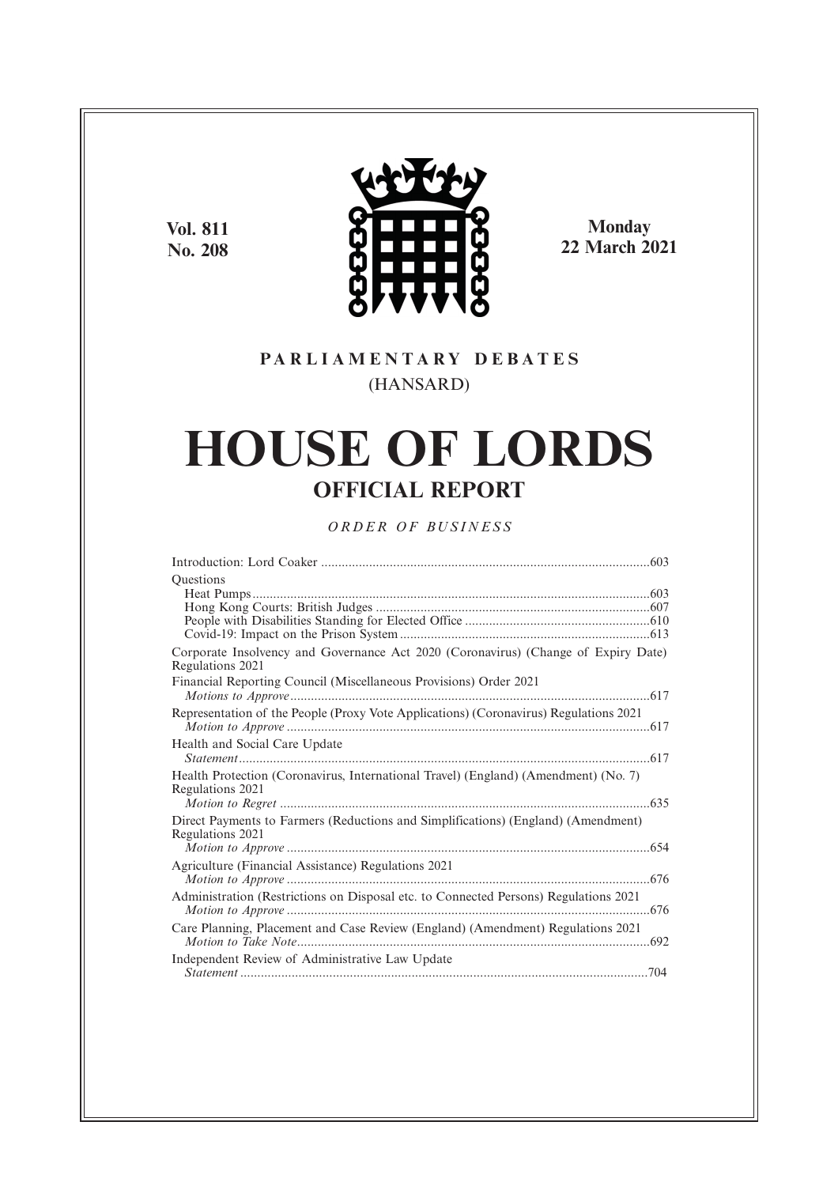**Vol. 811 No. 208**



**Monday 22 March 2021**

# **P A R L I A M E N T A R Y D E B A T E S** (HANSARD)

# **HOUSE OF LORDS OFFICIAL REPORT**

# *O R D E R O F BU S I N E S S*

| <b>Ouestions</b>                                                                                        |  |
|---------------------------------------------------------------------------------------------------------|--|
|                                                                                                         |  |
| Corporate Insolvency and Governance Act 2020 (Coronavirus) (Change of Expiry Date)<br>Regulations 2021  |  |
| Financial Reporting Council (Miscellaneous Provisions) Order 2021                                       |  |
| Representation of the People (Proxy Vote Applications) (Coronavirus) Regulations 2021                   |  |
| Health and Social Care Update                                                                           |  |
| Health Protection (Coronavirus, International Travel) (England) (Amendment) (No. 7)<br>Regulations 2021 |  |
| Direct Payments to Farmers (Reductions and Simplifications) (England) (Amendment)<br>Regulations 2021   |  |
| Agriculture (Financial Assistance) Regulations 2021                                                     |  |
| Administration (Restrictions on Disposal etc. to Connected Persons) Regulations 2021                    |  |
| Care Planning, Placement and Case Review (England) (Amendment) Regulations 2021                         |  |
| Independent Review of Administrative Law Update                                                         |  |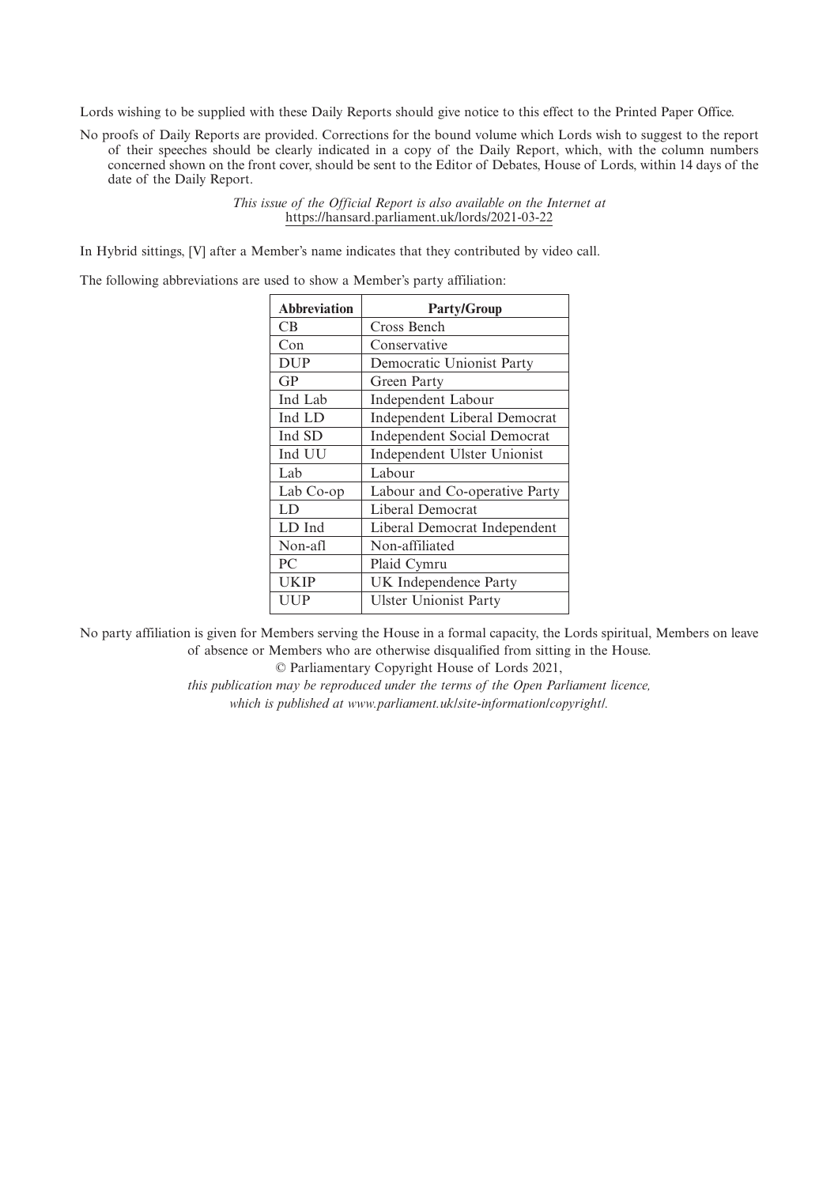Lords wishing to be supplied with these Daily Reports should give notice to this effect to the Printed Paper Office.

No proofs of Daily Reports are provided. Corrections for the bound volume which Lords wish to suggest to the report of their speeches should be clearly indicated in a copy of the Daily Report, which, with the column numbers concerned shown on the front cover, should be sent to the Editor of Debates, House of Lords, within 14 days of the date of the Daily Report.

> *This issue of the Official Report is also available on the Internet at* https://hansard.parliament.uk/lords/2021-03-22

In Hybrid sittings, [V] after a Member's name indicates that they contributed by video call.

The following abbreviations are used to show a Member's party affiliation:

| <b>Party/Group</b>                 |
|------------------------------------|
| Cross Bench                        |
| Conservative                       |
| Democratic Unionist Party          |
| Green Party                        |
| Independent Labour                 |
| Independent Liberal Democrat       |
| <b>Independent Social Democrat</b> |
| Independent Ulster Unionist        |
| Labour                             |
| Labour and Co-operative Party      |
| Liberal Democrat                   |
| Liberal Democrat Independent       |
| Non-affiliated                     |
| Plaid Cymru                        |
| UK Independence Party              |
| <b>Ulster Unionist Party</b>       |
|                                    |

No party affiliation is given for Members serving the House in a formal capacity, the Lords spiritual, Members on leave of absence or Members who are otherwise disqualified from sitting in the House.

© Parliamentary Copyright House of Lords 2021,

*this publication may be reproduced under the terms of the Open Parliament licence, which is published at www.parliament.uk/site-information/copyright/.*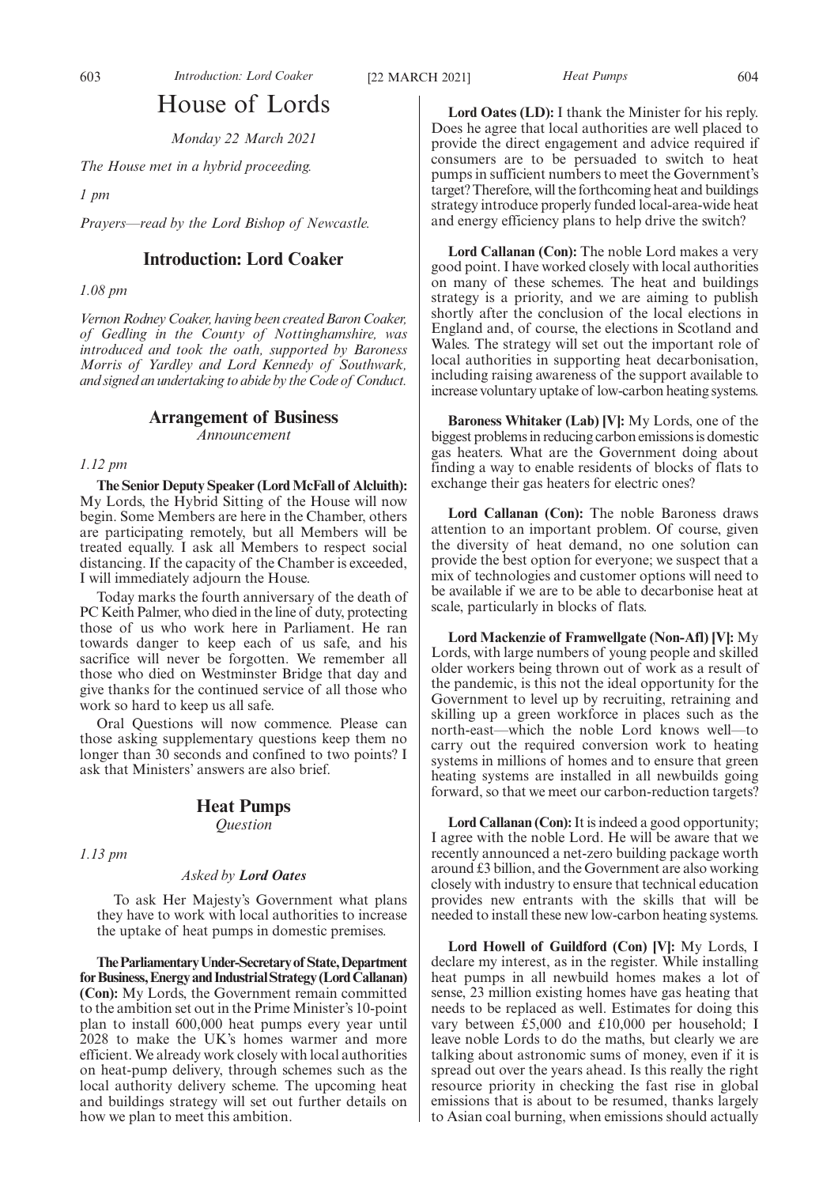# House of Lords

*Monday 22 March 2021*

*The House met in a hybrid proceeding.*

*1 pm*

*Prayers—read by the Lord Bishop of Newcastle.*

# **Introduction: Lord Coaker**

*1.08 pm*

*Vernon Rodney Coaker, having been created Baron Coaker, of Gedling in the County of Nottinghamshire, was introduced and took the oath, supported by Baroness Morris of Yardley and Lord Kennedy of Southwark, and signed an undertaking to abide by the Code of Conduct.*

# **Arrangement of Business**

*Announcement*

*1.12 pm*

**The Senior Deputy Speaker (Lord McFall of Alcluith):** My Lords, the Hybrid Sitting of the House will now begin. Some Members are here in the Chamber, others are participating remotely, but all Members will be treated equally. I ask all Members to respect social distancing. If the capacity of the Chamber is exceeded, I will immediately adjourn the House.

Today marks the fourth anniversary of the death of PC Keith Palmer, who died in the line of duty, protecting those of us who work here in Parliament. He ran towards danger to keep each of us safe, and his sacrifice will never be forgotten. We remember all those who died on Westminster Bridge that day and give thanks for the continued service of all those who work so hard to keep us all safe.

Oral Questions will now commence. Please can those asking supplementary questions keep them no longer than 30 seconds and confined to two points? I ask that Ministers' answers are also brief.

# **Heat Pumps**

*Question*

*1.13 pm*

# *Asked by Lord Oates*

To ask Her Majesty's Government what plans they have to work with local authorities to increase the uptake of heat pumps in domestic premises.

**TheParliamentaryUnder-Secretaryof State,Department** for Business, Energy and Industrial Strategy (Lord Callanan) **(Con):** My Lords, the Government remain committed to the ambition set out in the Prime Minister's 10-point plan to install 600,000 heat pumps every year until 2028 to make the UK's homes warmer and more efficient. We already work closely with local authorities on heat-pump delivery, through schemes such as the local authority delivery scheme. The upcoming heat and buildings strategy will set out further details on how we plan to meet this ambition.

**Lord Oates (LD):** I thank the Minister for his reply. Does he agree that local authorities are well placed to provide the direct engagement and advice required if consumers are to be persuaded to switch to heat pumps in sufficient numbers to meet the Government's target? Therefore, will the forthcoming heat and buildings strategy introduce properly funded local-area-wide heat and energy efficiency plans to help drive the switch?

**Lord Callanan (Con):** The noble Lord makes a very good point. I have worked closely with local authorities on many of these schemes. The heat and buildings strategy is a priority, and we are aiming to publish shortly after the conclusion of the local elections in England and, of course, the elections in Scotland and Wales. The strategy will set out the important role of local authorities in supporting heat decarbonisation, including raising awareness of the support available to increase voluntary uptake of low-carbon heating systems.

**Baroness Whitaker (Lab) [V]:** My Lords, one of the biggest problems in reducing carbon emissions is domestic gas heaters. What are the Government doing about finding a way to enable residents of blocks of flats to exchange their gas heaters for electric ones?

**Lord Callanan (Con):** The noble Baroness draws attention to an important problem. Of course, given the diversity of heat demand, no one solution can provide the best option for everyone; we suspect that a mix of technologies and customer options will need to be available if we are to be able to decarbonise heat at scale, particularly in blocks of flats.

**Lord Mackenzie of Framwellgate (Non-Afl) [V]:** My Lords, with large numbers of young people and skilled older workers being thrown out of work as a result of the pandemic, is this not the ideal opportunity for the Government to level up by recruiting, retraining and skilling up a green workforce in places such as the north-east—which the noble Lord knows well—to carry out the required conversion work to heating systems in millions of homes and to ensure that green heating systems are installed in all newbuilds going forward, so that we meet our carbon-reduction targets?

Lord Callanan (Con): It is indeed a good opportunity; I agree with the noble Lord. He will be aware that we recently announced a net-zero building package worth around £3 billion, and the Government are also working closely with industry to ensure that technical education provides new entrants with the skills that will be needed to install these new low-carbon heating systems.

**Lord Howell of Guildford (Con) [V]:** My Lords, I declare my interest, as in the register. While installing heat pumps in all newbuild homes makes a lot of sense, 23 million existing homes have gas heating that needs to be replaced as well. Estimates for doing this vary between £5,000 and £10,000 per household; I leave noble Lords to do the maths, but clearly we are talking about astronomic sums of money, even if it is spread out over the years ahead. Is this really the right resource priority in checking the fast rise in global emissions that is about to be resumed, thanks largely to Asian coal burning, when emissions should actually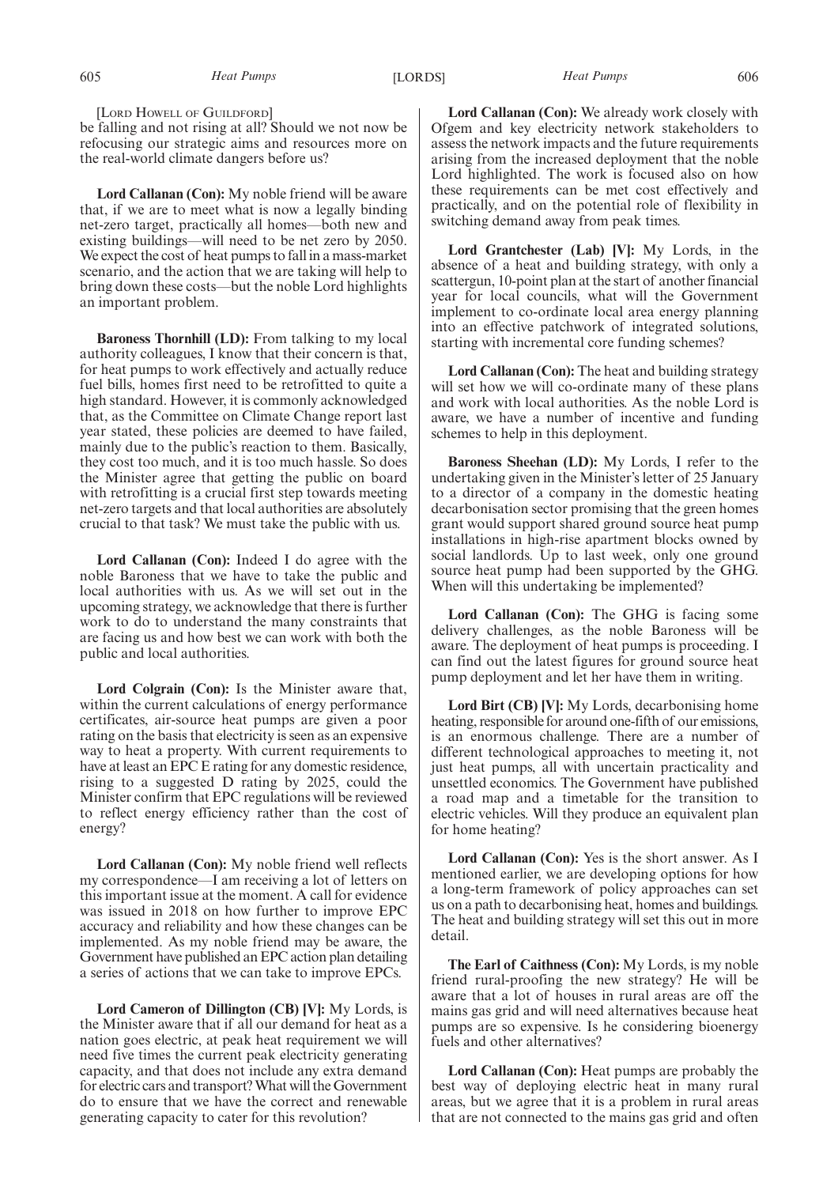[LORD HOWELL OF GUILDFORD]

be falling and not rising at all? Should we not now be refocusing our strategic aims and resources more on the real-world climate dangers before us?

**Lord Callanan (Con):** My noble friend will be aware that, if we are to meet what is now a legally binding net-zero target, practically all homes—both new and existing buildings—will need to be net zero by 2050. We expect the cost of heat pumps to fall in a mass-market scenario, and the action that we are taking will help to bring down these costs—but the noble Lord highlights an important problem.

**Baroness Thornhill (LD):** From talking to my local authority colleagues, I know that their concern is that, for heat pumps to work effectively and actually reduce fuel bills, homes first need to be retrofitted to quite a high standard. However, it is commonly acknowledged that, as the Committee on Climate Change report last year stated, these policies are deemed to have failed, mainly due to the public's reaction to them. Basically, they cost too much, and it is too much hassle. So does the Minister agree that getting the public on board with retrofitting is a crucial first step towards meeting net-zero targets and that local authorities are absolutely crucial to that task? We must take the public with us.

**Lord Callanan (Con):** Indeed I do agree with the noble Baroness that we have to take the public and local authorities with us. As we will set out in the upcoming strategy, we acknowledge that there is further work to do to understand the many constraints that are facing us and how best we can work with both the public and local authorities.

**Lord Colgrain (Con):** Is the Minister aware that, within the current calculations of energy performance certificates, air-source heat pumps are given a poor rating on the basis that electricity is seen as an expensive way to heat a property. With current requirements to have at least an EPC E rating for any domestic residence, rising to a suggested D rating by 2025, could the Minister confirm that EPC regulations will be reviewed to reflect energy efficiency rather than the cost of energy?

**Lord Callanan (Con):** My noble friend well reflects my correspondence—I am receiving a lot of letters on this important issue at the moment. A call for evidence was issued in 2018 on how further to improve EPC accuracy and reliability and how these changes can be implemented. As my noble friend may be aware, the Government have published an EPC action plan detailing a series of actions that we can take to improve EPCs.

**Lord Cameron of Dillington (CB) [V]:** My Lords, is the Minister aware that if all our demand for heat as a nation goes electric, at peak heat requirement we will need five times the current peak electricity generating capacity, and that does not include any extra demand for electric cars and transport? What will the Government do to ensure that we have the correct and renewable generating capacity to cater for this revolution?

**Lord Callanan (Con):** We already work closely with Ofgem and key electricity network stakeholders to assess the network impacts and the future requirements arising from the increased deployment that the noble Lord highlighted. The work is focused also on how these requirements can be met cost effectively and practically, and on the potential role of flexibility in switching demand away from peak times.

**Lord Grantchester (Lab) [V]:** My Lords, in the absence of a heat and building strategy, with only a scattergun, 10-point plan at the start of another financial year for local councils, what will the Government implement to co-ordinate local area energy planning into an effective patchwork of integrated solutions, starting with incremental core funding schemes?

**Lord Callanan (Con):** The heat and building strategy will set how we will co-ordinate many of these plans and work with local authorities. As the noble Lord is aware, we have a number of incentive and funding schemes to help in this deployment.

**Baroness Sheehan (LD):** My Lords, I refer to the undertaking given in the Minister's letter of 25 January to a director of a company in the domestic heating decarbonisation sector promising that the green homes grant would support shared ground source heat pump installations in high-rise apartment blocks owned by social landlords. Up to last week, only one ground source heat pump had been supported by the GHG. When will this undertaking be implemented?

**Lord Callanan (Con):** The GHG is facing some delivery challenges, as the noble Baroness will be aware. The deployment of heat pumps is proceeding. I can find out the latest figures for ground source heat pump deployment and let her have them in writing.

**Lord Birt (CB) [V]:** My Lords, decarbonising home heating, responsible for around one-fifth of our emissions, is an enormous challenge. There are a number of different technological approaches to meeting it, not just heat pumps, all with uncertain practicality and unsettled economics. The Government have published a road map and a timetable for the transition to electric vehicles. Will they produce an equivalent plan for home heating?

**Lord Callanan (Con):** Yes is the short answer. As I mentioned earlier, we are developing options for how a long-term framework of policy approaches can set us on a path to decarbonising heat, homes and buildings. The heat and building strategy will set this out in more detail.

**The Earl of Caithness (Con):** My Lords, is my noble friend rural-proofing the new strategy? He will be aware that a lot of houses in rural areas are off the mains gas grid and will need alternatives because heat pumps are so expensive. Is he considering bioenergy fuels and other alternatives?

**Lord Callanan (Con):** Heat pumps are probably the best way of deploying electric heat in many rural areas, but we agree that it is a problem in rural areas that are not connected to the mains gas grid and often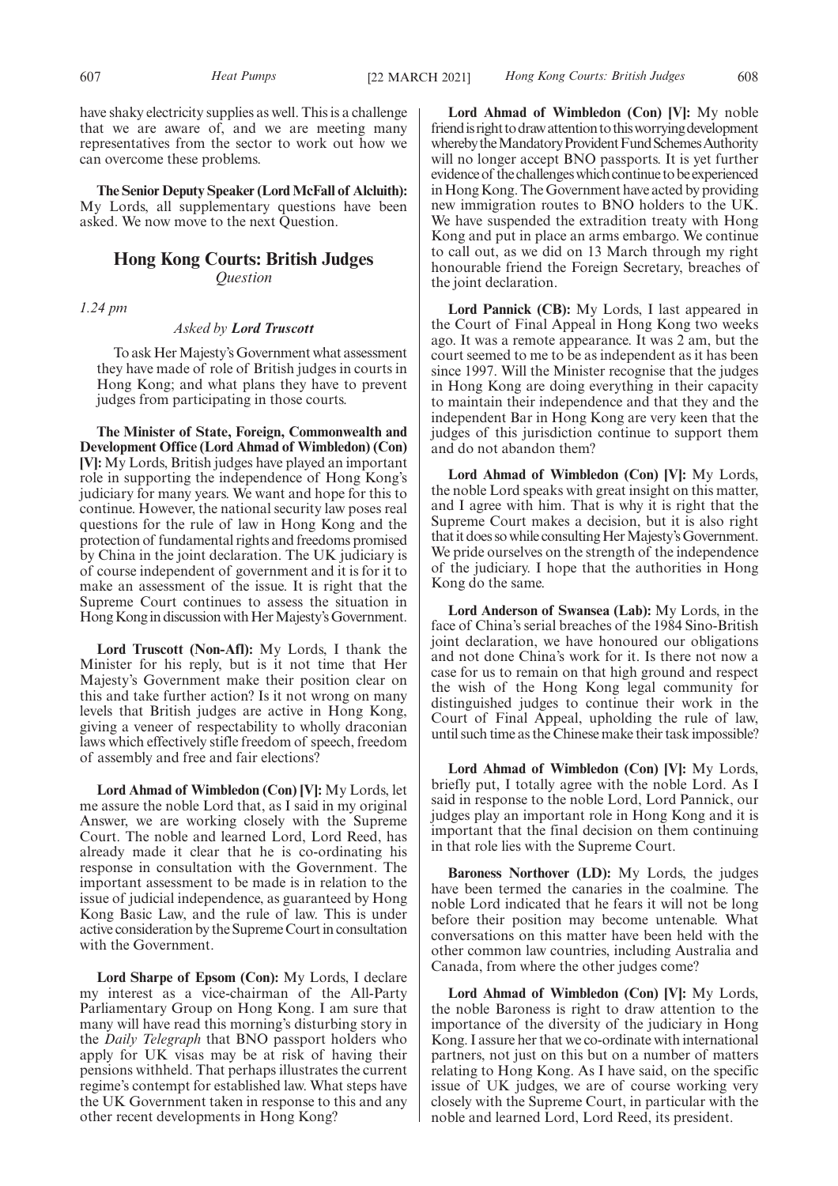have shaky electricity supplies as well. This is a challenge that we are aware of, and we are meeting many representatives from the sector to work out how we can overcome these problems.

**The Senior Deputy Speaker (Lord McFall of Alcluith):** My Lords, all supplementary questions have been asked. We now move to the next Question.

# **Hong Kong Courts: British Judges** *Question*

*1.24 pm*

# *Asked by Lord Truscott*

To ask Her Majesty's Government what assessment they have made of role of British judges in courts in Hong Kong; and what plans they have to prevent judges from participating in those courts.

**The Minister of State, Foreign, Commonwealth and Development Office (Lord Ahmad of Wimbledon) (Con) [V]:** My Lords, British judges have played an important role in supporting the independence of Hong Kong's judiciary for many years. We want and hope for this to continue. However, the national security law poses real questions for the rule of law in Hong Kong and the protection of fundamental rights and freedoms promised by China in the joint declaration. The UK judiciary is of course independent of government and it is for it to make an assessment of the issue. It is right that the Supreme Court continues to assess the situation in Hong Kong in discussion with Her Majesty's Government.

**Lord Truscott (Non-Afl):** My Lords, I thank the Minister for his reply, but is it not time that Her Majesty's Government make their position clear on this and take further action? Is it not wrong on many levels that British judges are active in Hong Kong, giving a veneer of respectability to wholly draconian laws which effectively stifle freedom of speech, freedom of assembly and free and fair elections?

**Lord Ahmad of Wimbledon (Con) [V]:** My Lords, let me assure the noble Lord that, as I said in my original Answer, we are working closely with the Supreme Court. The noble and learned Lord, Lord Reed, has already made it clear that he is co-ordinating his response in consultation with the Government. The important assessment to be made is in relation to the issue of judicial independence, as guaranteed by Hong Kong Basic Law, and the rule of law. This is under active consideration by the Supreme Court in consultation with the Government.

**Lord Sharpe of Epsom (Con):** My Lords, I declare my interest as a vice-chairman of the All-Party Parliamentary Group on Hong Kong. I am sure that many will have read this morning's disturbing story in the *Daily Telegraph* that BNO passport holders who apply for UK visas may be at risk of having their pensions withheld. That perhaps illustrates the current regime's contempt for established law. What steps have the UK Government taken in response to this and any other recent developments in Hong Kong?

**Lord Ahmad of Wimbledon (Con) [V]:** My noble friend is right to draw attention to this worrying development whereby the Mandatory Provident Fund Schemes Authority will no longer accept BNO passports. It is yet further evidence of the challenges which continue to be experienced in Hong Kong. The Government have acted by providing new immigration routes to BNO holders to the UK. We have suspended the extradition treaty with Hong Kong and put in place an arms embargo. We continue to call out, as we did on 13 March through my right honourable friend the Foreign Secretary, breaches of the joint declaration.

**Lord Pannick (CB):** My Lords, I last appeared in the Court of Final Appeal in Hong Kong two weeks ago. It was a remote appearance. It was 2 am, but the court seemed to me to be as independent as it has been since 1997. Will the Minister recognise that the judges in Hong Kong are doing everything in their capacity to maintain their independence and that they and the independent Bar in Hong Kong are very keen that the judges of this jurisdiction continue to support them and do not abandon them?

**Lord Ahmad of Wimbledon (Con) [V]:** My Lords, the noble Lord speaks with great insight on this matter, and I agree with him. That is why it is right that the Supreme Court makes a decision, but it is also right that it does so while consulting Her Majesty's Government. We pride ourselves on the strength of the independence of the judiciary. I hope that the authorities in Hong Kong do the same.

**Lord Anderson of Swansea (Lab):** My Lords, in the face of China's serial breaches of the 1984 Sino-British joint declaration, we have honoured our obligations and not done China's work for it. Is there not now a case for us to remain on that high ground and respect the wish of the Hong Kong legal community for distinguished judges to continue their work in the Court of Final Appeal, upholding the rule of law, until such time as the Chinese make their task impossible?

**Lord Ahmad of Wimbledon (Con) [V]:** My Lords, briefly put, I totally agree with the noble Lord. As I said in response to the noble Lord, Lord Pannick, our judges play an important role in Hong Kong and it is important that the final decision on them continuing in that role lies with the Supreme Court.

**Baroness Northover (LD):** My Lords, the judges have been termed the canaries in the coalmine. The noble Lord indicated that he fears it will not be long before their position may become untenable. What conversations on this matter have been held with the other common law countries, including Australia and Canada, from where the other judges come?

**Lord Ahmad of Wimbledon (Con) [V]:** My Lords, the noble Baroness is right to draw attention to the importance of the diversity of the judiciary in Hong Kong. I assure her that we co-ordinate with international partners, not just on this but on a number of matters relating to Hong Kong. As I have said, on the specific issue of UK judges, we are of course working very closely with the Supreme Court, in particular with the noble and learned Lord, Lord Reed, its president.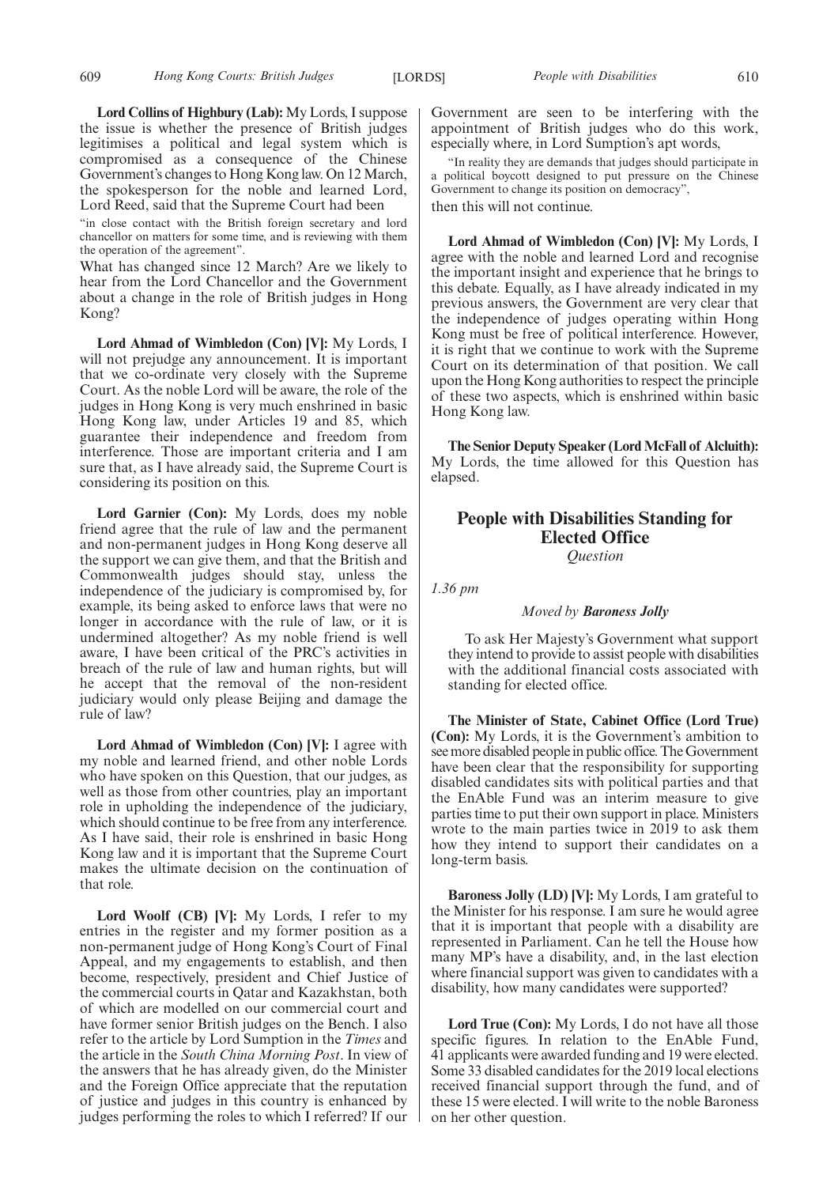**Lord Collins of Highbury (Lab):** My Lords, I suppose the issue is whether the presence of British judges legitimises a political and legal system which is compromised as a consequence of the Chinese Government's changes to Hong Kong law. On 12 March, the spokesperson for the noble and learned Lord, Lord Reed, said that the Supreme Court had been

"in close contact with the British foreign secretary and lord chancellor on matters for some time, and is reviewing with them the operation of the agreement".

What has changed since 12 March? Are we likely to hear from the Lord Chancellor and the Government about a change in the role of British judges in Hong Kong?

**Lord Ahmad of Wimbledon (Con) [V]:** My Lords, I will not prejudge any announcement. It is important that we co-ordinate very closely with the Supreme Court. As the noble Lord will be aware, the role of the judges in Hong Kong is very much enshrined in basic Hong Kong law, under Articles 19 and 85, which guarantee their independence and freedom from interference. Those are important criteria and I am sure that, as I have already said, the Supreme Court is considering its position on this.

**Lord Garnier (Con):** My Lords, does my noble friend agree that the rule of law and the permanent and non-permanent judges in Hong Kong deserve all the support we can give them, and that the British and Commonwealth judges should stay, unless the independence of the judiciary is compromised by, for example, its being asked to enforce laws that were no longer in accordance with the rule of law, or it is undermined altogether? As my noble friend is well aware, I have been critical of the PRC's activities in breach of the rule of law and human rights, but will he accept that the removal of the non-resident judiciary would only please Beijing and damage the rule of law?

**Lord Ahmad of Wimbledon (Con) [V]:** I agree with my noble and learned friend, and other noble Lords who have spoken on this Question, that our judges, as well as those from other countries, play an important role in upholding the independence of the judiciary, which should continue to be free from any interference. As I have said, their role is enshrined in basic Hong Kong law and it is important that the Supreme Court makes the ultimate decision on the continuation of that role.

Lord Woolf (CB) [V]: My Lords, I refer to my entries in the register and my former position as a non-permanent judge of Hong Kong's Court of Final Appeal, and my engagements to establish, and then become, respectively, president and Chief Justice of the commercial courts in Qatar and Kazakhstan, both of which are modelled on our commercial court and have former senior British judges on the Bench. I also refer to the article by Lord Sumption in the *Times* and the article in the *South China Morning Post*. In view of the answers that he has already given, do the Minister and the Foreign Office appreciate that the reputation of justice and judges in this country is enhanced by judges performing the roles to which I referred? If our Government are seen to be interfering with the appointment of British judges who do this work, especially where, in Lord Sumption's apt words,

"In reality they are demands that judges should participate in a political boycott designed to put pressure on the Chinese Government to change its position on democracy", then this will not continue.

**Lord Ahmad of Wimbledon (Con) [V]:** My Lords, I agree with the noble and learned Lord and recognise the important insight and experience that he brings to this debate. Equally, as I have already indicated in my previous answers, the Government are very clear that the independence of judges operating within Hong Kong must be free of political interference. However, it is right that we continue to work with the Supreme Court on its determination of that position. We call upon the Hong Kong authorities to respect the principle of these two aspects, which is enshrined within basic Hong Kong law.

**The Senior Deputy Speaker (Lord McFall of Alcluith):** My Lords, the time allowed for this Question has elapsed.

# **People with Disabilities Standing for Elected Office** *Question*

*1.36 pm*

# *Moved by Baroness Jolly*

To ask Her Majesty's Government what support they intend to provide to assist people with disabilities with the additional financial costs associated with standing for elected office.

**The Minister of State, Cabinet Office (Lord True) (Con):** My Lords, it is the Government's ambition to see more disabled people in public office. The Government have been clear that the responsibility for supporting disabled candidates sits with political parties and that the EnAble Fund was an interim measure to give parties time to put their own support in place. Ministers wrote to the main parties twice in 2019 to ask them how they intend to support their candidates on a long-term basis.

**Baroness Jolly (LD) [V]:** My Lords, I am grateful to the Minister for his response. I am sure he would agree that it is important that people with a disability are represented in Parliament. Can he tell the House how many MP's have a disability, and, in the last election where financial support was given to candidates with a disability, how many candidates were supported?

**Lord True (Con):** My Lords, I do not have all those specific figures. In relation to the EnAble Fund, 41 applicants were awarded funding and 19 were elected. Some 33 disabled candidates for the 2019 local elections received financial support through the fund, and of these 15 were elected. I will write to the noble Baroness on her other question.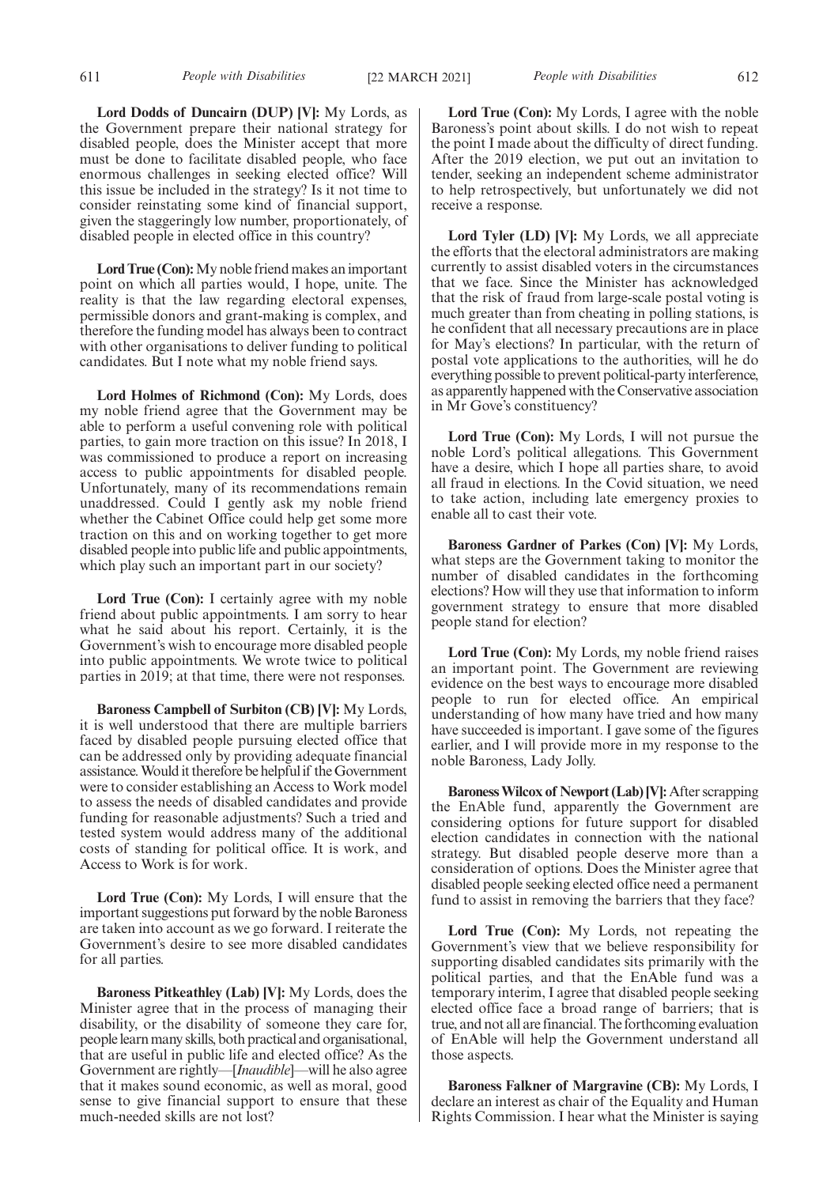**Lord Dodds of Duncairn (DUP) [V]:** My Lords, as the Government prepare their national strategy for disabled people, does the Minister accept that more must be done to facilitate disabled people, who face enormous challenges in seeking elected office? Will this issue be included in the strategy? Is it not time to consider reinstating some kind of financial support, given the staggeringly low number, proportionately, of disabled people in elected office in this country?

**Lord True (Con):**My noble friend makes an important point on which all parties would, I hope, unite. The reality is that the law regarding electoral expenses, permissible donors and grant-making is complex, and therefore the funding model has always been to contract with other organisations to deliver funding to political candidates. But I note what my noble friend says.

**Lord Holmes of Richmond (Con):** My Lords, does my noble friend agree that the Government may be able to perform a useful convening role with political parties, to gain more traction on this issue? In 2018, I was commissioned to produce a report on increasing access to public appointments for disabled people. Unfortunately, many of its recommendations remain unaddressed. Could I gently ask my noble friend whether the Cabinet Office could help get some more traction on this and on working together to get more disabled people into public life and public appointments, which play such an important part in our society?

**Lord True (Con):** I certainly agree with my noble friend about public appointments. I am sorry to hear what he said about his report. Certainly, it is the Government's wish to encourage more disabled people into public appointments. We wrote twice to political parties in 2019; at that time, there were not responses.

**Baroness Campbell of Surbiton (CB) [V]:** My Lords, it is well understood that there are multiple barriers faced by disabled people pursuing elected office that can be addressed only by providing adequate financial assistance. Would it therefore be helpful if the Government were to consider establishing an Access to Work model to assess the needs of disabled candidates and provide funding for reasonable adjustments? Such a tried and tested system would address many of the additional costs of standing for political office. It is work, and Access to Work is for work.

**Lord True (Con):** My Lords, I will ensure that the important suggestions put forward by the noble Baroness are taken into account as we go forward. I reiterate the Government's desire to see more disabled candidates for all parties.

**Baroness Pitkeathley (Lab) [V]:** My Lords, does the Minister agree that in the process of managing their disability, or the disability of someone they care for, people learn many skills, both practical and organisational, that are useful in public life and elected office? As the Government are rightly—[*Inaudible*]—will he also agree that it makes sound economic, as well as moral, good sense to give financial support to ensure that these much-needed skills are not lost?

**Lord True (Con):** My Lords, I agree with the noble Baroness's point about skills. I do not wish to repeat the point I made about the difficulty of direct funding. After the 2019 election, we put out an invitation to tender, seeking an independent scheme administrator to help retrospectively, but unfortunately we did not receive a response.

**Lord Tyler (LD) [V]:** My Lords, we all appreciate the efforts that the electoral administrators are making currently to assist disabled voters in the circumstances that we face. Since the Minister has acknowledged that the risk of fraud from large-scale postal voting is much greater than from cheating in polling stations, is he confident that all necessary precautions are in place for May's elections? In particular, with the return of postal vote applications to the authorities, will he do everything possible to prevent political-party interference, as apparently happened with the Conservative association in Mr Gove's constituency?

**Lord True (Con):** My Lords, I will not pursue the noble Lord's political allegations. This Government have a desire, which I hope all parties share, to avoid all fraud in elections. In the Covid situation, we need to take action, including late emergency proxies to enable all to cast their vote.

**Baroness Gardner of Parkes (Con) [V]:** My Lords, what steps are the Government taking to monitor the number of disabled candidates in the forthcoming elections? How will they use that information to inform government strategy to ensure that more disabled people stand for election?

**Lord True (Con):** My Lords, my noble friend raises an important point. The Government are reviewing evidence on the best ways to encourage more disabled people to run for elected office. An empirical understanding of how many have tried and how many have succeeded is important. I gave some of the figures earlier, and I will provide more in my response to the noble Baroness, Lady Jolly.

**Baroness Wilcox of Newport (Lab) [V]:**After scrapping the EnAble fund, apparently the Government are considering options for future support for disabled election candidates in connection with the national strategy. But disabled people deserve more than a consideration of options. Does the Minister agree that disabled people seeking elected office need a permanent fund to assist in removing the barriers that they face?

**Lord True (Con):** My Lords, not repeating the Government's view that we believe responsibility for supporting disabled candidates sits primarily with the political parties, and that the EnAble fund was a temporary interim, I agree that disabled people seeking elected office face a broad range of barriers; that is true, and not all are financial. The forthcoming evaluation of EnAble will help the Government understand all those aspects.

**Baroness Falkner of Margravine (CB):** My Lords, I declare an interest as chair of the Equality and Human Rights Commission. I hear what the Minister is saying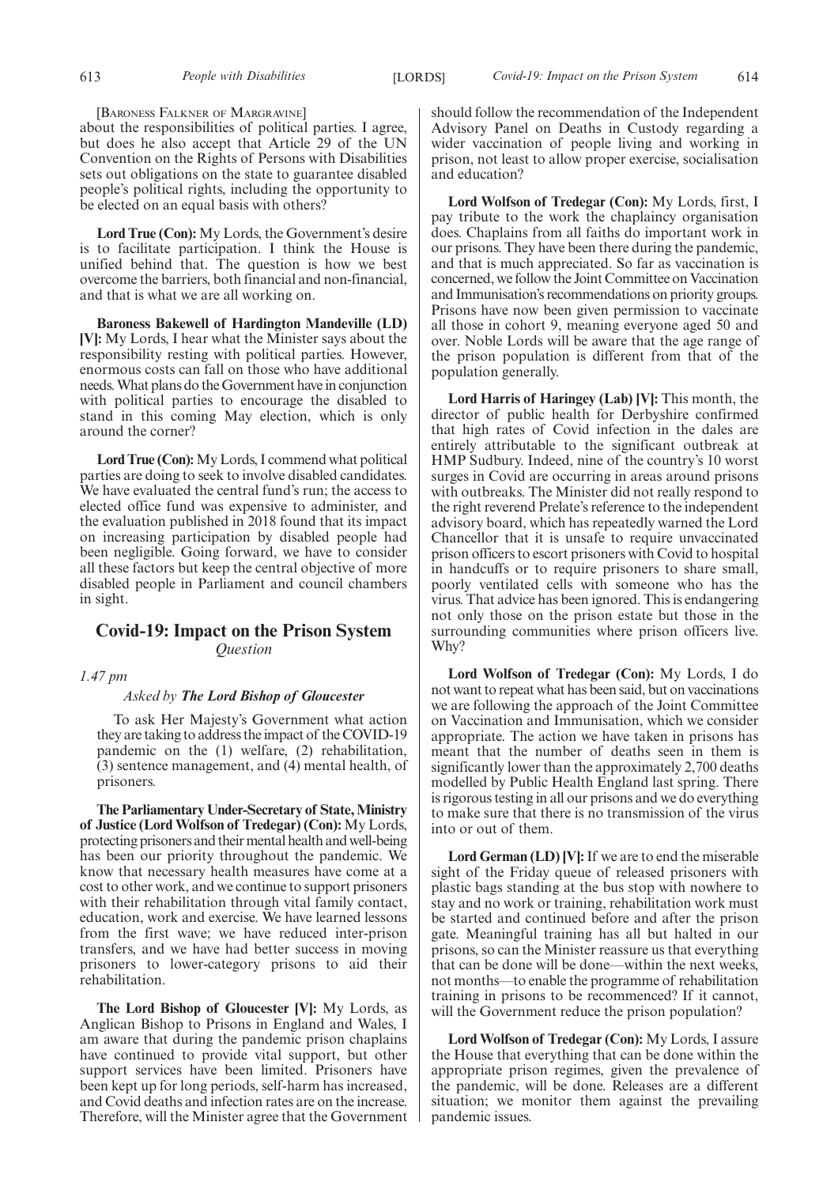[BARONESS FALKNER OF MARGRAVINE]

about the responsibilities of political parties. I agree, but does he also accept that Article 29 of the UN Convention on the Rights of Persons with Disabilities sets out obligations on the state to guarantee disabled people's political rights, including the opportunity to be elected on an equal basis with others?

**Lord True (Con):** My Lords, the Government's desire is to facilitate participation. I think the House is unified behind that. The question is how we best overcome the barriers, both financial and non-financial, and that is what we are all working on.

**Baroness Bakewell of Hardington Mandeville (LD) [V]:** My Lords, I hear what the Minister says about the responsibility resting with political parties. However, enormous costs can fall on those who have additional needs. What plans do the Government have in conjunction with political parties to encourage the disabled to stand in this coming May election, which is only around the corner?

**Lord True (Con):**My Lords, I commend what political parties are doing to seek to involve disabled candidates. We have evaluated the central fund's run; the access to elected office fund was expensive to administer, and the evaluation published in 2018 found that its impact on increasing participation by disabled people had been negligible. Going forward, we have to consider all these factors but keep the central objective of more disabled people in Parliament and council chambers in sight.

# **Covid-19: Impact on the Prison System** *Question*

*1.47 pm*

#### *Asked by The Lord Bishop of Gloucester*

To ask Her Majesty's Government what action they are taking to address the impact of the COVID-19 pandemic on the (1) welfare, (2) rehabilitation, (3) sentence management, and (4) mental health, of prisoners.

**The Parliamentary Under-Secretary of State, Ministry of Justice (Lord Wolfson of Tredegar) (Con):** My Lords, protecting prisoners and their mental health and well-being has been our priority throughout the pandemic. We know that necessary health measures have come at a cost to other work, and we continue to support prisoners with their rehabilitation through vital family contact, education, work and exercise. We have learned lessons from the first wave; we have reduced inter-prison transfers, and we have had better success in moving prisoners to lower-category prisons to aid their rehabilitation.

**The Lord Bishop of Gloucester [V]:** My Lords, as Anglican Bishop to Prisons in England and Wales, I am aware that during the pandemic prison chaplains have continued to provide vital support, but other support services have been limited. Prisoners have been kept up for long periods, self-harm has increased, and Covid deaths and infection rates are on the increase. Therefore, will the Minister agree that the Government should follow the recommendation of the Independent Advisory Panel on Deaths in Custody regarding a wider vaccination of people living and working in prison, not least to allow proper exercise, socialisation and education?

**Lord Wolfson of Tredegar (Con):** My Lords, first, I pay tribute to the work the chaplaincy organisation does. Chaplains from all faiths do important work in our prisons. They have been there during the pandemic, and that is much appreciated. So far as vaccination is concerned, we follow the Joint Committee on Vaccination and Immunisation's recommendations on priority groups. Prisons have now been given permission to vaccinate all those in cohort 9, meaning everyone aged 50 and over. Noble Lords will be aware that the age range of the prison population is different from that of the population generally.

**Lord Harris of Haringey (Lab) [V]:** This month, the director of public health for Derbyshire confirmed that high rates of Covid infection in the dales are entirely attributable to the significant outbreak at HMP Sudbury. Indeed, nine of the country's 10 worst surges in Covid are occurring in areas around prisons with outbreaks. The Minister did not really respond to the right reverend Prelate's reference to the independent advisory board, which has repeatedly warned the Lord Chancellor that it is unsafe to require unvaccinated prison officers to escort prisoners with Covid to hospital in handcuffs or to require prisoners to share small, poorly ventilated cells with someone who has the virus. That advice has been ignored. This is endangering not only those on the prison estate but those in the surrounding communities where prison officers live. Why?

**Lord Wolfson of Tredegar (Con):** My Lords, I do not want to repeat what has been said, but on vaccinations we are following the approach of the Joint Committee on Vaccination and Immunisation, which we consider appropriate. The action we have taken in prisons has meant that the number of deaths seen in them is significantly lower than the approximately 2,700 deaths modelled by Public Health England last spring. There is rigorous testing in all our prisons and we do everything to make sure that there is no transmission of the virus into or out of them.

**Lord German (LD) [V]:**If we are to end the miserable sight of the Friday queue of released prisoners with plastic bags standing at the bus stop with nowhere to stay and no work or training, rehabilitation work must be started and continued before and after the prison gate. Meaningful training has all but halted in our prisons, so can the Minister reassure us that everything that can be done will be done—within the next weeks, not months—to enable the programme of rehabilitation training in prisons to be recommenced? If it cannot, will the Government reduce the prison population?

**Lord Wolfson of Tredegar (Con):** My Lords, I assure the House that everything that can be done within the appropriate prison regimes, given the prevalence of the pandemic, will be done. Releases are a different situation; we monitor them against the prevailing pandemic issues.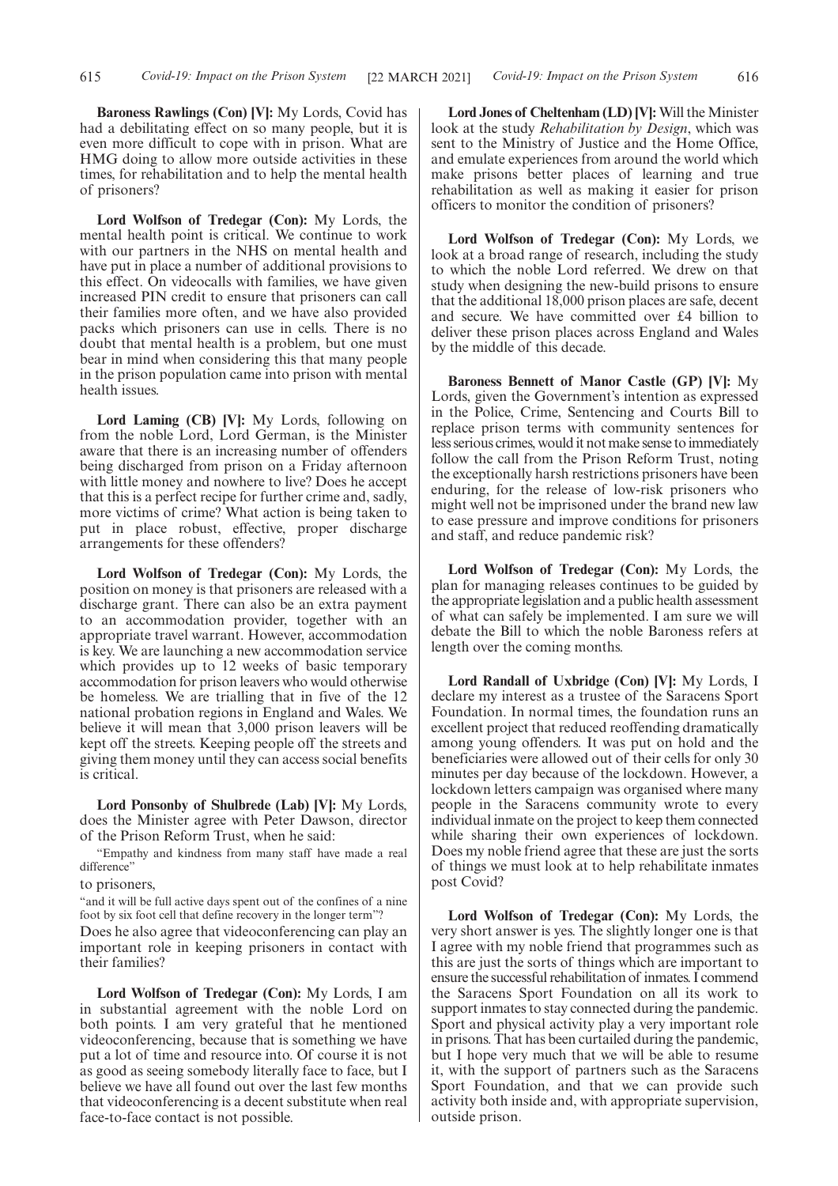**Baroness Rawlings (Con) [V]:** My Lords, Covid has had a debilitating effect on so many people, but it is even more difficult to cope with in prison. What are HMG doing to allow more outside activities in these times, for rehabilitation and to help the mental health of prisoners?

**Lord Wolfson of Tredegar (Con):** My Lords, the mental health point is critical. We continue to work with our partners in the NHS on mental health and have put in place a number of additional provisions to this effect. On videocalls with families, we have given increased PIN credit to ensure that prisoners can call their families more often, and we have also provided packs which prisoners can use in cells. There is no doubt that mental health is a problem, but one must bear in mind when considering this that many people in the prison population came into prison with mental health issues.

**Lord Laming (CB) [V]:** My Lords, following on from the noble Lord, Lord German, is the Minister aware that there is an increasing number of offenders being discharged from prison on a Friday afternoon with little money and nowhere to live? Does he accept that this is a perfect recipe for further crime and, sadly, more victims of crime? What action is being taken to put in place robust, effective, proper discharge arrangements for these offenders?

**Lord Wolfson of Tredegar (Con):** My Lords, the position on money is that prisoners are released with a discharge grant. There can also be an extra payment to an accommodation provider, together with an appropriate travel warrant. However, accommodation is key. We are launching a new accommodation service which provides up to 12 weeks of basic temporary accommodation for prison leavers who would otherwise be homeless. We are trialling that in five of the 12 national probation regions in England and Wales. We believe it will mean that 3,000 prison leavers will be kept off the streets. Keeping people off the streets and giving them money until they can access social benefits is critical.

**Lord Ponsonby of Shulbrede (Lab) [V]:** My Lords, does the Minister agree with Peter Dawson, director of the Prison Reform Trust, when he said:

"Empathy and kindness from many staff have made a real difference"

to prisoners,

"and it will be full active days spent out of the confines of a nine foot by six foot cell that define recovery in the longer term"?

Does he also agree that videoconferencing can play an important role in keeping prisoners in contact with their families?

**Lord Wolfson of Tredegar (Con):** My Lords, I am in substantial agreement with the noble Lord on both points. I am very grateful that he mentioned videoconferencing, because that is something we have put a lot of time and resource into. Of course it is not as good as seeing somebody literally face to face, but I believe we have all found out over the last few months that videoconferencing is a decent substitute when real face-to-face contact is not possible.

**Lord Jones of Cheltenham (LD) [V]:** Will the Minister look at the study *Rehabilitation by Design*, which was sent to the Ministry of Justice and the Home Office, and emulate experiences from around the world which make prisons better places of learning and true rehabilitation as well as making it easier for prison officers to monitor the condition of prisoners?

**Lord Wolfson of Tredegar (Con):** My Lords, we look at a broad range of research, including the study to which the noble Lord referred. We drew on that study when designing the new-build prisons to ensure that the additional 18,000 prison places are safe, decent and secure. We have committed over £4 billion to deliver these prison places across England and Wales by the middle of this decade.

**Baroness Bennett of Manor Castle (GP) [V]:** My Lords, given the Government's intention as expressed in the Police, Crime, Sentencing and Courts Bill to replace prison terms with community sentences for less serious crimes, would it not make sense to immediately follow the call from the Prison Reform Trust, noting the exceptionally harsh restrictions prisoners have been enduring, for the release of low-risk prisoners who might well not be imprisoned under the brand new law to ease pressure and improve conditions for prisoners and staff, and reduce pandemic risk?

**Lord Wolfson of Tredegar (Con):** My Lords, the plan for managing releases continues to be guided by the appropriate legislation and a public health assessment of what can safely be implemented. I am sure we will debate the Bill to which the noble Baroness refers at length over the coming months.

**Lord Randall of Uxbridge (Con) [V]:** My Lords, I declare my interest as a trustee of the Saracens Sport Foundation. In normal times, the foundation runs an excellent project that reduced reoffending dramatically among young offenders. It was put on hold and the beneficiaries were allowed out of their cells for only 30 minutes per day because of the lockdown. However, a lockdown letters campaign was organised where many people in the Saracens community wrote to every individual inmate on the project to keep them connected while sharing their own experiences of lockdown. Does my noble friend agree that these are just the sorts of things we must look at to help rehabilitate inmates post Covid?

**Lord Wolfson of Tredegar (Con):** My Lords, the very short answer is yes. The slightly longer one is that I agree with my noble friend that programmes such as this are just the sorts of things which are important to ensure the successful rehabilitation of inmates. I commend the Saracens Sport Foundation on all its work to support inmates to stay connected during the pandemic. Sport and physical activity play a very important role in prisons. That has been curtailed during the pandemic, but I hope very much that we will be able to resume it, with the support of partners such as the Saracens Sport Foundation, and that we can provide such activity both inside and, with appropriate supervision, outside prison.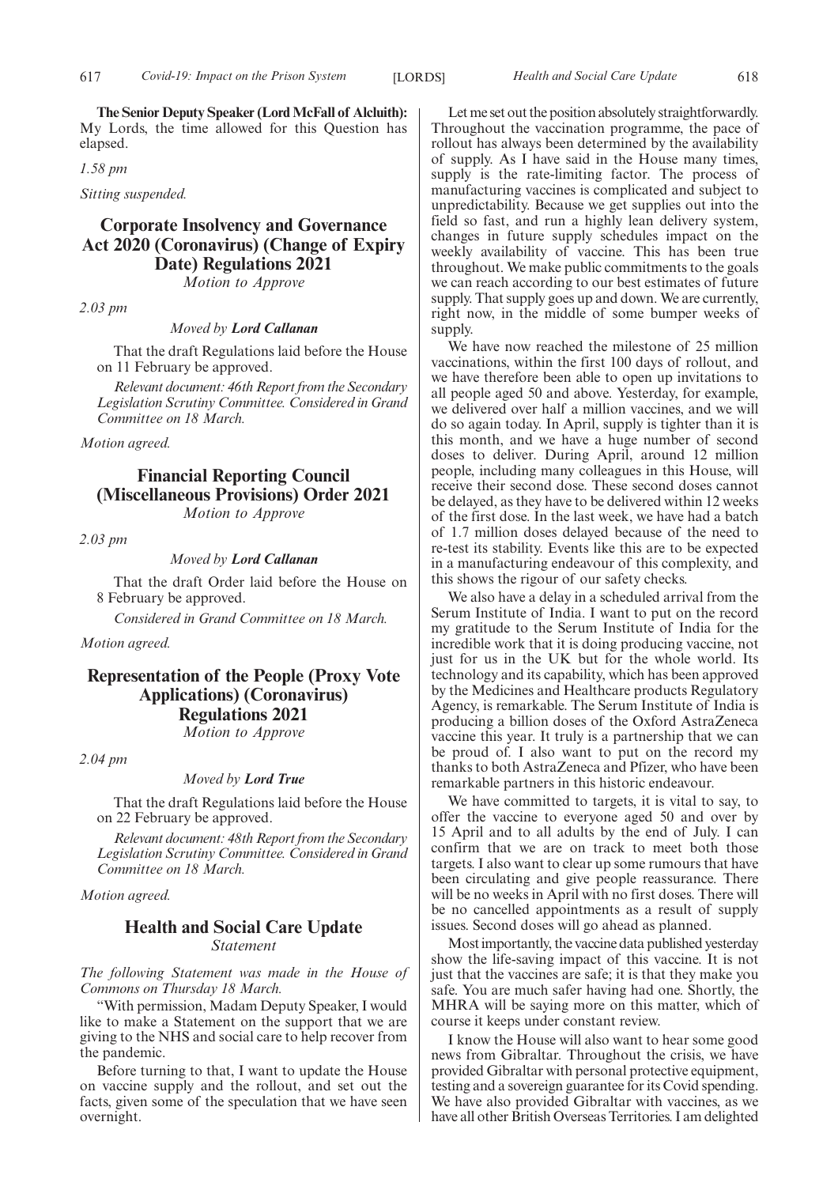**The Senior Deputy Speaker (Lord McFall of Alcluith):** My Lords, the time allowed for this Question has elapsed.

*1.58 pm*

*Sitting suspended.*

# **Corporate Insolvency and Governance Act 2020 (Coronavirus) (Change of Expiry Date) Regulations 2021**

*Motion to Approve*

*2.03 pm*

*Moved by Lord Callanan*

That the draft Regulations laid before the House on 11 February be approved.

*Relevant document: 46th Report from the Secondary Legislation Scrutiny Committee. Considered in Grand Committee on 18 March.*

*Motion agreed.*

# **Financial Reporting Council (Miscellaneous Provisions) Order 2021**

*Motion to Approve*

*2.03 pm*

# *Moved by Lord Callanan*

That the draft Order laid before the House on 8 February be approved.

*Considered in Grand Committee on 18 March.*

*Motion agreed.*

# **Representation of the People (Proxy Vote Applications) (Coronavirus) Regulations 2021** *Motion to Approve*

*2.04 pm*

# *Moved by Lord True*

That the draft Regulations laid before the House on 22 February be approved.

*Relevant document: 48th Report from the Secondary Legislation Scrutiny Committee. Considered in Grand Committee on 18 March.*

*Motion agreed.*

# **Health and Social Care Update** *Statement*

*The following Statement was made in the House of Commons on Thursday 18 March.*

"With permission, Madam Deputy Speaker, I would like to make a Statement on the support that we are giving to the NHS and social care to help recover from the pandemic.

Before turning to that, I want to update the House on vaccine supply and the rollout, and set out the facts, given some of the speculation that we have seen overnight.

Let me set out the position absolutely straightforwardly. Throughout the vaccination programme, the pace of rollout has always been determined by the availability of supply. As I have said in the House many times, supply is the rate-limiting factor. The process of manufacturing vaccines is complicated and subject to unpredictability. Because we get supplies out into the field so fast, and run a highly lean delivery system, changes in future supply schedules impact on the weekly availability of vaccine. This has been true throughout. We make public commitments to the goals we can reach according to our best estimates of future supply. That supply goes up and down. We are currently, right now, in the middle of some bumper weeks of supply.

We have now reached the milestone of 25 million vaccinations, within the first 100 days of rollout, and we have therefore been able to open up invitations to all people aged 50 and above. Yesterday, for example, we delivered over half a million vaccines, and we will do so again today. In April, supply is tighter than it is this month, and we have a huge number of second doses to deliver. During April, around 12 million people, including many colleagues in this House, will receive their second dose. These second doses cannot be delayed, as they have to be delivered within 12 weeks of the first dose. In the last week, we have had a batch of 1.7 million doses delayed because of the need to re-test its stability. Events like this are to be expected in a manufacturing endeavour of this complexity, and this shows the rigour of our safety checks.

We also have a delay in a scheduled arrival from the Serum Institute of India. I want to put on the record my gratitude to the Serum Institute of India for the incredible work that it is doing producing vaccine, not just for us in the UK but for the whole world. Its technology and its capability, which has been approved by the Medicines and Healthcare products Regulatory Agency, is remarkable. The Serum Institute of India is producing a billion doses of the Oxford AstraZeneca vaccine this year. It truly is a partnership that we can be proud of. I also want to put on the record my thanks to both AstraZeneca and Pfizer, who have been remarkable partners in this historic endeavour.

We have committed to targets, it is vital to say, to offer the vaccine to everyone aged 50 and over by 15 April and to all adults by the end of July. I can confirm that we are on track to meet both those targets. I also want to clear up some rumours that have been circulating and give people reassurance. There will be no weeks in April with no first doses. There will be no cancelled appointments as a result of supply issues. Second doses will go ahead as planned.

Most importantly, the vaccine data published yesterday show the life-saving impact of this vaccine. It is not just that the vaccines are safe; it is that they make you safe. You are much safer having had one. Shortly, the MHRA will be saying more on this matter, which of course it keeps under constant review.

I know the House will also want to hear some good news from Gibraltar. Throughout the crisis, we have provided Gibraltar with personal protective equipment, testing and a sovereign guarantee for its Covid spending. We have also provided Gibraltar with vaccines, as we have all other British Overseas Territories. I am delighted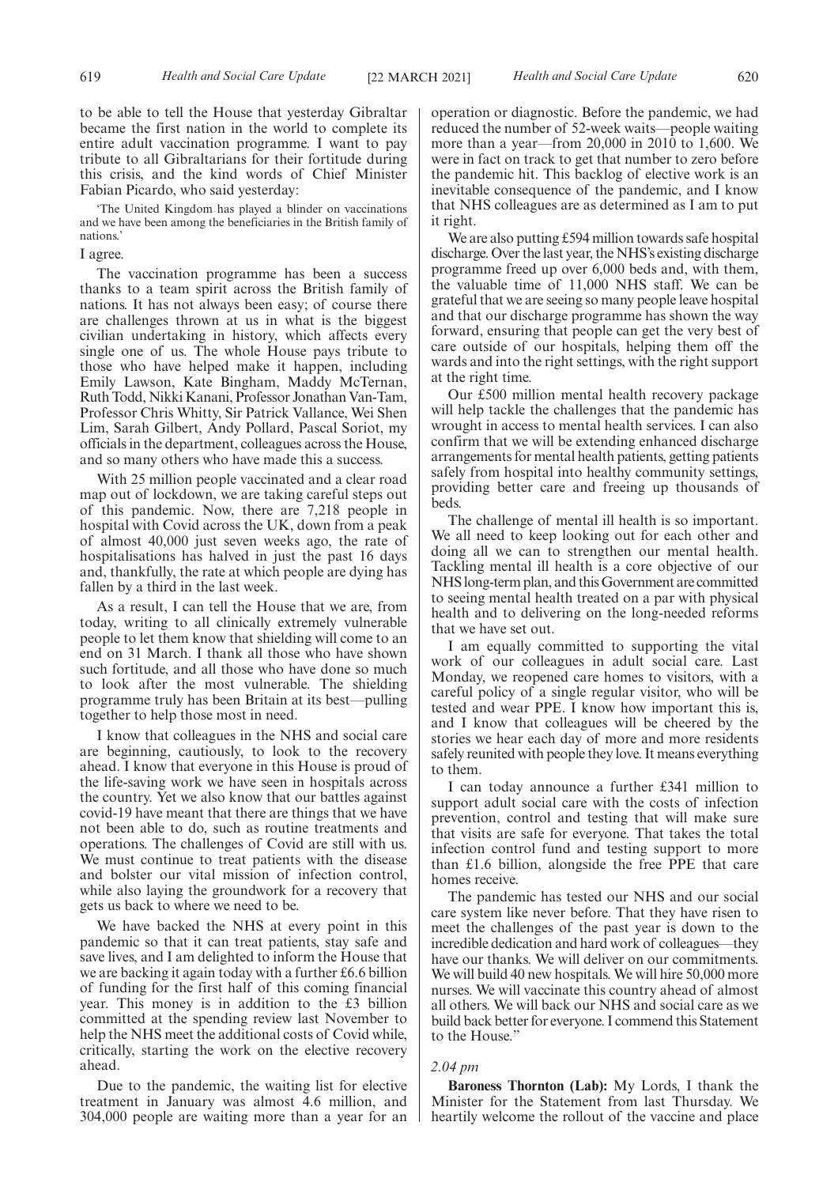to be able to tell the House that yesterday Gibraltar became the first nation in the world to complete its entire adult vaccination programme. I want to pay tribute to all Gibraltarians for their fortitude during this crisis, and the kind words of Chief Minister Fabian Picardo, who said yesterday:

'The United Kingdom has played a blinder on vaccinations and we have been among the beneficiaries in the British family of nations.'

I agree.

The vaccination programme has been a success thanks to a team spirit across the British family of nations. It has not always been easy; of course there are challenges thrown at us in what is the biggest civilian undertaking in history, which affects every single one of us. The whole House pays tribute to those who have helped make it happen, including Emily Lawson, Kate Bingham, Maddy McTernan, Ruth Todd, Nikki Kanani, Professor Jonathan Van-Tam, Professor Chris Whitty, Sir Patrick Vallance, Wei Shen Lim, Sarah Gilbert, Andy Pollard, Pascal Soriot, my officials in the department, colleagues across the House, and so many others who have made this a success.

With 25 million people vaccinated and a clear road map out of lockdown, we are taking careful steps out of this pandemic. Now, there are 7,218 people in hospital with Covid across the UK, down from a peak of almost 40,000 just seven weeks ago, the rate of hospitalisations has halved in just the past 16 days and, thankfully, the rate at which people are dying has fallen by a third in the last week.

As a result, I can tell the House that we are, from today, writing to all clinically extremely vulnerable people to let them know that shielding will come to an end on 31 March. I thank all those who have shown such fortitude, and all those who have done so much to look after the most vulnerable. The shielding programme truly has been Britain at its best—pulling together to help those most in need.

I know that colleagues in the NHS and social care are beginning, cautiously, to look to the recovery ahead. I know that everyone in this House is proud of the life-saving work we have seen in hospitals across the country. Yet we also know that our battles against covid-19 have meant that there are things that we have not been able to do, such as routine treatments and operations. The challenges of Covid are still with us. We must continue to treat patients with the disease and bolster our vital mission of infection control, while also laying the groundwork for a recovery that gets us back to where we need to be.

We have backed the NHS at every point in this pandemic so that it can treat patients, stay safe and save lives, and I am delighted to inform the House that we are backing it again today with a further £6.6 billion of funding for the first half of this coming financial year. This money is in addition to the £3 billion committed at the spending review last November to help the NHS meet the additional costs of Covid while, critically, starting the work on the elective recovery ahead.

Due to the pandemic, the waiting list for elective treatment in January was almost 4.6 million, and 304,000 people are waiting more than a year for an operation or diagnostic. Before the pandemic, we had reduced the number of 52-week waits—people waiting more than a year—from 20,000 in 2010 to 1,600. We were in fact on track to get that number to zero before the pandemic hit. This backlog of elective work is an inevitable consequence of the pandemic, and I know that NHS colleagues are as determined as I am to put it right.

We are also putting £594 million towards safe hospital discharge. Over the last year, the NHS's existing discharge programme freed up over 6,000 beds and, with them, the valuable time of 11,000 NHS staff. We can be grateful that we are seeing so many people leave hospital and that our discharge programme has shown the way forward, ensuring that people can get the very best of care outside of our hospitals, helping them off the wards and into the right settings, with the right support at the right time.

Our £500 million mental health recovery package will help tackle the challenges that the pandemic has wrought in access to mental health services. I can also confirm that we will be extending enhanced discharge arrangements for mental health patients, getting patients safely from hospital into healthy community settings, providing better care and freeing up thousands of beds.

The challenge of mental ill health is so important. We all need to keep looking out for each other and doing all we can to strengthen our mental health. Tackling mental ill health is a core objective of our NHS long-term plan, and this Government are committed to seeing mental health treated on a par with physical health and to delivering on the long-needed reforms that we have set out.

I am equally committed to supporting the vital work of our colleagues in adult social care. Last Monday, we reopened care homes to visitors, with a careful policy of a single regular visitor, who will be tested and wear PPE. I know how important this is, and I know that colleagues will be cheered by the stories we hear each day of more and more residents safely reunited with people they love. It means everything to them.

I can today announce a further £341 million to support adult social care with the costs of infection prevention, control and testing that will make sure that visits are safe for everyone. That takes the total infection control fund and testing support to more than £1.6 billion, alongside the free PPE that care homes receive.

The pandemic has tested our NHS and our social care system like never before. That they have risen to meet the challenges of the past year is down to the incredible dedication and hard work of colleagues—they have our thanks. We will deliver on our commitments. We will build 40 new hospitals. We will hire 50,000 more nurses. We will vaccinate this country ahead of almost all others. We will back our NHS and social care as we build back better for everyone. I commend this Statement to the House."

## *2.04 pm*

**Baroness Thornton (Lab):** My Lords, I thank the Minister for the Statement from last Thursday. We heartily welcome the rollout of the vaccine and place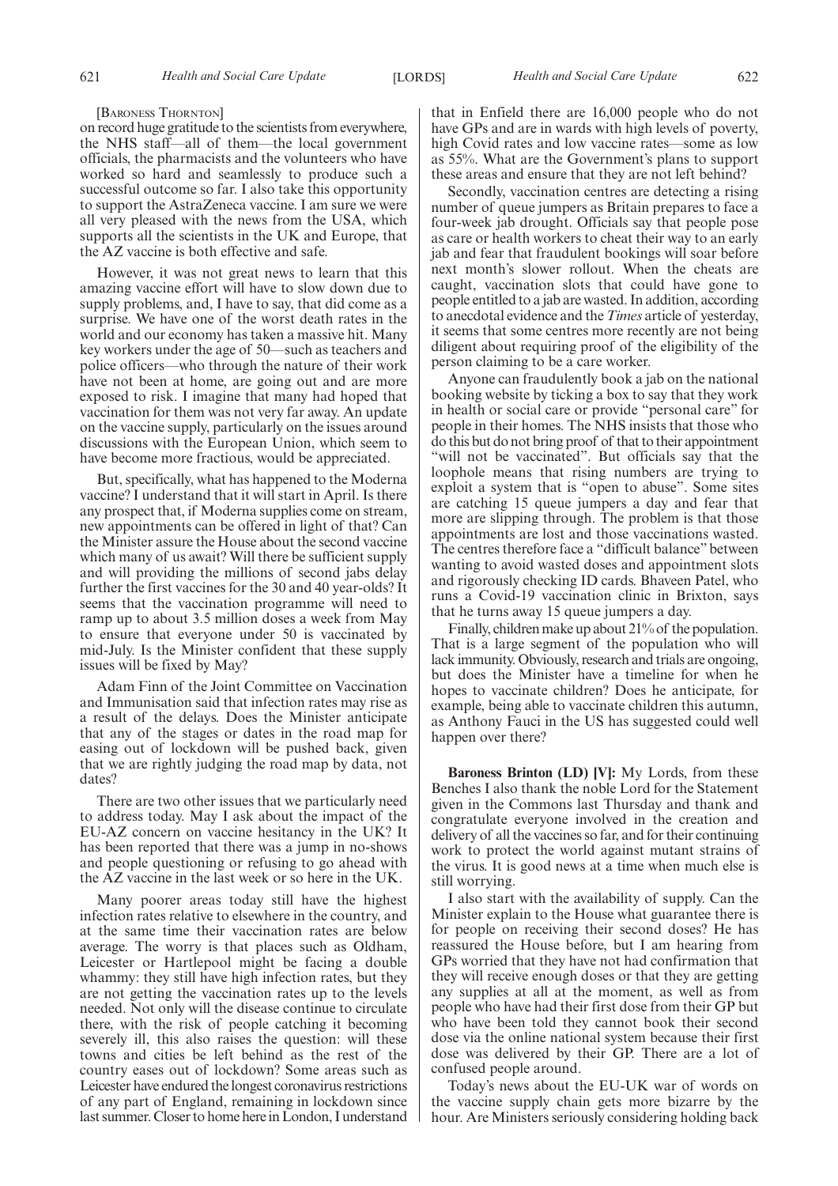#### [BARONESS THORNTON]

on record huge gratitude to the scientists from everywhere, the NHS staff—all of them—the local government officials, the pharmacists and the volunteers who have worked so hard and seamlessly to produce such a successful outcome so far. I also take this opportunity to support the AstraZeneca vaccine. I am sure we were all very pleased with the news from the USA, which supports all the scientists in the UK and Europe, that the AZ vaccine is both effective and safe.

However, it was not great news to learn that this amazing vaccine effort will have to slow down due to supply problems, and, I have to say, that did come as a surprise. We have one of the worst death rates in the world and our economy has taken a massive hit. Many key workers under the age of 50—such as teachers and police officers—who through the nature of their work have not been at home, are going out and are more exposed to risk. I imagine that many had hoped that vaccination for them was not very far away. An update on the vaccine supply, particularly on the issues around discussions with the European Union, which seem to have become more fractious, would be appreciated.

But, specifically, what has happened to the Moderna vaccine? I understand that it will start in April. Is there any prospect that, if Moderna supplies come on stream, new appointments can be offered in light of that? Can the Minister assure the House about the second vaccine which many of us await? Will there be sufficient supply and will providing the millions of second jabs delay further the first vaccines for the 30 and 40 year-olds? It seems that the vaccination programme will need to ramp up to about 3.5 million doses a week from May to ensure that everyone under 50 is vaccinated by mid-July. Is the Minister confident that these supply issues will be fixed by May?

Adam Finn of the Joint Committee on Vaccination and Immunisation said that infection rates may rise as a result of the delays. Does the Minister anticipate that any of the stages or dates in the road map for easing out of lockdown will be pushed back, given that we are rightly judging the road map by data, not dates?

There are two other issues that we particularly need to address today. May I ask about the impact of the EU-AZ concern on vaccine hesitancy in the UK? It has been reported that there was a jump in no-shows and people questioning or refusing to go ahead with the AZ vaccine in the last week or so here in the UK.

Many poorer areas today still have the highest infection rates relative to elsewhere in the country, and at the same time their vaccination rates are below average. The worry is that places such as Oldham, Leicester or Hartlepool might be facing a double whammy: they still have high infection rates, but they are not getting the vaccination rates up to the levels needed. Not only will the disease continue to circulate there, with the risk of people catching it becoming severely ill, this also raises the question: will these towns and cities be left behind as the rest of the country eases out of lockdown? Some areas such as Leicester have endured the longest coronavirus restrictions of any part of England, remaining in lockdown since last summer. Closer to home here in London, I understand that in Enfield there are 16,000 people who do not have GPs and are in wards with high levels of poverty, high Covid rates and low vaccine rates—some as low as 55%. What are the Government's plans to support these areas and ensure that they are not left behind?

Secondly, vaccination centres are detecting a rising number of queue jumpers as Britain prepares to face a four-week jab drought. Officials say that people pose as care or health workers to cheat their way to an early jab and fear that fraudulent bookings will soar before next month's slower rollout. When the cheats are caught, vaccination slots that could have gone to people entitled to a jab are wasted. In addition, according to anecdotal evidence and the *Times* article of yesterday, it seems that some centres more recently are not being diligent about requiring proof of the eligibility of the person claiming to be a care worker.

Anyone can fraudulently book a jab on the national booking website by ticking a box to say that they work in health or social care or provide "personal care" for people in their homes. The NHS insists that those who do this but do not bring proof of that to their appointment "will not be vaccinated". But officials say that the loophole means that rising numbers are trying to exploit a system that is "open to abuse". Some sites are catching 15 queue jumpers a day and fear that more are slipping through. The problem is that those appointments are lost and those vaccinations wasted. The centres therefore face a "difficult balance" between wanting to avoid wasted doses and appointment slots and rigorously checking ID cards. Bhaveen Patel, who runs a Covid-19 vaccination clinic in Brixton, says that he turns away 15 queue jumpers a day.

Finally, children make up about 21% of the population. That is a large segment of the population who will lack immunity. Obviously, research and trials are ongoing, but does the Minister have a timeline for when he hopes to vaccinate children? Does he anticipate, for example, being able to vaccinate children this autumn, as Anthony Fauci in the US has suggested could well happen over there?

**Baroness Brinton (LD) [V]:** My Lords, from these Benches I also thank the noble Lord for the Statement given in the Commons last Thursday and thank and congratulate everyone involved in the creation and delivery of all the vaccines so far, and for their continuing work to protect the world against mutant strains of the virus. It is good news at a time when much else is still worrying.

I also start with the availability of supply. Can the Minister explain to the House what guarantee there is for people on receiving their second doses? He has reassured the House before, but I am hearing from GPs worried that they have not had confirmation that they will receive enough doses or that they are getting any supplies at all at the moment, as well as from people who have had their first dose from their GP but who have been told they cannot book their second dose via the online national system because their first dose was delivered by their GP. There are a lot of confused people around.

Today's news about the EU-UK war of words on the vaccine supply chain gets more bizarre by the hour. Are Ministers seriously considering holding back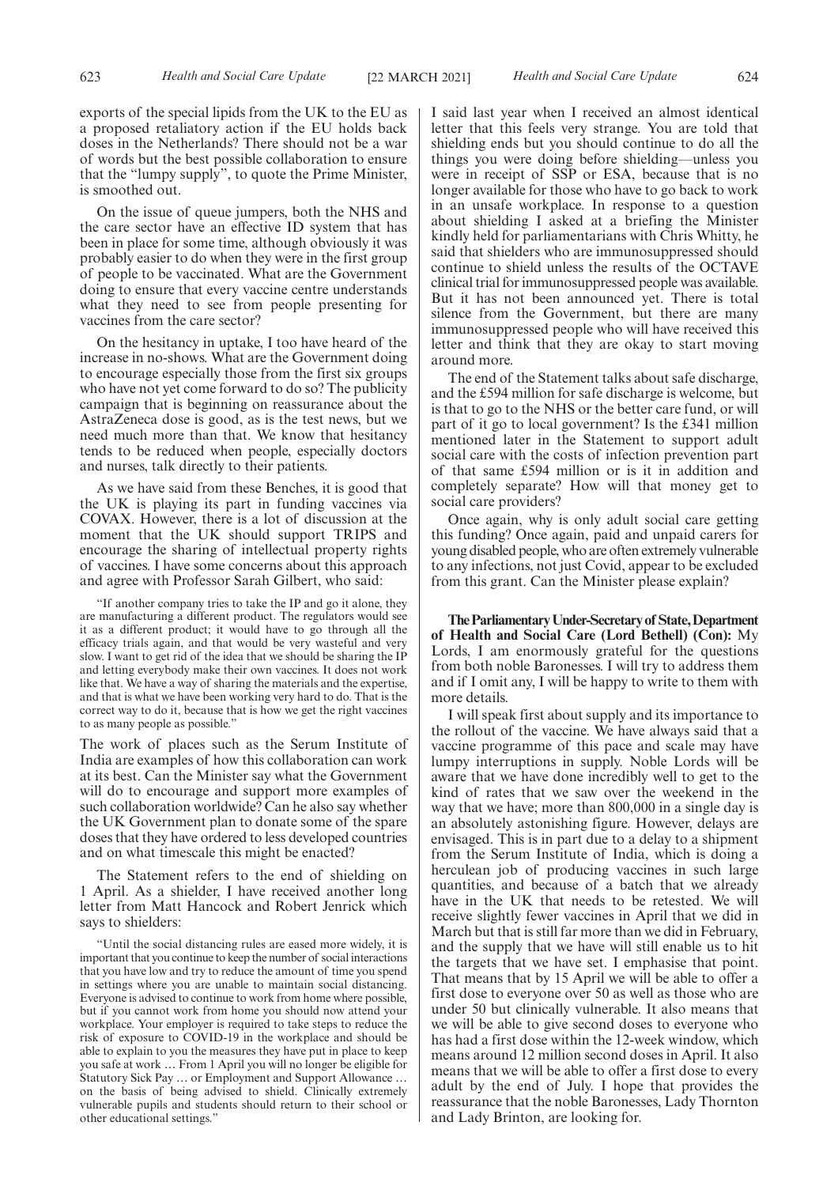exports of the special lipids from the UK to the EU as a proposed retaliatory action if the EU holds back doses in the Netherlands? There should not be a war of words but the best possible collaboration to ensure that the "lumpy supply", to quote the Prime Minister, is smoothed out.

On the issue of queue jumpers, both the NHS and the care sector have an effective ID system that has been in place for some time, although obviously it was probably easier to do when they were in the first group of people to be vaccinated. What are the Government doing to ensure that every vaccine centre understands what they need to see from people presenting for vaccines from the care sector?

On the hesitancy in uptake, I too have heard of the increase in no-shows. What are the Government doing to encourage especially those from the first six groups who have not yet come forward to do so? The publicity campaign that is beginning on reassurance about the AstraZeneca dose is good, as is the test news, but we need much more than that. We know that hesitancy tends to be reduced when people, especially doctors and nurses, talk directly to their patients.

As we have said from these Benches, it is good that the UK is playing its part in funding vaccines via COVAX. However, there is a lot of discussion at the moment that the UK should support TRIPS and encourage the sharing of intellectual property rights of vaccines. I have some concerns about this approach and agree with Professor Sarah Gilbert, who said:

"If another company tries to take the IP and go it alone, they are manufacturing a different product. The regulators would see it as a different product; it would have to go through all the efficacy trials again, and that would be very wasteful and very slow. I want to get rid of the idea that we should be sharing the IP and letting everybody make their own vaccines. It does not work like that. We have a way of sharing the materials and the expertise, and that is what we have been working very hard to do. That is the correct way to do it, because that is how we get the right vaccines to as many people as possible."

The work of places such as the Serum Institute of India are examples of how this collaboration can work at its best. Can the Minister say what the Government will do to encourage and support more examples of such collaboration worldwide? Can he also say whether the UK Government plan to donate some of the spare doses that they have ordered to less developed countries and on what timescale this might be enacted?

The Statement refers to the end of shielding on 1 April. As a shielder, I have received another long letter from Matt Hancock and Robert Jenrick which says to shielders:

"Until the social distancing rules are eased more widely, it is important that you continue to keep the number of social interactions that you have low and try to reduce the amount of time you spend in settings where you are unable to maintain social distancing. Everyone is advised to continue to work from home where possible, but if you cannot work from home you should now attend your workplace. Your employer is required to take steps to reduce the risk of exposure to COVID-19 in the workplace and should be able to explain to you the measures they have put in place to keep you safe at work … From 1 April you will no longer be eligible for Statutory Sick Pay … or Employment and Support Allowance … on the basis of being advised to shield. Clinically extremely vulnerable pupils and students should return to their school or other educational settings."

I said last year when I received an almost identical letter that this feels very strange. You are told that shielding ends but you should continue to do all the things you were doing before shielding—unless you were in receipt of SSP or ESA, because that is no longer available for those who have to go back to work in an unsafe workplace. In response to a question about shielding I asked at a briefing the Minister kindly held for parliamentarians with Chris Whitty, he said that shielders who are immunosuppressed should continue to shield unless the results of the OCTAVE clinical trial for immunosuppressed people was available. But it has not been announced yet. There is total silence from the Government, but there are many immunosuppressed people who will have received this letter and think that they are okay to start moving around more.

The end of the Statement talks about safe discharge, and the £594 million for safe discharge is welcome, but is that to go to the NHS or the better care fund, or will part of it go to local government? Is the £341 million mentioned later in the Statement to support adult social care with the costs of infection prevention part of that same £594 million or is it in addition and completely separate? How will that money get to social care providers?

Once again, why is only adult social care getting this funding? Once again, paid and unpaid carers for young disabled people, who are often extremely vulnerable to any infections, not just Covid, appear to be excluded from this grant. Can the Minister please explain?

**TheParliamentaryUnder-Secretaryof State,Department of Health and Social Care (Lord Bethell) (Con):** My Lords, I am enormously grateful for the questions from both noble Baronesses. I will try to address them and if I omit any, I will be happy to write to them with more details.

I will speak first about supply and its importance to the rollout of the vaccine. We have always said that a vaccine programme of this pace and scale may have lumpy interruptions in supply. Noble Lords will be aware that we have done incredibly well to get to the kind of rates that we saw over the weekend in the way that we have; more than 800,000 in a single day is an absolutely astonishing figure. However, delays are envisaged. This is in part due to a delay to a shipment from the Serum Institute of India, which is doing a herculean job of producing vaccines in such large quantities, and because of a batch that we already have in the UK that needs to be retested. We will receive slightly fewer vaccines in April that we did in March but that is still far more than we did in February, and the supply that we have will still enable us to hit the targets that we have set. I emphasise that point. That means that by 15 April we will be able to offer a first dose to everyone over 50 as well as those who are under 50 but clinically vulnerable. It also means that we will be able to give second doses to everyone who has had a first dose within the 12-week window, which means around 12 million second doses in April. It also means that we will be able to offer a first dose to every adult by the end of July. I hope that provides the reassurance that the noble Baronesses, Lady Thornton and Lady Brinton, are looking for.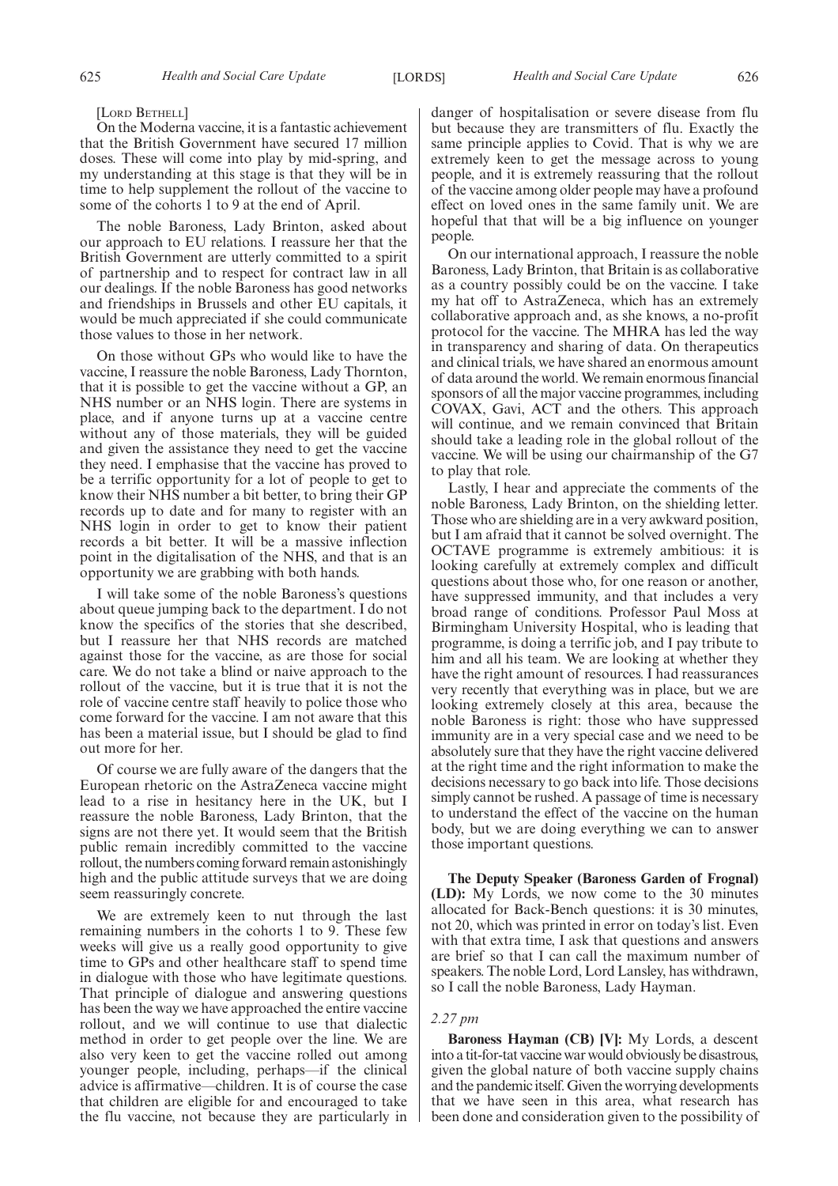#### [LORD BETHELL]

On the Moderna vaccine, it is a fantastic achievement that the British Government have secured 17 million doses. These will come into play by mid-spring, and my understanding at this stage is that they will be in time to help supplement the rollout of the vaccine to some of the cohorts 1 to 9 at the end of April.

The noble Baroness, Lady Brinton, asked about our approach to EU relations. I reassure her that the British Government are utterly committed to a spirit of partnership and to respect for contract law in all our dealings. If the noble Baroness has good networks and friendships in Brussels and other EU capitals, it would be much appreciated if she could communicate those values to those in her network.

On those without GPs who would like to have the vaccine, I reassure the noble Baroness, Lady Thornton, that it is possible to get the vaccine without a GP, an NHS number or an NHS login. There are systems in place, and if anyone turns up at a vaccine centre without any of those materials, they will be guided and given the assistance they need to get the vaccine they need. I emphasise that the vaccine has proved to be a terrific opportunity for a lot of people to get to know their NHS number a bit better, to bring their GP records up to date and for many to register with an NHS login in order to get to know their patient records a bit better. It will be a massive inflection point in the digitalisation of the NHS, and that is an opportunity we are grabbing with both hands.

I will take some of the noble Baroness's questions about queue jumping back to the department. I do not know the specifics of the stories that she described, but I reassure her that NHS records are matched against those for the vaccine, as are those for social care. We do not take a blind or naive approach to the rollout of the vaccine, but it is true that it is not the role of vaccine centre staff heavily to police those who come forward for the vaccine. I am not aware that this has been a material issue, but I should be glad to find out more for her.

Of course we are fully aware of the dangers that the European rhetoric on the AstraZeneca vaccine might lead to a rise in hesitancy here in the UK, but I reassure the noble Baroness, Lady Brinton, that the signs are not there yet. It would seem that the British public remain incredibly committed to the vaccine rollout, the numbers coming forward remain astonishingly high and the public attitude surveys that we are doing seem reassuringly concrete.

We are extremely keen to nut through the last remaining numbers in the cohorts 1 to 9. These few weeks will give us a really good opportunity to give time to GPs and other healthcare staff to spend time in dialogue with those who have legitimate questions. That principle of dialogue and answering questions has been the way we have approached the entire vaccine rollout, and we will continue to use that dialectic method in order to get people over the line. We are also very keen to get the vaccine rolled out among younger people, including, perhaps—if the clinical advice is affirmative—children. It is of course the case that children are eligible for and encouraged to take the flu vaccine, not because they are particularly in danger of hospitalisation or severe disease from flu but because they are transmitters of flu. Exactly the same principle applies to Covid. That is why we are extremely keen to get the message across to young people, and it is extremely reassuring that the rollout of the vaccine among older people may have a profound effect on loved ones in the same family unit. We are hopeful that that will be a big influence on younger people.

On our international approach, I reassure the noble Baroness, Lady Brinton, that Britain is as collaborative as a country possibly could be on the vaccine. I take my hat off to AstraZeneca, which has an extremely collaborative approach and, as she knows, a no-profit protocol for the vaccine. The MHRA has led the way in transparency and sharing of data. On therapeutics and clinical trials, we have shared an enormous amount of data around the world. We remain enormous financial sponsors of all the major vaccine programmes, including COVAX, Gavi, ACT and the others. This approach will continue, and we remain convinced that Britain should take a leading role in the global rollout of the vaccine. We will be using our chairmanship of the G7 to play that role.

Lastly, I hear and appreciate the comments of the noble Baroness, Lady Brinton, on the shielding letter. Those who are shielding are in a very awkward position, but I am afraid that it cannot be solved overnight. The OCTAVE programme is extremely ambitious: it is looking carefully at extremely complex and difficult questions about those who, for one reason or another, have suppressed immunity, and that includes a very broad range of conditions. Professor Paul Moss at Birmingham University Hospital, who is leading that programme, is doing a terrific job, and I pay tribute to him and all his team. We are looking at whether they have the right amount of resources. I had reassurances very recently that everything was in place, but we are looking extremely closely at this area, because the noble Baroness is right: those who have suppressed immunity are in a very special case and we need to be absolutely sure that they have the right vaccine delivered at the right time and the right information to make the decisions necessary to go back into life. Those decisions simply cannot be rushed. A passage of time is necessary to understand the effect of the vaccine on the human body, but we are doing everything we can to answer those important questions.

**The Deputy Speaker (Baroness Garden of Frognal) (LD):** My Lords, we now come to the 30 minutes allocated for Back-Bench questions: it is 30 minutes, not 20, which was printed in error on today's list. Even with that extra time, I ask that questions and answers are brief so that I can call the maximum number of speakers. The noble Lord, Lord Lansley, has withdrawn, so I call the noble Baroness, Lady Hayman.

#### *2.27 pm*

**Baroness Hayman (CB) [V]:** My Lords, a descent into a tit-for-tat vaccine war would obviously be disastrous, given the global nature of both vaccine supply chains and the pandemic itself. Given the worrying developments that we have seen in this area, what research has been done and consideration given to the possibility of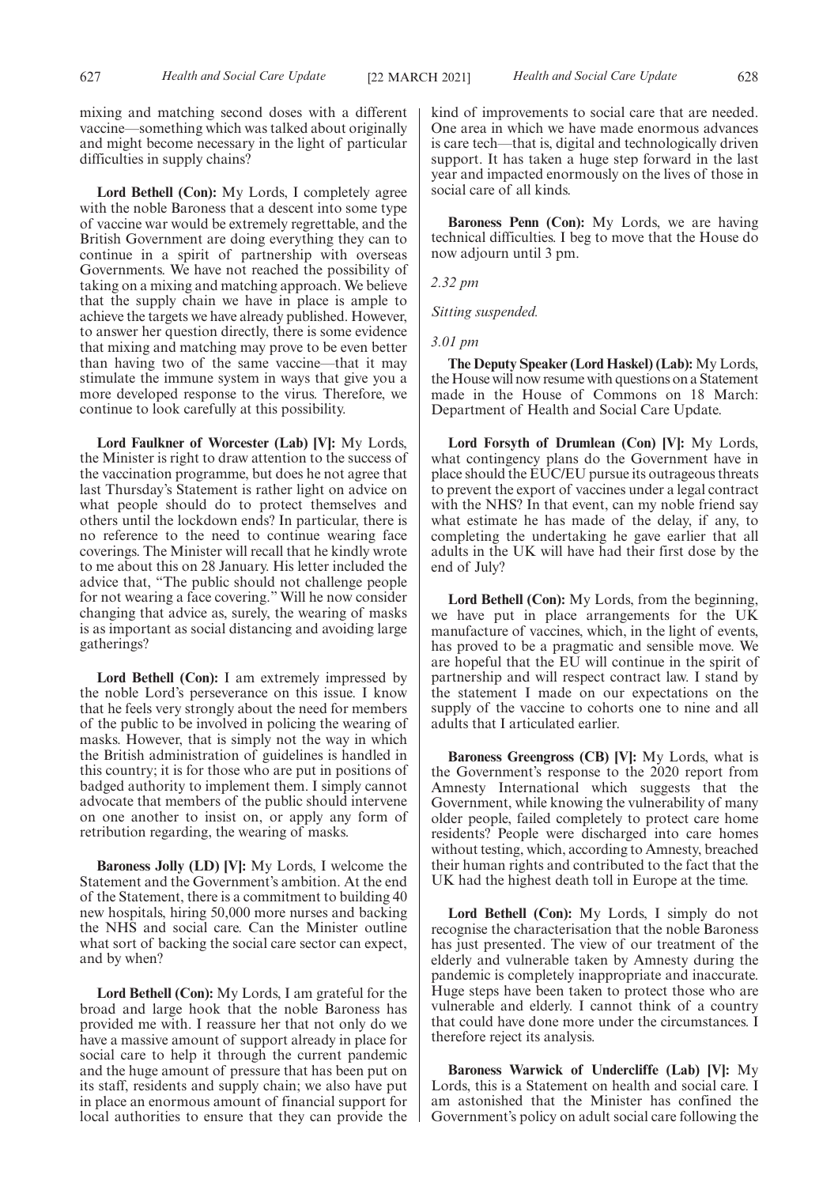mixing and matching second doses with a different vaccine—something which was talked about originally and might become necessary in the light of particular difficulties in supply chains?

**Lord Bethell (Con):** My Lords, I completely agree with the noble Baroness that a descent into some type of vaccine war would be extremely regrettable, and the British Government are doing everything they can to continue in a spirit of partnership with overseas Governments. We have not reached the possibility of taking on a mixing and matching approach. We believe that the supply chain we have in place is ample to achieve the targets we have already published. However, to answer her question directly, there is some evidence that mixing and matching may prove to be even better than having two of the same vaccine—that it may stimulate the immune system in ways that give you a more developed response to the virus. Therefore, we continue to look carefully at this possibility.

**Lord Faulkner of Worcester (Lab) [V]:** My Lords, the Minister is right to draw attention to the success of the vaccination programme, but does he not agree that last Thursday's Statement is rather light on advice on what people should do to protect themselves and others until the lockdown ends? In particular, there is no reference to the need to continue wearing face coverings. The Minister will recall that he kindly wrote to me about this on 28 January. His letter included the advice that, "The public should not challenge people for not wearing a face covering." Will he now consider changing that advice as, surely, the wearing of masks is as important as social distancing and avoiding large gatherings?

**Lord Bethell (Con):** I am extremely impressed by the noble Lord's perseverance on this issue. I know that he feels very strongly about the need for members of the public to be involved in policing the wearing of masks. However, that is simply not the way in which the British administration of guidelines is handled in this country; it is for those who are put in positions of badged authority to implement them. I simply cannot advocate that members of the public should intervene on one another to insist on, or apply any form of retribution regarding, the wearing of masks.

**Baroness Jolly (LD) [V]:** My Lords, I welcome the Statement and the Government's ambition. At the end of the Statement, there is a commitment to building 40 new hospitals, hiring 50,000 more nurses and backing the NHS and social care. Can the Minister outline what sort of backing the social care sector can expect, and by when?

**Lord Bethell (Con):** My Lords, I am grateful for the broad and large hook that the noble Baroness has provided me with. I reassure her that not only do we have a massive amount of support already in place for social care to help it through the current pandemic and the huge amount of pressure that has been put on its staff, residents and supply chain; we also have put in place an enormous amount of financial support for local authorities to ensure that they can provide the kind of improvements to social care that are needed. One area in which we have made enormous advances is care tech—that is, digital and technologically driven support. It has taken a huge step forward in the last year and impacted enormously on the lives of those in social care of all kinds.

**Baroness Penn (Con):** My Lords, we are having technical difficulties. I beg to move that the House do now adjourn until 3 pm.

*2.32 pm*

*Sitting suspended.*

*3.01 pm*

**The Deputy Speaker (Lord Haskel) (Lab):** My Lords, the House will now resume with questions on a Statement made in the House of Commons on 18 March: Department of Health and Social Care Update.

**Lord Forsyth of Drumlean (Con) [V]:** My Lords, what contingency plans do the Government have in place should the EUC/EU pursue its outrageous threats to prevent the export of vaccines under a legal contract with the NHS? In that event, can my noble friend say what estimate he has made of the delay, if any, to completing the undertaking he gave earlier that all adults in the UK will have had their first dose by the end of July?

**Lord Bethell (Con):** My Lords, from the beginning, we have put in place arrangements for the UK manufacture of vaccines, which, in the light of events, has proved to be a pragmatic and sensible move. We are hopeful that the EU will continue in the spirit of partnership and will respect contract law. I stand by the statement I made on our expectations on the supply of the vaccine to cohorts one to nine and all adults that I articulated earlier.

**Baroness Greengross (CB) [V]:** My Lords, what is the Government's response to the 2020 report from Amnesty International which suggests that the Government, while knowing the vulnerability of many older people, failed completely to protect care home residents? People were discharged into care homes without testing, which, according to Amnesty, breached their human rights and contributed to the fact that the UK had the highest death toll in Europe at the time.

**Lord Bethell (Con):** My Lords, I simply do not recognise the characterisation that the noble Baroness has just presented. The view of our treatment of the elderly and vulnerable taken by Amnesty during the pandemic is completely inappropriate and inaccurate. Huge steps have been taken to protect those who are vulnerable and elderly. I cannot think of a country that could have done more under the circumstances. I therefore reject its analysis.

**Baroness Warwick of Undercliffe (Lab) [V]:** My Lords, this is a Statement on health and social care. I am astonished that the Minister has confined the Government's policy on adult social care following the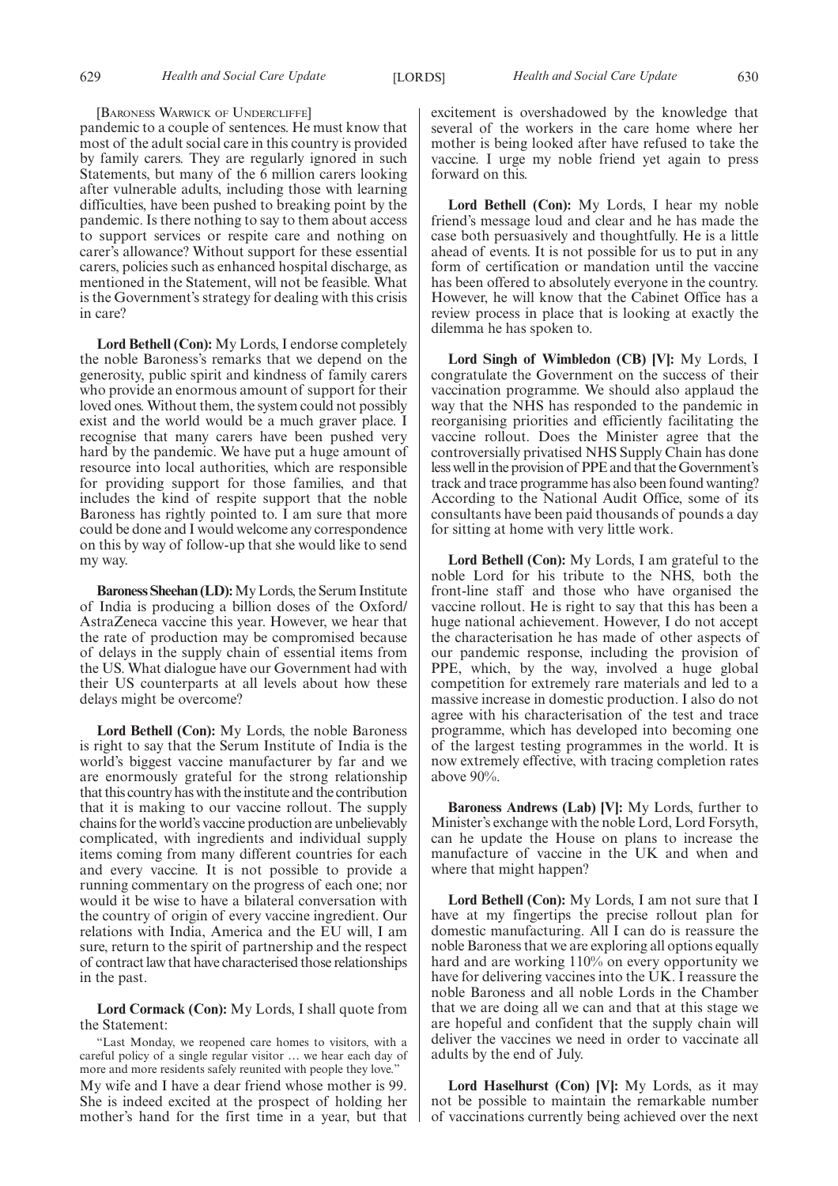#### [BARONESS WARWICK OF UNDERCLIFFE]

pandemic to a couple of sentences. He must know that most of the adult social care in this country is provided by family carers. They are regularly ignored in such Statements, but many of the 6 million carers looking after vulnerable adults, including those with learning difficulties, have been pushed to breaking point by the pandemic. Is there nothing to say to them about access to support services or respite care and nothing on carer's allowance? Without support for these essential carers, policies such as enhanced hospital discharge, as mentioned in the Statement, will not be feasible. What is the Government's strategy for dealing with this crisis in care?

**Lord Bethell (Con):** My Lords, I endorse completely the noble Baroness's remarks that we depend on the generosity, public spirit and kindness of family carers who provide an enormous amount of support for their loved ones. Without them, the system could not possibly exist and the world would be a much graver place. I recognise that many carers have been pushed very hard by the pandemic. We have put a huge amount of resource into local authorities, which are responsible for providing support for those families, and that includes the kind of respite support that the noble Baroness has rightly pointed to. I am sure that more could be done and I would welcome any correspondence on this by way of follow-up that she would like to send my way.

**Baroness Sheehan (LD):**My Lords, the Serum Institute of India is producing a billion doses of the Oxford/ AstraZeneca vaccine this year. However, we hear that the rate of production may be compromised because of delays in the supply chain of essential items from the US. What dialogue have our Government had with their US counterparts at all levels about how these delays might be overcome?

**Lord Bethell (Con):** My Lords, the noble Baroness is right to say that the Serum Institute of India is the world's biggest vaccine manufacturer by far and we are enormously grateful for the strong relationship that this country has with the institute and the contribution that it is making to our vaccine rollout. The supply chains for the world's vaccine production are unbelievably complicated, with ingredients and individual supply items coming from many different countries for each and every vaccine. It is not possible to provide a running commentary on the progress of each one; nor would it be wise to have a bilateral conversation with the country of origin of every vaccine ingredient. Our relations with India, America and the EU will, I am sure, return to the spirit of partnership and the respect of contract law that have characterised those relationships in the past.

**Lord Cormack (Con):** My Lords, I shall quote from the Statement:

"Last Monday, we reopened care homes to visitors, with a careful policy of a single regular visitor … we hear each day of more and more residents safely reunited with people they love."

My wife and I have a dear friend whose mother is 99. She is indeed excited at the prospect of holding her mother's hand for the first time in a year, but that excitement is overshadowed by the knowledge that several of the workers in the care home where her mother is being looked after have refused to take the vaccine. I urge my noble friend yet again to press forward on this.

**Lord Bethell (Con):** My Lords, I hear my noble friend's message loud and clear and he has made the case both persuasively and thoughtfully. He is a little ahead of events. It is not possible for us to put in any form of certification or mandation until the vaccine has been offered to absolutely everyone in the country. However, he will know that the Cabinet Office has a review process in place that is looking at exactly the dilemma he has spoken to.

**Lord Singh of Wimbledon (CB) [V]:** My Lords, I congratulate the Government on the success of their vaccination programme. We should also applaud the way that the NHS has responded to the pandemic in reorganising priorities and efficiently facilitating the vaccine rollout. Does the Minister agree that the controversially privatised NHS Supply Chain has done less well in the provision of PPE and that the Government's track and trace programme has also been found wanting? According to the National Audit Office, some of its consultants have been paid thousands of pounds a day for sitting at home with very little work.

**Lord Bethell (Con):** My Lords, I am grateful to the noble Lord for his tribute to the NHS, both the front-line staff and those who have organised the vaccine rollout. He is right to say that this has been a huge national achievement. However, I do not accept the characterisation he has made of other aspects of our pandemic response, including the provision of PPE, which, by the way, involved a huge global competition for extremely rare materials and led to a massive increase in domestic production. I also do not agree with his characterisation of the test and trace programme, which has developed into becoming one of the largest testing programmes in the world. It is now extremely effective, with tracing completion rates above 90%.

**Baroness Andrews (Lab) [V]:** My Lords, further to Minister's exchange with the noble Lord, Lord Forsyth, can he update the House on plans to increase the manufacture of vaccine in the UK and when and where that might happen?

**Lord Bethell (Con):** My Lords, I am not sure that I have at my fingertips the precise rollout plan for domestic manufacturing. All I can do is reassure the noble Baroness that we are exploring all options equally hard and are working 110% on every opportunity we have for delivering vaccines into the UK. I reassure the noble Baroness and all noble Lords in the Chamber that we are doing all we can and that at this stage we are hopeful and confident that the supply chain will deliver the vaccines we need in order to vaccinate all adults by the end of July.

**Lord Haselhurst (Con) [V]:** My Lords, as it may not be possible to maintain the remarkable number of vaccinations currently being achieved over the next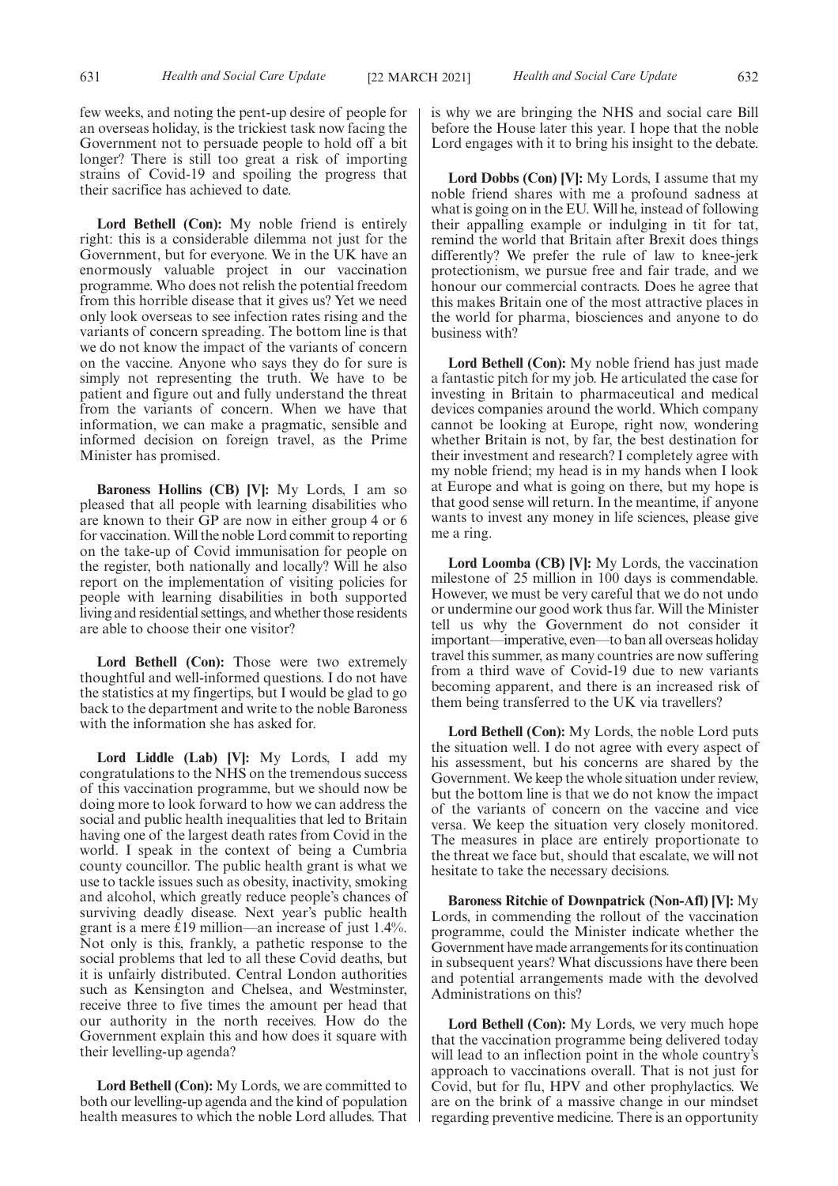few weeks, and noting the pent-up desire of people for an overseas holiday, is the trickiest task now facing the Government not to persuade people to hold off a bit longer? There is still too great a risk of importing strains of Covid-19 and spoiling the progress that their sacrifice has achieved to date.

Lord Bethell (Con): My noble friend is entirely right: this is a considerable dilemma not just for the Government, but for everyone. We in the UK have an enormously valuable project in our vaccination programme. Who does not relish the potential freedom from this horrible disease that it gives us? Yet we need only look overseas to see infection rates rising and the variants of concern spreading. The bottom line is that we do not know the impact of the variants of concern on the vaccine. Anyone who says they do for sure is simply not representing the truth. We have to be patient and figure out and fully understand the threat from the variants of concern. When we have that information, we can make a pragmatic, sensible and informed decision on foreign travel, as the Prime Minister has promised.

**Baroness Hollins (CB) [V]:** My Lords, I am so pleased that all people with learning disabilities who are known to their GP are now in either group 4 or 6 for vaccination. Will the noble Lord commit to reporting on the take-up of Covid immunisation for people on the register, both nationally and locally? Will he also report on the implementation of visiting policies for people with learning disabilities in both supported living and residential settings, and whether those residents are able to choose their one visitor?

**Lord Bethell (Con):** Those were two extremely thoughtful and well-informed questions. I do not have the statistics at my fingertips, but I would be glad to go back to the department and write to the noble Baroness with the information she has asked for.

**Lord Liddle (Lab) [V]:** My Lords, I add my congratulations to the NHS on the tremendous success of this vaccination programme, but we should now be doing more to look forward to how we can address the social and public health inequalities that led to Britain having one of the largest death rates from Covid in the world. I speak in the context of being a Cumbria county councillor. The public health grant is what we use to tackle issues such as obesity, inactivity, smoking and alcohol, which greatly reduce people's chances of surviving deadly disease. Next year's public health grant is a mere £19 million—an increase of just 1.4%. Not only is this, frankly, a pathetic response to the social problems that led to all these Covid deaths, but it is unfairly distributed. Central London authorities such as Kensington and Chelsea, and Westminster, receive three to five times the amount per head that our authority in the north receives. How do the Government explain this and how does it square with their levelling-up agenda?

**Lord Bethell (Con):** My Lords, we are committed to both our levelling-up agenda and the kind of population health measures to which the noble Lord alludes. That is why we are bringing the NHS and social care Bill before the House later this year. I hope that the noble Lord engages with it to bring his insight to the debate.

**Lord Dobbs (Con) [V]:** My Lords, I assume that my noble friend shares with me a profound sadness at what is going on in the EU. Will he, instead of following their appalling example or indulging in tit for tat, remind the world that Britain after Brexit does things differently? We prefer the rule of law to knee-jerk protectionism, we pursue free and fair trade, and we honour our commercial contracts. Does he agree that this makes Britain one of the most attractive places in the world for pharma, biosciences and anyone to do business with?

**Lord Bethell (Con):** My noble friend has just made a fantastic pitch for my job. He articulated the case for investing in Britain to pharmaceutical and medical devices companies around the world. Which company cannot be looking at Europe, right now, wondering whether Britain is not, by far, the best destination for their investment and research? I completely agree with my noble friend; my head is in my hands when I look at Europe and what is going on there, but my hope is that good sense will return. In the meantime, if anyone wants to invest any money in life sciences, please give me a ring.

**Lord Loomba (CB) [V]:** My Lords, the vaccination milestone of 25 million in 100 days is commendable. However, we must be very careful that we do not undo or undermine our good work thus far. Will the Minister tell us why the Government do not consider it important—imperative, even—to ban all overseas holiday travel this summer, as many countries are now suffering from a third wave of Covid-19 due to new variants becoming apparent, and there is an increased risk of them being transferred to the UK via travellers?

**Lord Bethell (Con):** My Lords, the noble Lord puts the situation well. I do not agree with every aspect of his assessment, but his concerns are shared by the Government. We keep the whole situation under review, but the bottom line is that we do not know the impact of the variants of concern on the vaccine and vice versa. We keep the situation very closely monitored. The measures in place are entirely proportionate to the threat we face but, should that escalate, we will not hesitate to take the necessary decisions.

**Baroness Ritchie of Downpatrick (Non-Afl) [V]:** My Lords, in commending the rollout of the vaccination programme, could the Minister indicate whether the Government have made arrangements for its continuation in subsequent years? What discussions have there been and potential arrangements made with the devolved Administrations on this?

**Lord Bethell (Con):** My Lords, we very much hope that the vaccination programme being delivered today will lead to an inflection point in the whole country's approach to vaccinations overall. That is not just for Covid, but for flu, HPV and other prophylactics. We are on the brink of a massive change in our mindset regarding preventive medicine. There is an opportunity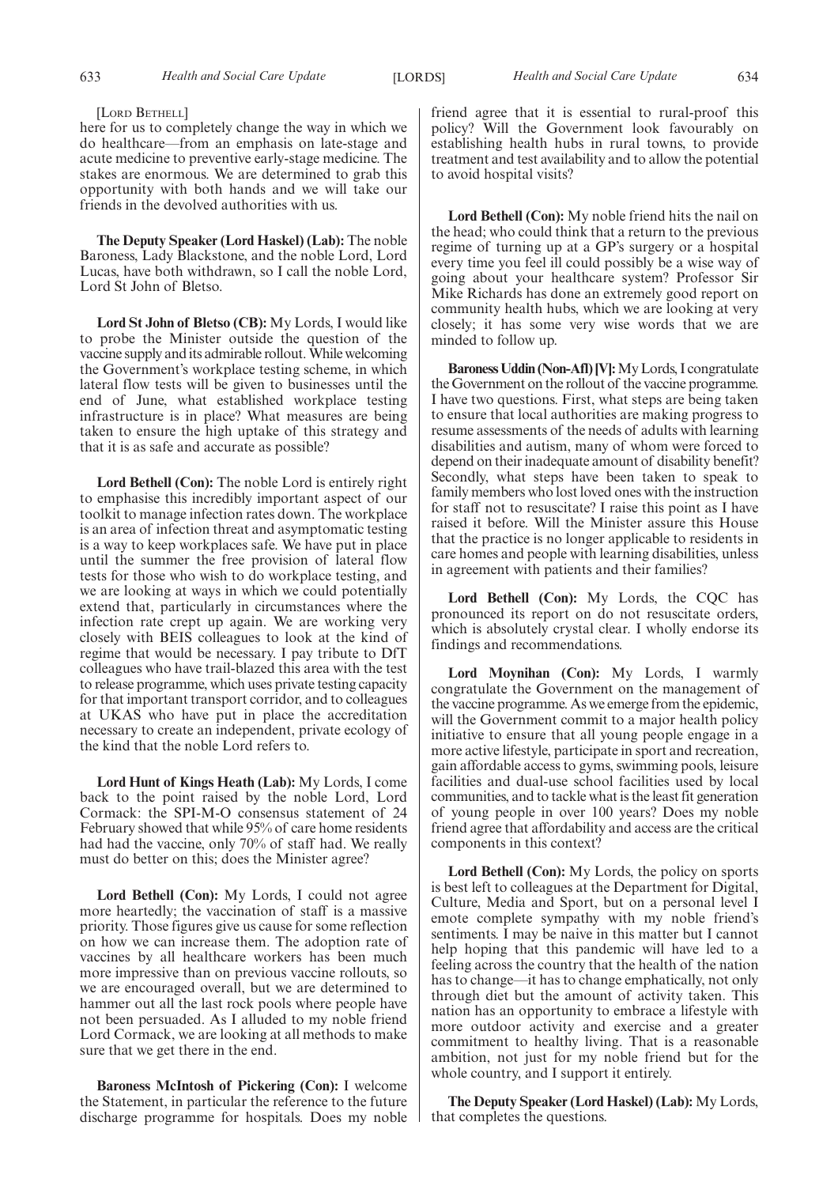#### [LORD BETHELL]

here for us to completely change the way in which we do healthcare—from an emphasis on late-stage and acute medicine to preventive early-stage medicine. The stakes are enormous. We are determined to grab this opportunity with both hands and we will take our friends in the devolved authorities with us.

**The Deputy Speaker (Lord Haskel) (Lab):** The noble Baroness, Lady Blackstone, and the noble Lord, Lord Lucas, have both withdrawn, so I call the noble Lord, Lord St John of Bletso.

**Lord St John of Bletso (CB):** My Lords, I would like to probe the Minister outside the question of the vaccine supply and its admirable rollout. While welcoming the Government's workplace testing scheme, in which lateral flow tests will be given to businesses until the end of June, what established workplace testing infrastructure is in place? What measures are being taken to ensure the high uptake of this strategy and that it is as safe and accurate as possible?

**Lord Bethell (Con):** The noble Lord is entirely right to emphasise this incredibly important aspect of our toolkit to manage infection rates down. The workplace is an area of infection threat and asymptomatic testing is a way to keep workplaces safe. We have put in place until the summer the free provision of lateral flow tests for those who wish to do workplace testing, and we are looking at ways in which we could potentially extend that, particularly in circumstances where the infection rate crept up again. We are working very closely with BEIS colleagues to look at the kind of regime that would be necessary. I pay tribute to DfT colleagues who have trail-blazed this area with the test to release programme, which uses private testing capacity for that important transport corridor, and to colleagues at UKAS who have put in place the accreditation necessary to create an independent, private ecology of the kind that the noble Lord refers to.

**Lord Hunt of Kings Heath (Lab):** My Lords, I come back to the point raised by the noble Lord, Lord Cormack: the SPI-M-O consensus statement of 24 February showed that while 95% of care home residents had had the vaccine, only 70% of staff had. We really must do better on this; does the Minister agree?

**Lord Bethell (Con):** My Lords, I could not agree more heartedly; the vaccination of staff is a massive priority. Those figures give us cause for some reflection on how we can increase them. The adoption rate of vaccines by all healthcare workers has been much more impressive than on previous vaccine rollouts, so we are encouraged overall, but we are determined to hammer out all the last rock pools where people have not been persuaded. As I alluded to my noble friend Lord Cormack, we are looking at all methods to make sure that we get there in the end.

**Baroness McIntosh of Pickering (Con):** I welcome the Statement, in particular the reference to the future discharge programme for hospitals. Does my noble friend agree that it is essential to rural-proof this policy? Will the Government look favourably on establishing health hubs in rural towns, to provide treatment and test availability and to allow the potential to avoid hospital visits?

**Lord Bethell (Con):** My noble friend hits the nail on the head; who could think that a return to the previous regime of turning up at a GP's surgery or a hospital every time you feel ill could possibly be a wise way of going about your healthcare system? Professor Sir Mike Richards has done an extremely good report on community health hubs, which we are looking at very closely; it has some very wise words that we are minded to follow up.

**Baroness Uddin (Non-Afl) [V]:**My Lords, I congratulate the Government on the rollout of the vaccine programme. I have two questions. First, what steps are being taken to ensure that local authorities are making progress to resume assessments of the needs of adults with learning disabilities and autism, many of whom were forced to depend on their inadequate amount of disability benefit? Secondly, what steps have been taken to speak to family members who lost loved ones with the instruction for staff not to resuscitate? I raise this point as I have raised it before. Will the Minister assure this House that the practice is no longer applicable to residents in care homes and people with learning disabilities, unless in agreement with patients and their families?

**Lord Bethell (Con):** My Lords, the CQC has pronounced its report on do not resuscitate orders, which is absolutely crystal clear. I wholly endorse its findings and recommendations.

**Lord Moynihan (Con):** My Lords, I warmly congratulate the Government on the management of the vaccine programme. As we emerge from the epidemic, will the Government commit to a major health policy initiative to ensure that all young people engage in a more active lifestyle, participate in sport and recreation, gain affordable access to gyms, swimming pools, leisure facilities and dual-use school facilities used by local communities, and to tackle what is the least fit generation of young people in over 100 years? Does my noble friend agree that affordability and access are the critical components in this context?

**Lord Bethell (Con):** My Lords, the policy on sports is best left to colleagues at the Department for Digital, Culture, Media and Sport, but on a personal level I emote complete sympathy with my noble friend's sentiments. I may be naive in this matter but I cannot help hoping that this pandemic will have led to a feeling across the country that the health of the nation has to change—it has to change emphatically, not only through diet but the amount of activity taken. This nation has an opportunity to embrace a lifestyle with more outdoor activity and exercise and a greater commitment to healthy living. That is a reasonable ambition, not just for my noble friend but for the whole country, and I support it entirely.

**The Deputy Speaker (Lord Haskel) (Lab):** My Lords, that completes the questions.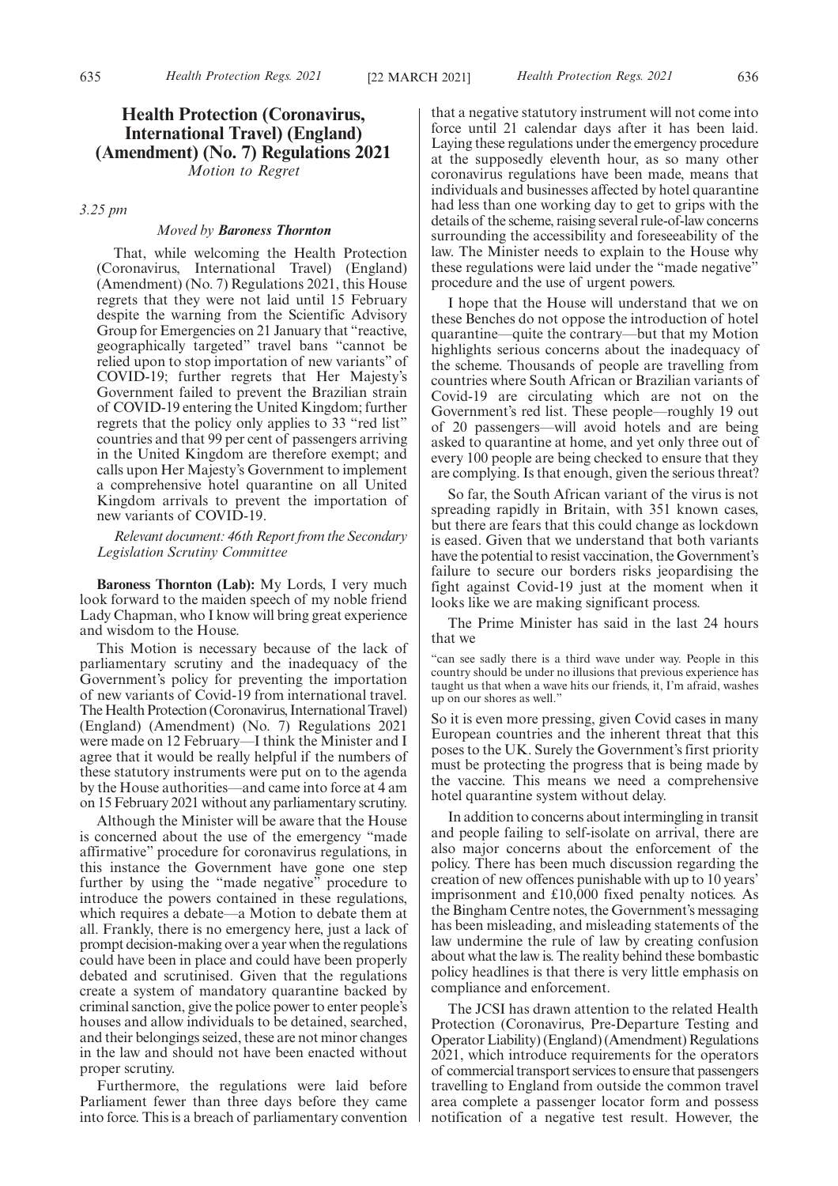*Motion to Regret*

*3.25 pm*

# *Moved by Baroness Thornton*

That, while welcoming the Health Protection (Coronavirus, International Travel) (England) (Amendment) (No. 7) Regulations 2021, this House regrets that they were not laid until 15 February despite the warning from the Scientific Advisory Group for Emergencies on 21 January that "reactive, geographically targeted" travel bans "cannot be relied upon to stop importation of new variants" of COVID-19; further regrets that Her Majesty's Government failed to prevent the Brazilian strain of COVID-19 entering the United Kingdom; further regrets that the policy only applies to 33 "red list" countries and that 99 per cent of passengers arriving in the United Kingdom are therefore exempt; and calls upon Her Majesty's Government to implement a comprehensive hotel quarantine on all United Kingdom arrivals to prevent the importation of new variants of COVID-19.

*Relevant document: 46th Report from the Secondary Legislation Scrutiny Committee*

**Baroness Thornton (Lab):** My Lords, I very much look forward to the maiden speech of my noble friend Lady Chapman, who I know will bring great experience and wisdom to the House.

This Motion is necessary because of the lack of parliamentary scrutiny and the inadequacy of the Government's policy for preventing the importation of new variants of Covid-19 from international travel. The Health Protection (Coronavirus, International Travel) (England) (Amendment) (No. 7) Regulations 2021 were made on 12 February—I think the Minister and I agree that it would be really helpful if the numbers of these statutory instruments were put on to the agenda by the House authorities—and came into force at 4 am on 15 February 2021 without any parliamentary scrutiny.

Although the Minister will be aware that the House is concerned about the use of the emergency "made affirmative" procedure for coronavirus regulations, in this instance the Government have gone one step further by using the "made negative" procedure to introduce the powers contained in these regulations, which requires a debate—a Motion to debate them at all. Frankly, there is no emergency here, just a lack of prompt decision-making over a year when the regulations could have been in place and could have been properly debated and scrutinised. Given that the regulations create a system of mandatory quarantine backed by criminal sanction, give the police power to enter people's houses and allow individuals to be detained, searched, and their belongings seized, these are not minor changes in the law and should not have been enacted without proper scrutiny.

Furthermore, the regulations were laid before Parliament fewer than three days before they came into force. This is a breach of parliamentary convention that a negative statutory instrument will not come into force until 21 calendar days after it has been laid. Laying these regulations under the emergency procedure at the supposedly eleventh hour, as so many other coronavirus regulations have been made, means that individuals and businesses affected by hotel quarantine had less than one working day to get to grips with the details of the scheme, raising several rule-of-law concerns surrounding the accessibility and foreseeability of the law. The Minister needs to explain to the House why these regulations were laid under the "made negative" procedure and the use of urgent powers.

I hope that the House will understand that we on these Benches do not oppose the introduction of hotel quarantine—quite the contrary—but that my Motion highlights serious concerns about the inadequacy of the scheme. Thousands of people are travelling from countries where South African or Brazilian variants of Covid-19 are circulating which are not on the Government's red list. These people—roughly 19 out of 20 passengers—will avoid hotels and are being asked to quarantine at home, and yet only three out of every 100 people are being checked to ensure that they are complying. Is that enough, given the serious threat?

So far, the South African variant of the virus is not spreading rapidly in Britain, with 351 known cases, but there are fears that this could change as lockdown is eased. Given that we understand that both variants have the potential to resist vaccination, the Government's failure to secure our borders risks jeopardising the fight against Covid-19 just at the moment when it looks like we are making significant process.

The Prime Minister has said in the last 24 hours that we

"can see sadly there is a third wave under way. People in this country should be under no illusions that previous experience has taught us that when a wave hits our friends, it, I'm afraid, washes up on our shores as well."

So it is even more pressing, given Covid cases in many European countries and the inherent threat that this poses to the UK. Surely the Government's first priority must be protecting the progress that is being made by the vaccine. This means we need a comprehensive hotel quarantine system without delay.

In addition to concerns about intermingling in transit and people failing to self-isolate on arrival, there are also major concerns about the enforcement of the policy. There has been much discussion regarding the creation of new offences punishable with up to 10 years' imprisonment and £10,000 fixed penalty notices. As the Bingham Centre notes, the Government's messaging has been misleading, and misleading statements of the law undermine the rule of law by creating confusion about what the law is. The reality behind these bombastic policy headlines is that there is very little emphasis on compliance and enforcement.

The JCSI has drawn attention to the related Health Protection (Coronavirus, Pre-Departure Testing and Operator Liability) (England) (Amendment) Regulations 2021, which introduce requirements for the operators of commercial transport services to ensure that passengers travelling to England from outside the common travel area complete a passenger locator form and possess notification of a negative test result. However, the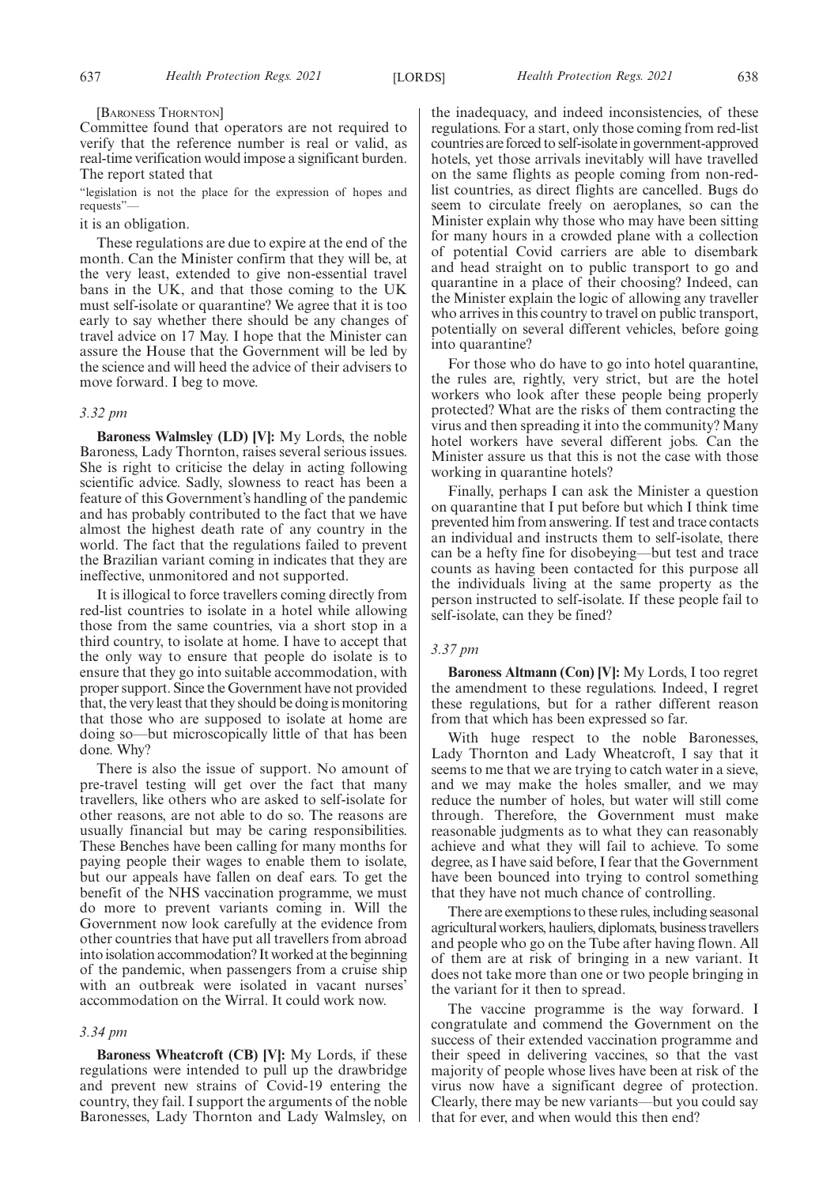#### [BARONESS THORNTON]

Committee found that operators are not required to verify that the reference number is real or valid, as real-time verification would impose a significant burden. The report stated that

"legislation is not the place for the expression of hopes and requests"—

it is an obligation.

These regulations are due to expire at the end of the month. Can the Minister confirm that they will be, at the very least, extended to give non-essential travel bans in the UK, and that those coming to the UK must self-isolate or quarantine? We agree that it is too early to say whether there should be any changes of travel advice on 17 May. I hope that the Minister can assure the House that the Government will be led by the science and will heed the advice of their advisers to move forward. I beg to move.

## *3.32 pm*

**Baroness Walmsley (LD) [V]:** My Lords, the noble Baroness, Lady Thornton, raises several serious issues. She is right to criticise the delay in acting following scientific advice. Sadly, slowness to react has been a feature of this Government's handling of the pandemic and has probably contributed to the fact that we have almost the highest death rate of any country in the world. The fact that the regulations failed to prevent the Brazilian variant coming in indicates that they are ineffective, unmonitored and not supported.

It is illogical to force travellers coming directly from red-list countries to isolate in a hotel while allowing those from the same countries, via a short stop in a third country, to isolate at home. I have to accept that the only way to ensure that people do isolate is to ensure that they go into suitable accommodation, with proper support. Since the Government have not provided that, the very least that they should be doing is monitoring that those who are supposed to isolate at home are doing so—but microscopically little of that has been done. Why?

There is also the issue of support. No amount of pre-travel testing will get over the fact that many travellers, like others who are asked to self-isolate for other reasons, are not able to do so. The reasons are usually financial but may be caring responsibilities. These Benches have been calling for many months for paying people their wages to enable them to isolate, but our appeals have fallen on deaf ears. To get the benefit of the NHS vaccination programme, we must do more to prevent variants coming in. Will the Government now look carefully at the evidence from other countries that have put all travellers from abroad into isolation accommodation? It worked at the beginning of the pandemic, when passengers from a cruise ship with an outbreak were isolated in vacant nurses' accommodation on the Wirral. It could work now.

#### *3.34 pm*

**Baroness Wheatcroft (CB) [V]:** My Lords, if these regulations were intended to pull up the drawbridge and prevent new strains of Covid-19 entering the country, they fail. I support the arguments of the noble Baronesses, Lady Thornton and Lady Walmsley, on the inadequacy, and indeed inconsistencies, of these regulations. For a start, only those coming from red-list countries are forced to self-isolate in government-approved hotels, yet those arrivals inevitably will have travelled on the same flights as people coming from non-redlist countries, as direct flights are cancelled. Bugs do seem to circulate freely on aeroplanes, so can the Minister explain why those who may have been sitting for many hours in a crowded plane with a collection of potential Covid carriers are able to disembark and head straight on to public transport to go and quarantine in a place of their choosing? Indeed, can the Minister explain the logic of allowing any traveller who arrives in this country to travel on public transport, potentially on several different vehicles, before going into quarantine?

For those who do have to go into hotel quarantine, the rules are, rightly, very strict, but are the hotel workers who look after these people being properly protected? What are the risks of them contracting the virus and then spreading it into the community? Many hotel workers have several different jobs. Can the Minister assure us that this is not the case with those working in quarantine hotels?

Finally, perhaps I can ask the Minister a question on quarantine that I put before but which I think time prevented him from answering. If test and trace contacts an individual and instructs them to self-isolate, there can be a hefty fine for disobeying—but test and trace counts as having been contacted for this purpose all the individuals living at the same property as the person instructed to self-isolate. If these people fail to self-isolate, can they be fined?

#### *3.37 pm*

**Baroness Altmann (Con) [V]:** My Lords, I too regret the amendment to these regulations. Indeed, I regret these regulations, but for a rather different reason from that which has been expressed so far.

With huge respect to the noble Baronesses, Lady Thornton and Lady Wheatcroft, I say that it seems to me that we are trying to catch water in a sieve, and we may make the holes smaller, and we may reduce the number of holes, but water will still come through. Therefore, the Government must make reasonable judgments as to what they can reasonably achieve and what they will fail to achieve. To some degree, as I have said before, I fear that the Government have been bounced into trying to control something that they have not much chance of controlling.

There are exemptions to these rules, including seasonal agricultural workers, hauliers, diplomats, business travellers and people who go on the Tube after having flown. All of them are at risk of bringing in a new variant. It does not take more than one or two people bringing in the variant for it then to spread.

The vaccine programme is the way forward. I congratulate and commend the Government on the success of their extended vaccination programme and their speed in delivering vaccines, so that the vast majority of people whose lives have been at risk of the virus now have a significant degree of protection. Clearly, there may be new variants—but you could say that for ever, and when would this then end?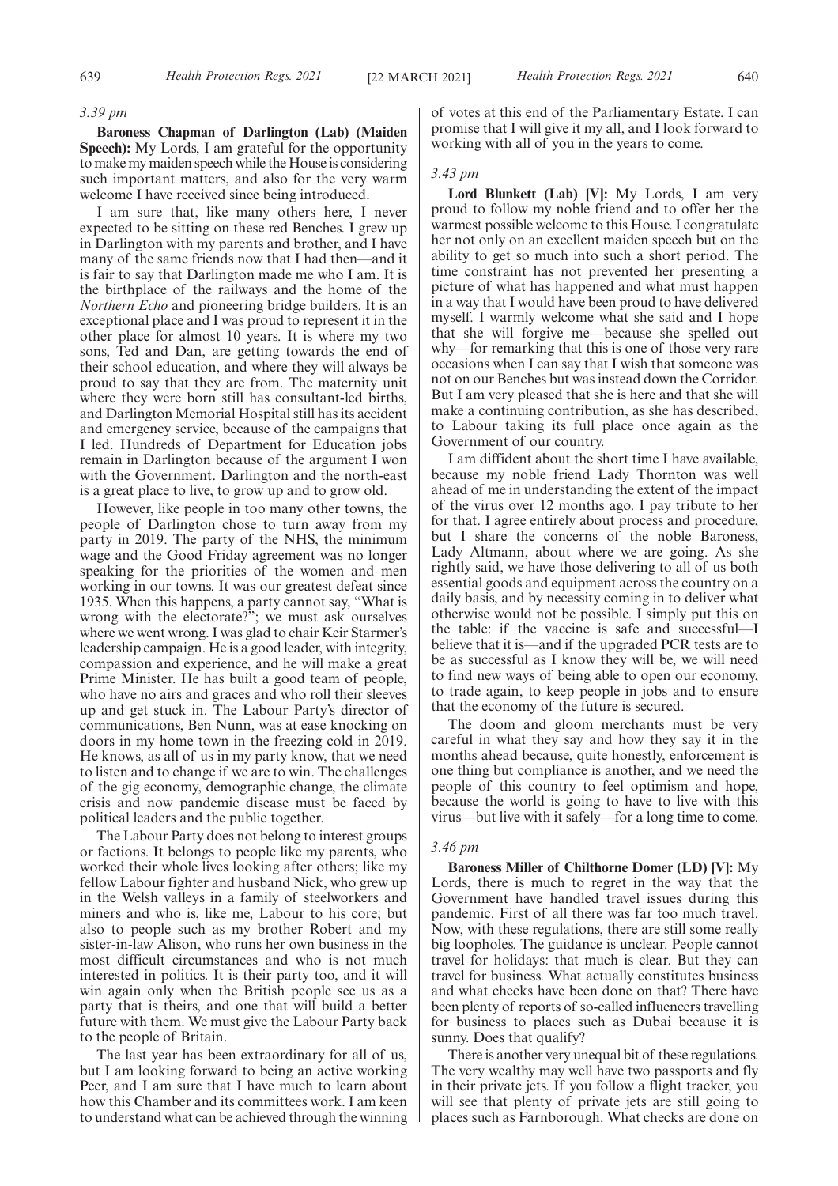#### *3.39 pm*

**Baroness Chapman of Darlington (Lab) (Maiden Speech):** My Lords, I am grateful for the opportunity to make my maiden speech while the House is considering such important matters, and also for the very warm welcome I have received since being introduced.

I am sure that, like many others here, I never expected to be sitting on these red Benches. I grew up in Darlington with my parents and brother, and I have many of the same friends now that I had then—and it is fair to say that Darlington made me who I am. It is the birthplace of the railways and the home of the *Northern Echo* and pioneering bridge builders. It is an exceptional place and I was proud to represent it in the other place for almost 10 years. It is where my two sons, Ted and Dan, are getting towards the end of their school education, and where they will always be proud to say that they are from. The maternity unit where they were born still has consultant-led births, and Darlington Memorial Hospital still has its accident and emergency service, because of the campaigns that I led. Hundreds of Department for Education jobs remain in Darlington because of the argument I won with the Government. Darlington and the north-east is a great place to live, to grow up and to grow old.

However, like people in too many other towns, the people of Darlington chose to turn away from my party in 2019. The party of the NHS, the minimum wage and the Good Friday agreement was no longer speaking for the priorities of the women and men working in our towns. It was our greatest defeat since 1935. When this happens, a party cannot say, "What is wrong with the electorate?"; we must ask ourselves where we went wrong. I was glad to chair Keir Starmer's leadership campaign. He is a good leader, with integrity, compassion and experience, and he will make a great Prime Minister. He has built a good team of people, who have no airs and graces and who roll their sleeves up and get stuck in. The Labour Party's director of communications, Ben Nunn, was at ease knocking on doors in my home town in the freezing cold in 2019. He knows, as all of us in my party know, that we need to listen and to change if we are to win. The challenges of the gig economy, demographic change, the climate crisis and now pandemic disease must be faced by political leaders and the public together.

The Labour Party does not belong to interest groups or factions. It belongs to people like my parents, who worked their whole lives looking after others; like my fellow Labour fighter and husband Nick, who grew up in the Welsh valleys in a family of steelworkers and miners and who is, like me, Labour to his core; but also to people such as my brother Robert and my sister-in-law Alison, who runs her own business in the most difficult circumstances and who is not much interested in politics. It is their party too, and it will win again only when the British people see us as a party that is theirs, and one that will build a better future with them. We must give the Labour Party back to the people of Britain.

The last year has been extraordinary for all of us, but I am looking forward to being an active working Peer, and I am sure that I have much to learn about how this Chamber and its committees work. I am keen to understand what can be achieved through the winning of votes at this end of the Parliamentary Estate. I can promise that I will give it my all, and I look forward to working with all of you in the years to come.

# *3.43 pm*

**Lord Blunkett (Lab) [V]:** My Lords, I am very proud to follow my noble friend and to offer her the warmest possible welcome to this House. I congratulate her not only on an excellent maiden speech but on the ability to get so much into such a short period. The time constraint has not prevented her presenting a picture of what has happened and what must happen in a way that I would have been proud to have delivered myself. I warmly welcome what she said and I hope that she will forgive me—because she spelled out why—for remarking that this is one of those very rare occasions when I can say that I wish that someone was not on our Benches but was instead down the Corridor. But I am very pleased that she is here and that she will make a continuing contribution, as she has described, to Labour taking its full place once again as the Government of our country.

I am diffident about the short time I have available, because my noble friend Lady Thornton was well ahead of me in understanding the extent of the impact of the virus over 12 months ago. I pay tribute to her for that. I agree entirely about process and procedure, but I share the concerns of the noble Baroness, Lady Altmann, about where we are going. As she rightly said, we have those delivering to all of us both essential goods and equipment across the country on a daily basis, and by necessity coming in to deliver what otherwise would not be possible. I simply put this on the table: if the vaccine is safe and successful—I believe that it is—and if the upgraded PCR tests are to be as successful as I know they will be, we will need to find new ways of being able to open our economy, to trade again, to keep people in jobs and to ensure that the economy of the future is secured.

The doom and gloom merchants must be very careful in what they say and how they say it in the months ahead because, quite honestly, enforcement is one thing but compliance is another, and we need the people of this country to feel optimism and hope, because the world is going to have to live with this virus—but live with it safely—for a long time to come.

# *3.46 pm*

**Baroness Miller of Chilthorne Domer (LD) [V]:** My Lords, there is much to regret in the way that the Government have handled travel issues during this pandemic. First of all there was far too much travel. Now, with these regulations, there are still some really big loopholes. The guidance is unclear. People cannot travel for holidays: that much is clear. But they can travel for business. What actually constitutes business and what checks have been done on that? There have been plenty of reports of so-called influencers travelling for business to places such as Dubai because it is sunny. Does that qualify?

There is another very unequal bit of these regulations. The very wealthy may well have two passports and fly in their private jets. If you follow a flight tracker, you will see that plenty of private jets are still going to places such as Farnborough. What checks are done on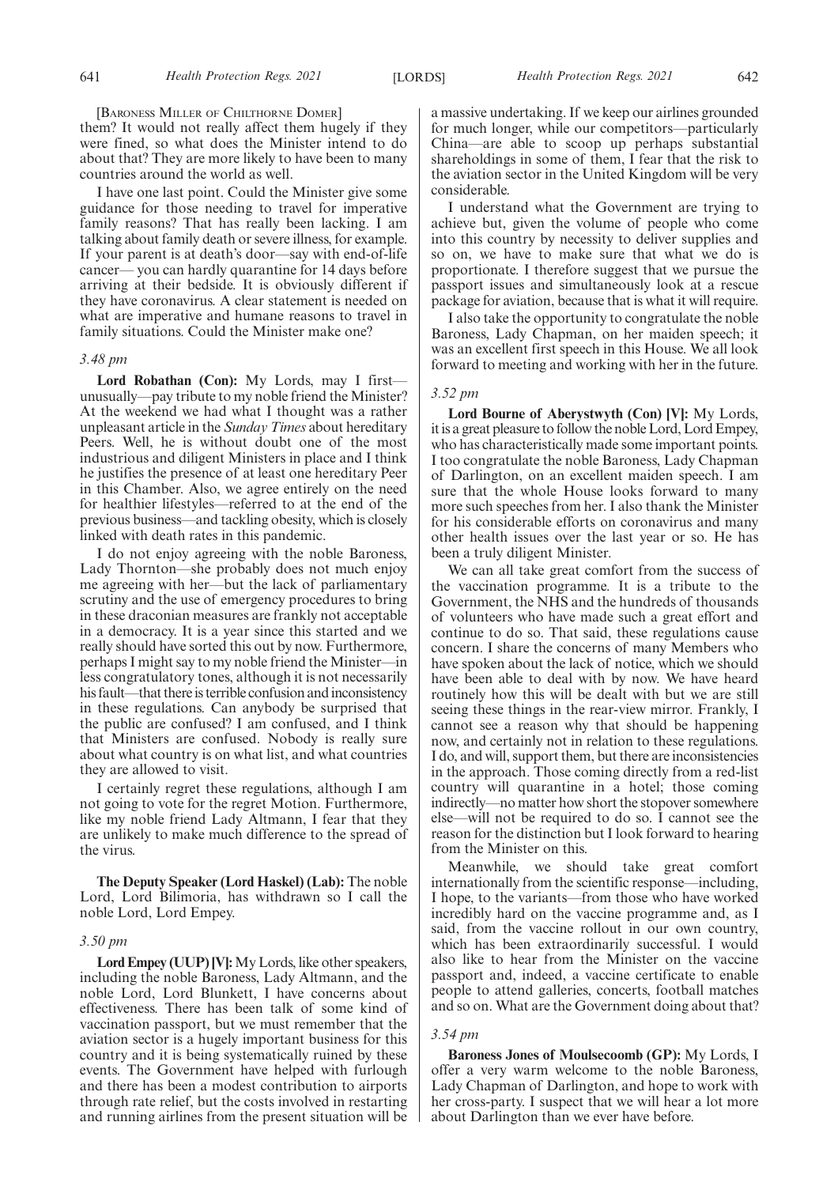[BARONESS MILLER OF CHILTHORNE DOMER]

them? It would not really affect them hugely if they were fined, so what does the Minister intend to do about that? They are more likely to have been to many countries around the world as well.

I have one last point. Could the Minister give some guidance for those needing to travel for imperative family reasons? That has really been lacking. I am talking about family death or severe illness, for example. If your parent is at death's door—say with end-of-life cancer— you can hardly quarantine for 14 days before arriving at their bedside. It is obviously different if they have coronavirus. A clear statement is needed on what are imperative and humane reasons to travel in family situations. Could the Minister make one?

# *3.48 pm*

**Lord Robathan (Con):** My Lords, may I first unusually—pay tribute to my noble friend the Minister? At the weekend we had what I thought was a rather unpleasant article in the *Sunday Times* about hereditary Peers. Well, he is without doubt one of the most industrious and diligent Ministers in place and I think he justifies the presence of at least one hereditary Peer in this Chamber. Also, we agree entirely on the need for healthier lifestyles—referred to at the end of the previous business—and tackling obesity, which is closely linked with death rates in this pandemic.

I do not enjoy agreeing with the noble Baroness, Lady Thornton—she probably does not much enjoy me agreeing with her—but the lack of parliamentary scrutiny and the use of emergency procedures to bring in these draconian measures are frankly not acceptable in a democracy. It is a year since this started and we really should have sorted this out by now. Furthermore, perhaps I might say to my noble friend the Minister—in less congratulatory tones, although it is not necessarily his fault—that there is terrible confusion and inconsistency in these regulations. Can anybody be surprised that the public are confused? I am confused, and I think that Ministers are confused. Nobody is really sure about what country is on what list, and what countries they are allowed to visit.

I certainly regret these regulations, although I am not going to vote for the regret Motion. Furthermore, like my noble friend Lady Altmann, I fear that they are unlikely to make much difference to the spread of the virus.

**The Deputy Speaker (Lord Haskel) (Lab):** The noble Lord, Lord Bilimoria, has withdrawn so I call the noble Lord, Lord Empey.

#### *3.50 pm*

**Lord Empey (UUP) [V]:**My Lords, like other speakers, including the noble Baroness, Lady Altmann, and the noble Lord, Lord Blunkett, I have concerns about effectiveness. There has been talk of some kind of vaccination passport, but we must remember that the aviation sector is a hugely important business for this country and it is being systematically ruined by these events. The Government have helped with furlough and there has been a modest contribution to airports through rate relief, but the costs involved in restarting and running airlines from the present situation will be

a massive undertaking. If we keep our airlines grounded for much longer, while our competitors—particularly China—are able to scoop up perhaps substantial shareholdings in some of them, I fear that the risk to the aviation sector in the United Kingdom will be very considerable.

I understand what the Government are trying to achieve but, given the volume of people who come into this country by necessity to deliver supplies and so on, we have to make sure that what we do is proportionate. I therefore suggest that we pursue the passport issues and simultaneously look at a rescue package for aviation, because that is what it will require.

I also take the opportunity to congratulate the noble Baroness, Lady Chapman, on her maiden speech; it was an excellent first speech in this House. We all look forward to meeting and working with her in the future.

# *3.52 pm*

**Lord Bourne of Aberystwyth (Con) [V]:** My Lords, it is a great pleasure to follow the noble Lord, Lord Empey, who has characteristically made some important points. I too congratulate the noble Baroness, Lady Chapman of Darlington, on an excellent maiden speech. I am sure that the whole House looks forward to many more such speeches from her. I also thank the Minister for his considerable efforts on coronavirus and many other health issues over the last year or so. He has been a truly diligent Minister.

We can all take great comfort from the success of the vaccination programme. It is a tribute to the Government, the NHS and the hundreds of thousands of volunteers who have made such a great effort and continue to do so. That said, these regulations cause concern. I share the concerns of many Members who have spoken about the lack of notice, which we should have been able to deal with by now. We have heard routinely how this will be dealt with but we are still seeing these things in the rear-view mirror. Frankly, I cannot see a reason why that should be happening now, and certainly not in relation to these regulations. I do, and will, support them, but there are inconsistencies in the approach. Those coming directly from a red-list country will quarantine in a hotel; those coming indirectly—no matter how short the stopover somewhere else—will not be required to do so. I cannot see the reason for the distinction but I look forward to hearing from the Minister on this.

Meanwhile, we should take great comfort internationally from the scientific response—including, I hope, to the variants—from those who have worked incredibly hard on the vaccine programme and, as I said, from the vaccine rollout in our own country, which has been extraordinarily successful. I would also like to hear from the Minister on the vaccine passport and, indeed, a vaccine certificate to enable people to attend galleries, concerts, football matches and so on. What are the Government doing about that?

#### *3.54 pm*

**Baroness Jones of Moulsecoomb (GP):** My Lords, I offer a very warm welcome to the noble Baroness, Lady Chapman of Darlington, and hope to work with her cross-party. I suspect that we will hear a lot more about Darlington than we ever have before.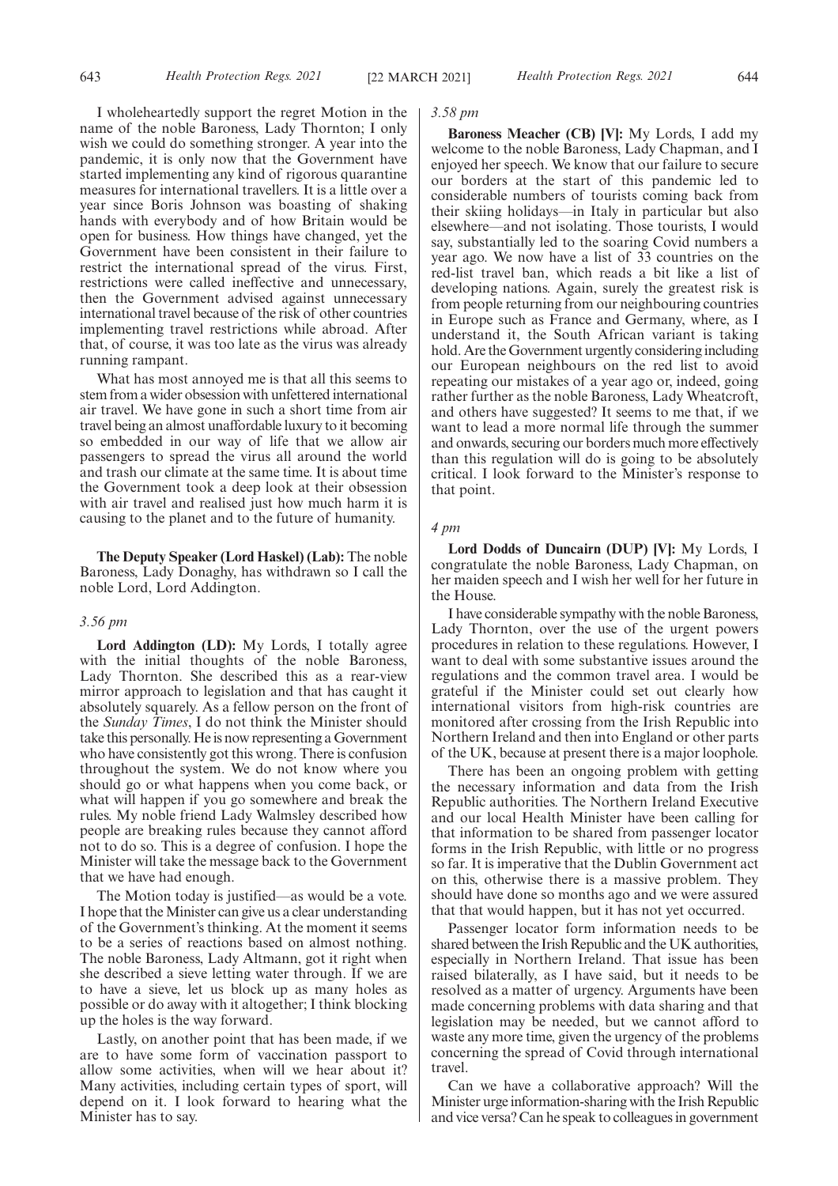I wholeheartedly support the regret Motion in the name of the noble Baroness, Lady Thornton; I only wish we could do something stronger. A year into the pandemic, it is only now that the Government have started implementing any kind of rigorous quarantine measures for international travellers. It is a little over a year since Boris Johnson was boasting of shaking hands with everybody and of how Britain would be open for business. How things have changed, yet the Government have been consistent in their failure to restrict the international spread of the virus. First, restrictions were called ineffective and unnecessary, then the Government advised against unnecessary international travel because of the risk of other countries implementing travel restrictions while abroad. After that, of course, it was too late as the virus was already running rampant.

What has most annoyed me is that all this seems to stem from a wider obsession with unfettered international air travel. We have gone in such a short time from air travel being an almost unaffordable luxury to it becoming so embedded in our way of life that we allow air passengers to spread the virus all around the world and trash our climate at the same time. It is about time the Government took a deep look at their obsession with air travel and realised just how much harm it is causing to the planet and to the future of humanity.

**The Deputy Speaker (Lord Haskel) (Lab):** The noble Baroness, Lady Donaghy, has withdrawn so I call the noble Lord, Lord Addington.

#### *3.56 pm*

**Lord Addington (LD):** My Lords, I totally agree with the initial thoughts of the noble Baroness, Lady Thornton. She described this as a rear-view mirror approach to legislation and that has caught it absolutely squarely. As a fellow person on the front of the *Sunday Times*, I do not think the Minister should take this personally. He is now representing a Government who have consistently got this wrong. There is confusion throughout the system. We do not know where you should go or what happens when you come back, or what will happen if you go somewhere and break the rules. My noble friend Lady Walmsley described how people are breaking rules because they cannot afford not to do so. This is a degree of confusion. I hope the Minister will take the message back to the Government that we have had enough.

The Motion today is justified—as would be a vote. I hope that the Minister can give us a clear understanding of the Government's thinking. At the moment it seems to be a series of reactions based on almost nothing. The noble Baroness, Lady Altmann, got it right when she described a sieve letting water through. If we are to have a sieve, let us block up as many holes as possible or do away with it altogether; I think blocking up the holes is the way forward.

Lastly, on another point that has been made, if we are to have some form of vaccination passport to allow some activities, when will we hear about it? Many activities, including certain types of sport, will depend on it. I look forward to hearing what the Minister has to say.

# *3.58 pm*

**Baroness Meacher (CB) [V]:** My Lords, I add my welcome to the noble Baroness, Lady Chapman, and I enjoyed her speech. We know that our failure to secure our borders at the start of this pandemic led to considerable numbers of tourists coming back from their skiing holidays—in Italy in particular but also elsewhere—and not isolating. Those tourists, I would say, substantially led to the soaring Covid numbers a year ago. We now have a list of 33 countries on the red-list travel ban, which reads a bit like a list of developing nations. Again, surely the greatest risk is from people returning from our neighbouring countries in Europe such as France and Germany, where, as I understand it, the South African variant is taking hold. Are the Government urgently considering including our European neighbours on the red list to avoid repeating our mistakes of a year ago or, indeed, going rather further as the noble Baroness, Lady Wheatcroft, and others have suggested? It seems to me that, if we want to lead a more normal life through the summer and onwards, securing our borders much more effectively than this regulation will do is going to be absolutely critical. I look forward to the Minister's response to that point.

# *4 pm*

**Lord Dodds of Duncairn (DUP) [V]:** My Lords, I congratulate the noble Baroness, Lady Chapman, on her maiden speech and I wish her well for her future in the House.

I have considerable sympathy with the noble Baroness, Lady Thornton, over the use of the urgent powers procedures in relation to these regulations. However, I want to deal with some substantive issues around the regulations and the common travel area. I would be grateful if the Minister could set out clearly how international visitors from high-risk countries are monitored after crossing from the Irish Republic into Northern Ireland and then into England or other parts of the UK, because at present there is a major loophole.

There has been an ongoing problem with getting the necessary information and data from the Irish Republic authorities. The Northern Ireland Executive and our local Health Minister have been calling for that information to be shared from passenger locator forms in the Irish Republic, with little or no progress so far. It is imperative that the Dublin Government act on this, otherwise there is a massive problem. They should have done so months ago and we were assured that that would happen, but it has not yet occurred.

Passenger locator form information needs to be shared between the Irish Republic and the UK authorities, especially in Northern Ireland. That issue has been raised bilaterally, as I have said, but it needs to be resolved as a matter of urgency. Arguments have been made concerning problems with data sharing and that legislation may be needed, but we cannot afford to waste any more time, given the urgency of the problems concerning the spread of Covid through international travel.

Can we have a collaborative approach? Will the Minister urge information-sharing with the Irish Republic and vice versa? Can he speak to colleagues in government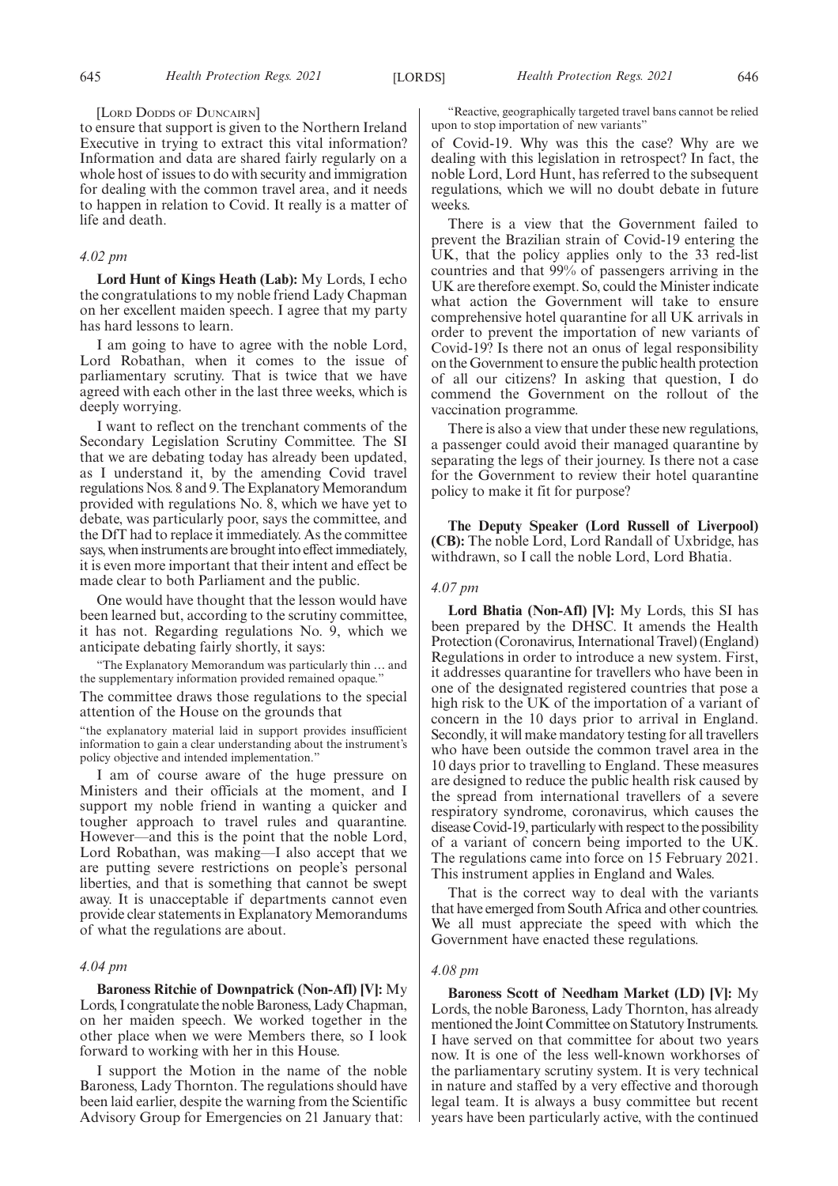[LORD DODDS OF DUNCAIRN]

to ensure that support is given to the Northern Ireland Executive in trying to extract this vital information? Information and data are shared fairly regularly on a whole host of issues to do with security and immigration for dealing with the common travel area, and it needs to happen in relation to Covid. It really is a matter of life and death.

# *4.02 pm*

**Lord Hunt of Kings Heath (Lab):** My Lords, I echo the congratulations to my noble friend Lady Chapman on her excellent maiden speech. I agree that my party has hard lessons to learn.

I am going to have to agree with the noble Lord, Lord Robathan, when it comes to the issue of parliamentary scrutiny. That is twice that we have agreed with each other in the last three weeks, which is deeply worrying.

I want to reflect on the trenchant comments of the Secondary Legislation Scrutiny Committee. The SI that we are debating today has already been updated, as I understand it, by the amending Covid travel regulations Nos. 8 and 9. The Explanatory Memorandum provided with regulations No. 8, which we have yet to debate, was particularly poor, says the committee, and the DfT had to replace it immediately. As the committee says, when instruments are brought into effect immediately, it is even more important that their intent and effect be made clear to both Parliament and the public.

One would have thought that the lesson would have been learned but, according to the scrutiny committee, it has not. Regarding regulations No. 9, which we anticipate debating fairly shortly, it says:

"The Explanatory Memorandum was particularly thin … and the supplementary information provided remained opaque.

The committee draws those regulations to the special attention of the House on the grounds that

"the explanatory material laid in support provides insufficient information to gain a clear understanding about the instrument's policy objective and intended implementation."

I am of course aware of the huge pressure on Ministers and their officials at the moment, and I support my noble friend in wanting a quicker and tougher approach to travel rules and quarantine. However—and this is the point that the noble Lord, Lord Robathan, was making—I also accept that we are putting severe restrictions on people's personal liberties, and that is something that cannot be swept away. It is unacceptable if departments cannot even provide clear statements in Explanatory Memorandums of what the regulations are about.

#### *4.04 pm*

**Baroness Ritchie of Downpatrick (Non-Afl) [V]:** My Lords, I congratulate the noble Baroness, Lady Chapman, on her maiden speech. We worked together in the other place when we were Members there, so I look forward to working with her in this House.

I support the Motion in the name of the noble Baroness, Lady Thornton. The regulations should have been laid earlier, despite the warning from the Scientific Advisory Group for Emergencies on 21 January that:

"Reactive, geographically targeted travel bans cannot be relied upon to stop importation of new variants'

of Covid-19. Why was this the case? Why are we dealing with this legislation in retrospect? In fact, the noble Lord, Lord Hunt, has referred to the subsequent regulations, which we will no doubt debate in future weeks.

There is a view that the Government failed to prevent the Brazilian strain of Covid-19 entering the UK, that the policy applies only to the 33 red-list countries and that 99% of passengers arriving in the UK are therefore exempt. So, could the Minister indicate what action the Government will take to ensure comprehensive hotel quarantine for all UK arrivals in order to prevent the importation of new variants of Covid-19? Is there not an onus of legal responsibility on the Government to ensure the public health protection of all our citizens? In asking that question, I do commend the Government on the rollout of the vaccination programme.

There is also a view that under these new regulations, a passenger could avoid their managed quarantine by separating the legs of their journey. Is there not a case for the Government to review their hotel quarantine policy to make it fit for purpose?

**The Deputy Speaker (Lord Russell of Liverpool) (CB):** The noble Lord, Lord Randall of Uxbridge, has withdrawn, so I call the noble Lord, Lord Bhatia.

## *4.07 pm*

**Lord Bhatia (Non-Afl) [V]:** My Lords, this SI has been prepared by the DHSC. It amends the Health Protection (Coronavirus, International Travel) (England) Regulations in order to introduce a new system. First, it addresses quarantine for travellers who have been in one of the designated registered countries that pose a high risk to the UK of the importation of a variant of concern in the 10 days prior to arrival in England. Secondly, it will make mandatory testing for all travellers who have been outside the common travel area in the 10 days prior to travelling to England. These measures are designed to reduce the public health risk caused by the spread from international travellers of a severe respiratory syndrome, coronavirus, which causes the disease Covid-19, particularly with respect to the possibility of a variant of concern being imported to the UK. The regulations came into force on 15 February 2021. This instrument applies in England and Wales.

That is the correct way to deal with the variants that have emerged from South Africa and other countries. We all must appreciate the speed with which the Government have enacted these regulations.

## *4.08 pm*

**Baroness Scott of Needham Market (LD) [V]:** My Lords, the noble Baroness, Lady Thornton, has already mentioned the Joint Committee on Statutory Instruments. I have served on that committee for about two years now. It is one of the less well-known workhorses of the parliamentary scrutiny system. It is very technical in nature and staffed by a very effective and thorough legal team. It is always a busy committee but recent years have been particularly active, with the continued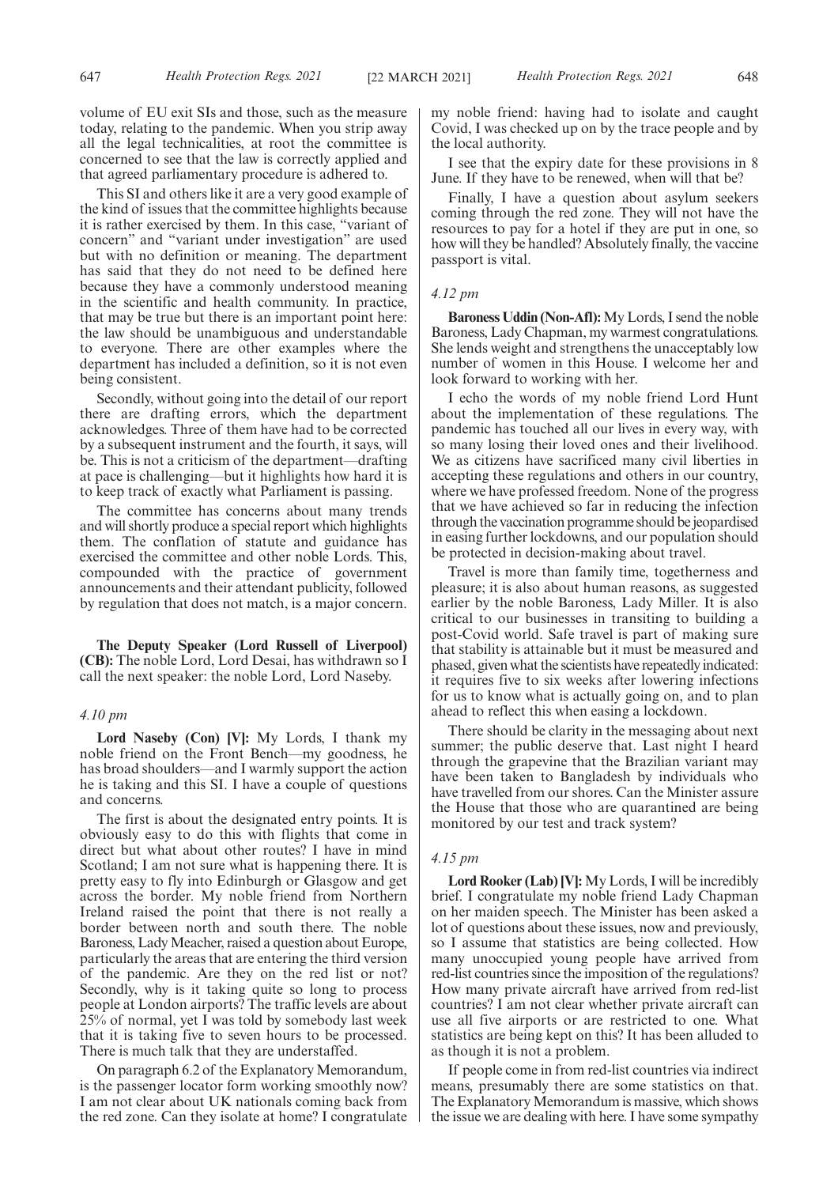volume of EU exit SIs and those, such as the measure today, relating to the pandemic. When you strip away all the legal technicalities, at root the committee is concerned to see that the law is correctly applied and that agreed parliamentary procedure is adhered to.

This SI and others like it are a very good example of the kind of issues that the committee highlights because it is rather exercised by them. In this case, "variant of concern" and "variant under investigation" are used but with no definition or meaning. The department has said that they do not need to be defined here because they have a commonly understood meaning in the scientific and health community. In practice, that may be true but there is an important point here: the law should be unambiguous and understandable to everyone. There are other examples where the department has included a definition, so it is not even being consistent.

Secondly, without going into the detail of our report there are drafting errors, which the department acknowledges. Three of them have had to be corrected by a subsequent instrument and the fourth, it says, will be. This is not a criticism of the department—drafting at pace is challenging—but it highlights how hard it is to keep track of exactly what Parliament is passing.

The committee has concerns about many trends and will shortly produce a special report which highlights them. The conflation of statute and guidance has exercised the committee and other noble Lords. This, compounded with the practice of government announcements and their attendant publicity, followed by regulation that does not match, is a major concern.

**The Deputy Speaker (Lord Russell of Liverpool) (CB):** The noble Lord, Lord Desai, has withdrawn so I call the next speaker: the noble Lord, Lord Naseby.

## *4.10 pm*

**Lord Naseby (Con) [V]:** My Lords, I thank my noble friend on the Front Bench—my goodness, he has broad shoulders—and I warmly support the action he is taking and this SI. I have a couple of questions and concerns.

The first is about the designated entry points. It is obviously easy to do this with flights that come in direct but what about other routes? I have in mind Scotland; I am not sure what is happening there. It is pretty easy to fly into Edinburgh or Glasgow and get across the border. My noble friend from Northern Ireland raised the point that there is not really a border between north and south there. The noble Baroness, Lady Meacher, raised a question about Europe, particularly the areas that are entering the third version of the pandemic. Are they on the red list or not? Secondly, why is it taking quite so long to process people at London airports? The traffic levels are about 25% of normal, yet I was told by somebody last week that it is taking five to seven hours to be processed. There is much talk that they are understaffed.

On paragraph 6.2 of the Explanatory Memorandum, is the passenger locator form working smoothly now? I am not clear about UK nationals coming back from the red zone. Can they isolate at home? I congratulate my noble friend: having had to isolate and caught Covid, I was checked up on by the trace people and by the local authority.

I see that the expiry date for these provisions in 8 June. If they have to be renewed, when will that be?

Finally, I have a question about asylum seekers coming through the red zone. They will not have the resources to pay for a hotel if they are put in one, so how will they be handled? Absolutely finally, the vaccine passport is vital.

# *4.12 pm*

**Baroness Uddin (Non-Afl):**My Lords, I send the noble Baroness, Lady Chapman, my warmest congratulations. She lends weight and strengthens the unacceptably low number of women in this House. I welcome her and look forward to working with her.

I echo the words of my noble friend Lord Hunt about the implementation of these regulations. The pandemic has touched all our lives in every way, with so many losing their loved ones and their livelihood. We as citizens have sacrificed many civil liberties in accepting these regulations and others in our country, where we have professed freedom. None of the progress that we have achieved so far in reducing the infection through the vaccination programme should be jeopardised in easing further lockdowns, and our population should be protected in decision-making about travel.

Travel is more than family time, togetherness and pleasure; it is also about human reasons, as suggested earlier by the noble Baroness, Lady Miller. It is also critical to our businesses in transiting to building a post-Covid world. Safe travel is part of making sure that stability is attainable but it must be measured and phased, given what the scientists have repeatedly indicated: it requires five to six weeks after lowering infections for us to know what is actually going on, and to plan ahead to reflect this when easing a lockdown.

There should be clarity in the messaging about next summer; the public deserve that. Last night I heard through the grapevine that the Brazilian variant may have been taken to Bangladesh by individuals who have travelled from our shores. Can the Minister assure the House that those who are quarantined are being monitored by our test and track system?

# *4.15 pm*

**Lord Rooker (Lab) [V]:** My Lords, I will be incredibly brief. I congratulate my noble friend Lady Chapman on her maiden speech. The Minister has been asked a lot of questions about these issues, now and previously, so I assume that statistics are being collected. How many unoccupied young people have arrived from red-list countries since the imposition of the regulations? How many private aircraft have arrived from red-list countries? I am not clear whether private aircraft can use all five airports or are restricted to one. What statistics are being kept on this? It has been alluded to as though it is not a problem.

If people come in from red-list countries via indirect means, presumably there are some statistics on that. The Explanatory Memorandum is massive, which shows the issue we are dealing with here. I have some sympathy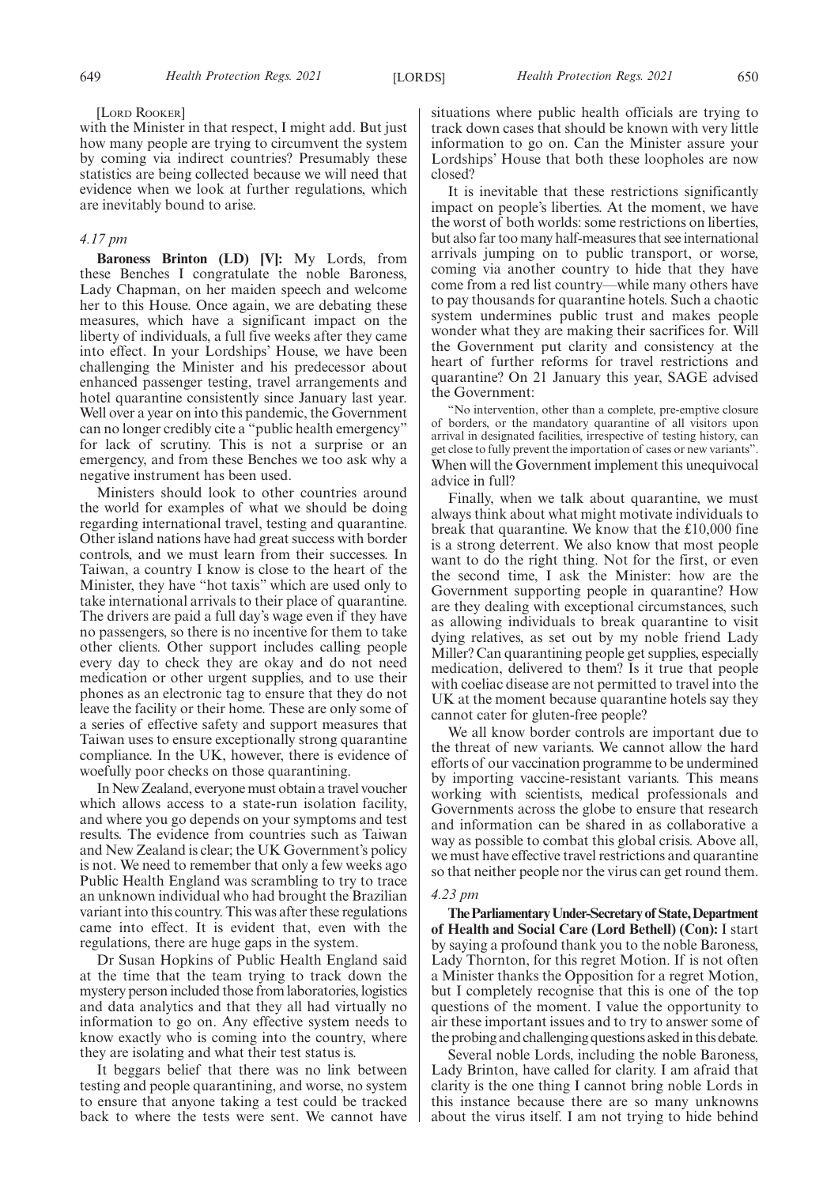#### [LORD ROOKER]

with the Minister in that respect, I might add. But just how many people are trying to circumvent the system by coming via indirect countries? Presumably these statistics are being collected because we will need that evidence when we look at further regulations, which are inevitably bound to arise.

# *4.17 pm*

**Baroness Brinton (LD) [V]:** My Lords, from these Benches I congratulate the noble Baroness, Lady Chapman, on her maiden speech and welcome her to this House. Once again, we are debating these measures, which have a significant impact on the liberty of individuals, a full five weeks after they came into effect. In your Lordships' House, we have been challenging the Minister and his predecessor about enhanced passenger testing, travel arrangements and hotel quarantine consistently since January last year. Well over a year on into this pandemic, the Government can no longer credibly cite a "public health emergency" for lack of scrutiny. This is not a surprise or an emergency, and from these Benches we too ask why a negative instrument has been used.

Ministers should look to other countries around the world for examples of what we should be doing regarding international travel, testing and quarantine. Other island nations have had great success with border controls, and we must learn from their successes. In Taiwan, a country I know is close to the heart of the Minister, they have "hot taxis" which are used only to take international arrivals to their place of quarantine. The drivers are paid a full day's wage even if they have no passengers, so there is no incentive for them to take other clients. Other support includes calling people every day to check they are okay and do not need medication or other urgent supplies, and to use their phones as an electronic tag to ensure that they do not leave the facility or their home. These are only some of a series of effective safety and support measures that Taiwan uses to ensure exceptionally strong quarantine compliance. In the UK, however, there is evidence of woefully poor checks on those quarantining.

In New Zealand, everyone must obtain a travel voucher which allows access to a state-run isolation facility, and where you go depends on your symptoms and test results. The evidence from countries such as Taiwan and New Zealand is clear; the UK Government's policy is not. We need to remember that only a few weeks ago Public Health England was scrambling to try to trace an unknown individual who had brought the Brazilian variant into this country. This was after these regulations came into effect. It is evident that, even with the regulations, there are huge gaps in the system.

Dr Susan Hopkins of Public Health England said at the time that the team trying to track down the mystery person included those from laboratories, logistics and data analytics and that they all had virtually no information to go on. Any effective system needs to know exactly who is coming into the country, where they are isolating and what their test status is.

It beggars belief that there was no link between testing and people quarantining, and worse, no system to ensure that anyone taking a test could be tracked back to where the tests were sent. We cannot have situations where public health officials are trying to track down cases that should be known with very little information to go on. Can the Minister assure your Lordships' House that both these loopholes are now closed?

It is inevitable that these restrictions significantly impact on people's liberties. At the moment, we have the worst of both worlds: some restrictions on liberties, but also far too many half-measures that see international arrivals jumping on to public transport, or worse, coming via another country to hide that they have come from a red list country—while many others have to pay thousands for quarantine hotels. Such a chaotic system undermines public trust and makes people wonder what they are making their sacrifices for. Will the Government put clarity and consistency at the heart of further reforms for travel restrictions and quarantine? On 21 January this year, SAGE advised the Government:

"No intervention, other than a complete, pre-emptive closure of borders, or the mandatory quarantine of all visitors upon arrival in designated facilities, irrespective of testing history, can get close to fully prevent the importation of cases or new variants". When will the Government implement this unequivocal advice in full?

Finally, when we talk about quarantine, we must always think about what might motivate individuals to break that quarantine. We know that the  $£10,000$  fine is a strong deterrent. We also know that most people want to do the right thing. Not for the first, or even the second time, I ask the Minister: how are the Government supporting people in quarantine? How are they dealing with exceptional circumstances, such as allowing individuals to break quarantine to visit dying relatives, as set out by my noble friend Lady Miller? Can quarantining people get supplies, especially medication, delivered to them? Is it true that people with coeliac disease are not permitted to travel into the UK at the moment because quarantine hotels say they cannot cater for gluten-free people?

We all know border controls are important due to the threat of new variants. We cannot allow the hard efforts of our vaccination programme to be undermined by importing vaccine-resistant variants. This means working with scientists, medical professionals and Governments across the globe to ensure that research and information can be shared in as collaborative a way as possible to combat this global crisis. Above all, we must have effective travel restrictions and quarantine so that neither people nor the virus can get round them.

#### *4.23 pm*

**TheParliamentaryUnder-Secretaryof State,Department of Health and Social Care (Lord Bethell) (Con):** I start by saying a profound thank you to the noble Baroness, Lady Thornton, for this regret Motion. If is not often a Minister thanks the Opposition for a regret Motion, but I completely recognise that this is one of the top questions of the moment. I value the opportunity to air these important issues and to try to answer some of the probing and challenging questions asked in this debate.

Several noble Lords, including the noble Baroness, Lady Brinton, have called for clarity. I am afraid that clarity is the one thing I cannot bring noble Lords in this instance because there are so many unknowns about the virus itself. I am not trying to hide behind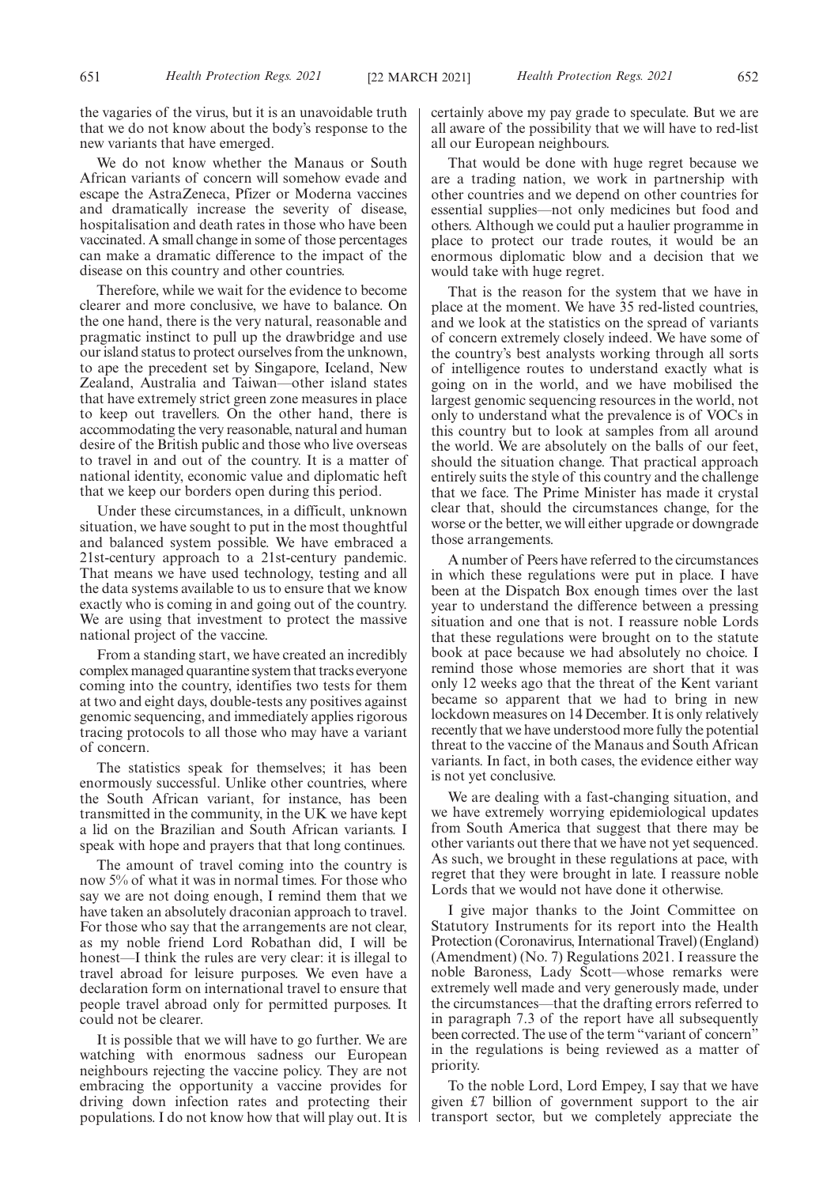the vagaries of the virus, but it is an unavoidable truth that we do not know about the body's response to the new variants that have emerged.

We do not know whether the Manaus or South African variants of concern will somehow evade and escape the AstraZeneca, Pfizer or Moderna vaccines and dramatically increase the severity of disease, hospitalisation and death rates in those who have been vaccinated. A small change in some of those percentages can make a dramatic difference to the impact of the disease on this country and other countries.

Therefore, while we wait for the evidence to become clearer and more conclusive, we have to balance. On the one hand, there is the very natural, reasonable and pragmatic instinct to pull up the drawbridge and use our island status to protect ourselves from the unknown, to ape the precedent set by Singapore, Iceland, New Zealand, Australia and Taiwan—other island states that have extremely strict green zone measures in place to keep out travellers. On the other hand, there is accommodating the very reasonable, natural and human desire of the British public and those who live overseas to travel in and out of the country. It is a matter of national identity, economic value and diplomatic heft that we keep our borders open during this period.

Under these circumstances, in a difficult, unknown situation, we have sought to put in the most thoughtful and balanced system possible. We have embraced a 21st-century approach to a 21st-century pandemic. That means we have used technology, testing and all the data systems available to us to ensure that we know exactly who is coming in and going out of the country. We are using that investment to protect the massive national project of the vaccine.

From a standing start, we have created an incredibly complex managed quarantine system that tracks everyone coming into the country, identifies two tests for them at two and eight days, double-tests any positives against genomic sequencing, and immediately applies rigorous tracing protocols to all those who may have a variant of concern.

The statistics speak for themselves; it has been enormously successful. Unlike other countries, where the South African variant, for instance, has been transmitted in the community, in the UK we have kept a lid on the Brazilian and South African variants. I speak with hope and prayers that that long continues.

The amount of travel coming into the country is now 5% of what it was in normal times. For those who say we are not doing enough, I remind them that we have taken an absolutely draconian approach to travel. For those who say that the arrangements are not clear, as my noble friend Lord Robathan did, I will be honest—I think the rules are very clear: it is illegal to travel abroad for leisure purposes. We even have a declaration form on international travel to ensure that people travel abroad only for permitted purposes. It could not be clearer.

It is possible that we will have to go further. We are watching with enormous sadness our European neighbours rejecting the vaccine policy. They are not embracing the opportunity a vaccine provides for driving down infection rates and protecting their populations. I do not know how that will play out. It is certainly above my pay grade to speculate. But we are all aware of the possibility that we will have to red-list all our European neighbours.

That would be done with huge regret because we are a trading nation, we work in partnership with other countries and we depend on other countries for essential supplies—not only medicines but food and others. Although we could put a haulier programme in place to protect our trade routes, it would be an enormous diplomatic blow and a decision that we would take with huge regret.

That is the reason for the system that we have in place at the moment. We have 35 red-listed countries, and we look at the statistics on the spread of variants of concern extremely closely indeed. We have some of the country's best analysts working through all sorts of intelligence routes to understand exactly what is going on in the world, and we have mobilised the largest genomic sequencing resources in the world, not only to understand what the prevalence is of VOCs in this country but to look at samples from all around the world. We are absolutely on the balls of our feet, should the situation change. That practical approach entirely suits the style of this country and the challenge that we face. The Prime Minister has made it crystal clear that, should the circumstances change, for the worse or the better, we will either upgrade or downgrade those arrangements.

A number of Peers have referred to the circumstances in which these regulations were put in place. I have been at the Dispatch Box enough times over the last year to understand the difference between a pressing situation and one that is not. I reassure noble Lords that these regulations were brought on to the statute book at pace because we had absolutely no choice. I remind those whose memories are short that it was only 12 weeks ago that the threat of the Kent variant became so apparent that we had to bring in new lockdown measures on 14 December. It is only relatively recently that we have understood more fully the potential threat to the vaccine of the Manaus and South African variants. In fact, in both cases, the evidence either way is not yet conclusive.

We are dealing with a fast-changing situation, and we have extremely worrying epidemiological updates from South America that suggest that there may be other variants out there that we have not yet sequenced. As such, we brought in these regulations at pace, with regret that they were brought in late. I reassure noble Lords that we would not have done it otherwise.

I give major thanks to the Joint Committee on Statutory Instruments for its report into the Health Protection (Coronavirus, International Travel) (England) (Amendment) (No. 7) Regulations 2021. I reassure the noble Baroness, Lady Scott—whose remarks were extremely well made and very generously made, under the circumstances—that the drafting errors referred to in paragraph 7.3 of the report have all subsequently been corrected. The use of the term "variant of concern" in the regulations is being reviewed as a matter of priority.

To the noble Lord, Lord Empey, I say that we have given £7 billion of government support to the air transport sector, but we completely appreciate the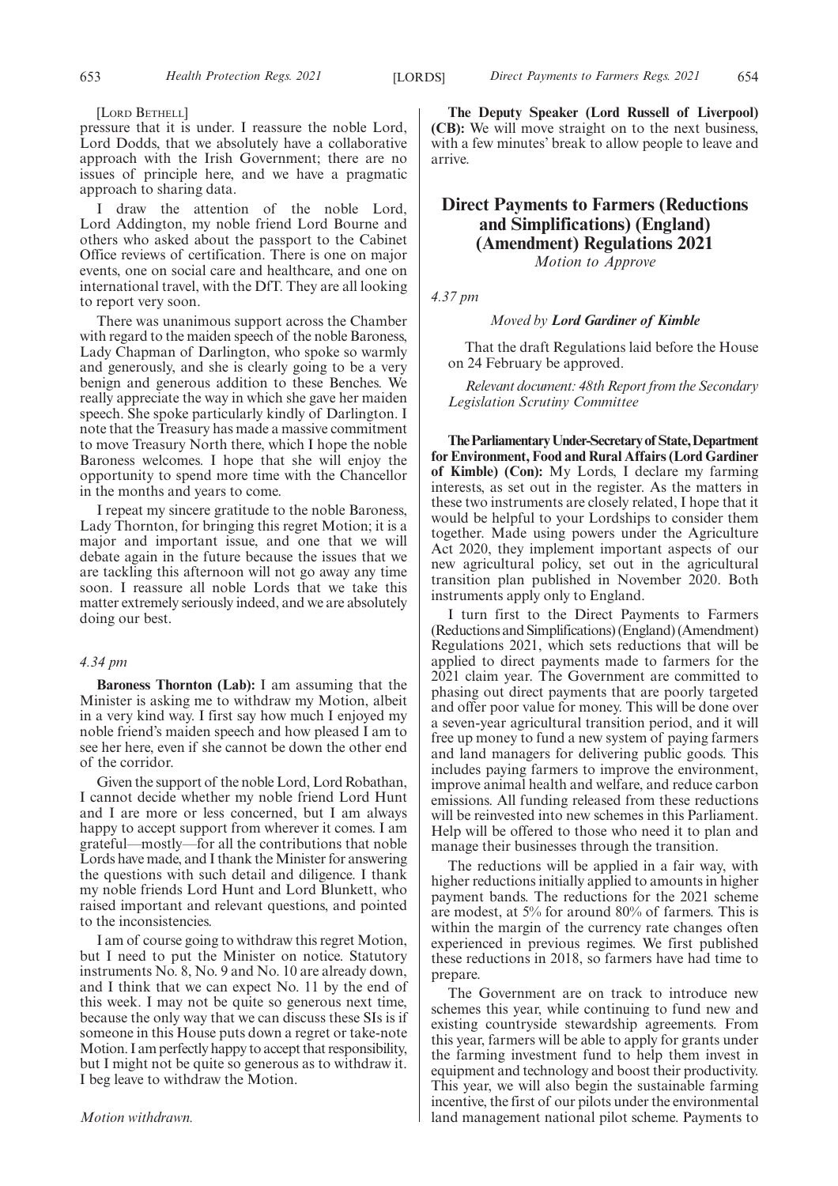[LORD BETHELL]

pressure that it is under. I reassure the noble Lord, Lord Dodds, that we absolutely have a collaborative approach with the Irish Government; there are no issues of principle here, and we have a pragmatic approach to sharing data.

I draw the attention of the noble Lord, Lord Addington, my noble friend Lord Bourne and others who asked about the passport to the Cabinet Office reviews of certification. There is one on major events, one on social care and healthcare, and one on international travel, with the DfT. They are all looking to report very soon.

There was unanimous support across the Chamber with regard to the maiden speech of the noble Baroness, Lady Chapman of Darlington, who spoke so warmly and generously, and she is clearly going to be a very benign and generous addition to these Benches. We really appreciate the way in which she gave her maiden speech. She spoke particularly kindly of Darlington. I note that the Treasury has made a massive commitment to move Treasury North there, which I hope the noble Baroness welcomes. I hope that she will enjoy the opportunity to spend more time with the Chancellor in the months and years to come.

I repeat my sincere gratitude to the noble Baroness, Lady Thornton, for bringing this regret Motion; it is a major and important issue, and one that we will debate again in the future because the issues that we are tackling this afternoon will not go away any time soon. I reassure all noble Lords that we take this matter extremely seriously indeed, and we are absolutely doing our best.

# *4.34 pm*

**Baroness Thornton (Lab):** I am assuming that the Minister is asking me to withdraw my Motion, albeit in a very kind way. I first say how much I enjoyed my noble friend's maiden speech and how pleased I am to see her here, even if she cannot be down the other end of the corridor.

Given the support of the noble Lord, Lord Robathan, I cannot decide whether my noble friend Lord Hunt and I are more or less concerned, but I am always happy to accept support from wherever it comes. I am grateful—mostly—for all the contributions that noble Lords have made, and I thank the Minister for answering the questions with such detail and diligence. I thank my noble friends Lord Hunt and Lord Blunkett, who raised important and relevant questions, and pointed to the inconsistencies.

I am of course going to withdraw this regret Motion, but I need to put the Minister on notice. Statutory instruments No. 8, No. 9 and No. 10 are already down, and I think that we can expect No. 11 by the end of this week. I may not be quite so generous next time, because the only way that we can discuss these SIs is if someone in this House puts down a regret or take-note Motion. I am perfectly happy to accept that responsibility, but I might not be quite so generous as to withdraw it. I beg leave to withdraw the Motion.

*Motion withdrawn.*

**The Deputy Speaker (Lord Russell of Liverpool) (CB):** We will move straight on to the next business, with a few minutes' break to allow people to leave and arrive.

# **Direct Payments to Farmers (Reductions and Simplifications) (England) (Amendment) Regulations 2021**

*Motion to Approve*

*4.37 pm*

# *Moved by Lord Gardiner of Kimble*

That the draft Regulations laid before the House on 24 February be approved.

*Relevant document: 48th Report from the Secondary Legislation Scrutiny Committee*

**TheParliamentaryUnder-Secretaryof State,Department for Environment, Food and Rural Affairs (Lord Gardiner of Kimble) (Con):** My Lords, I declare my farming interests, as set out in the register. As the matters in these two instruments are closely related, I hope that it would be helpful to your Lordships to consider them together. Made using powers under the Agriculture Act 2020, they implement important aspects of our new agricultural policy, set out in the agricultural transition plan published in November 2020. Both instruments apply only to England.

I turn first to the Direct Payments to Farmers (Reductions and Simplifications) (England) (Amendment) Regulations 2021, which sets reductions that will be applied to direct payments made to farmers for the 2021 claim year. The Government are committed to phasing out direct payments that are poorly targeted and offer poor value for money. This will be done over a seven-year agricultural transition period, and it will free up money to fund a new system of paying farmers and land managers for delivering public goods. This includes paying farmers to improve the environment, improve animal health and welfare, and reduce carbon emissions. All funding released from these reductions will be reinvested into new schemes in this Parliament. Help will be offered to those who need it to plan and manage their businesses through the transition.

The reductions will be applied in a fair way, with higher reductions initially applied to amounts in higher payment bands. The reductions for the 2021 scheme are modest, at 5% for around 80% of farmers. This is within the margin of the currency rate changes often experienced in previous regimes. We first published these reductions in 2018, so farmers have had time to prepare.

The Government are on track to introduce new schemes this year, while continuing to fund new and existing countryside stewardship agreements. From this year, farmers will be able to apply for grants under the farming investment fund to help them invest in equipment and technology and boost their productivity. This year, we will also begin the sustainable farming incentive, the first of our pilots under the environmental land management national pilot scheme. Payments to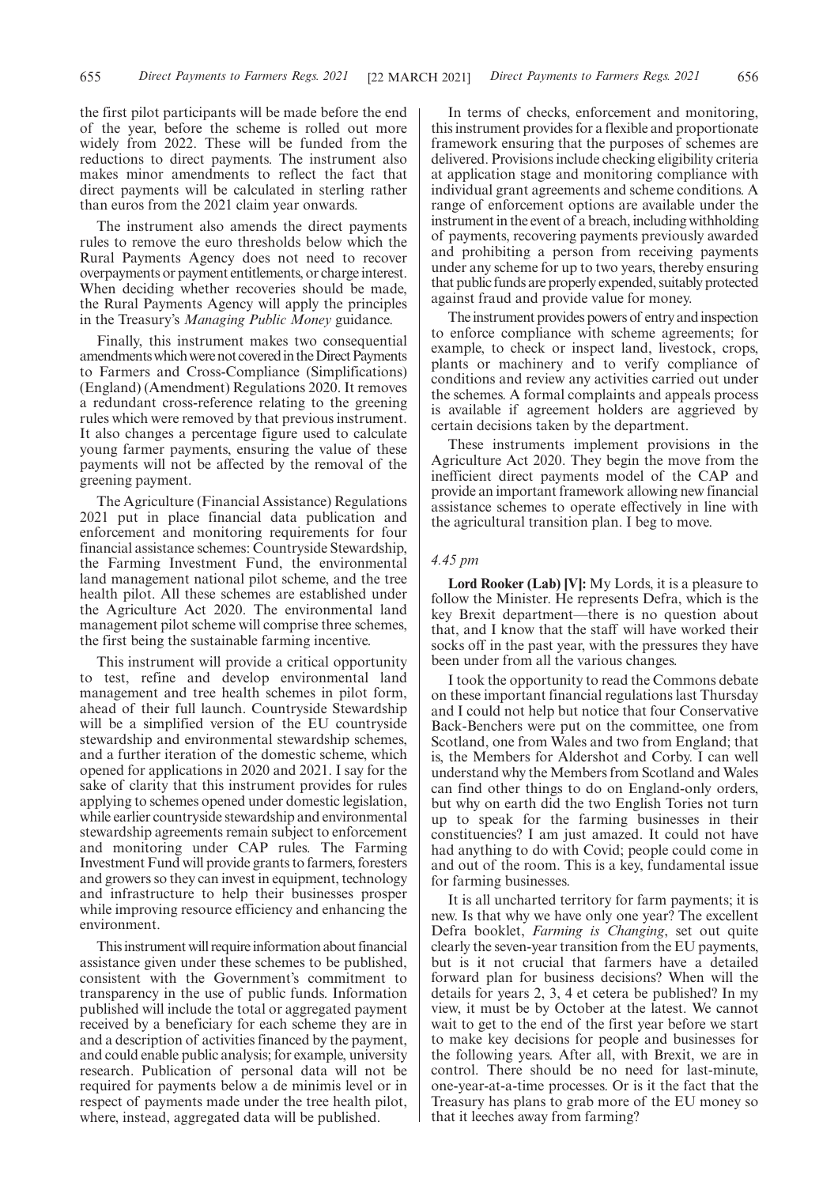the first pilot participants will be made before the end of the year, before the scheme is rolled out more widely from 2022. These will be funded from the reductions to direct payments. The instrument also makes minor amendments to reflect the fact that direct payments will be calculated in sterling rather than euros from the 2021 claim year onwards.

The instrument also amends the direct payments rules to remove the euro thresholds below which the Rural Payments Agency does not need to recover overpayments or payment entitlements, or charge interest. When deciding whether recoveries should be made, the Rural Payments Agency will apply the principles in the Treasury's *Managing Public Money* guidance.

Finally, this instrument makes two consequential amendments which were not covered in the Direct Payments to Farmers and Cross-Compliance (Simplifications) (England) (Amendment) Regulations 2020. It removes a redundant cross-reference relating to the greening rules which were removed by that previous instrument. It also changes a percentage figure used to calculate young farmer payments, ensuring the value of these payments will not be affected by the removal of the greening payment.

The Agriculture (Financial Assistance) Regulations 2021 put in place financial data publication and enforcement and monitoring requirements for four financial assistance schemes: Countryside Stewardship, the Farming Investment Fund, the environmental land management national pilot scheme, and the tree health pilot. All these schemes are established under the Agriculture Act 2020. The environmental land management pilot scheme will comprise three schemes, the first being the sustainable farming incentive.

This instrument will provide a critical opportunity to test, refine and develop environmental land management and tree health schemes in pilot form, ahead of their full launch. Countryside Stewardship will be a simplified version of the EU countryside stewardship and environmental stewardship schemes, and a further iteration of the domestic scheme, which opened for applications in 2020 and 2021. I say for the sake of clarity that this instrument provides for rules applying to schemes opened under domestic legislation, while earlier countryside stewardship and environmental stewardship agreements remain subject to enforcement and monitoring under CAP rules. The Farming Investment Fund will provide grants to farmers, foresters and growers so they can invest in equipment, technology and infrastructure to help their businesses prosper while improving resource efficiency and enhancing the environment.

This instrument will require information about financial assistance given under these schemes to be published, consistent with the Government's commitment to transparency in the use of public funds. Information published will include the total or aggregated payment received by a beneficiary for each scheme they are in and a description of activities financed by the payment, and could enable public analysis; for example, university research. Publication of personal data will not be required for payments below a de minimis level or in respect of payments made under the tree health pilot, where, instead, aggregated data will be published.

In terms of checks, enforcement and monitoring, this instrument provides for a flexible and proportionate framework ensuring that the purposes of schemes are delivered. Provisions include checking eligibility criteria at application stage and monitoring compliance with individual grant agreements and scheme conditions. A range of enforcement options are available under the instrument in the event of a breach, including withholding of payments, recovering payments previously awarded and prohibiting a person from receiving payments under any scheme for up to two years, thereby ensuring that public funds are properly expended, suitably protected against fraud and provide value for money.

The instrument provides powers of entry and inspection to enforce compliance with scheme agreements; for example, to check or inspect land, livestock, crops, plants or machinery and to verify compliance of conditions and review any activities carried out under the schemes. A formal complaints and appeals process is available if agreement holders are aggrieved by certain decisions taken by the department.

These instruments implement provisions in the Agriculture Act 2020. They begin the move from the inefficient direct payments model of the CAP and provide an important framework allowing new financial assistance schemes to operate effectively in line with the agricultural transition plan. I beg to move.

# *4.45 pm*

**Lord Rooker (Lab) [V]:** My Lords, it is a pleasure to follow the Minister. He represents Defra, which is the key Brexit department—there is no question about that, and I know that the staff will have worked their socks off in the past year, with the pressures they have been under from all the various changes.

I took the opportunity to read the Commons debate on these important financial regulations last Thursday and I could not help but notice that four Conservative Back-Benchers were put on the committee, one from Scotland, one from Wales and two from England; that is, the Members for Aldershot and Corby. I can well understand why the Members from Scotland and Wales can find other things to do on England-only orders, but why on earth did the two English Tories not turn up to speak for the farming businesses in their constituencies? I am just amazed. It could not have had anything to do with Covid; people could come in and out of the room. This is a key, fundamental issue for farming businesses.

It is all uncharted territory for farm payments; it is new. Is that why we have only one year? The excellent Defra booklet, *Farming is Changing*, set out quite clearly the seven-year transition from the EU payments, but is it not crucial that farmers have a detailed forward plan for business decisions? When will the details for years 2, 3, 4 et cetera be published? In my view, it must be by October at the latest. We cannot wait to get to the end of the first year before we start to make key decisions for people and businesses for the following years. After all, with Brexit, we are in control. There should be no need for last-minute, one-year-at-a-time processes. Or is it the fact that the Treasury has plans to grab more of the EU money so that it leeches away from farming?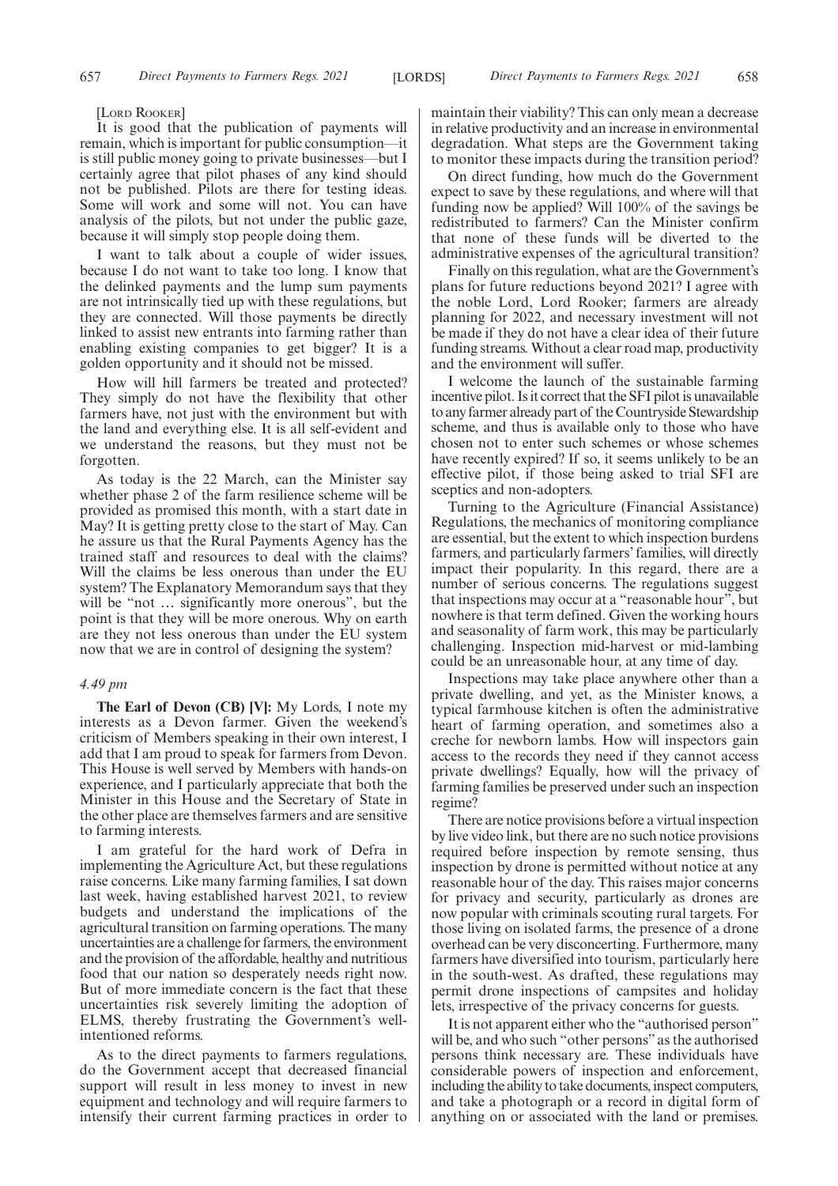[LORD ROOKER]

It is good that the publication of payments will remain, which is important for public consumption—it is still public money going to private businesses—but I certainly agree that pilot phases of any kind should not be published. Pilots are there for testing ideas. Some will work and some will not. You can have analysis of the pilots, but not under the public gaze, because it will simply stop people doing them.

I want to talk about a couple of wider issues, because I do not want to take too long. I know that the delinked payments and the lump sum payments are not intrinsically tied up with these regulations, but they are connected. Will those payments be directly linked to assist new entrants into farming rather than enabling existing companies to get bigger? It is a golden opportunity and it should not be missed.

How will hill farmers be treated and protected? They simply do not have the flexibility that other farmers have, not just with the environment but with the land and everything else. It is all self-evident and we understand the reasons, but they must not be forgotten.

As today is the 22 March, can the Minister say whether phase 2 of the farm resilience scheme will be provided as promised this month, with a start date in May? It is getting pretty close to the start of May. Can he assure us that the Rural Payments Agency has the trained staff and resources to deal with the claims? Will the claims be less onerous than under the EU system? The Explanatory Memorandum says that they will be "not ... significantly more onerous", but the point is that they will be more onerous. Why on earth are they not less onerous than under the EU system now that we are in control of designing the system?

# *4.49 pm*

**The Earl of Devon (CB) [V]:** My Lords, I note my interests as a Devon farmer. Given the weekend's criticism of Members speaking in their own interest, I add that I am proud to speak for farmers from Devon. This House is well served by Members with hands-on experience, and I particularly appreciate that both the Minister in this House and the Secretary of State in the other place are themselves farmers and are sensitive to farming interests.

I am grateful for the hard work of Defra in implementing the Agriculture Act, but these regulations raise concerns. Like many farming families, I sat down last week, having established harvest 2021, to review budgets and understand the implications of the agricultural transition on farming operations. The many uncertainties are a challenge for farmers, the environment and the provision of the affordable, healthy and nutritious food that our nation so desperately needs right now. But of more immediate concern is the fact that these uncertainties risk severely limiting the adoption of ELMS, thereby frustrating the Government's wellintentioned reforms.

As to the direct payments to farmers regulations, do the Government accept that decreased financial support will result in less money to invest in new equipment and technology and will require farmers to intensify their current farming practices in order to maintain their viability? This can only mean a decrease in relative productivity and an increase in environmental degradation. What steps are the Government taking to monitor these impacts during the transition period?

On direct funding, how much do the Government expect to save by these regulations, and where will that funding now be applied? Will 100% of the savings be redistributed to farmers? Can the Minister confirm that none of these funds will be diverted to the administrative expenses of the agricultural transition?

Finally on this regulation, what are the Government's plans for future reductions beyond 2021? I agree with the noble Lord, Lord Rooker; farmers are already planning for 2022, and necessary investment will not be made if they do not have a clear idea of their future funding streams. Without a clear road map, productivity and the environment will suffer.

I welcome the launch of the sustainable farming incentive pilot. Is it correct that the SFI pilot is unavailable to any farmer already part of the Countryside Stewardship scheme, and thus is available only to those who have chosen not to enter such schemes or whose schemes have recently expired? If so, it seems unlikely to be an effective pilot, if those being asked to trial SFI are sceptics and non-adopters.

Turning to the Agriculture (Financial Assistance) Regulations, the mechanics of monitoring compliance are essential, but the extent to which inspection burdens farmers, and particularly farmers' families, will directly impact their popularity. In this regard, there are a number of serious concerns. The regulations suggest that inspections may occur at a "reasonable hour", but nowhere is that term defined. Given the working hours and seasonality of farm work, this may be particularly challenging. Inspection mid-harvest or mid-lambing could be an unreasonable hour, at any time of day.

Inspections may take place anywhere other than a private dwelling, and yet, as the Minister knows, a typical farmhouse kitchen is often the administrative heart of farming operation, and sometimes also a creche for newborn lambs. How will inspectors gain access to the records they need if they cannot access private dwellings? Equally, how will the privacy of farming families be preserved under such an inspection regime?

There are notice provisions before a virtual inspection by live video link, but there are no such notice provisions required before inspection by remote sensing, thus inspection by drone is permitted without notice at any reasonable hour of the day. This raises major concerns for privacy and security, particularly as drones are now popular with criminals scouting rural targets. For those living on isolated farms, the presence of a drone overhead can be very disconcerting. Furthermore, many farmers have diversified into tourism, particularly here in the south-west. As drafted, these regulations may permit drone inspections of campsites and holiday lets, irrespective of the privacy concerns for guests.

It is not apparent either who the "authorised person" will be, and who such "other persons" as the authorised persons think necessary are. These individuals have considerable powers of inspection and enforcement, including the ability to take documents, inspect computers, and take a photograph or a record in digital form of anything on or associated with the land or premises.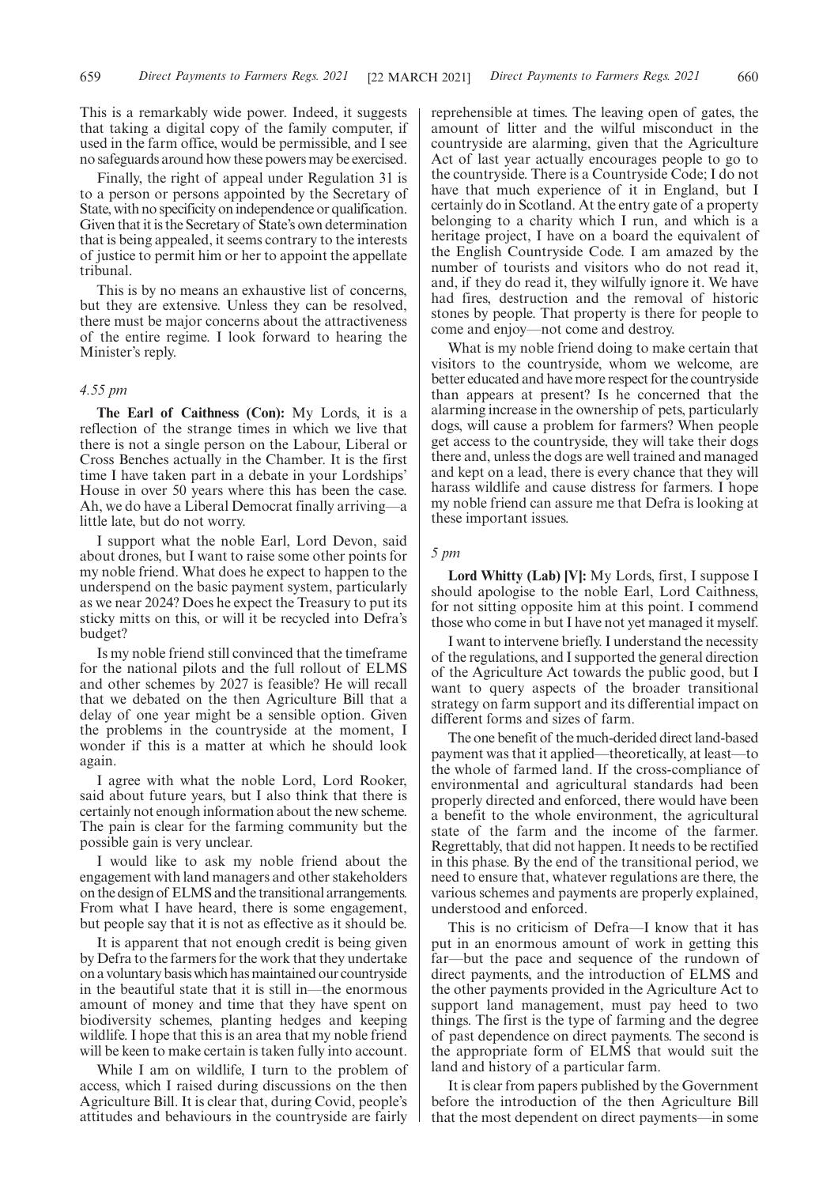This is a remarkably wide power. Indeed, it suggests that taking a digital copy of the family computer, if used in the farm office, would be permissible, and I see no safeguards around how these powers may be exercised.

Finally, the right of appeal under Regulation 31 is to a person or persons appointed by the Secretary of State, with no specificity on independence or qualification. Given that it is the Secretary of State's own determination that is being appealed, it seems contrary to the interests of justice to permit him or her to appoint the appellate tribunal.

This is by no means an exhaustive list of concerns, but they are extensive. Unless they can be resolved, there must be major concerns about the attractiveness of the entire regime. I look forward to hearing the Minister's reply.

# *4.55 pm*

**The Earl of Caithness (Con):** My Lords, it is a reflection of the strange times in which we live that there is not a single person on the Labour, Liberal or Cross Benches actually in the Chamber. It is the first time I have taken part in a debate in your Lordships' House in over 50 years where this has been the case. Ah, we do have a Liberal Democrat finally arriving—a little late, but do not worry.

I support what the noble Earl, Lord Devon, said about drones, but I want to raise some other points for my noble friend. What does he expect to happen to the underspend on the basic payment system, particularly as we near 2024? Does he expect the Treasury to put its sticky mitts on this, or will it be recycled into Defra's budget?

Is my noble friend still convinced that the timeframe for the national pilots and the full rollout of ELMS and other schemes by 2027 is feasible? He will recall that we debated on the then Agriculture Bill that a delay of one year might be a sensible option. Given the problems in the countryside at the moment, I wonder if this is a matter at which he should look again.

I agree with what the noble Lord, Lord Rooker, said about future years, but I also think that there is certainly not enough information about the new scheme. The pain is clear for the farming community but the possible gain is very unclear.

I would like to ask my noble friend about the engagement with land managers and other stakeholders on the design of ELMS and the transitional arrangements. From what I have heard, there is some engagement, but people say that it is not as effective as it should be.

It is apparent that not enough credit is being given by Defra to the farmers for the work that they undertake on a voluntary basis which has maintained our countryside in the beautiful state that it is still in—the enormous amount of money and time that they have spent on biodiversity schemes, planting hedges and keeping wildlife. I hope that this is an area that my noble friend will be keen to make certain is taken fully into account.

While I am on wildlife, I turn to the problem of access, which I raised during discussions on the then Agriculture Bill. It is clear that, during Covid, people's attitudes and behaviours in the countryside are fairly reprehensible at times. The leaving open of gates, the amount of litter and the wilful misconduct in the countryside are alarming, given that the Agriculture Act of last year actually encourages people to go to the countryside. There is a Countryside Code; I do not have that much experience of it in England, but I certainly do in Scotland. At the entry gate of a property belonging to a charity which I run, and which is a heritage project, I have on a board the equivalent of the English Countryside Code. I am amazed by the number of tourists and visitors who do not read it, and, if they do read it, they wilfully ignore it. We have had fires, destruction and the removal of historic stones by people. That property is there for people to come and enjoy—not come and destroy.

What is my noble friend doing to make certain that visitors to the countryside, whom we welcome, are better educated and have more respect for the countryside than appears at present? Is he concerned that the alarming increase in the ownership of pets, particularly dogs, will cause a problem for farmers? When people get access to the countryside, they will take their dogs there and, unless the dogs are well trained and managed and kept on a lead, there is every chance that they will harass wildlife and cause distress for farmers. I hope my noble friend can assure me that Defra is looking at these important issues.

#### *5 pm*

**Lord Whitty (Lab) [V]:** My Lords, first, I suppose I should apologise to the noble Earl, Lord Caithness, for not sitting opposite him at this point. I commend those who come in but I have not yet managed it myself.

I want to intervene briefly. I understand the necessity of the regulations, and I supported the general direction of the Agriculture Act towards the public good, but I want to query aspects of the broader transitional strategy on farm support and its differential impact on different forms and sizes of farm.

The one benefit of the much-derided direct land-based payment was that it applied—theoretically, at least—to the whole of farmed land. If the cross-compliance of environmental and agricultural standards had been properly directed and enforced, there would have been a benefit to the whole environment, the agricultural state of the farm and the income of the farmer. Regrettably, that did not happen. It needs to be rectified in this phase. By the end of the transitional period, we need to ensure that, whatever regulations are there, the various schemes and payments are properly explained, understood and enforced.

This is no criticism of Defra—I know that it has put in an enormous amount of work in getting this far—but the pace and sequence of the rundown of direct payments, and the introduction of ELMS and the other payments provided in the Agriculture Act to support land management, must pay heed to two things. The first is the type of farming and the degree of past dependence on direct payments. The second is the appropriate form of ELMS that would suit the land and history of a particular farm.

It is clear from papers published by the Government before the introduction of the then Agriculture Bill that the most dependent on direct payments—in some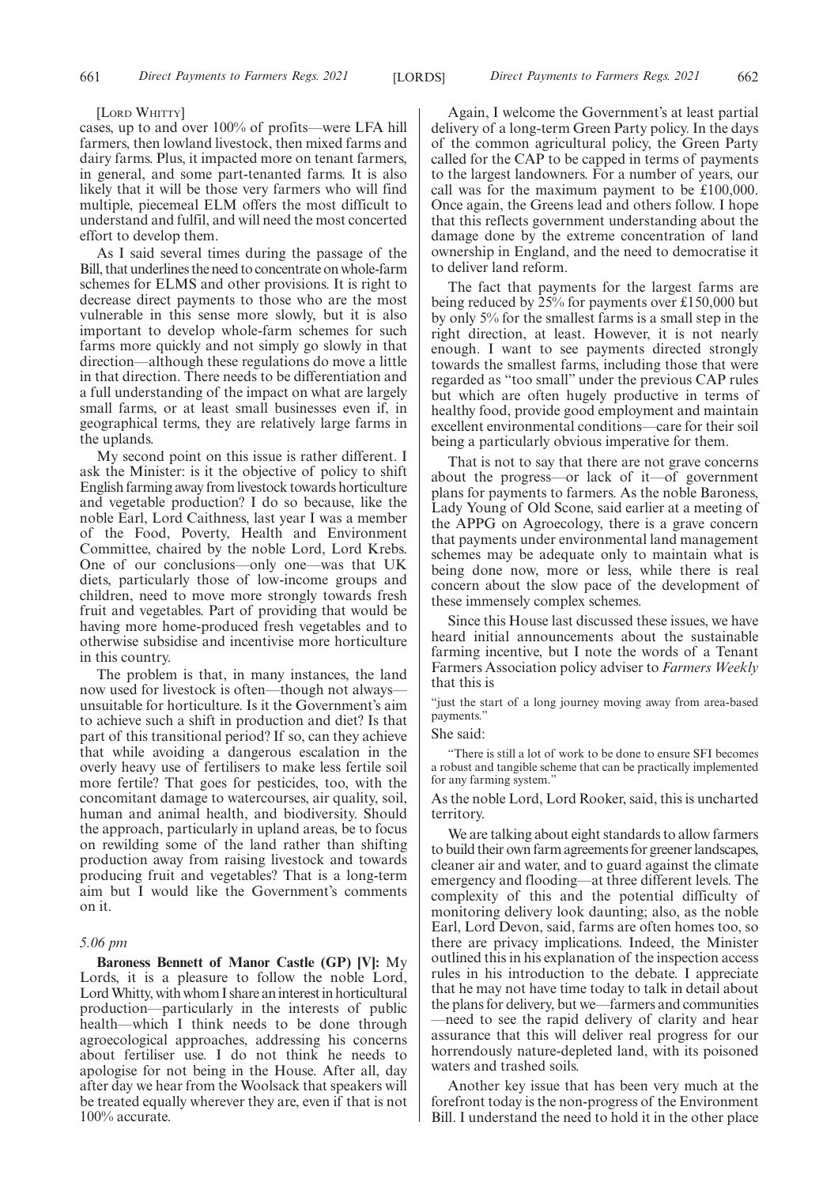#### [LORD WHITTY]

cases, up to and over 100% of profits—were LFA hill farmers, then lowland livestock, then mixed farms and dairy farms. Plus, it impacted more on tenant farmers, in general, and some part-tenanted farms. It is also likely that it will be those very farmers who will find multiple, piecemeal ELM offers the most difficult to understand and fulfil, and will need the most concerted effort to develop them.

As I said several times during the passage of the Bill, that underlines the need to concentrate on whole-farm schemes for ELMS and other provisions. It is right to decrease direct payments to those who are the most vulnerable in this sense more slowly, but it is also important to develop whole-farm schemes for such farms more quickly and not simply go slowly in that direction—although these regulations do move a little in that direction. There needs to be differentiation and a full understanding of the impact on what are largely small farms, or at least small businesses even if, in geographical terms, they are relatively large farms in the uplands.

My second point on this issue is rather different. I ask the Minister: is it the objective of policy to shift English farming away from livestock towards horticulture and vegetable production? I do so because, like the noble Earl, Lord Caithness, last year I was a member of the Food, Poverty, Health and Environment Committee, chaired by the noble Lord, Lord Krebs. One of our conclusions—only one—was that UK diets, particularly those of low-income groups and children, need to move more strongly towards fresh fruit and vegetables. Part of providing that would be having more home-produced fresh vegetables and to otherwise subsidise and incentivise more horticulture in this country.

The problem is that, in many instances, the land now used for livestock is often—though not always unsuitable for horticulture. Is it the Government's aim to achieve such a shift in production and diet? Is that part of this transitional period? If so, can they achieve that while avoiding a dangerous escalation in the overly heavy use of fertilisers to make less fertile soil more fertile? That goes for pesticides, too, with the concomitant damage to watercourses, air quality, soil, human and animal health, and biodiversity. Should the approach, particularly in upland areas, be to focus on rewilding some of the land rather than shifting production away from raising livestock and towards producing fruit and vegetables? That is a long-term aim but I would like the Government's comments on it.

#### *5.06 pm*

**Baroness Bennett of Manor Castle (GP) [V]:** My Lords, it is a pleasure to follow the noble Lord, Lord Whitty, with whom I share an interest in horticultural production—particularly in the interests of public health—which I think needs to be done through agroecological approaches, addressing his concerns about fertiliser use. I do not think he needs to apologise for not being in the House. After all, day after day we hear from the Woolsack that speakers will be treated equally wherever they are, even if that is not 100% accurate.

Again, I welcome the Government's at least partial delivery of a long-term Green Party policy. In the days of the common agricultural policy, the Green Party called for the CAP to be capped in terms of payments to the largest landowners. For a number of years, our call was for the maximum payment to be £100,000. Once again, the Greens lead and others follow. I hope that this reflects government understanding about the damage done by the extreme concentration of land ownership in England, and the need to democratise it to deliver land reform.

The fact that payments for the largest farms are being reduced by 25% for payments over £150,000 but by only 5% for the smallest farms is a small step in the right direction, at least. However, it is not nearly enough. I want to see payments directed strongly towards the smallest farms, including those that were regarded as "too small" under the previous CAP rules but which are often hugely productive in terms of healthy food, provide good employment and maintain excellent environmental conditions—care for their soil being a particularly obvious imperative for them.

That is not to say that there are not grave concerns about the progress—or lack of it—of government plans for payments to farmers. As the noble Baroness, Lady Young of Old Scone, said earlier at a meeting of the APPG on Agroecology, there is a grave concern that payments under environmental land management schemes may be adequate only to maintain what is being done now, more or less, while there is real concern about the slow pace of the development of these immensely complex schemes.

Since this House last discussed these issues, we have heard initial announcements about the sustainable farming incentive, but I note the words of a Tenant Farmers Association policy adviser to *Farmers Weekly* that this is

"just the start of a long journey moving away from area-based payments."

# She said:

"There is still a lot of work to be done to ensure SFI becomes a robust and tangible scheme that can be practically implemented for any farming system."

As the noble Lord, Lord Rooker, said, this is uncharted territory.

We are talking about eight standards to allow farmers to build their own farm agreements for greener landscapes, cleaner air and water, and to guard against the climate emergency and flooding—at three different levels. The complexity of this and the potential difficulty of monitoring delivery look daunting; also, as the noble Earl, Lord Devon, said, farms are often homes too, so there are privacy implications. Indeed, the Minister outlined this in his explanation of the inspection access rules in his introduction to the debate. I appreciate that he may not have time today to talk in detail about the plans for delivery, but we—farmers and communities —need to see the rapid delivery of clarity and hear assurance that this will deliver real progress for our horrendously nature-depleted land, with its poisoned waters and trashed soils.

Another key issue that has been very much at the forefront today is the non-progress of the Environment Bill. I understand the need to hold it in the other place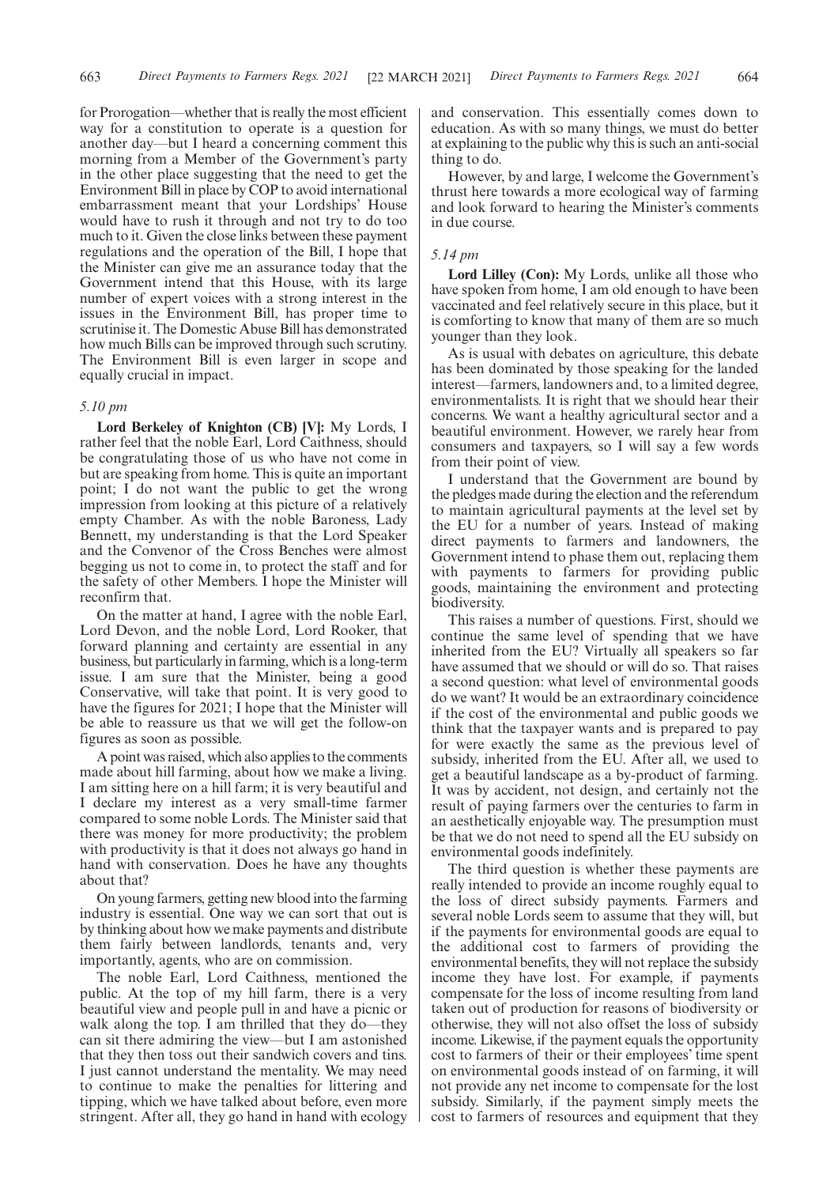for Prorogation—whether that is really the most efficient way for a constitution to operate is a question for another day—but I heard a concerning comment this morning from a Member of the Government's party in the other place suggesting that the need to get the Environment Bill in place by COP to avoid international embarrassment meant that your Lordships' House would have to rush it through and not try to do too much to it. Given the close links between these payment regulations and the operation of the Bill, I hope that the Minister can give me an assurance today that the Government intend that this House, with its large number of expert voices with a strong interest in the issues in the Environment Bill, has proper time to scrutinise it. The Domestic Abuse Bill has demonstrated how much Bills can be improved through such scrutiny. The Environment Bill is even larger in scope and equally crucial in impact.

# *5.10 pm*

**Lord Berkeley of Knighton (CB) [V]:** My Lords, I rather feel that the noble Earl, Lord Caithness, should be congratulating those of us who have not come in but are speaking from home. This is quite an important point; I do not want the public to get the wrong impression from looking at this picture of a relatively empty Chamber. As with the noble Baroness, Lady Bennett, my understanding is that the Lord Speaker and the Convenor of the Cross Benches were almost begging us not to come in, to protect the staff and for the safety of other Members. I hope the Minister will reconfirm that.

On the matter at hand, I agree with the noble Earl, Lord Devon, and the noble Lord, Lord Rooker, that forward planning and certainty are essential in any business, but particularly in farming, which is a long-term issue. I am sure that the Minister, being a good Conservative, will take that point. It is very good to have the figures for 2021; I hope that the Minister will be able to reassure us that we will get the follow-on figures as soon as possible.

A point was raised, which also applies to the comments made about hill farming, about how we make a living. I am sitting here on a hill farm; it is very beautiful and I declare my interest as a very small-time farmer compared to some noble Lords. The Minister said that there was money for more productivity; the problem with productivity is that it does not always go hand in hand with conservation. Does he have any thoughts about that?

On young farmers, getting new blood into the farming industry is essential. One way we can sort that out is by thinking about how we make payments and distribute them fairly between landlords, tenants and, very importantly, agents, who are on commission.

The noble Earl, Lord Caithness, mentioned the public. At the top of my hill farm, there is a very beautiful view and people pull in and have a picnic or walk along the top. I am thrilled that they do—they can sit there admiring the view—but I am astonished that they then toss out their sandwich covers and tins. I just cannot understand the mentality. We may need to continue to make the penalties for littering and tipping, which we have talked about before, even more stringent. After all, they go hand in hand with ecology and conservation. This essentially comes down to education. As with so many things, we must do better at explaining to the public why this is such an anti-social thing to do.

However, by and large, I welcome the Government's thrust here towards a more ecological way of farming and look forward to hearing the Minister's comments in due course.

#### *5.14 pm*

**Lord Lilley (Con):** My Lords, unlike all those who have spoken from home, I am old enough to have been vaccinated and feel relatively secure in this place, but it is comforting to know that many of them are so much younger than they look.

As is usual with debates on agriculture, this debate has been dominated by those speaking for the landed interest—farmers, landowners and, to a limited degree, environmentalists. It is right that we should hear their concerns. We want a healthy agricultural sector and a beautiful environment. However, we rarely hear from consumers and taxpayers, so I will say a few words from their point of view.

I understand that the Government are bound by the pledges made during the election and the referendum to maintain agricultural payments at the level set by the EU for a number of years. Instead of making direct payments to farmers and landowners, the Government intend to phase them out, replacing them with payments to farmers for providing public goods, maintaining the environment and protecting biodiversity.

This raises a number of questions. First, should we continue the same level of spending that we have inherited from the EU? Virtually all speakers so far have assumed that we should or will do so. That raises a second question: what level of environmental goods do we want? It would be an extraordinary coincidence if the cost of the environmental and public goods we think that the taxpayer wants and is prepared to pay for were exactly the same as the previous level of subsidy, inherited from the EU. After all, we used to get a beautiful landscape as a by-product of farming. It was by accident, not design, and certainly not the result of paying farmers over the centuries to farm in an aesthetically enjoyable way. The presumption must be that we do not need to spend all the EU subsidy on environmental goods indefinitely.

The third question is whether these payments are really intended to provide an income roughly equal to the loss of direct subsidy payments. Farmers and several noble Lords seem to assume that they will, but if the payments for environmental goods are equal to the additional cost to farmers of providing the environmental benefits, they will not replace the subsidy income they have lost. For example, if payments compensate for the loss of income resulting from land taken out of production for reasons of biodiversity or otherwise, they will not also offset the loss of subsidy income. Likewise, if the payment equals the opportunity cost to farmers of their or their employees' time spent on environmental goods instead of on farming, it will not provide any net income to compensate for the lost subsidy. Similarly, if the payment simply meets the cost to farmers of resources and equipment that they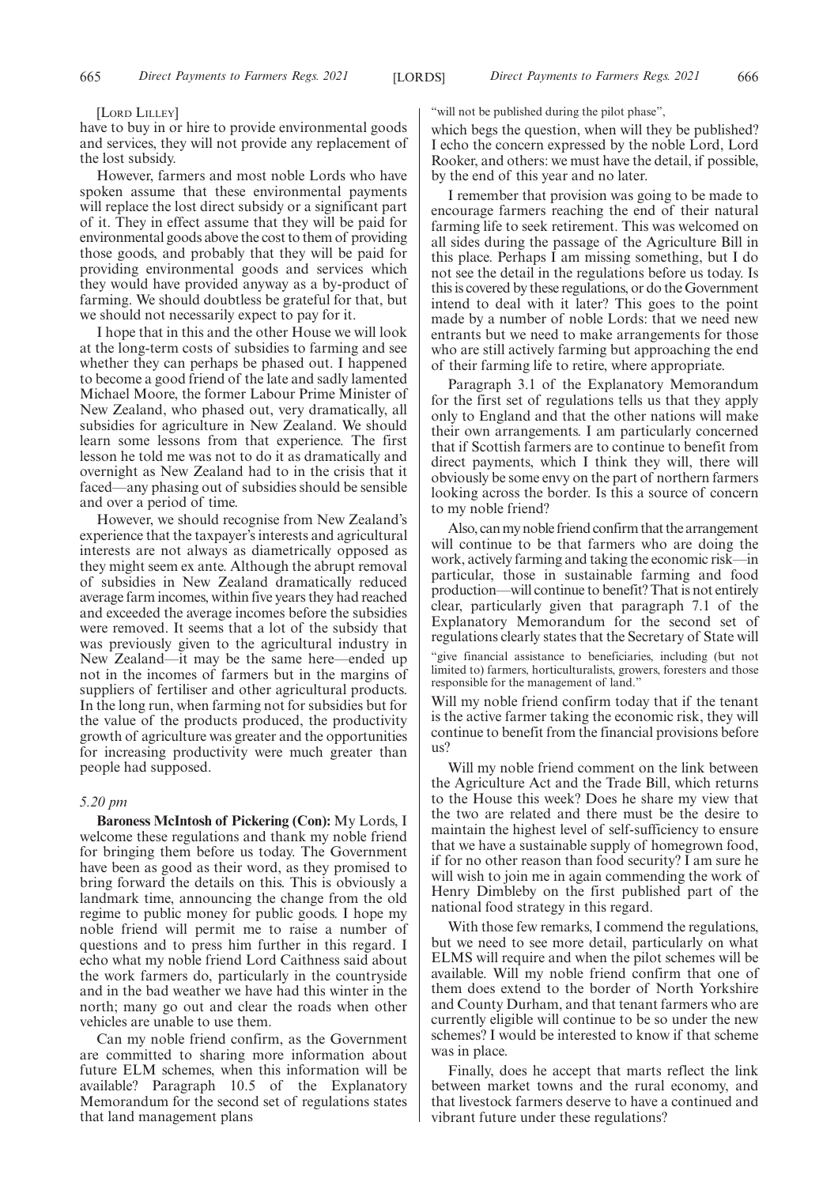#### [LORD LILLEY]

have to buy in or hire to provide environmental goods and services, they will not provide any replacement of the lost subsidy.

However, farmers and most noble Lords who have spoken assume that these environmental payments will replace the lost direct subsidy or a significant part of it. They in effect assume that they will be paid for environmental goods above the cost to them of providing those goods, and probably that they will be paid for providing environmental goods and services which they would have provided anyway as a by-product of farming. We should doubtless be grateful for that, but we should not necessarily expect to pay for it.

I hope that in this and the other House we will look at the long-term costs of subsidies to farming and see whether they can perhaps be phased out. I happened to become a good friend of the late and sadly lamented Michael Moore, the former Labour Prime Minister of New Zealand, who phased out, very dramatically, all subsidies for agriculture in New Zealand. We should learn some lessons from that experience. The first lesson he told me was not to do it as dramatically and overnight as New Zealand had to in the crisis that it faced—any phasing out of subsidies should be sensible and over a period of time.

However, we should recognise from New Zealand's experience that the taxpayer's interests and agricultural interests are not always as diametrically opposed as they might seem ex ante. Although the abrupt removal of subsidies in New Zealand dramatically reduced average farm incomes, within five years they had reached and exceeded the average incomes before the subsidies were removed. It seems that a lot of the subsidy that was previously given to the agricultural industry in New Zealand—it may be the same here—ended up not in the incomes of farmers but in the margins of suppliers of fertiliser and other agricultural products. In the long run, when farming not for subsidies but for the value of the products produced, the productivity growth of agriculture was greater and the opportunities for increasing productivity were much greater than people had supposed.

# *5.20 pm*

**Baroness McIntosh of Pickering (Con):** My Lords, I welcome these regulations and thank my noble friend for bringing them before us today. The Government have been as good as their word, as they promised to bring forward the details on this. This is obviously a landmark time, announcing the change from the old regime to public money for public goods. I hope my noble friend will permit me to raise a number of questions and to press him further in this regard. I echo what my noble friend Lord Caithness said about the work farmers do, particularly in the countryside and in the bad weather we have had this winter in the north; many go out and clear the roads when other vehicles are unable to use them.

Can my noble friend confirm, as the Government are committed to sharing more information about future ELM schemes, when this information will be available? Paragraph 10.5 of the Explanatory Memorandum for the second set of regulations states that land management plans

"will not be published during the pilot phase",

which begs the question, when will they be published? I echo the concern expressed by the noble Lord, Lord Rooker, and others: we must have the detail, if possible, by the end of this year and no later.

I remember that provision was going to be made to encourage farmers reaching the end of their natural farming life to seek retirement. This was welcomed on all sides during the passage of the Agriculture Bill in this place. Perhaps I am missing something, but I do not see the detail in the regulations before us today. Is this is covered by these regulations, or do the Government intend to deal with it later? This goes to the point made by a number of noble Lords: that we need new entrants but we need to make arrangements for those who are still actively farming but approaching the end of their farming life to retire, where appropriate.

Paragraph 3.1 of the Explanatory Memorandum for the first set of regulations tells us that they apply only to England and that the other nations will make their own arrangements. I am particularly concerned that if Scottish farmers are to continue to benefit from direct payments, which I think they will, there will obviously be some envy on the part of northern farmers looking across the border. Is this a source of concern to my noble friend?

Also, can my noble friend confirm that the arrangement will continue to be that farmers who are doing the work, actively farming and taking the economic risk—in particular, those in sustainable farming and food production—will continue to benefit? That is not entirely clear, particularly given that paragraph 7.1 of the Explanatory Memorandum for the second set of regulations clearly states that the Secretary of State will "give financial assistance to beneficiaries, including (but not limited to) farmers, horticulturalists, growers, foresters and those responsible for the management of land."

Will my noble friend confirm today that if the tenant is the active farmer taking the economic risk, they will continue to benefit from the financial provisions before us?

Will my noble friend comment on the link between the Agriculture Act and the Trade Bill, which returns to the House this week? Does he share my view that the two are related and there must be the desire to maintain the highest level of self-sufficiency to ensure that we have a sustainable supply of homegrown food, if for no other reason than food security? I am sure he will wish to join me in again commending the work of Henry Dimbleby on the first published part of the national food strategy in this regard.

With those few remarks, I commend the regulations, but we need to see more detail, particularly on what ELMS will require and when the pilot schemes will be available. Will my noble friend confirm that one of them does extend to the border of North Yorkshire and County Durham, and that tenant farmers who are currently eligible will continue to be so under the new schemes? I would be interested to know if that scheme was in place.

Finally, does he accept that marts reflect the link between market towns and the rural economy, and that livestock farmers deserve to have a continued and vibrant future under these regulations?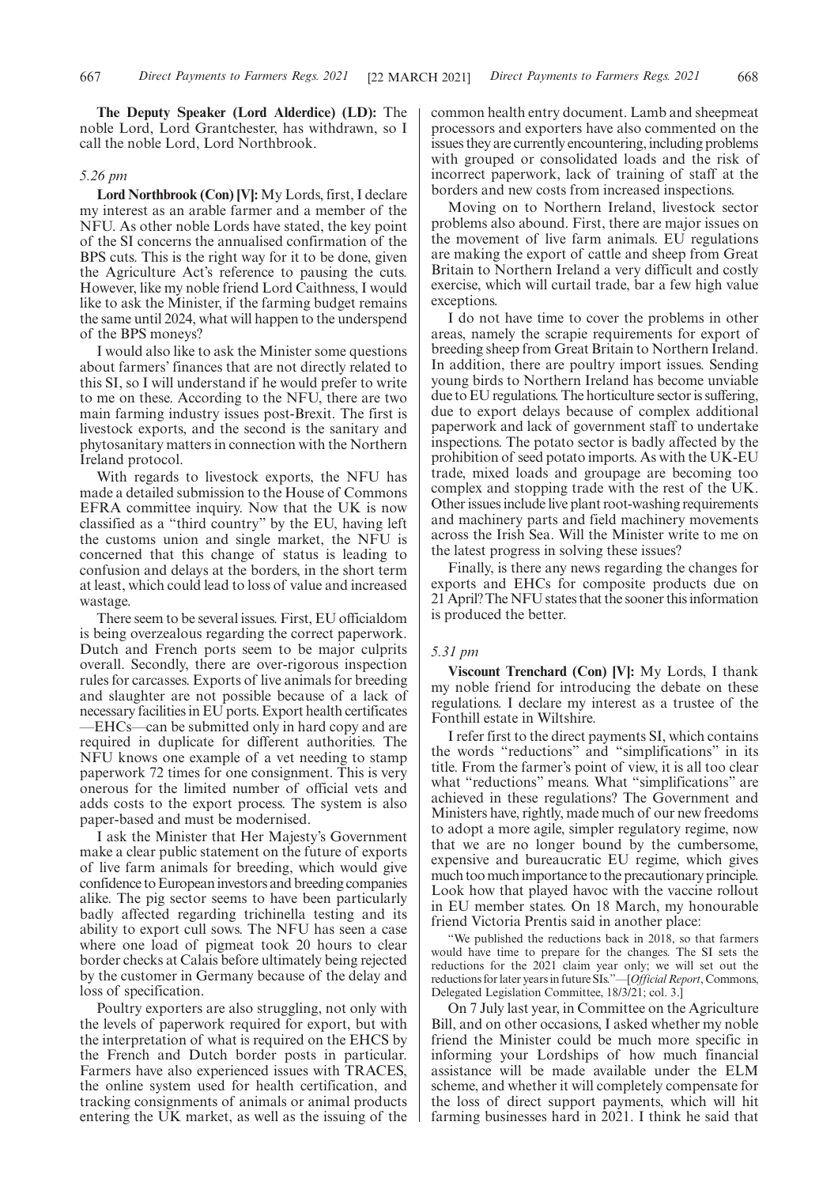**The Deputy Speaker (Lord Alderdice) (LD):** The noble Lord, Lord Grantchester, has withdrawn, so I call the noble Lord, Lord Northbrook.

# *5.26 pm*

**Lord Northbrook (Con) [V]:** My Lords, first, I declare my interest as an arable farmer and a member of the NFU. As other noble Lords have stated, the key point of the SI concerns the annualised confirmation of the BPS cuts. This is the right way for it to be done, given the Agriculture Act's reference to pausing the cuts. However, like my noble friend Lord Caithness, I would like to ask the Minister, if the farming budget remains the same until 2024, what will happen to the underspend of the BPS moneys?

I would also like to ask the Minister some questions about farmers' finances that are not directly related to this SI, so I will understand if he would prefer to write to me on these. According to the NFU, there are two main farming industry issues post-Brexit. The first is livestock exports, and the second is the sanitary and phytosanitary matters in connection with the Northern Ireland protocol.

With regards to livestock exports, the NFU has made a detailed submission to the House of Commons EFRA committee inquiry. Now that the UK is now classified as a "third country" by the EU, having left the customs union and single market, the NFU is concerned that this change of status is leading to confusion and delays at the borders, in the short term at least, which could lead to loss of value and increased wastage.

There seem to be several issues. First, EU officialdom is being overzealous regarding the correct paperwork. Dutch and French ports seem to be major culprits overall. Secondly, there are over-rigorous inspection rules for carcasses. Exports of live animals for breeding and slaughter are not possible because of a lack of necessary facilities in EU ports. Export health certificates —EHCs—can be submitted only in hard copy and are required in duplicate for different authorities. The NFU knows one example of a vet needing to stamp paperwork 72 times for one consignment. This is very onerous for the limited number of official vets and adds costs to the export process. The system is also paper-based and must be modernised.

I ask the Minister that Her Majesty's Government make a clear public statement on the future of exports of live farm animals for breeding, which would give confidence to European investors and breeding companies alike. The pig sector seems to have been particularly badly affected regarding trichinella testing and its ability to export cull sows. The NFU has seen a case where one load of pigmeat took 20 hours to clear border checks at Calais before ultimately being rejected by the customer in Germany because of the delay and loss of specification.

Poultry exporters are also struggling, not only with the levels of paperwork required for export, but with the interpretation of what is required on the EHCS by the French and Dutch border posts in particular. Farmers have also experienced issues with TRACES, the online system used for health certification, and tracking consignments of animals or animal products entering the UK market, as well as the issuing of the common health entry document. Lamb and sheepmeat processors and exporters have also commented on the issues they are currently encountering, including problems with grouped or consolidated loads and the risk of incorrect paperwork, lack of training of staff at the borders and new costs from increased inspections.

Moving on to Northern Ireland, livestock sector problems also abound. First, there are major issues on the movement of live farm animals. EU regulations are making the export of cattle and sheep from Great Britain to Northern Ireland a very difficult and costly exercise, which will curtail trade, bar a few high value exceptions.

I do not have time to cover the problems in other areas, namely the scrapie requirements for export of breeding sheep from Great Britain to Northern Ireland. In addition, there are poultry import issues. Sending young birds to Northern Ireland has become unviable due to EU regulations. The horticulture sector is suffering, due to export delays because of complex additional paperwork and lack of government staff to undertake inspections. The potato sector is badly affected by the prohibition of seed potato imports. As with the UK-EU trade, mixed loads and groupage are becoming too complex and stopping trade with the rest of the UK. Other issues include live plant root-washing requirements and machinery parts and field machinery movements across the Irish Sea. Will the Minister write to me on the latest progress in solving these issues?

Finally, is there any news regarding the changes for exports and EHCs for composite products due on 21 April? The NFU states that the sooner this information is produced the better.

# *5.31 pm*

**Viscount Trenchard (Con) [V]:** My Lords, I thank my noble friend for introducing the debate on these regulations. I declare my interest as a trustee of the Fonthill estate in Wiltshire.

I refer first to the direct payments SI, which contains the words "reductions" and "simplifications" in its title. From the farmer's point of view, it is all too clear what "reductions" means. What "simplifications" are achieved in these regulations? The Government and Ministers have, rightly, made much of our new freedoms to adopt a more agile, simpler regulatory regime, now that we are no longer bound by the cumbersome, expensive and bureaucratic EU regime, which gives much too much importance to the precautionary principle. Look how that played havoc with the vaccine rollout in EU member states. On 18 March, my honourable friend Victoria Prentis said in another place:

"We published the reductions back in 2018, so that farmers would have time to prepare for the changes. The SI sets the reductions for the 2021 claim year only; we will set out the reductions for later years in future SIs."—[*Official Report*, Commons, Delegated Legislation Committee, 18/3/21; col. 3.]

On 7 July last year, in Committee on the Agriculture Bill, and on other occasions, I asked whether my noble friend the Minister could be much more specific in informing your Lordships of how much financial assistance will be made available under the ELM scheme, and whether it will completely compensate for the loss of direct support payments, which will hit farming businesses hard in 2021. I think he said that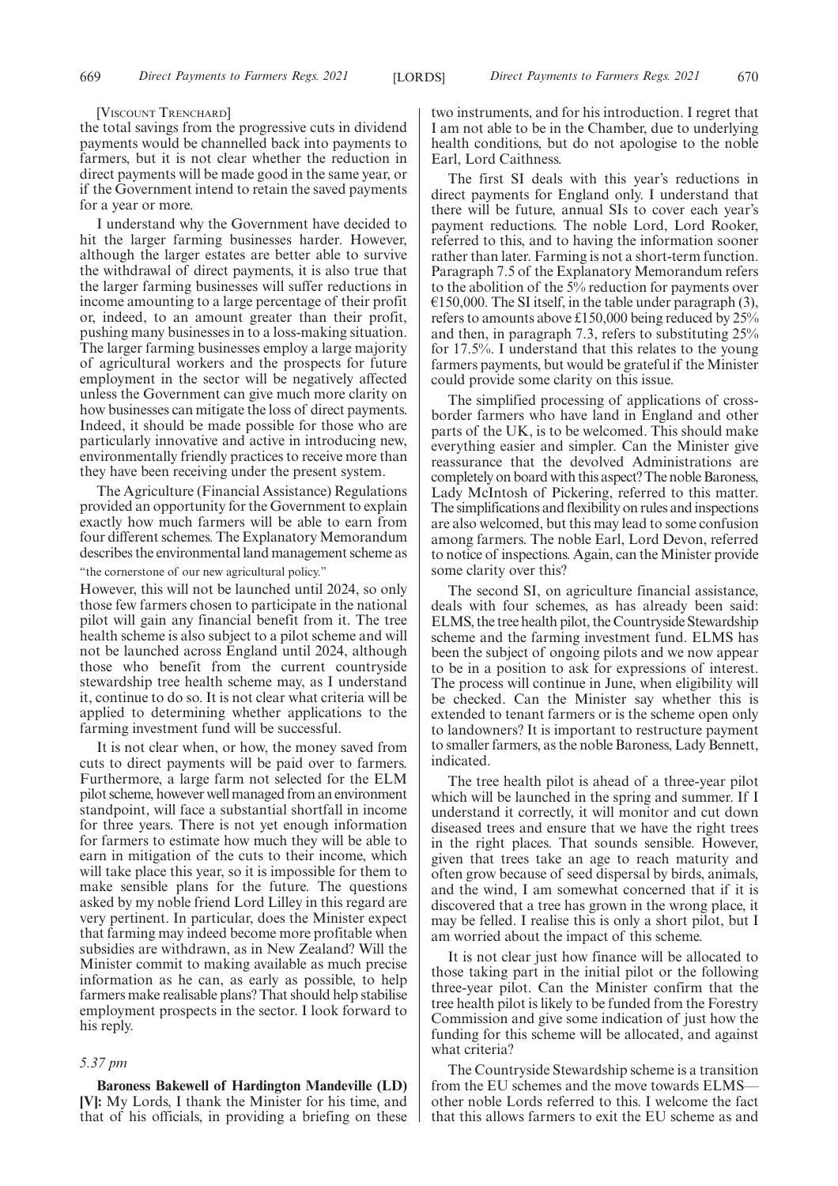#### [VISCOUNT TRENCHARD]

the total savings from the progressive cuts in dividend payments would be channelled back into payments to farmers, but it is not clear whether the reduction in direct payments will be made good in the same year, or if the Government intend to retain the saved payments for a year or more.

I understand why the Government have decided to hit the larger farming businesses harder. However, although the larger estates are better able to survive the withdrawal of direct payments, it is also true that the larger farming businesses will suffer reductions in income amounting to a large percentage of their profit or, indeed, to an amount greater than their profit, pushing many businesses in to a loss-making situation. The larger farming businesses employ a large majority of agricultural workers and the prospects for future employment in the sector will be negatively affected unless the Government can give much more clarity on how businesses can mitigate the loss of direct payments. Indeed, it should be made possible for those who are particularly innovative and active in introducing new, environmentally friendly practices to receive more than they have been receiving under the present system.

The Agriculture (Financial Assistance) Regulations provided an opportunity for the Government to explain exactly how much farmers will be able to earn from four different schemes. The Explanatory Memorandum describes the environmental land management scheme as "the cornerstone of our new agricultural policy."

However, this will not be launched until 2024, so only those few farmers chosen to participate in the national pilot will gain any financial benefit from it. The tree health scheme is also subject to a pilot scheme and will not be launched across England until 2024, although those who benefit from the current countryside stewardship tree health scheme may, as I understand it, continue to do so. It is not clear what criteria will be applied to determining whether applications to the farming investment fund will be successful.

It is not clear when, or how, the money saved from cuts to direct payments will be paid over to farmers. Furthermore, a large farm not selected for the ELM pilot scheme, however well managed from an environment standpoint, will face a substantial shortfall in income for three years. There is not yet enough information for farmers to estimate how much they will be able to earn in mitigation of the cuts to their income, which will take place this year, so it is impossible for them to make sensible plans for the future. The questions asked by my noble friend Lord Lilley in this regard are very pertinent. In particular, does the Minister expect that farming may indeed become more profitable when subsidies are withdrawn, as in New Zealand? Will the Minister commit to making available as much precise information as he can, as early as possible, to help farmers make realisable plans? That should help stabilise employment prospects in the sector. I look forward to his reply.

#### *5.37 pm*

**Baroness Bakewell of Hardington Mandeville (LD) [V]:** My Lords, I thank the Minister for his time, and that of his officials, in providing a briefing on these two instruments, and for his introduction. I regret that I am not able to be in the Chamber, due to underlying health conditions, but do not apologise to the noble Earl, Lord Caithness.

The first SI deals with this year's reductions in direct payments for England only. I understand that there will be future, annual SIs to cover each year's payment reductions. The noble Lord, Lord Rooker, referred to this, and to having the information sooner rather than later. Farming is not a short-term function. Paragraph 7.5 of the Explanatory Memorandum refers to the abolition of the 5% reduction for payments over  $\epsilon$ 150,000. The SI itself, in the table under paragraph (3), refers to amounts above £150,000 being reduced by 25% and then, in paragraph 7.3, refers to substituting 25% for 17.5%. I understand that this relates to the young farmers payments, but would be grateful if the Minister could provide some clarity on this issue.

The simplified processing of applications of crossborder farmers who have land in England and other parts of the UK, is to be welcomed. This should make everything easier and simpler. Can the Minister give reassurance that the devolved Administrations are completely on board with this aspect? The noble Baroness, Lady McIntosh of Pickering, referred to this matter. The simplifications and flexibility on rules and inspections are also welcomed, but this may lead to some confusion among farmers. The noble Earl, Lord Devon, referred to notice of inspections. Again, can the Minister provide some clarity over this?

The second SI, on agriculture financial assistance, deals with four schemes, as has already been said: ELMS, the tree health pilot, the Countryside Stewardship scheme and the farming investment fund. ELMS has been the subject of ongoing pilots and we now appear to be in a position to ask for expressions of interest. The process will continue in June, when eligibility will be checked. Can the Minister say whether this is extended to tenant farmers or is the scheme open only to landowners? It is important to restructure payment to smaller farmers, as the noble Baroness, Lady Bennett, indicated.

The tree health pilot is ahead of a three-year pilot which will be launched in the spring and summer. If I understand it correctly, it will monitor and cut down diseased trees and ensure that we have the right trees in the right places. That sounds sensible. However, given that trees take an age to reach maturity and often grow because of seed dispersal by birds, animals, and the wind, I am somewhat concerned that if it is discovered that a tree has grown in the wrong place, it may be felled. I realise this is only a short pilot, but I am worried about the impact of this scheme.

It is not clear just how finance will be allocated to those taking part in the initial pilot or the following three-year pilot. Can the Minister confirm that the tree health pilot is likely to be funded from the Forestry Commission and give some indication of just how the funding for this scheme will be allocated, and against what criteria?

The Countryside Stewardship scheme is a transition from the EU schemes and the move towards ELMS other noble Lords referred to this. I welcome the fact that this allows farmers to exit the EU scheme as and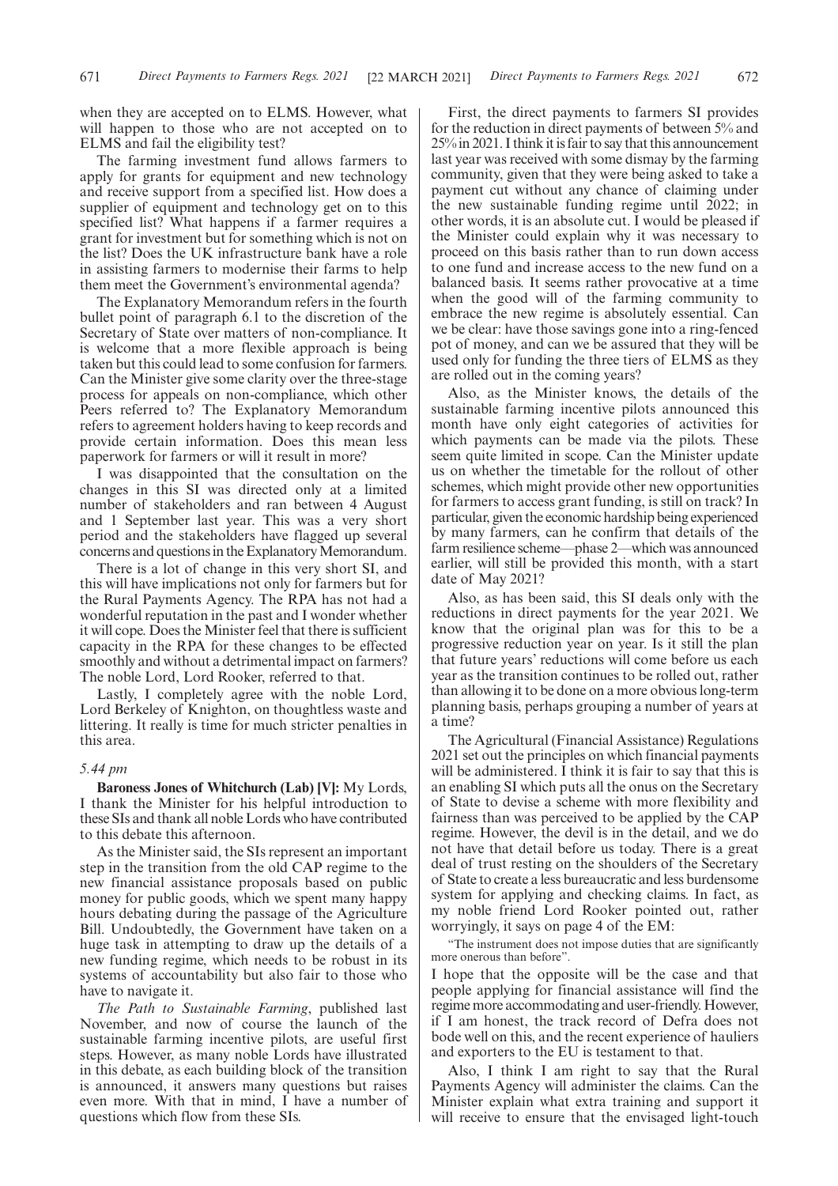when they are accepted on to ELMS. However, what will happen to those who are not accepted on to ELMS and fail the eligibility test?

The farming investment fund allows farmers to apply for grants for equipment and new technology and receive support from a specified list. How does a supplier of equipment and technology get on to this specified list? What happens if a farmer requires a grant for investment but for something which is not on the list? Does the UK infrastructure bank have a role in assisting farmers to modernise their farms to help them meet the Government's environmental agenda?

The Explanatory Memorandum refers in the fourth bullet point of paragraph 6.1 to the discretion of the Secretary of State over matters of non-compliance. It is welcome that a more flexible approach is being taken but this could lead to some confusion for farmers. Can the Minister give some clarity over the three-stage process for appeals on non-compliance, which other Peers referred to? The Explanatory Memorandum refers to agreement holders having to keep records and provide certain information. Does this mean less paperwork for farmers or will it result in more?

I was disappointed that the consultation on the changes in this SI was directed only at a limited number of stakeholders and ran between 4 August and 1 September last year. This was a very short period and the stakeholders have flagged up several concerns and questions in the Explanatory Memorandum.

There is a lot of change in this very short SI, and this will have implications not only for farmers but for the Rural Payments Agency. The RPA has not had a wonderful reputation in the past and I wonder whether it will cope. Does the Minister feel that there is sufficient capacity in the RPA for these changes to be effected smoothly and without a detrimental impact on farmers? The noble Lord, Lord Rooker, referred to that.

Lastly, I completely agree with the noble Lord, Lord Berkeley of Knighton, on thoughtless waste and littering. It really is time for much stricter penalties in this area.

## *5.44 pm*

**Baroness Jones of Whitchurch (Lab) [V]:** My Lords, I thank the Minister for his helpful introduction to these SIs and thank all noble Lords who have contributed to this debate this afternoon.

As the Minister said, the SIs represent an important step in the transition from the old CAP regime to the new financial assistance proposals based on public money for public goods, which we spent many happy hours debating during the passage of the Agriculture Bill. Undoubtedly, the Government have taken on a huge task in attempting to draw up the details of a new funding regime, which needs to be robust in its systems of accountability but also fair to those who have to navigate it.

*The Path to Sustainable Farming*, published last November, and now of course the launch of the sustainable farming incentive pilots, are useful first steps. However, as many noble Lords have illustrated in this debate, as each building block of the transition is announced, it answers many questions but raises even more. With that in mind, I have a number of questions which flow from these SIs.

First, the direct payments to farmers SI provides for the reduction in direct payments of between 5% and 25% in 2021. I think it is fair to say that this announcement last year was received with some dismay by the farming community, given that they were being asked to take a payment cut without any chance of claiming under the new sustainable funding regime until 2022; in other words, it is an absolute cut. I would be pleased if the Minister could explain why it was necessary to proceed on this basis rather than to run down access to one fund and increase access to the new fund on a balanced basis. It seems rather provocative at a time when the good will of the farming community to embrace the new regime is absolutely essential. Can we be clear: have those savings gone into a ring-fenced pot of money, and can we be assured that they will be used only for funding the three tiers of ELMS as they are rolled out in the coming years?

Also, as the Minister knows, the details of the sustainable farming incentive pilots announced this month have only eight categories of activities for which payments can be made via the pilots. These seem quite limited in scope. Can the Minister update us on whether the timetable for the rollout of other schemes, which might provide other new opportunities for farmers to access grant funding, is still on track? In particular, given the economic hardship being experienced by many farmers, can he confirm that details of the farm resilience scheme—phase 2—which was announced earlier, will still be provided this month, with a start date of May 2021?

Also, as has been said, this SI deals only with the reductions in direct payments for the year 2021. We know that the original plan was for this to be a progressive reduction year on year. Is it still the plan that future years' reductions will come before us each year as the transition continues to be rolled out, rather than allowing it to be done on a more obvious long-term planning basis, perhaps grouping a number of years at a time?

The Agricultural (Financial Assistance) Regulations 2021 set out the principles on which financial payments will be administered. I think it is fair to say that this is an enabling SI which puts all the onus on the Secretary of State to devise a scheme with more flexibility and fairness than was perceived to be applied by the CAP regime. However, the devil is in the detail, and we do not have that detail before us today. There is a great deal of trust resting on the shoulders of the Secretary of State to create a less bureaucratic and less burdensome system for applying and checking claims. In fact, as my noble friend Lord Rooker pointed out, rather worryingly, it says on page 4 of the EM:

"The instrument does not impose duties that are significantly more onerous than before".

I hope that the opposite will be the case and that people applying for financial assistance will find the regime more accommodating and user-friendly. However, if I am honest, the track record of Defra does not bode well on this, and the recent experience of hauliers and exporters to the EU is testament to that.

Also, I think I am right to say that the Rural Payments Agency will administer the claims. Can the Minister explain what extra training and support it will receive to ensure that the envisaged light-touch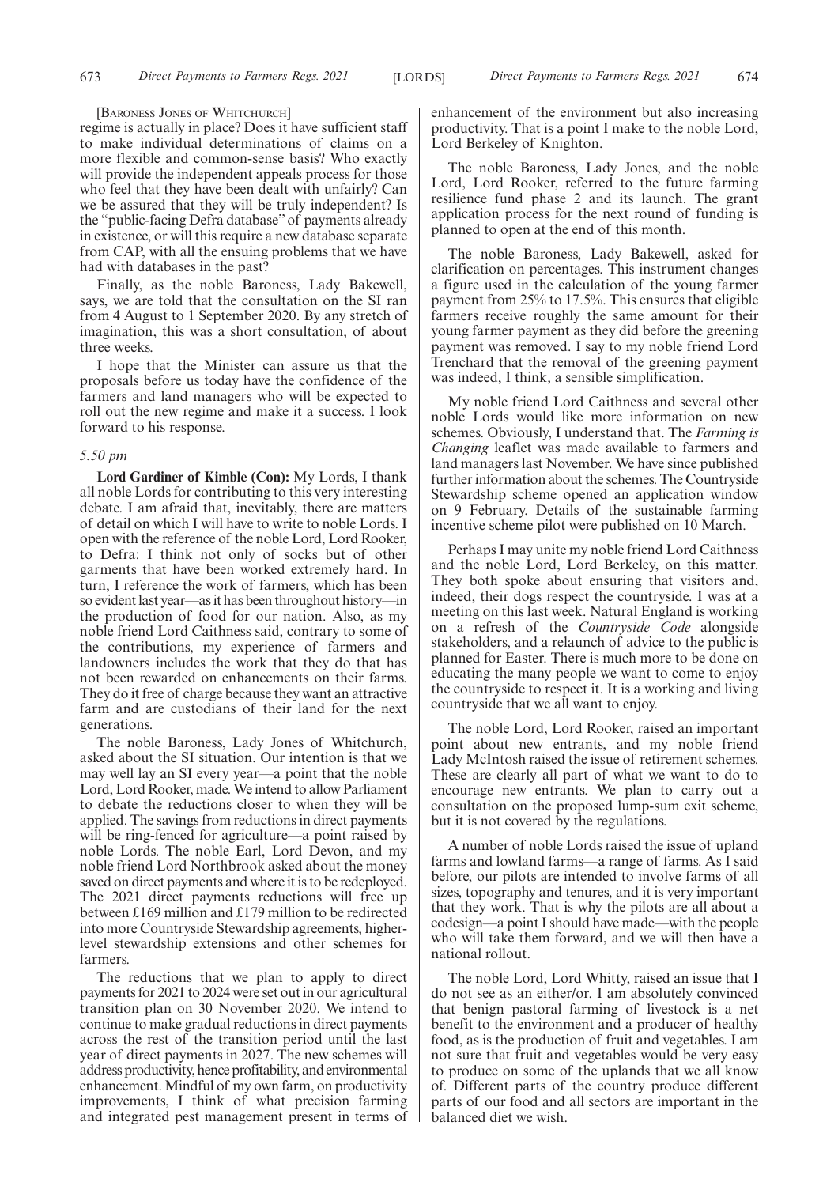[BARONESS JONES OF WHITCHURCH]

regime is actually in place? Does it have sufficient staff to make individual determinations of claims on a more flexible and common-sense basis? Who exactly will provide the independent appeals process for those who feel that they have been dealt with unfairly? Can we be assured that they will be truly independent? Is the "public-facing Defra database"of payments already in existence, or will this require a new database separate from CAP, with all the ensuing problems that we have had with databases in the past?

Finally, as the noble Baroness, Lady Bakewell, says, we are told that the consultation on the SI ran from 4 August to 1 September 2020. By any stretch of imagination, this was a short consultation, of about three weeks.

I hope that the Minister can assure us that the proposals before us today have the confidence of the farmers and land managers who will be expected to roll out the new regime and make it a success. I look forward to his response.

#### *5.50 pm*

**Lord Gardiner of Kimble (Con):** My Lords, I thank all noble Lords for contributing to this very interesting debate. I am afraid that, inevitably, there are matters of detail on which I will have to write to noble Lords. I open with the reference of the noble Lord, Lord Rooker, to Defra: I think not only of socks but of other garments that have been worked extremely hard. In turn, I reference the work of farmers, which has been so evident last year—as it has been throughout history—in the production of food for our nation. Also, as my noble friend Lord Caithness said, contrary to some of the contributions, my experience of farmers and landowners includes the work that they do that has not been rewarded on enhancements on their farms. They do it free of charge because they want an attractive farm and are custodians of their land for the next generations.

The noble Baroness, Lady Jones of Whitchurch, asked about the SI situation. Our intention is that we may well lay an SI every year—a point that the noble Lord, Lord Rooker, made. We intend to allow Parliament to debate the reductions closer to when they will be applied. The savings from reductions in direct payments will be ring-fenced for agriculture—a point raised by noble Lords. The noble Earl, Lord Devon, and my noble friend Lord Northbrook asked about the money saved on direct payments and where it is to be redeployed. The 2021 direct payments reductions will free up between £169 million and £179 million to be redirected into more Countryside Stewardship agreements, higherlevel stewardship extensions and other schemes for farmers.

The reductions that we plan to apply to direct payments for 2021 to 2024 were set out in our agricultural transition plan on 30 November 2020. We intend to continue to make gradual reductions in direct payments across the rest of the transition period until the last year of direct payments in 2027. The new schemes will address productivity, hence profitability, and environmental enhancement. Mindful of my own farm, on productivity improvements, I think of what precision farming and integrated pest management present in terms of enhancement of the environment but also increasing productivity. That is a point I make to the noble Lord, Lord Berkeley of Knighton.

The noble Baroness, Lady Jones, and the noble Lord, Lord Rooker, referred to the future farming resilience fund phase 2 and its launch. The grant application process for the next round of funding is planned to open at the end of this month.

The noble Baroness, Lady Bakewell, asked for clarification on percentages. This instrument changes a figure used in the calculation of the young farmer payment from 25% to 17.5%. This ensures that eligible farmers receive roughly the same amount for their young farmer payment as they did before the greening payment was removed. I say to my noble friend Lord Trenchard that the removal of the greening payment was indeed, I think, a sensible simplification.

My noble friend Lord Caithness and several other noble Lords would like more information on new schemes. Obviously, I understand that. The *Farming is Changing* leaflet was made available to farmers and land managers last November. We have since published further information about the schemes. The Countryside Stewardship scheme opened an application window on 9 February. Details of the sustainable farming incentive scheme pilot were published on 10 March.

Perhaps I may unite my noble friend Lord Caithness and the noble Lord, Lord Berkeley, on this matter. They both spoke about ensuring that visitors and, indeed, their dogs respect the countryside. I was at a meeting on this last week. Natural England is working on a refresh of the *Countryside Code* alongside stakeholders, and a relaunch of advice to the public is planned for Easter. There is much more to be done on educating the many people we want to come to enjoy the countryside to respect it. It is a working and living countryside that we all want to enjoy.

The noble Lord, Lord Rooker, raised an important point about new entrants, and my noble friend Lady McIntosh raised the issue of retirement schemes. These are clearly all part of what we want to do to encourage new entrants. We plan to carry out a consultation on the proposed lump-sum exit scheme, but it is not covered by the regulations.

A number of noble Lords raised the issue of upland farms and lowland farms—a range of farms. As I said before, our pilots are intended to involve farms of all sizes, topography and tenures, and it is very important that they work. That is why the pilots are all about a codesign—a point I should have made—with the people who will take them forward, and we will then have a national rollout.

The noble Lord, Lord Whitty, raised an issue that I do not see as an either/or. I am absolutely convinced that benign pastoral farming of livestock is a net benefit to the environment and a producer of healthy food, as is the production of fruit and vegetables. I am not sure that fruit and vegetables would be very easy to produce on some of the uplands that we all know of. Different parts of the country produce different parts of our food and all sectors are important in the balanced diet we wish.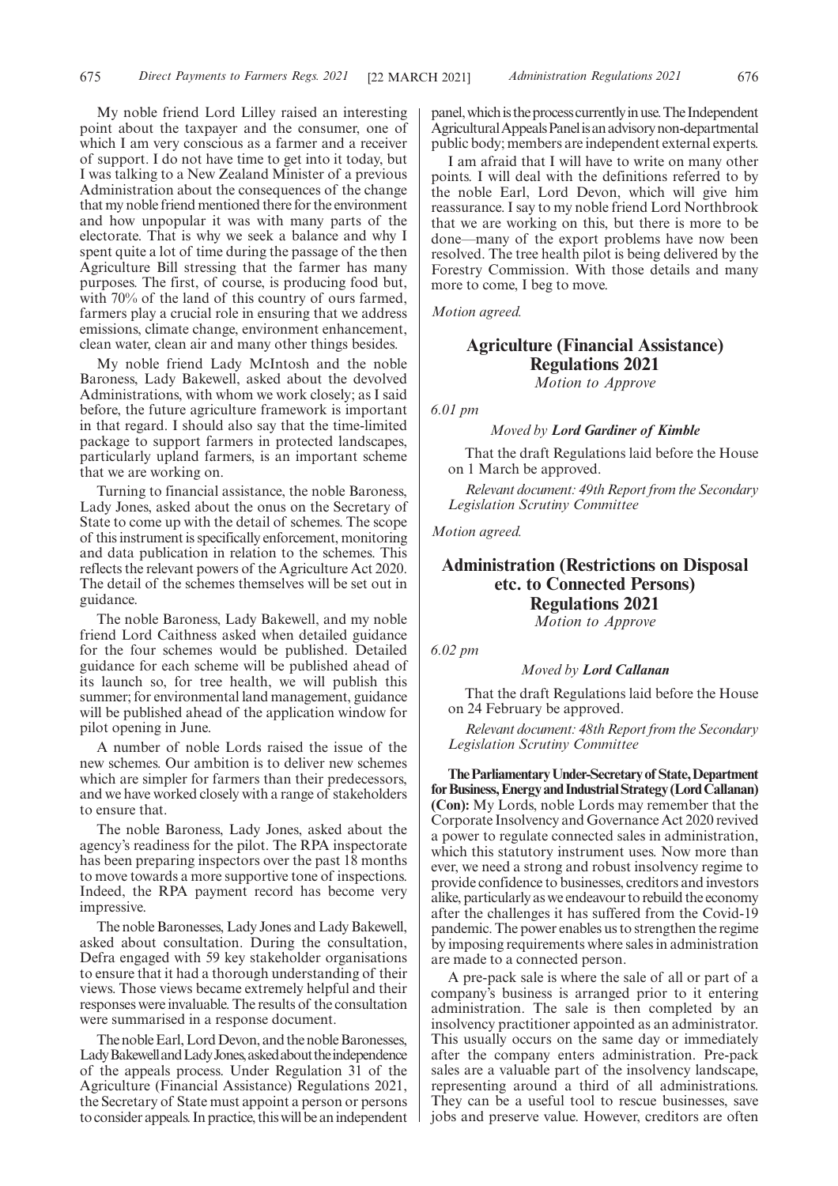My noble friend Lord Lilley raised an interesting point about the taxpayer and the consumer, one of which I am very conscious as a farmer and a receiver of support. I do not have time to get into it today, but I was talking to a New Zealand Minister of a previous Administration about the consequences of the change that my noble friend mentioned there for the environment and how unpopular it was with many parts of the electorate. That is why we seek a balance and why I spent quite a lot of time during the passage of the then Agriculture Bill stressing that the farmer has many purposes. The first, of course, is producing food but, with 70% of the land of this country of ours farmed, farmers play a crucial role in ensuring that we address emissions, climate change, environment enhancement, clean water, clean air and many other things besides.

My noble friend Lady McIntosh and the noble Baroness, Lady Bakewell, asked about the devolved Administrations, with whom we work closely; as I said before, the future agriculture framework is important in that regard. I should also say that the time-limited package to support farmers in protected landscapes, particularly upland farmers, is an important scheme that we are working on.

Turning to financial assistance, the noble Baroness, Lady Jones, asked about the onus on the Secretary of State to come up with the detail of schemes. The scope of this instrument is specifically enforcement, monitoring and data publication in relation to the schemes. This reflects the relevant powers of the Agriculture Act 2020. The detail of the schemes themselves will be set out in guidance.

The noble Baroness, Lady Bakewell, and my noble friend Lord Caithness asked when detailed guidance for the four schemes would be published. Detailed guidance for each scheme will be published ahead of its launch so, for tree health, we will publish this summer; for environmental land management, guidance will be published ahead of the application window for pilot opening in June.

A number of noble Lords raised the issue of the new schemes. Our ambition is to deliver new schemes which are simpler for farmers than their predecessors, and we have worked closely with a range of stakeholders to ensure that.

The noble Baroness, Lady Jones, asked about the agency's readiness for the pilot. The RPA inspectorate has been preparing inspectors over the past 18 months to move towards a more supportive tone of inspections. Indeed, the RPA payment record has become very impressive.

The noble Baronesses, Lady Jones and Lady Bakewell, asked about consultation. During the consultation, Defra engaged with 59 key stakeholder organisations to ensure that it had a thorough understanding of their views. Those views became extremely helpful and their responses were invaluable. The results of the consultation were summarised in a response document.

The noble Earl, Lord Devon, and the noble Baronesses, Lady Bakewell and Lady Jones, asked about the independence of the appeals process. Under Regulation 31 of the Agriculture (Financial Assistance) Regulations 2021, the Secretary of State must appoint a person or persons to consider appeals. In practice, this will be an independent panel, which is the process currently in use. The Independent AgriculturalAppealsPanelisanadvisorynon-departmental public body; members are independent external experts.

I am afraid that I will have to write on many other points. I will deal with the definitions referred to by the noble Earl, Lord Devon, which will give him reassurance. I say to my noble friend Lord Northbrook that we are working on this, but there is more to be done—many of the export problems have now been resolved. The tree health pilot is being delivered by the Forestry Commission. With those details and many more to come, I beg to move.

*Motion agreed.*

# **Agriculture (Financial Assistance) Regulations 2021** *Motion to Approve*

*6.01 pm*

# *Moved by Lord Gardiner of Kimble*

That the draft Regulations laid before the House on 1 March be approved.

*Relevant document: 49th Report from the Secondary Legislation Scrutiny Committee*

*Motion agreed.*

# **Administration (Restrictions on Disposal etc. to Connected Persons) Regulations 2021**

*Motion to Approve*

*6.02 pm*

#### *Moved by Lord Callanan*

That the draft Regulations laid before the House on 24 February be approved.

*Relevant document: 48th Report from the Secondary Legislation Scrutiny Committee*

**TheParliamentaryUnder-Secretaryof State,Department forBusiness,EnergyandIndustrialStrategy(LordCallanan) (Con):** My Lords, noble Lords may remember that the Corporate Insolvency and Governance Act 2020 revived a power to regulate connected sales in administration, which this statutory instrument uses. Now more than ever, we need a strong and robust insolvency regime to provide confidence to businesses, creditors and investors alike, particularly as we endeavour to rebuild the economy after the challenges it has suffered from the Covid-19 pandemic. The power enables us to strengthen the regime by imposing requirements where sales in administration are made to a connected person.

A pre-pack sale is where the sale of all or part of a company's business is arranged prior to it entering administration. The sale is then completed by an insolvency practitioner appointed as an administrator. This usually occurs on the same day or immediately after the company enters administration. Pre-pack sales are a valuable part of the insolvency landscape, representing around a third of all administrations. They can be a useful tool to rescue businesses, save jobs and preserve value. However, creditors are often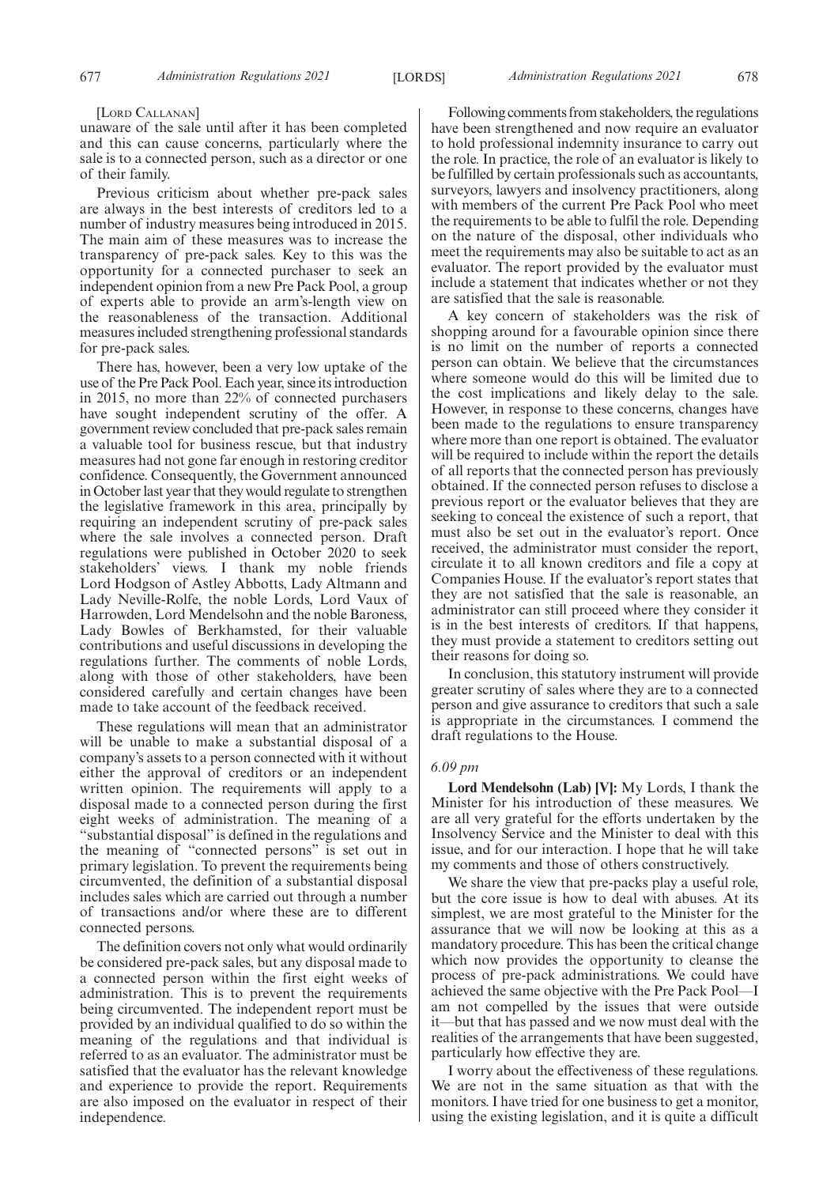#### [LORD CALLANAN]

unaware of the sale until after it has been completed and this can cause concerns, particularly where the sale is to a connected person, such as a director or one of their family.

Previous criticism about whether pre-pack sales are always in the best interests of creditors led to a number of industry measures being introduced in 2015. The main aim of these measures was to increase the transparency of pre-pack sales. Key to this was the opportunity for a connected purchaser to seek an independent opinion from a new Pre Pack Pool, a group of experts able to provide an arm's-length view on the reasonableness of the transaction. Additional measures included strengthening professional standards for pre-pack sales.

There has, however, been a very low uptake of the use of the Pre Pack Pool. Each year, since its introduction in 2015, no more than 22% of connected purchasers have sought independent scrutiny of the offer. A government review concluded that pre-pack sales remain a valuable tool for business rescue, but that industry measures had not gone far enough in restoring creditor confidence. Consequently, the Government announced in October last year that they would regulate to strengthen the legislative framework in this area, principally by requiring an independent scrutiny of pre-pack sales where the sale involves a connected person. Draft regulations were published in October 2020 to seek stakeholders' views. I thank my noble friends Lord Hodgson of Astley Abbotts, Lady Altmann and Lady Neville-Rolfe, the noble Lords, Lord Vaux of Harrowden, Lord Mendelsohn and the noble Baroness, Lady Bowles of Berkhamsted, for their valuable contributions and useful discussions in developing the regulations further. The comments of noble Lords, along with those of other stakeholders, have been considered carefully and certain changes have been made to take account of the feedback received.

These regulations will mean that an administrator will be unable to make a substantial disposal of a company's assets to a person connected with it without either the approval of creditors or an independent written opinion. The requirements will apply to a disposal made to a connected person during the first eight weeks of administration. The meaning of a "substantial disposal" is defined in the regulations and the meaning of "connected persons" is set out in primary legislation. To prevent the requirements being circumvented, the definition of a substantial disposal includes sales which are carried out through a number of transactions and/or where these are to different connected persons.

The definition covers not only what would ordinarily be considered pre-pack sales, but any disposal made to a connected person within the first eight weeks of administration. This is to prevent the requirements being circumvented. The independent report must be provided by an individual qualified to do so within the meaning of the regulations and that individual is referred to as an evaluator. The administrator must be satisfied that the evaluator has the relevant knowledge and experience to provide the report. Requirements are also imposed on the evaluator in respect of their independence.

Following comments from stakeholders, the regulations have been strengthened and now require an evaluator to hold professional indemnity insurance to carry out the role. In practice, the role of an evaluator is likely to be fulfilled by certain professionals such as accountants, surveyors, lawyers and insolvency practitioners, along with members of the current Pre Pack Pool who meet the requirements to be able to fulfil the role. Depending on the nature of the disposal, other individuals who meet the requirements may also be suitable to act as an evaluator. The report provided by the evaluator must include a statement that indicates whether or not they are satisfied that the sale is reasonable.

A key concern of stakeholders was the risk of shopping around for a favourable opinion since there is no limit on the number of reports a connected person can obtain. We believe that the circumstances where someone would do this will be limited due to the cost implications and likely delay to the sale. However, in response to these concerns, changes have been made to the regulations to ensure transparency where more than one report is obtained. The evaluator will be required to include within the report the details of all reports that the connected person has previously obtained. If the connected person refuses to disclose a previous report or the evaluator believes that they are seeking to conceal the existence of such a report, that must also be set out in the evaluator's report. Once received, the administrator must consider the report, circulate it to all known creditors and file a copy at Companies House. If the evaluator's report states that they are not satisfied that the sale is reasonable, an administrator can still proceed where they consider it is in the best interests of creditors. If that happens, they must provide a statement to creditors setting out their reasons for doing so.

In conclusion, this statutory instrument will provide greater scrutiny of sales where they are to a connected person and give assurance to creditors that such a sale is appropriate in the circumstances. I commend the draft regulations to the House.

# *6.09 pm*

**Lord Mendelsohn (Lab) [V]:** My Lords, I thank the Minister for his introduction of these measures. We are all very grateful for the efforts undertaken by the Insolvency Service and the Minister to deal with this issue, and for our interaction. I hope that he will take my comments and those of others constructively.

We share the view that pre-packs play a useful role, but the core issue is how to deal with abuses. At its simplest, we are most grateful to the Minister for the assurance that we will now be looking at this as a mandatory procedure. This has been the critical change which now provides the opportunity to cleanse the process of pre-pack administrations. We could have achieved the same objective with the Pre Pack Pool—I am not compelled by the issues that were outside it—but that has passed and we now must deal with the realities of the arrangements that have been suggested, particularly how effective they are.

I worry about the effectiveness of these regulations. We are not in the same situation as that with the monitors. I have tried for one business to get a monitor, using the existing legislation, and it is quite a difficult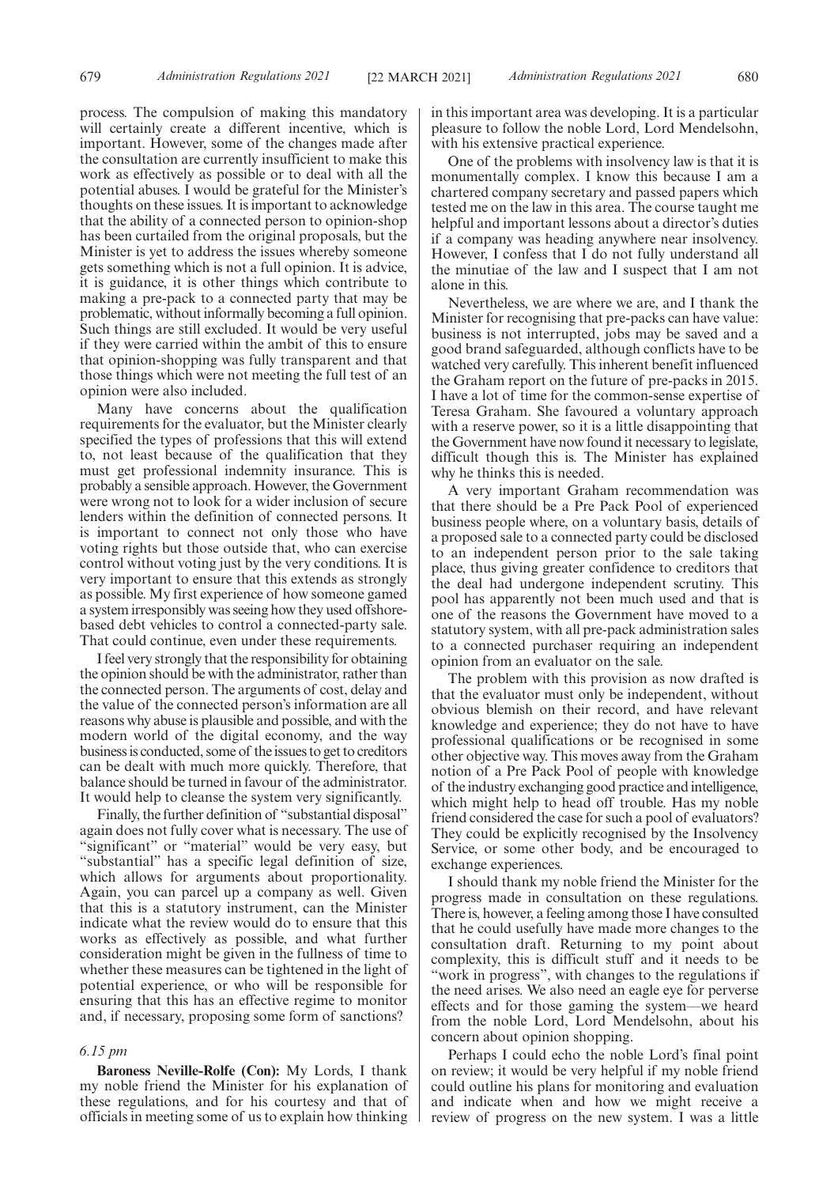process. The compulsion of making this mandatory will certainly create a different incentive, which is important. However, some of the changes made after the consultation are currently insufficient to make this work as effectively as possible or to deal with all the potential abuses. I would be grateful for the Minister's thoughts on these issues. It is important to acknowledge that the ability of a connected person to opinion-shop has been curtailed from the original proposals, but the Minister is yet to address the issues whereby someone gets something which is not a full opinion. It is advice, it is guidance, it is other things which contribute to making a pre-pack to a connected party that may be problematic, without informally becoming a full opinion. Such things are still excluded. It would be very useful if they were carried within the ambit of this to ensure that opinion-shopping was fully transparent and that those things which were not meeting the full test of an opinion were also included.

Many have concerns about the qualification requirements for the evaluator, but the Minister clearly specified the types of professions that this will extend to, not least because of the qualification that they must get professional indemnity insurance. This is probably a sensible approach. However, the Government were wrong not to look for a wider inclusion of secure lenders within the definition of connected persons. It is important to connect not only those who have voting rights but those outside that, who can exercise control without voting just by the very conditions. It is very important to ensure that this extends as strongly as possible. My first experience of how someone gamed a system irresponsibly was seeing how they used offshorebased debt vehicles to control a connected-party sale. That could continue, even under these requirements.

I feel very strongly that the responsibility for obtaining the opinion should be with the administrator, rather than the connected person. The arguments of cost, delay and the value of the connected person's information are all reasons why abuse is plausible and possible, and with the modern world of the digital economy, and the way business is conducted, some of the issues to get to creditors can be dealt with much more quickly. Therefore, that balance should be turned in favour of the administrator. It would help to cleanse the system very significantly.

Finally, the further definition of "substantial disposal" again does not fully cover what is necessary. The use of "significant" or "material" would be very easy, but "substantial" has a specific legal definition of size, which allows for arguments about proportionality. Again, you can parcel up a company as well. Given that this is a statutory instrument, can the Minister indicate what the review would do to ensure that this works as effectively as possible, and what further consideration might be given in the fullness of time to whether these measures can be tightened in the light of potential experience, or who will be responsible for ensuring that this has an effective regime to monitor and, if necessary, proposing some form of sanctions?

#### *6.15 pm*

**Baroness Neville-Rolfe (Con):** My Lords, I thank my noble friend the Minister for his explanation of these regulations, and for his courtesy and that of officials in meeting some of us to explain how thinking in this important area was developing. It is a particular pleasure to follow the noble Lord, Lord Mendelsohn, with his extensive practical experience.

One of the problems with insolvency law is that it is monumentally complex. I know this because I am a chartered company secretary and passed papers which tested me on the law in this area. The course taught me helpful and important lessons about a director's duties if a company was heading anywhere near insolvency. However, I confess that I do not fully understand all the minutiae of the law and I suspect that I am not alone in this.

Nevertheless, we are where we are, and I thank the Minister for recognising that pre-packs can have value: business is not interrupted, jobs may be saved and a good brand safeguarded, although conflicts have to be watched very carefully. This inherent benefit influenced the Graham report on the future of pre-packs in 2015. I have a lot of time for the common-sense expertise of Teresa Graham. She favoured a voluntary approach with a reserve power, so it is a little disappointing that the Government have now found it necessary to legislate, difficult though this is. The Minister has explained why he thinks this is needed.

A very important Graham recommendation was that there should be a Pre Pack Pool of experienced business people where, on a voluntary basis, details of a proposed sale to a connected party could be disclosed to an independent person prior to the sale taking place, thus giving greater confidence to creditors that the deal had undergone independent scrutiny. This pool has apparently not been much used and that is one of the reasons the Government have moved to a statutory system, with all pre-pack administration sales to a connected purchaser requiring an independent opinion from an evaluator on the sale.

The problem with this provision as now drafted is that the evaluator must only be independent, without obvious blemish on their record, and have relevant knowledge and experience; they do not have to have professional qualifications or be recognised in some other objective way. This moves away from the Graham notion of a Pre Pack Pool of people with knowledge of the industry exchanging good practice and intelligence, which might help to head off trouble. Has my noble friend considered the case for such a pool of evaluators? They could be explicitly recognised by the Insolvency Service, or some other body, and be encouraged to exchange experiences.

I should thank my noble friend the Minister for the progress made in consultation on these regulations. There is, however, a feeling among those I have consulted that he could usefully have made more changes to the consultation draft. Returning to my point about complexity, this is difficult stuff and it needs to be "work in progress", with changes to the regulations if the need arises. We also need an eagle eye for perverse effects and for those gaming the system—we heard from the noble Lord, Lord Mendelsohn, about his concern about opinion shopping.

Perhaps I could echo the noble Lord's final point on review; it would be very helpful if my noble friend could outline his plans for monitoring and evaluation and indicate when and how we might receive a review of progress on the new system. I was a little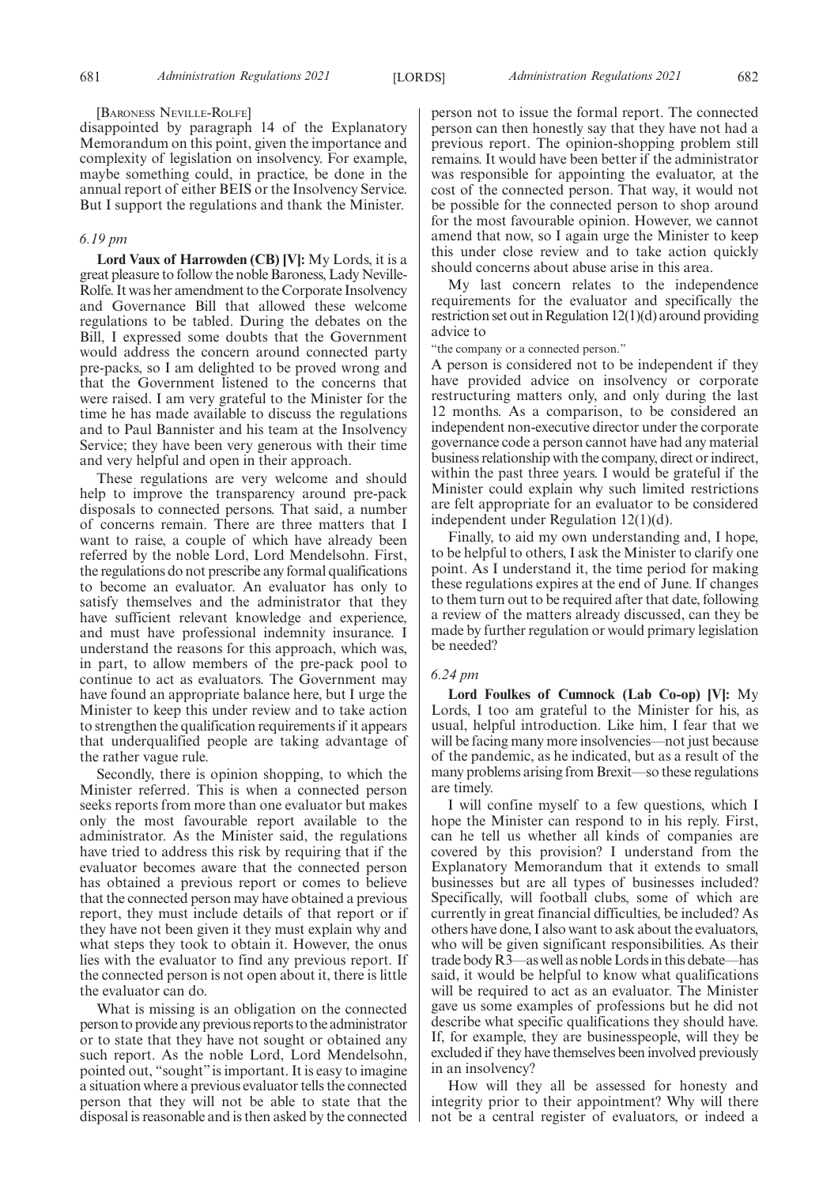#### [BARONESS NEVILLE-ROLFE]

disappointed by paragraph 14 of the Explanatory Memorandum on this point, given the importance and complexity of legislation on insolvency. For example, maybe something could, in practice, be done in the annual report of either BEIS or the Insolvency Service. But I support the regulations and thank the Minister.

# *6.19 pm*

**Lord Vaux of Harrowden (CB) [V]:** My Lords, it is a great pleasure to follow the noble Baroness, Lady Neville-Rolfe. It was her amendment to the Corporate Insolvency and Governance Bill that allowed these welcome regulations to be tabled. During the debates on the Bill, I expressed some doubts that the Government would address the concern around connected party pre-packs, so I am delighted to be proved wrong and that the Government listened to the concerns that were raised. I am very grateful to the Minister for the time he has made available to discuss the regulations and to Paul Bannister and his team at the Insolvency Service; they have been very generous with their time and very helpful and open in their approach.

These regulations are very welcome and should help to improve the transparency around pre-pack disposals to connected persons. That said, a number of concerns remain. There are three matters that I want to raise, a couple of which have already been referred by the noble Lord, Lord Mendelsohn. First, the regulations do not prescribe any formal qualifications to become an evaluator. An evaluator has only to satisfy themselves and the administrator that they have sufficient relevant knowledge and experience, and must have professional indemnity insurance. I understand the reasons for this approach, which was, in part, to allow members of the pre-pack pool to continue to act as evaluators. The Government may have found an appropriate balance here, but I urge the Minister to keep this under review and to take action to strengthen the qualification requirements if it appears that underqualified people are taking advantage of the rather vague rule.

Secondly, there is opinion shopping, to which the Minister referred. This is when a connected person seeks reports from more than one evaluator but makes only the most favourable report available to the administrator. As the Minister said, the regulations have tried to address this risk by requiring that if the evaluator becomes aware that the connected person has obtained a previous report or comes to believe that the connected person may have obtained a previous report, they must include details of that report or if they have not been given it they must explain why and what steps they took to obtain it. However, the onus lies with the evaluator to find any previous report. If the connected person is not open about it, there is little the evaluator can do.

What is missing is an obligation on the connected person to provide any previous reports to the administrator or to state that they have not sought or obtained any such report. As the noble Lord, Lord Mendelsohn, pointed out, "sought" is important. It is easy to imagine a situation where a previous evaluator tells the connected person that they will not be able to state that the disposal is reasonable and is then asked by the connected person not to issue the formal report. The connected person can then honestly say that they have not had a previous report. The opinion-shopping problem still remains. It would have been better if the administrator was responsible for appointing the evaluator, at the cost of the connected person. That way, it would not be possible for the connected person to shop around for the most favourable opinion. However, we cannot amend that now, so I again urge the Minister to keep this under close review and to take action quickly should concerns about abuse arise in this area.

My last concern relates to the independence requirements for the evaluator and specifically the restriction set out in Regulation 12(1)(d) around providing advice to

"the company or a connected person."

A person is considered not to be independent if they have provided advice on insolvency or corporate restructuring matters only, and only during the last 12 months. As a comparison, to be considered an independent non-executive director under the corporate governance code a person cannot have had any material business relationship with the company, direct or indirect, within the past three years. I would be grateful if the Minister could explain why such limited restrictions are felt appropriate for an evaluator to be considered independent under Regulation 12(1)(d).

Finally, to aid my own understanding and, I hope, to be helpful to others, I ask the Minister to clarify one point. As I understand it, the time period for making these regulations expires at the end of June. If changes to them turn out to be required after that date, following a review of the matters already discussed, can they be made by further regulation or would primary legislation be needed?

#### *6.24 pm*

**Lord Foulkes of Cumnock (Lab Co-op) [V]:** My Lords, I too am grateful to the Minister for his, as usual, helpful introduction. Like him, I fear that we will be facing many more insolvencies—not just because of the pandemic, as he indicated, but as a result of the many problems arising from Brexit—so these regulations are timely.

I will confine myself to a few questions, which I hope the Minister can respond to in his reply. First, can he tell us whether all kinds of companies are covered by this provision? I understand from the Explanatory Memorandum that it extends to small businesses but are all types of businesses included? Specifically, will football clubs, some of which are currently in great financial difficulties, be included? As others have done, I also want to ask about the evaluators, who will be given significant responsibilities. As their trade body R3—as well as noble Lords in this debate—has said, it would be helpful to know what qualifications will be required to act as an evaluator. The Minister gave us some examples of professions but he did not describe what specific qualifications they should have. If, for example, they are businesspeople, will they be excluded if they have themselves been involved previously in an insolvency?

How will they all be assessed for honesty and integrity prior to their appointment? Why will there not be a central register of evaluators, or indeed a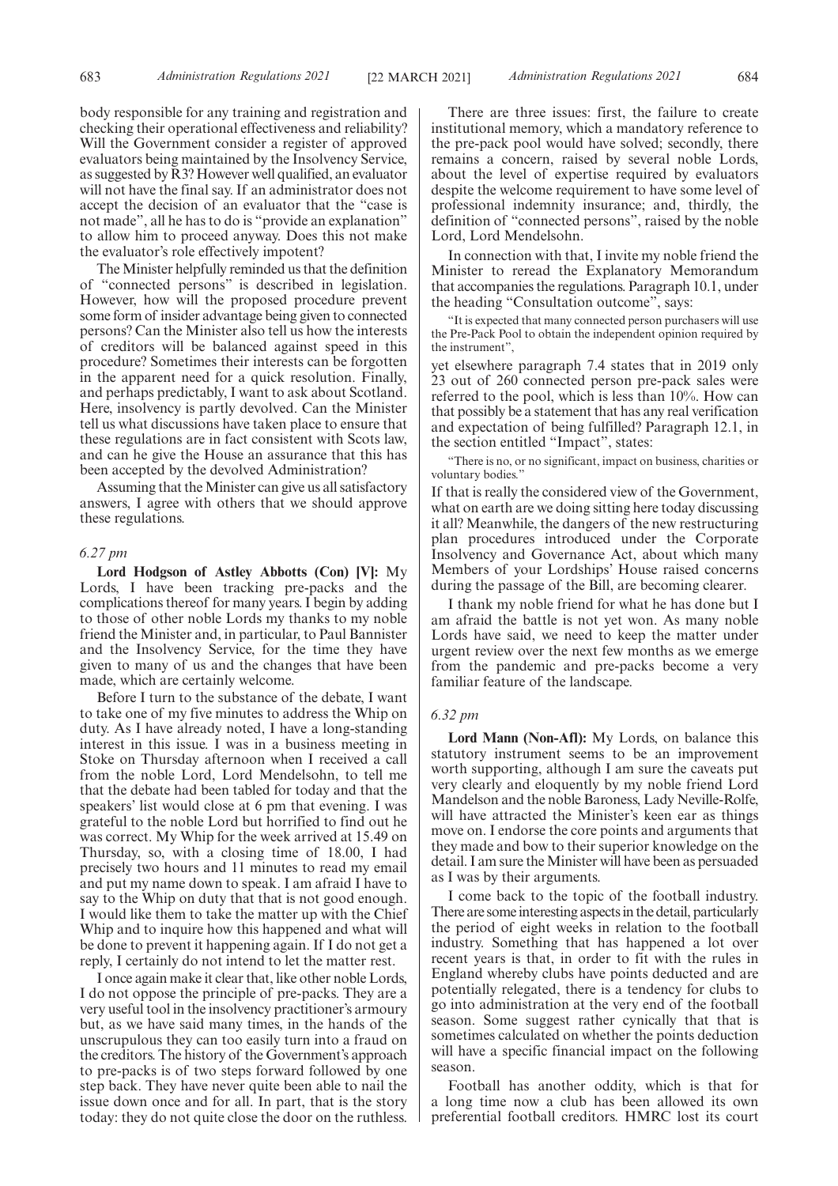body responsible for any training and registration and checking their operational effectiveness and reliability? Will the Government consider a register of approved evaluators being maintained by the Insolvency Service, as suggested by R3? However well qualified, an evaluator will not have the final say. If an administrator does not accept the decision of an evaluator that the "case is not made", all he has to do is "provide an explanation" to allow him to proceed anyway. Does this not make the evaluator's role effectively impotent?

The Minister helpfully reminded us that the definition of "connected persons" is described in legislation. However, how will the proposed procedure prevent some form of insider advantage being given to connected persons? Can the Minister also tell us how the interests of creditors will be balanced against speed in this procedure? Sometimes their interests can be forgotten in the apparent need for a quick resolution. Finally, and perhaps predictably, I want to ask about Scotland. Here, insolvency is partly devolved. Can the Minister tell us what discussions have taken place to ensure that these regulations are in fact consistent with Scots law, and can he give the House an assurance that this has been accepted by the devolved Administration?

Assuming that the Minister can give us all satisfactory answers, I agree with others that we should approve these regulations.

#### *6.27 pm*

**Lord Hodgson of Astley Abbotts (Con) [V]:** My Lords, I have been tracking pre-packs and the complications thereof for many years. I begin by adding to those of other noble Lords my thanks to my noble friend the Minister and, in particular, to Paul Bannister and the Insolvency Service, for the time they have given to many of us and the changes that have been made, which are certainly welcome.

Before I turn to the substance of the debate, I want to take one of my five minutes to address the Whip on duty. As I have already noted, I have a long-standing interest in this issue. I was in a business meeting in Stoke on Thursday afternoon when I received a call from the noble Lord, Lord Mendelsohn, to tell me that the debate had been tabled for today and that the speakers' list would close at 6 pm that evening. I was grateful to the noble Lord but horrified to find out he was correct. My Whip for the week arrived at 15.49 on Thursday, so, with a closing time of 18.00, I had precisely two hours and 11 minutes to read my email and put my name down to speak. I am afraid I have to say to the Whip on duty that that is not good enough. I would like them to take the matter up with the Chief Whip and to inquire how this happened and what will be done to prevent it happening again. If I do not get a reply, I certainly do not intend to let the matter rest.

I once again make it clear that, like other noble Lords, I do not oppose the principle of pre-packs. They are a very useful tool in the insolvency practitioner's armoury but, as we have said many times, in the hands of the unscrupulous they can too easily turn into a fraud on the creditors. The history of the Government's approach to pre-packs is of two steps forward followed by one step back. They have never quite been able to nail the issue down once and for all. In part, that is the story today: they do not quite close the door on the ruthless.

There are three issues: first, the failure to create institutional memory, which a mandatory reference to the pre-pack pool would have solved; secondly, there remains a concern, raised by several noble Lords, about the level of expertise required by evaluators despite the welcome requirement to have some level of professional indemnity insurance; and, thirdly, the definition of "connected persons", raised by the noble Lord, Lord Mendelsohn.

In connection with that, I invite my noble friend the Minister to reread the Explanatory Memorandum that accompanies the regulations. Paragraph 10.1, under the heading "Consultation outcome", says:

"It is expected that many connected person purchasers will use the Pre-Pack Pool to obtain the independent opinion required by the instrument",

yet elsewhere paragraph 7.4 states that in 2019 only 23 out of 260 connected person pre-pack sales were referred to the pool, which is less than 10%. How can that possibly be a statement that has any real verification and expectation of being fulfilled? Paragraph 12.1, in the section entitled "Impact", states:

"There is no, or no significant, impact on business, charities or voluntary bodies.'

If that is really the considered view of the Government, what on earth are we doing sitting here today discussing it all? Meanwhile, the dangers of the new restructuring plan procedures introduced under the Corporate Insolvency and Governance Act, about which many Members of your Lordships' House raised concerns during the passage of the Bill, are becoming clearer.

I thank my noble friend for what he has done but I am afraid the battle is not yet won. As many noble Lords have said, we need to keep the matter under urgent review over the next few months as we emerge from the pandemic and pre-packs become a very familiar feature of the landscape.

## *6.32 pm*

**Lord Mann (Non-Afl):** My Lords, on balance this statutory instrument seems to be an improvement worth supporting, although I am sure the caveats put very clearly and eloquently by my noble friend Lord Mandelson and the noble Baroness, Lady Neville-Rolfe, will have attracted the Minister's keen ear as things move on. I endorse the core points and arguments that they made and bow to their superior knowledge on the detail. I am sure the Minister will have been as persuaded as I was by their arguments.

I come back to the topic of the football industry. There are some interesting aspects in the detail, particularly the period of eight weeks in relation to the football industry. Something that has happened a lot over recent years is that, in order to fit with the rules in England whereby clubs have points deducted and are potentially relegated, there is a tendency for clubs to go into administration at the very end of the football season. Some suggest rather cynically that that is sometimes calculated on whether the points deduction will have a specific financial impact on the following season.

Football has another oddity, which is that for a long time now a club has been allowed its own preferential football creditors. HMRC lost its court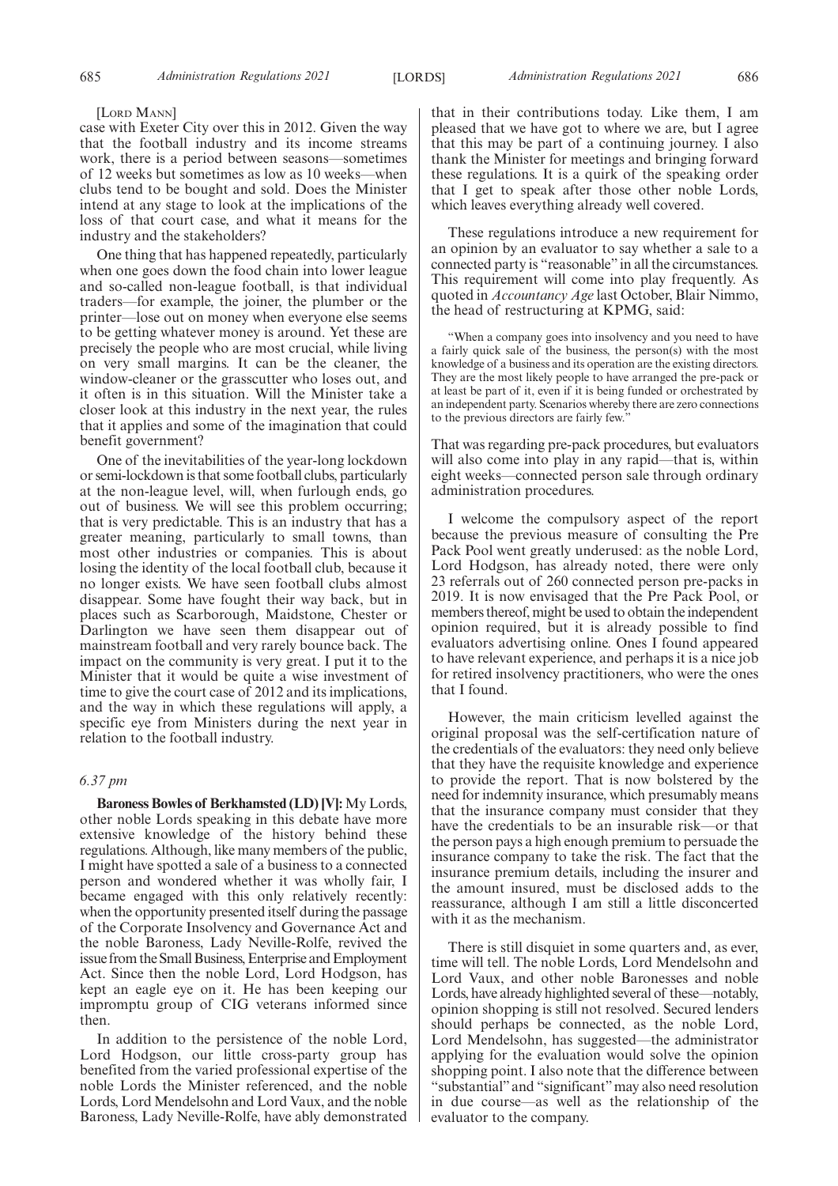#### [LORD MANN]

case with Exeter City over this in 2012. Given the way that the football industry and its income streams work, there is a period between seasons—sometimes of 12 weeks but sometimes as low as 10 weeks—when clubs tend to be bought and sold. Does the Minister intend at any stage to look at the implications of the loss of that court case, and what it means for the industry and the stakeholders?

One thing that has happened repeatedly, particularly when one goes down the food chain into lower league and so-called non-league football, is that individual traders—for example, the joiner, the plumber or the printer—lose out on money when everyone else seems to be getting whatever money is around. Yet these are precisely the people who are most crucial, while living on very small margins. It can be the cleaner, the window-cleaner or the grasscutter who loses out, and it often is in this situation. Will the Minister take a closer look at this industry in the next year, the rules that it applies and some of the imagination that could benefit government?

One of the inevitabilities of the year-long lockdown or semi-lockdown is that some football clubs, particularly at the non-league level, will, when furlough ends, go out of business. We will see this problem occurring; that is very predictable. This is an industry that has a greater meaning, particularly to small towns, than most other industries or companies. This is about losing the identity of the local football club, because it no longer exists. We have seen football clubs almost disappear. Some have fought their way back, but in places such as Scarborough, Maidstone, Chester or Darlington we have seen them disappear out of mainstream football and very rarely bounce back. The impact on the community is very great. I put it to the Minister that it would be quite a wise investment of time to give the court case of 2012 and its implications, and the way in which these regulations will apply, a specific eye from Ministers during the next year in relation to the football industry.

# *6.37 pm*

**Baroness Bowles of Berkhamsted (LD) [V]:** My Lords, other noble Lords speaking in this debate have more extensive knowledge of the history behind these regulations. Although, like many members of the public, I might have spotted a sale of a business to a connected person and wondered whether it was wholly fair, I became engaged with this only relatively recently: when the opportunity presented itself during the passage of the Corporate Insolvency and Governance Act and the noble Baroness, Lady Neville-Rolfe, revived the issue from the Small Business, Enterprise and Employment Act. Since then the noble Lord, Lord Hodgson, has kept an eagle eye on it. He has been keeping our impromptu group of CIG veterans informed since then.

In addition to the persistence of the noble Lord, Lord Hodgson, our little cross-party group has benefited from the varied professional expertise of the noble Lords the Minister referenced, and the noble Lords, Lord Mendelsohn and Lord Vaux, and the noble Baroness, Lady Neville-Rolfe, have ably demonstrated that in their contributions today. Like them, I am pleased that we have got to where we are, but I agree that this may be part of a continuing journey. I also thank the Minister for meetings and bringing forward these regulations. It is a quirk of the speaking order that I get to speak after those other noble Lords, which leaves everything already well covered.

These regulations introduce a new requirement for an opinion by an evaluator to say whether a sale to a connected party is "reasonable"in all the circumstances. This requirement will come into play frequently. As quoted in *Accountancy Age* last October, Blair Nimmo, the head of restructuring at KPMG, said:

"When a company goes into insolvency and you need to have a fairly quick sale of the business, the person(s) with the most knowledge of a business and its operation are the existing directors. They are the most likely people to have arranged the pre-pack or at least be part of it, even if it is being funded or orchestrated by an independent party. Scenarios whereby there are zero connections to the previous directors are fairly few.

That was regarding pre-pack procedures, but evaluators will also come into play in any rapid—that is, within eight weeks—connected person sale through ordinary administration procedures.

I welcome the compulsory aspect of the report because the previous measure of consulting the Pre Pack Pool went greatly underused: as the noble Lord, Lord Hodgson, has already noted, there were only 23 referrals out of 260 connected person pre-packs in 2019. It is now envisaged that the Pre Pack Pool, or members thereof, might be used to obtain the independent opinion required, but it is already possible to find evaluators advertising online. Ones I found appeared to have relevant experience, and perhaps it is a nice job for retired insolvency practitioners, who were the ones that I found.

However, the main criticism levelled against the original proposal was the self-certification nature of the credentials of the evaluators: they need only believe that they have the requisite knowledge and experience to provide the report. That is now bolstered by the need for indemnity insurance, which presumably means that the insurance company must consider that they have the credentials to be an insurable risk—or that the person pays a high enough premium to persuade the insurance company to take the risk. The fact that the insurance premium details, including the insurer and the amount insured, must be disclosed adds to the reassurance, although I am still a little disconcerted with it as the mechanism.

There is still disquiet in some quarters and, as ever, time will tell. The noble Lords, Lord Mendelsohn and Lord Vaux, and other noble Baronesses and noble Lords, have already highlighted several of these—notably, opinion shopping is still not resolved. Secured lenders should perhaps be connected, as the noble Lord, Lord Mendelsohn, has suggested—the administrator applying for the evaluation would solve the opinion shopping point. I also note that the difference between "substantial"and "significant"may also need resolution in due course—as well as the relationship of the evaluator to the company.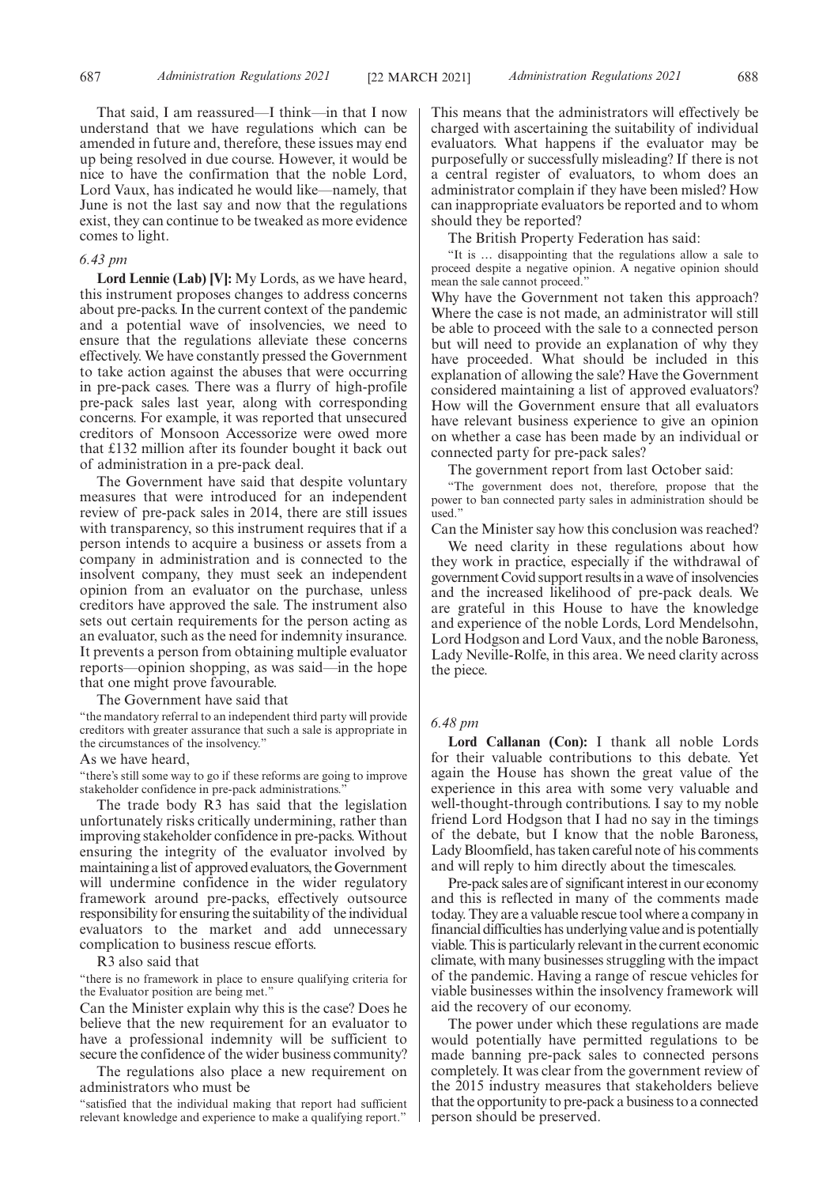That said, I am reassured—I think—in that I now understand that we have regulations which can be amended in future and, therefore, these issues may end up being resolved in due course. However, it would be nice to have the confirmation that the noble Lord, Lord Vaux, has indicated he would like—namely, that June is not the last say and now that the regulations exist, they can continue to be tweaked as more evidence comes to light.

#### *6.43 pm*

**Lord Lennie (Lab) [V]:** My Lords, as we have heard, this instrument proposes changes to address concerns about pre-packs. In the current context of the pandemic and a potential wave of insolvencies, we need to ensure that the regulations alleviate these concerns effectively. We have constantly pressed the Government to take action against the abuses that were occurring in pre-pack cases. There was a flurry of high-profile pre-pack sales last year, along with corresponding concerns. For example, it was reported that unsecured creditors of Monsoon Accessorize were owed more that £132 million after its founder bought it back out of administration in a pre-pack deal.

The Government have said that despite voluntary measures that were introduced for an independent review of pre-pack sales in 2014, there are still issues with transparency, so this instrument requires that if a person intends to acquire a business or assets from a company in administration and is connected to the insolvent company, they must seek an independent opinion from an evaluator on the purchase, unless creditors have approved the sale. The instrument also sets out certain requirements for the person acting as an evaluator, such as the need for indemnity insurance. It prevents a person from obtaining multiple evaluator reports—opinion shopping, as was said—in the hope that one might prove favourable.

The Government have said that

"the mandatory referral to an independent third party will provide creditors with greater assurance that such a sale is appropriate in the circumstances of the insolvency."

# As we have heard,

"there's still some way to go if these reforms are going to improve stakeholder confidence in pre-pack administrations.

The trade body R3 has said that the legislation unfortunately risks critically undermining, rather than improving stakeholder confidence in pre-packs. Without ensuring the integrity of the evaluator involved by maintaining a list of approved evaluators, the Government will undermine confidence in the wider regulatory framework around pre-packs, effectively outsource responsibility for ensuring the suitability of the individual evaluators to the market and add unnecessary complication to business rescue efforts.

# R3 also said that

"there is no framework in place to ensure qualifying criteria for the Evaluator position are being met."

Can the Minister explain why this is the case? Does he believe that the new requirement for an evaluator to have a professional indemnity will be sufficient to secure the confidence of the wider business community?

The regulations also place a new requirement on administrators who must be

"satisfied that the individual making that report had sufficient relevant knowledge and experience to make a qualifying report."

This means that the administrators will effectively be charged with ascertaining the suitability of individual evaluators. What happens if the evaluator may be purposefully or successfully misleading? If there is not a central register of evaluators, to whom does an administrator complain if they have been misled? How can inappropriate evaluators be reported and to whom should they be reported?

The British Property Federation has said:

"It is … disappointing that the regulations allow a sale to proceed despite a negative opinion. A negative opinion should mean the sale cannot proceed."

Why have the Government not taken this approach? Where the case is not made, an administrator will still be able to proceed with the sale to a connected person but will need to provide an explanation of why they have proceeded. What should be included in this explanation of allowing the sale? Have the Government considered maintaining a list of approved evaluators? How will the Government ensure that all evaluators have relevant business experience to give an opinion on whether a case has been made by an individual or connected party for pre-pack sales?

The government report from last October said:

"The government does not, therefore, propose that the power to ban connected party sales in administration should be used."

Can the Minister say how this conclusion was reached?

We need clarity in these regulations about how they work in practice, especially if the withdrawal of government Covid support results in a wave of insolvencies and the increased likelihood of pre-pack deals. We are grateful in this House to have the knowledge and experience of the noble Lords, Lord Mendelsohn, Lord Hodgson and Lord Vaux, and the noble Baroness, Lady Neville-Rolfe, in this area. We need clarity across the piece.

# *6.48 pm*

**Lord Callanan (Con):** I thank all noble Lords for their valuable contributions to this debate. Yet again the House has shown the great value of the experience in this area with some very valuable and well-thought-through contributions. I say to my noble friend Lord Hodgson that I had no say in the timings of the debate, but I know that the noble Baroness, Lady Bloomfield, has taken careful note of his comments and will reply to him directly about the timescales.

Pre-pack sales are of significant interest in our economy and this is reflected in many of the comments made today. They are a valuable rescue tool where a company in financial difficulties has underlying value and is potentially viable. This is particularly relevant in the current economic climate, with many businesses struggling with the impact of the pandemic. Having a range of rescue vehicles for viable businesses within the insolvency framework will aid the recovery of our economy.

The power under which these regulations are made would potentially have permitted regulations to be made banning pre-pack sales to connected persons completely. It was clear from the government review of the 2015 industry measures that stakeholders believe that the opportunity to pre-pack a business to a connected person should be preserved.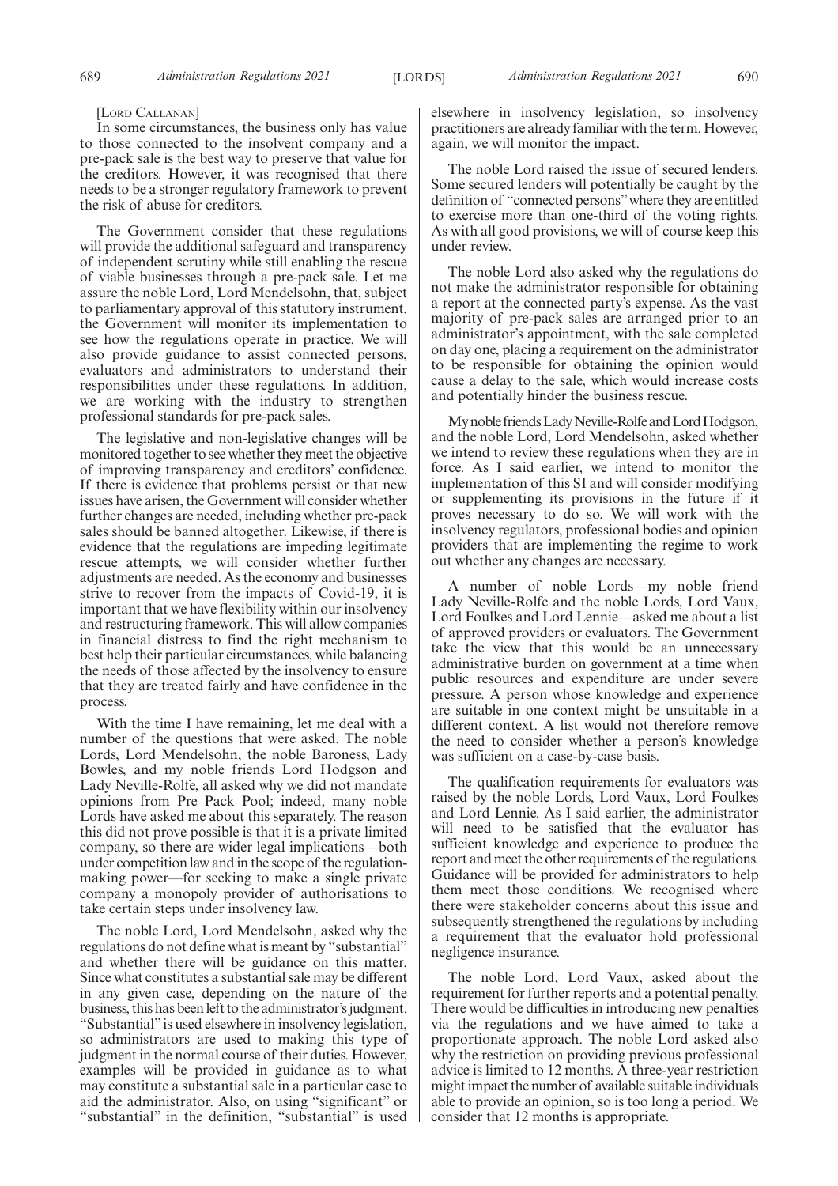#### [LORD CALLANAN]

In some circumstances, the business only has value to those connected to the insolvent company and a pre-pack sale is the best way to preserve that value for the creditors. However, it was recognised that there needs to be a stronger regulatory framework to prevent the risk of abuse for creditors.

The Government consider that these regulations will provide the additional safeguard and transparency of independent scrutiny while still enabling the rescue of viable businesses through a pre-pack sale. Let me assure the noble Lord, Lord Mendelsohn, that, subject to parliamentary approval of this statutory instrument, the Government will monitor its implementation to see how the regulations operate in practice. We will also provide guidance to assist connected persons, evaluators and administrators to understand their responsibilities under these regulations. In addition, we are working with the industry to strengthen professional standards for pre-pack sales.

The legislative and non-legislative changes will be monitored together to see whether they meet the objective of improving transparency and creditors' confidence. If there is evidence that problems persist or that new issues have arisen, the Government will consider whether further changes are needed, including whether pre-pack sales should be banned altogether. Likewise, if there is evidence that the regulations are impeding legitimate rescue attempts, we will consider whether further adjustments are needed. As the economy and businesses strive to recover from the impacts of Covid-19, it is important that we have flexibility within our insolvency and restructuring framework. This will allow companies in financial distress to find the right mechanism to best help their particular circumstances, while balancing the needs of those affected by the insolvency to ensure that they are treated fairly and have confidence in the process.

With the time I have remaining, let me deal with a number of the questions that were asked. The noble Lords, Lord Mendelsohn, the noble Baroness, Lady Bowles, and my noble friends Lord Hodgson and Lady Neville-Rolfe, all asked why we did not mandate opinions from Pre Pack Pool; indeed, many noble Lords have asked me about this separately. The reason this did not prove possible is that it is a private limited company, so there are wider legal implications—both under competition law and in the scope of the regulationmaking power—for seeking to make a single private company a monopoly provider of authorisations to take certain steps under insolvency law.

The noble Lord, Lord Mendelsohn, asked why the regulations do not define what is meant by "substantial" and whether there will be guidance on this matter. Since what constitutes a substantial sale may be different in any given case, depending on the nature of the business, this has been left to the administrator's judgment. "Substantial"is used elsewhere in insolvency legislation, so administrators are used to making this type of judgment in the normal course of their duties. However, examples will be provided in guidance as to what may constitute a substantial sale in a particular case to aid the administrator. Also, on using "significant" or "substantial" in the definition, "substantial" is used elsewhere in insolvency legislation, so insolvency practitioners are already familiar with the term. However, again, we will monitor the impact.

The noble Lord raised the issue of secured lenders. Some secured lenders will potentially be caught by the definition of "connected persons"where they are entitled to exercise more than one-third of the voting rights. As with all good provisions, we will of course keep this under review.

The noble Lord also asked why the regulations do not make the administrator responsible for obtaining a report at the connected party's expense. As the vast majority of pre-pack sales are arranged prior to an administrator's appointment, with the sale completed on day one, placing a requirement on the administrator to be responsible for obtaining the opinion would cause a delay to the sale, which would increase costs and potentially hinder the business rescue.

My noble friends Lady Neville-Rolfe and Lord Hodgson, and the noble Lord, Lord Mendelsohn, asked whether we intend to review these regulations when they are in force. As I said earlier, we intend to monitor the implementation of this SI and will consider modifying or supplementing its provisions in the future if it proves necessary to do so. We will work with the insolvency regulators, professional bodies and opinion providers that are implementing the regime to work out whether any changes are necessary.

A number of noble Lords—my noble friend Lady Neville-Rolfe and the noble Lords, Lord Vaux, Lord Foulkes and Lord Lennie—asked me about a list of approved providers or evaluators. The Government take the view that this would be an unnecessary administrative burden on government at a time when public resources and expenditure are under severe pressure. A person whose knowledge and experience are suitable in one context might be unsuitable in a different context. A list would not therefore remove the need to consider whether a person's knowledge was sufficient on a case-by-case basis.

The qualification requirements for evaluators was raised by the noble Lords, Lord Vaux, Lord Foulkes and Lord Lennie. As I said earlier, the administrator will need to be satisfied that the evaluator has sufficient knowledge and experience to produce the report and meet the other requirements of the regulations. Guidance will be provided for administrators to help them meet those conditions. We recognised where there were stakeholder concerns about this issue and subsequently strengthened the regulations by including a requirement that the evaluator hold professional negligence insurance.

The noble Lord, Lord Vaux, asked about the requirement for further reports and a potential penalty. There would be difficulties in introducing new penalties via the regulations and we have aimed to take a proportionate approach. The noble Lord asked also why the restriction on providing previous professional advice is limited to 12 months. A three-year restriction might impact the number of available suitable individuals able to provide an opinion, so is too long a period. We consider that 12 months is appropriate.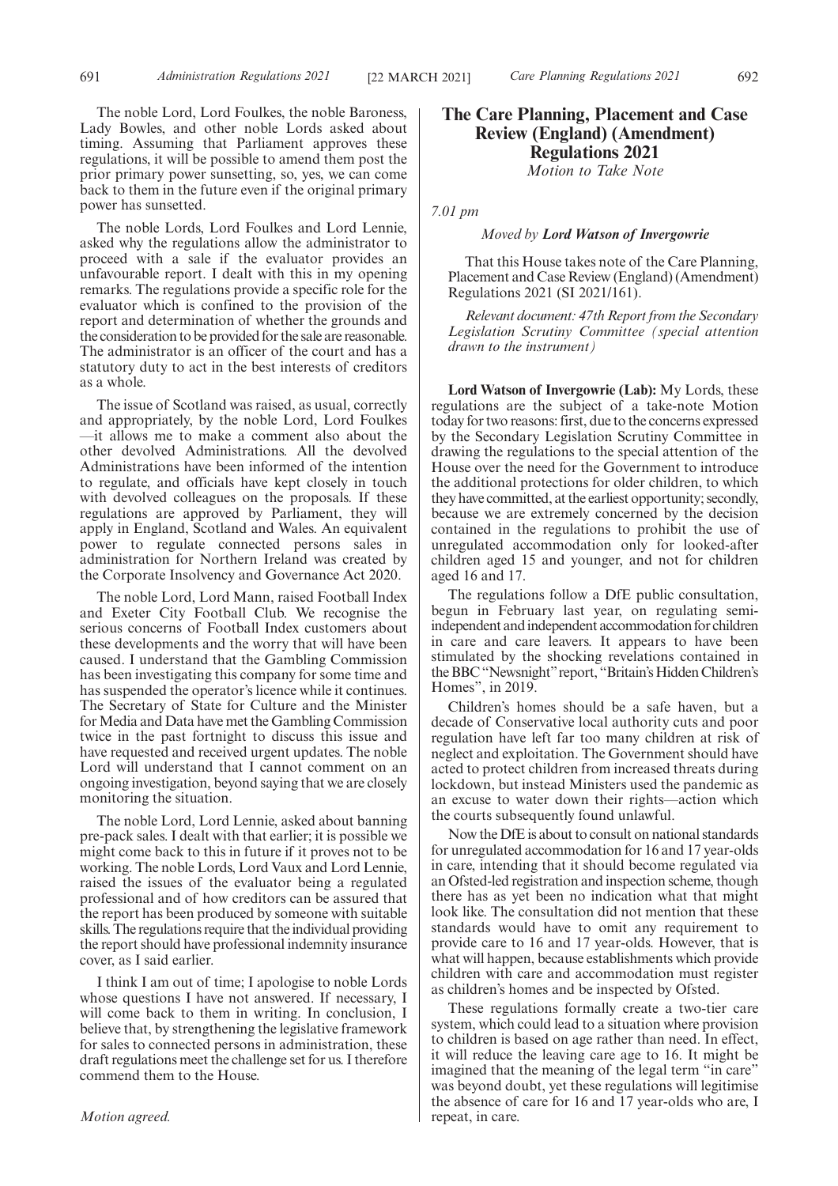The noble Lord, Lord Foulkes, the noble Baroness, Lady Bowles, and other noble Lords asked about timing. Assuming that Parliament approves these regulations, it will be possible to amend them post the prior primary power sunsetting, so, yes, we can come back to them in the future even if the original primary power has sunsetted.

The noble Lords, Lord Foulkes and Lord Lennie, asked why the regulations allow the administrator to proceed with a sale if the evaluator provides an unfavourable report. I dealt with this in my opening remarks. The regulations provide a specific role for the evaluator which is confined to the provision of the report and determination of whether the grounds and the consideration to be provided for the sale are reasonable. The administrator is an officer of the court and has a statutory duty to act in the best interests of creditors as a whole.

The issue of Scotland was raised, as usual, correctly and appropriately, by the noble Lord, Lord Foulkes —it allows me to make a comment also about the other devolved Administrations. All the devolved Administrations have been informed of the intention to regulate, and officials have kept closely in touch with devolved colleagues on the proposals. If these regulations are approved by Parliament, they will apply in England, Scotland and Wales. An equivalent power to regulate connected persons sales in administration for Northern Ireland was created by the Corporate Insolvency and Governance Act 2020.

The noble Lord, Lord Mann, raised Football Index and Exeter City Football Club. We recognise the serious concerns of Football Index customers about these developments and the worry that will have been caused. I understand that the Gambling Commission has been investigating this company for some time and has suspended the operator's licence while it continues. The Secretary of State for Culture and the Minister for Media and Data have met the Gambling Commission twice in the past fortnight to discuss this issue and have requested and received urgent updates. The noble Lord will understand that I cannot comment on an ongoing investigation, beyond saying that we are closely monitoring the situation.

The noble Lord, Lord Lennie, asked about banning pre-pack sales. I dealt with that earlier; it is possible we might come back to this in future if it proves not to be working. The noble Lords, Lord Vaux and Lord Lennie, raised the issues of the evaluator being a regulated professional and of how creditors can be assured that the report has been produced by someone with suitable skills. The regulations require that the individual providing the report should have professional indemnity insurance cover, as I said earlier.

I think I am out of time; I apologise to noble Lords whose questions I have not answered. If necessary, I will come back to them in writing. In conclusion, I believe that, by strengthening the legislative framework for sales to connected persons in administration, these draft regulations meet the challenge set for us. I therefore commend them to the House.

# **The Care Planning, Placement and Case Review (England) (Amendment) Regulations 2021**

*Motion to Take Note*

*7.01 pm*

# *Moved by Lord Watson of Invergowrie*

That this House takes note of the Care Planning, Placement and Case Review (England) (Amendment) Regulations 2021 (SI 2021/161).

*Relevant document: 47th Report from the Secondary Legislation Scrutiny Committee (special attention drawn to the instrument)*

**Lord Watson of Invergowrie (Lab):** My Lords, these regulations are the subject of a take-note Motion today for two reasons: first, due to the concerns expressed by the Secondary Legislation Scrutiny Committee in drawing the regulations to the special attention of the House over the need for the Government to introduce the additional protections for older children, to which they have committed, at the earliest opportunity; secondly, because we are extremely concerned by the decision contained in the regulations to prohibit the use of unregulated accommodation only for looked-after children aged 15 and younger, and not for children aged 16 and 17.

The regulations follow a DfE public consultation, begun in February last year, on regulating semiindependent and independent accommodation for children in care and care leavers. It appears to have been stimulated by the shocking revelations contained in the BBC "Newsnight" report, "Britain's Hidden Children's Homes", in 2019.

Children's homes should be a safe haven, but a decade of Conservative local authority cuts and poor regulation have left far too many children at risk of neglect and exploitation. The Government should have acted to protect children from increased threats during lockdown, but instead Ministers used the pandemic as an excuse to water down their rights—action which the courts subsequently found unlawful.

Now the DfE is about to consult on national standards for unregulated accommodation for 16 and 17 year-olds in care, intending that it should become regulated via an Ofsted-led registration and inspection scheme, though there has as yet been no indication what that might look like. The consultation did not mention that these standards would have to omit any requirement to provide care to 16 and 17 year-olds. However, that is what will happen, because establishments which provide children with care and accommodation must register as children's homes and be inspected by Ofsted.

These regulations formally create a two-tier care system, which could lead to a situation where provision to children is based on age rather than need. In effect, it will reduce the leaving care age to 16. It might be imagined that the meaning of the legal term "in care" was beyond doubt, yet these regulations will legitimise the absence of care for 16 and 17 year-olds who are, I repeat, in care.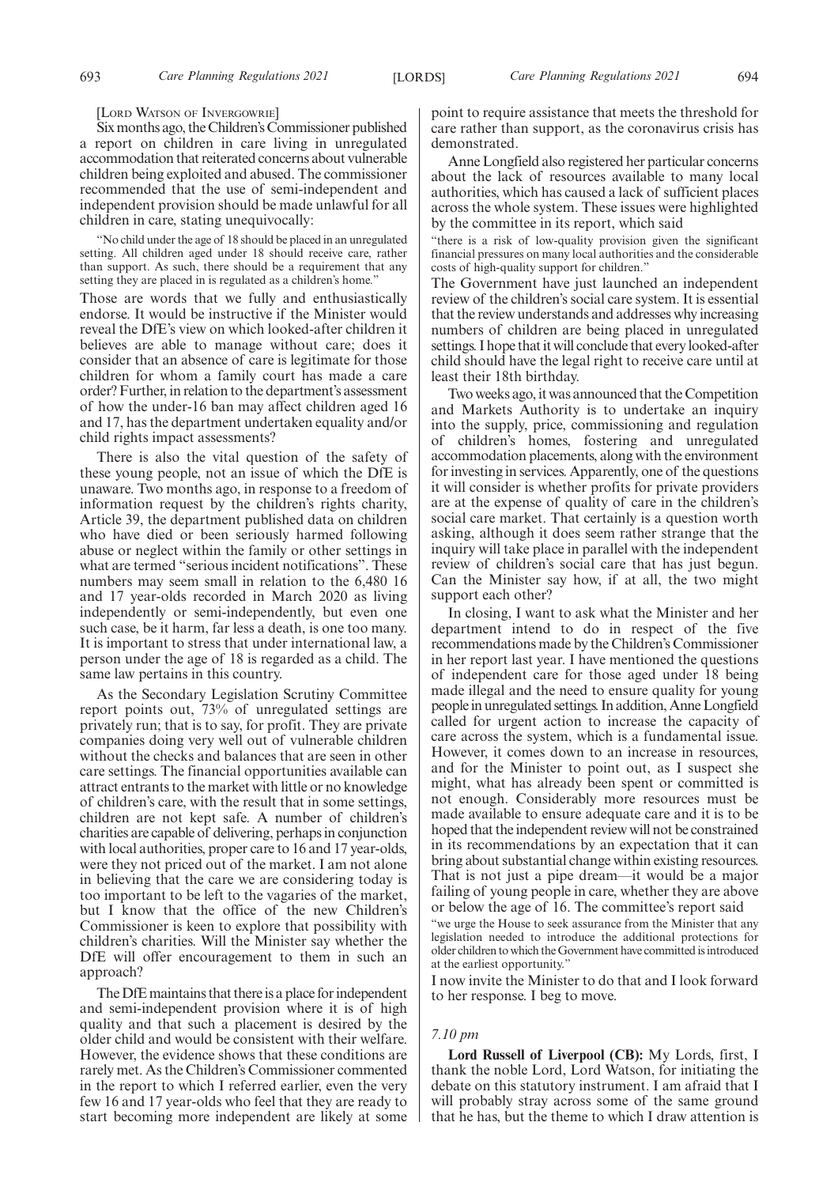[LORD WATSON OF INVERGOWRIE]

Six months ago, the Children's Commissioner published a report on children in care living in unregulated accommodation that reiterated concerns about vulnerable children being exploited and abused. The commissioner recommended that the use of semi-independent and independent provision should be made unlawful for all children in care, stating unequivocally:

"No child under the age of 18 should be placed in an unregulated setting. All children aged under 18 should receive care, rather than support. As such, there should be a requirement that any setting they are placed in is regulated as a children's home."

Those are words that we fully and enthusiastically endorse. It would be instructive if the Minister would reveal the DfE's view on which looked-after children it believes are able to manage without care; does it consider that an absence of care is legitimate for those children for whom a family court has made a care order? Further, in relation to the department's assessment of how the under-16 ban may affect children aged 16 and 17, has the department undertaken equality and/or child rights impact assessments?

There is also the vital question of the safety of these young people, not an issue of which the DfE is unaware. Two months ago, in response to a freedom of information request by the children's rights charity, Article 39, the department published data on children who have died or been seriously harmed following abuse or neglect within the family or other settings in what are termed "serious incident notifications". These numbers may seem small in relation to the 6,480 16 and 17 year-olds recorded in March 2020 as living independently or semi-independently, but even one such case, be it harm, far less a death, is one too many. It is important to stress that under international law, a person under the age of 18 is regarded as a child. The same law pertains in this country.

As the Secondary Legislation Scrutiny Committee report points out, 73% of unregulated settings are privately run; that is to say, for profit. They are private companies doing very well out of vulnerable children without the checks and balances that are seen in other care settings. The financial opportunities available can attract entrants to the market with little or no knowledge of children's care, with the result that in some settings, children are not kept safe. A number of children's charities are capable of delivering, perhaps in conjunction with local authorities, proper care to 16 and 17 year-olds, were they not priced out of the market. I am not alone in believing that the care we are considering today is too important to be left to the vagaries of the market, but I know that the office of the new Children's Commissioner is keen to explore that possibility with children's charities. Will the Minister say whether the DfE will offer encouragement to them in such an approach?

The DfE maintains that there is a place for independent and semi-independent provision where it is of high quality and that such a placement is desired by the older child and would be consistent with their welfare. However, the evidence shows that these conditions are rarely met. As the Children's Commissioner commented in the report to which I referred earlier, even the very few 16 and 17 year-olds who feel that they are ready to start becoming more independent are likely at some point to require assistance that meets the threshold for care rather than support, as the coronavirus crisis has demonstrated.

Anne Longfield also registered her particular concerns about the lack of resources available to many local authorities, which has caused a lack of sufficient places across the whole system. These issues were highlighted by the committee in its report, which said

"there is a risk of low-quality provision given the significant financial pressures on many local authorities and the considerable costs of high-quality support for children."

The Government have just launched an independent review of the children's social care system. It is essential that the review understands and addresses why increasing numbers of children are being placed in unregulated settings. I hope that it will conclude that every looked-after child should have the legal right to receive care until at least their 18th birthday.

Two weeks ago, it was announced that the Competition and Markets Authority is to undertake an inquiry into the supply, price, commissioning and regulation of children's homes, fostering and unregulated accommodation placements, along with the environment for investing in services. Apparently, one of the questions it will consider is whether profits for private providers are at the expense of quality of care in the children's social care market. That certainly is a question worth asking, although it does seem rather strange that the inquiry will take place in parallel with the independent review of children's social care that has just begun. Can the Minister say how, if at all, the two might support each other?

In closing, I want to ask what the Minister and her department intend to do in respect of the five recommendations made by the Children's Commissioner in her report last year. I have mentioned the questions of independent care for those aged under 18 being made illegal and the need to ensure quality for young people in unregulated settings. In addition, Anne Longfield called for urgent action to increase the capacity of care across the system, which is a fundamental issue. However, it comes down to an increase in resources, and for the Minister to point out, as I suspect she might, what has already been spent or committed is not enough. Considerably more resources must be made available to ensure adequate care and it is to be hoped that the independent review will not be constrained in its recommendations by an expectation that it can bring about substantial change within existing resources. That is not just a pipe dream—it would be a major failing of young people in care, whether they are above or below the age of 16. The committee's report said

"we urge the House to seek assurance from the Minister that any legislation needed to introduce the additional protections for older children to which the Government have committed is introduced at the earliest opportunity."

I now invite the Minister to do that and I look forward to her response. I beg to move.

#### *7.10 pm*

**Lord Russell of Liverpool (CB):** My Lords, first, I thank the noble Lord, Lord Watson, for initiating the debate on this statutory instrument. I am afraid that I will probably stray across some of the same ground that he has, but the theme to which I draw attention is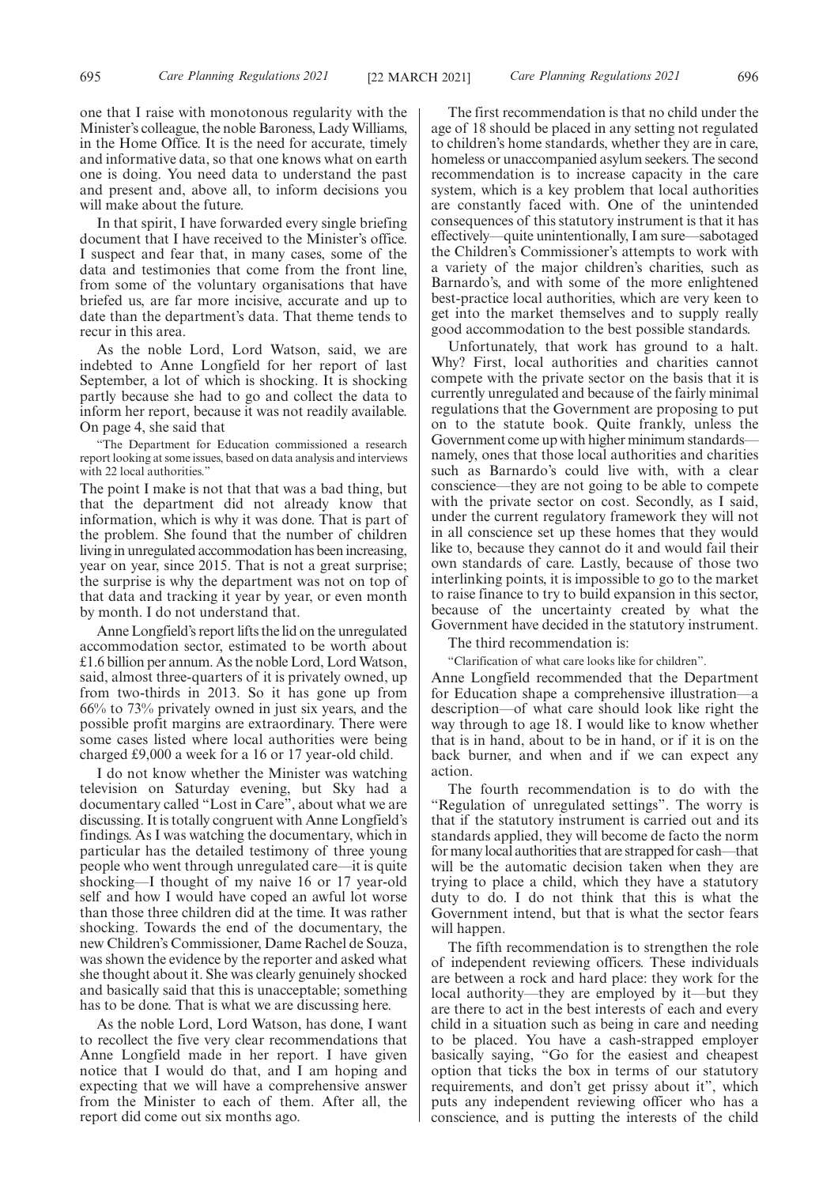one that I raise with monotonous regularity with the Minister's colleague, the noble Baroness, Lady Williams, in the Home Office. It is the need for accurate, timely and informative data, so that one knows what on earth one is doing. You need data to understand the past and present and, above all, to inform decisions you will make about the future.

In that spirit, I have forwarded every single briefing document that I have received to the Minister's office. I suspect and fear that, in many cases, some of the data and testimonies that come from the front line, from some of the voluntary organisations that have briefed us, are far more incisive, accurate and up to date than the department's data. That theme tends to recur in this area.

As the noble Lord, Lord Watson, said, we are indebted to Anne Longfield for her report of last September, a lot of which is shocking. It is shocking partly because she had to go and collect the data to inform her report, because it was not readily available. On page 4, she said that

"The Department for Education commissioned a research report looking at some issues, based on data analysis and interviews with 22 local authorities."

The point I make is not that that was a bad thing, but that the department did not already know that information, which is why it was done. That is part of the problem. She found that the number of children living in unregulated accommodation has been increasing, year on year, since 2015. That is not a great surprise; the surprise is why the department was not on top of that data and tracking it year by year, or even month by month. I do not understand that.

Anne Longfield's report lifts the lid on the unregulated accommodation sector, estimated to be worth about £1.6 billion per annum. As the noble Lord, Lord Watson, said, almost three-quarters of it is privately owned, up from two-thirds in 2013. So it has gone up from 66% to 73% privately owned in just six years, and the possible profit margins are extraordinary. There were some cases listed where local authorities were being charged £9,000 a week for a 16 or 17 year-old child.

I do not know whether the Minister was watching television on Saturday evening, but Sky had a documentary called "Lost in Care", about what we are discussing. It is totally congruent with Anne Longfield's findings. As I was watching the documentary, which in particular has the detailed testimony of three young people who went through unregulated care—it is quite shocking—I thought of my naive 16 or 17 year-old self and how I would have coped an awful lot worse than those three children did at the time. It was rather shocking. Towards the end of the documentary, the new Children's Commissioner, Dame Rachel de Souza, was shown the evidence by the reporter and asked what she thought about it. She was clearly genuinely shocked and basically said that this is unacceptable; something has to be done. That is what we are discussing here.

As the noble Lord, Lord Watson, has done, I want to recollect the five very clear recommendations that Anne Longfield made in her report. I have given notice that I would do that, and I am hoping and expecting that we will have a comprehensive answer from the Minister to each of them. After all, the report did come out six months ago.

The first recommendation is that no child under the age of 18 should be placed in any setting not regulated to children's home standards, whether they are in care, homeless or unaccompanied asylum seekers. The second recommendation is to increase capacity in the care system, which is a key problem that local authorities are constantly faced with. One of the unintended consequences of this statutory instrument is that it has effectively—quite unintentionally, I am sure—sabotaged the Children's Commissioner's attempts to work with a variety of the major children's charities, such as Barnardo's, and with some of the more enlightened best-practice local authorities, which are very keen to get into the market themselves and to supply really good accommodation to the best possible standards.

Unfortunately, that work has ground to a halt. Why? First, local authorities and charities cannot compete with the private sector on the basis that it is currently unregulated and because of the fairly minimal regulations that the Government are proposing to put on to the statute book. Quite frankly, unless the Government come up with higher minimum standards namely, ones that those local authorities and charities such as Barnardo's could live with, with a clear conscience—they are not going to be able to compete with the private sector on cost. Secondly, as I said, under the current regulatory framework they will not in all conscience set up these homes that they would like to, because they cannot do it and would fail their own standards of care. Lastly, because of those two interlinking points, it is impossible to go to the market to raise finance to try to build expansion in this sector, because of the uncertainty created by what the Government have decided in the statutory instrument.

The third recommendation is:

"Clarification of what care looks like for children".

Anne Longfield recommended that the Department for Education shape a comprehensive illustration—a description—of what care should look like right the way through to age 18. I would like to know whether that is in hand, about to be in hand, or if it is on the back burner, and when and if we can expect any action.

The fourth recommendation is to do with the "Regulation of unregulated settings". The worry is that if the statutory instrument is carried out and its standards applied, they will become de facto the norm for many local authorities that are strapped for cash—that will be the automatic decision taken when they are trying to place a child, which they have a statutory duty to do. I do not think that this is what the Government intend, but that is what the sector fears will happen.

The fifth recommendation is to strengthen the role of independent reviewing officers. These individuals are between a rock and hard place: they work for the local authority—they are employed by it—but they are there to act in the best interests of each and every child in a situation such as being in care and needing to be placed. You have a cash-strapped employer basically saying, "Go for the easiest and cheapest option that ticks the box in terms of our statutory requirements, and don't get prissy about it", which puts any independent reviewing officer who has a conscience, and is putting the interests of the child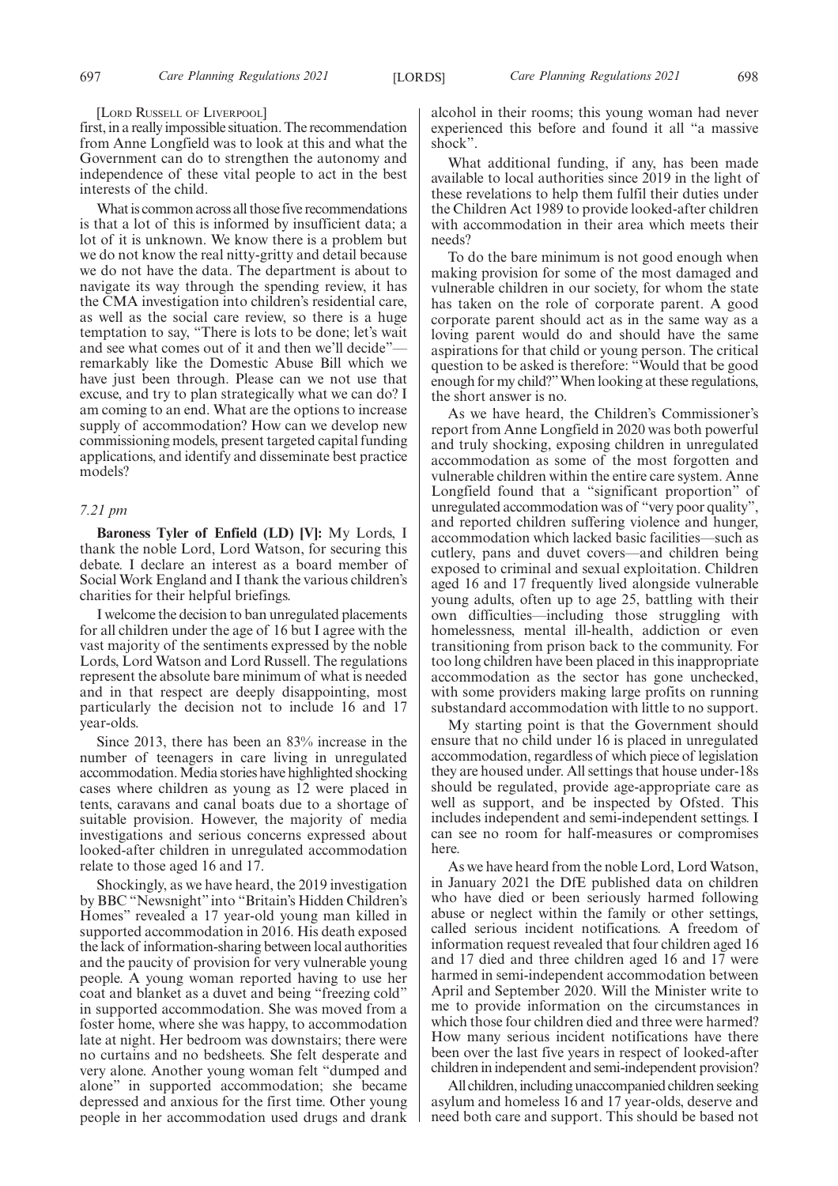#### [LORD RUSSELL OF LIVERPOOL]

first, in a really impossible situation. The recommendation from Anne Longfield was to look at this and what the Government can do to strengthen the autonomy and independence of these vital people to act in the best interests of the child.

What is common across all those five recommendations is that a lot of this is informed by insufficient data; a lot of it is unknown. We know there is a problem but we do not know the real nitty-gritty and detail because we do not have the data. The department is about to navigate its way through the spending review, it has the CMA investigation into children's residential care, as well as the social care review, so there is a huge temptation to say, "There is lots to be done; let's wait and see what comes out of it and then we'll decide" remarkably like the Domestic Abuse Bill which we have just been through. Please can we not use that excuse, and try to plan strategically what we can do? I am coming to an end. What are the options to increase supply of accommodation? How can we develop new commissioning models, present targeted capital funding applications, and identify and disseminate best practice models?

# *7.21 pm*

**Baroness Tyler of Enfield (LD) [V]:** My Lords, I thank the noble Lord, Lord Watson, for securing this debate. I declare an interest as a board member of Social Work England and I thank the various children's charities for their helpful briefings.

I welcome the decision to ban unregulated placements for all children under the age of 16 but I agree with the vast majority of the sentiments expressed by the noble Lords, Lord Watson and Lord Russell. The regulations represent the absolute bare minimum of what is needed and in that respect are deeply disappointing, most particularly the decision not to include 16 and 17 year-olds.

Since 2013, there has been an 83% increase in the number of teenagers in care living in unregulated accommodation. Media stories have highlighted shocking cases where children as young as 12 were placed in tents, caravans and canal boats due to a shortage of suitable provision. However, the majority of media investigations and serious concerns expressed about looked-after children in unregulated accommodation relate to those aged 16 and 17.

Shockingly, as we have heard, the 2019 investigation by BBC "Newsnight" into "Britain's Hidden Children's Homes" revealed a 17 year-old young man killed in supported accommodation in 2016. His death exposed the lack of information-sharing between local authorities and the paucity of provision for very vulnerable young people. A young woman reported having to use her coat and blanket as a duvet and being "freezing cold" in supported accommodation. She was moved from a foster home, where she was happy, to accommodation late at night. Her bedroom was downstairs; there were no curtains and no bedsheets. She felt desperate and very alone. Another young woman felt "dumped and alone" in supported accommodation; she became depressed and anxious for the first time. Other young people in her accommodation used drugs and drank alcohol in their rooms; this young woman had never experienced this before and found it all "a massive shock".

What additional funding, if any, has been made available to local authorities since 2019 in the light of these revelations to help them fulfil their duties under the Children Act 1989 to provide looked-after children with accommodation in their area which meets their needs?

To do the bare minimum is not good enough when making provision for some of the most damaged and vulnerable children in our society, for whom the state has taken on the role of corporate parent. A good corporate parent should act as in the same way as a loving parent would do and should have the same aspirations for that child or young person. The critical question to be asked is therefore: "Would that be good enough for my child?"When looking at these regulations, the short answer is no.

As we have heard, the Children's Commissioner's report from Anne Longfield in 2020 was both powerful and truly shocking, exposing children in unregulated accommodation as some of the most forgotten and vulnerable children within the entire care system. Anne Longfield found that a "significant proportion" of unregulated accommodation was of "very poor quality", and reported children suffering violence and hunger, accommodation which lacked basic facilities—such as cutlery, pans and duvet covers—and children being exposed to criminal and sexual exploitation. Children aged 16 and 17 frequently lived alongside vulnerable young adults, often up to age 25, battling with their own difficulties—including those struggling with homelessness, mental ill-health, addiction or even transitioning from prison back to the community. For too long children have been placed in this inappropriate accommodation as the sector has gone unchecked, with some providers making large profits on running substandard accommodation with little to no support.

My starting point is that the Government should ensure that no child under 16 is placed in unregulated accommodation, regardless of which piece of legislation they are housed under. All settings that house under-18s should be regulated, provide age-appropriate care as well as support, and be inspected by Ofsted. This includes independent and semi-independent settings. I can see no room for half-measures or compromises here.

As we have heard from the noble Lord, Lord Watson, in January 2021 the DfE published data on children who have died or been seriously harmed following abuse or neglect within the family or other settings, called serious incident notifications. A freedom of information request revealed that four children aged 16 and 17 died and three children aged 16 and 17 were harmed in semi-independent accommodation between April and September 2020. Will the Minister write to me to provide information on the circumstances in which those four children died and three were harmed? How many serious incident notifications have there been over the last five years in respect of looked-after children in independent and semi-independent provision?

All children, including unaccompanied children seeking asylum and homeless 16 and 17 year-olds, deserve and need both care and support. This should be based not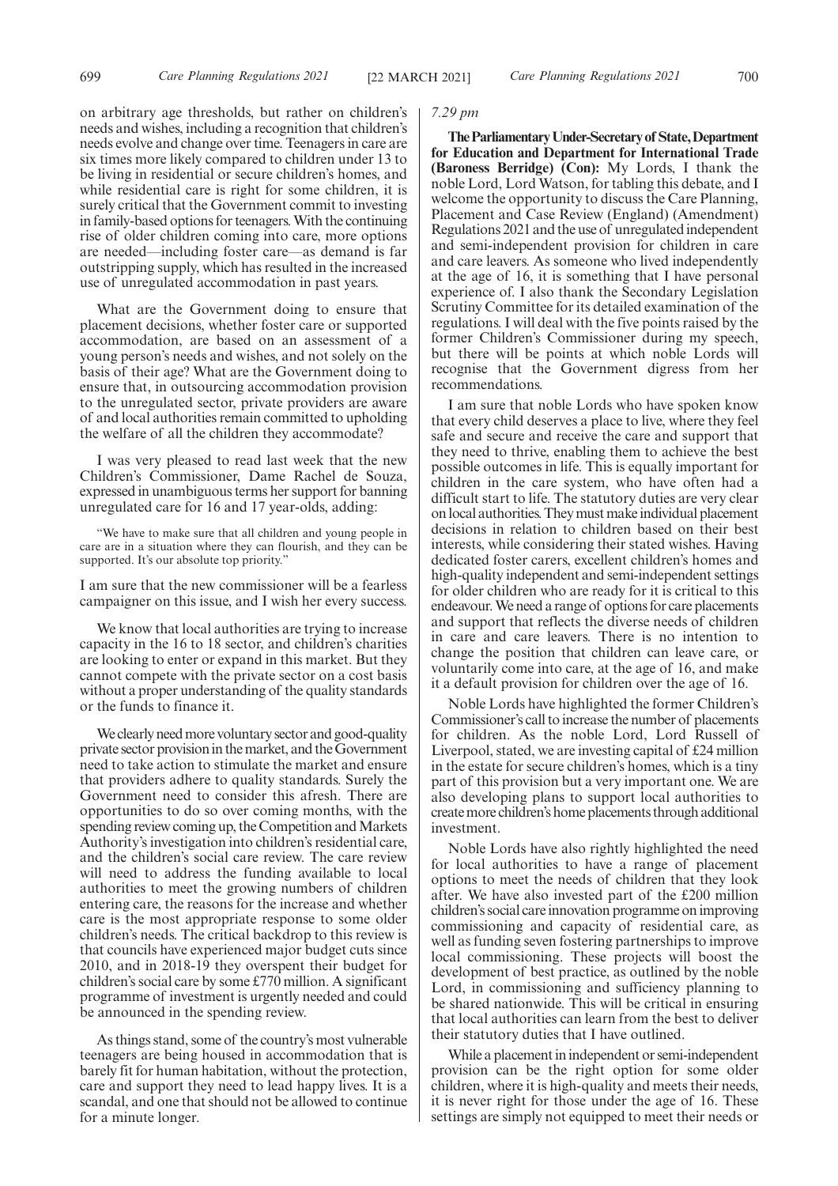on arbitrary age thresholds, but rather on children's needs and wishes, including a recognition that children's needs evolve and change over time. Teenagers in care are six times more likely compared to children under 13 to be living in residential or secure children's homes, and while residential care is right for some children, it is surely critical that the Government commit to investing in family-based options for teenagers. With the continuing rise of older children coming into care, more options are needed—including foster care—as demand is far outstripping supply, which has resulted in the increased use of unregulated accommodation in past years.

What are the Government doing to ensure that placement decisions, whether foster care or supported accommodation, are based on an assessment of a young person's needs and wishes, and not solely on the basis of their age? What are the Government doing to ensure that, in outsourcing accommodation provision to the unregulated sector, private providers are aware of and local authorities remain committed to upholding the welfare of all the children they accommodate?

I was very pleased to read last week that the new Children's Commissioner, Dame Rachel de Souza, expressed in unambiguous terms her support for banning unregulated care for 16 and 17 year-olds, adding:

"We have to make sure that all children and young people in care are in a situation where they can flourish, and they can be supported. It's our absolute top priority.'

I am sure that the new commissioner will be a fearless campaigner on this issue, and I wish her every success.

We know that local authorities are trying to increase capacity in the 16 to 18 sector, and children's charities are looking to enter or expand in this market. But they cannot compete with the private sector on a cost basis without a proper understanding of the quality standards or the funds to finance it.

We clearly need more voluntary sector and good-quality private sector provision in the market, and the Government need to take action to stimulate the market and ensure that providers adhere to quality standards. Surely the Government need to consider this afresh. There are opportunities to do so over coming months, with the spending review coming up, the Competition and Markets Authority's investigation into children's residential care, and the children's social care review. The care review will need to address the funding available to local authorities to meet the growing numbers of children entering care, the reasons for the increase and whether care is the most appropriate response to some older children's needs. The critical backdrop to this review is that councils have experienced major budget cuts since 2010, and in 2018-19 they overspent their budget for children's social care by some £770 million. A significant programme of investment is urgently needed and could be announced in the spending review.

As things stand, some of the country's most vulnerable teenagers are being housed in accommodation that is barely fit for human habitation, without the protection, care and support they need to lead happy lives. It is a scandal, and one that should not be allowed to continue for a minute longer.

## *7.29 pm*

**TheParliamentaryUnder-Secretaryof State,Department for Education and Department for International Trade (Baroness Berridge) (Con):** My Lords, I thank the noble Lord, Lord Watson, for tabling this debate, and I welcome the opportunity to discuss the Care Planning, Placement and Case Review (England) (Amendment) Regulations 2021 and the use of unregulated independent and semi-independent provision for children in care and care leavers. As someone who lived independently at the age of 16, it is something that I have personal experience of. I also thank the Secondary Legislation Scrutiny Committee for its detailed examination of the regulations. I will deal with the five points raised by the former Children's Commissioner during my speech, but there will be points at which noble Lords will recognise that the Government digress from her recommendations.

I am sure that noble Lords who have spoken know that every child deserves a place to live, where they feel safe and secure and receive the care and support that they need to thrive, enabling them to achieve the best possible outcomes in life. This is equally important for children in the care system, who have often had a difficult start to life. The statutory duties are very clear on local authorities. They must make individual placement decisions in relation to children based on their best interests, while considering their stated wishes. Having dedicated foster carers, excellent children's homes and high-quality independent and semi-independent settings for older children who are ready for it is critical to this endeavour. We need a range of options for care placements and support that reflects the diverse needs of children in care and care leavers. There is no intention to change the position that children can leave care, or voluntarily come into care, at the age of 16, and make it a default provision for children over the age of 16.

Noble Lords have highlighted the former Children's Commissioner's call to increase the number of placements for children. As the noble Lord, Lord Russell of Liverpool, stated, we are investing capital of £24 million in the estate for secure children's homes, which is a tiny part of this provision but a very important one. We are also developing plans to support local authorities to create more children's home placements through additional investment.

Noble Lords have also rightly highlighted the need for local authorities to have a range of placement options to meet the needs of children that they look after. We have also invested part of the £200 million children's social care innovation programme on improving commissioning and capacity of residential care, as well as funding seven fostering partnerships to improve local commissioning. These projects will boost the development of best practice, as outlined by the noble Lord, in commissioning and sufficiency planning to be shared nationwide. This will be critical in ensuring that local authorities can learn from the best to deliver their statutory duties that I have outlined.

While a placement in independent or semi-independent provision can be the right option for some older children, where it is high-quality and meets their needs, it is never right for those under the age of 16. These settings are simply not equipped to meet their needs or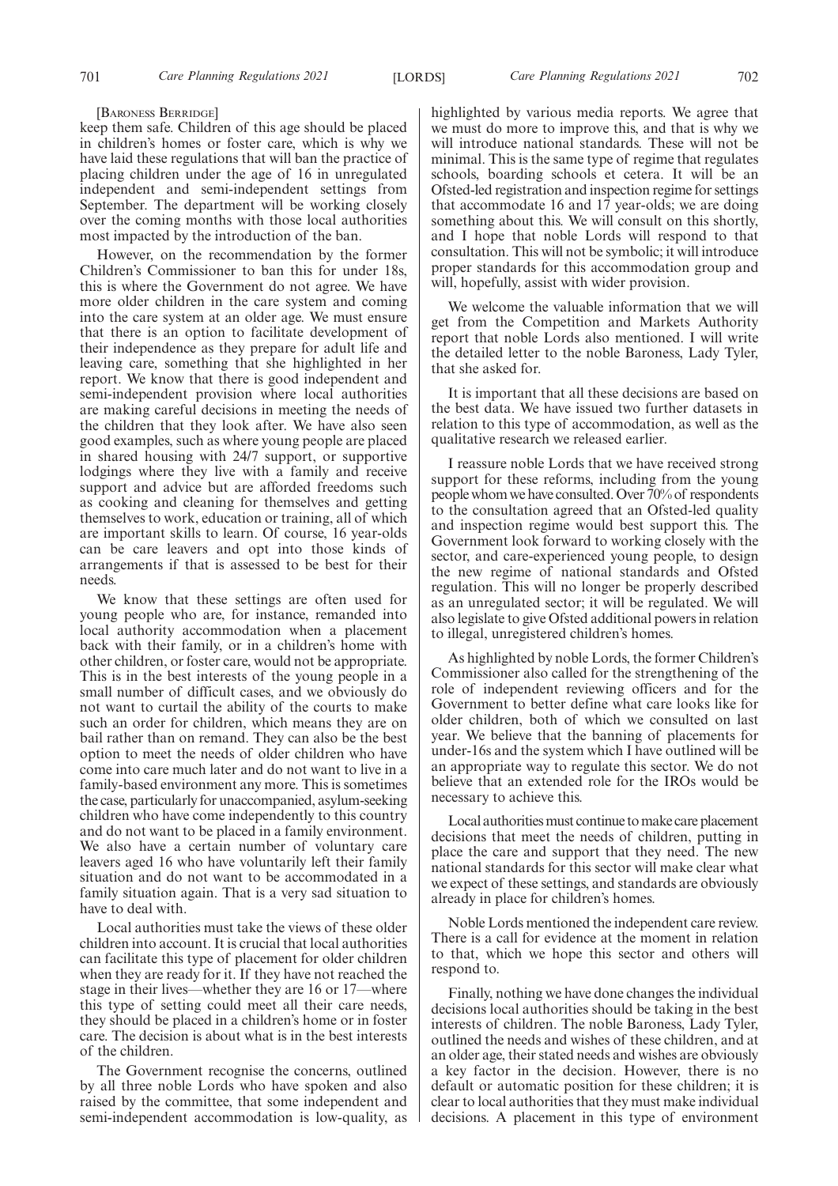[BARONESS BERRIDGE]

keep them safe. Children of this age should be placed in children's homes or foster care, which is why we have laid these regulations that will ban the practice of placing children under the age of 16 in unregulated independent and semi-independent settings from September. The department will be working closely over the coming months with those local authorities most impacted by the introduction of the ban.

However, on the recommendation by the former Children's Commissioner to ban this for under 18s, this is where the Government do not agree. We have more older children in the care system and coming into the care system at an older age. We must ensure that there is an option to facilitate development of their independence as they prepare for adult life and leaving care, something that she highlighted in her report. We know that there is good independent and semi-independent provision where local authorities are making careful decisions in meeting the needs of the children that they look after. We have also seen good examples, such as where young people are placed in shared housing with 24/7 support, or supportive lodgings where they live with a family and receive support and advice but are afforded freedoms such as cooking and cleaning for themselves and getting themselves to work, education or training, all of which are important skills to learn. Of course, 16 year-olds can be care leavers and opt into those kinds of arrangements if that is assessed to be best for their needs.

We know that these settings are often used for young people who are, for instance, remanded into local authority accommodation when a placement back with their family, or in a children's home with other children, or foster care, would not be appropriate. This is in the best interests of the young people in a small number of difficult cases, and we obviously do not want to curtail the ability of the courts to make such an order for children, which means they are on bail rather than on remand. They can also be the best option to meet the needs of older children who have come into care much later and do not want to live in a family-based environment any more. This is sometimes the case, particularly for unaccompanied, asylum-seeking children who have come independently to this country and do not want to be placed in a family environment. We also have a certain number of voluntary care leavers aged 16 who have voluntarily left their family situation and do not want to be accommodated in a family situation again. That is a very sad situation to have to deal with.

Local authorities must take the views of these older children into account. It is crucial that local authorities can facilitate this type of placement for older children when they are ready for it. If they have not reached the stage in their lives—whether they are 16 or 17—where this type of setting could meet all their care needs, they should be placed in a children's home or in foster care. The decision is about what is in the best interests of the children.

The Government recognise the concerns, outlined by all three noble Lords who have spoken and also raised by the committee, that some independent and semi-independent accommodation is low-quality, as highlighted by various media reports. We agree that we must do more to improve this, and that is why we will introduce national standards. These will not be minimal. This is the same type of regime that regulates schools, boarding schools et cetera. It will be an Ofsted-led registration and inspection regime for settings that accommodate 16 and 17 year-olds; we are doing something about this. We will consult on this shortly, and I hope that noble Lords will respond to that consultation. This will not be symbolic; it will introduce proper standards for this accommodation group and will, hopefully, assist with wider provision.

We welcome the valuable information that we will get from the Competition and Markets Authority report that noble Lords also mentioned. I will write the detailed letter to the noble Baroness, Lady Tyler, that she asked for.

It is important that all these decisions are based on the best data. We have issued two further datasets in relation to this type of accommodation, as well as the qualitative research we released earlier.

I reassure noble Lords that we have received strong support for these reforms, including from the young people whom we have consulted. Over 70% of respondents to the consultation agreed that an Ofsted-led quality and inspection regime would best support this. The Government look forward to working closely with the sector, and care-experienced young people, to design the new regime of national standards and Ofsted regulation. This will no longer be properly described as an unregulated sector; it will be regulated. We will also legislate to give Ofsted additional powers in relation to illegal, unregistered children's homes.

As highlighted by noble Lords, the former Children's Commissioner also called for the strengthening of the role of independent reviewing officers and for the Government to better define what care looks like for older children, both of which we consulted on last year. We believe that the banning of placements for under-16s and the system which I have outlined will be an appropriate way to regulate this sector. We do not believe that an extended role for the IROs would be necessary to achieve this.

Local authorities must continue to make care placement decisions that meet the needs of children, putting in place the care and support that they need. The new national standards for this sector will make clear what we expect of these settings, and standards are obviously already in place for children's homes.

Noble Lords mentioned the independent care review. There is a call for evidence at the moment in relation to that, which we hope this sector and others will respond to.

Finally, nothing we have done changes the individual decisions local authorities should be taking in the best interests of children. The noble Baroness, Lady Tyler, outlined the needs and wishes of these children, and at an older age, their stated needs and wishes are obviously a key factor in the decision. However, there is no default or automatic position for these children; it is clear to local authorities that they must make individual decisions. A placement in this type of environment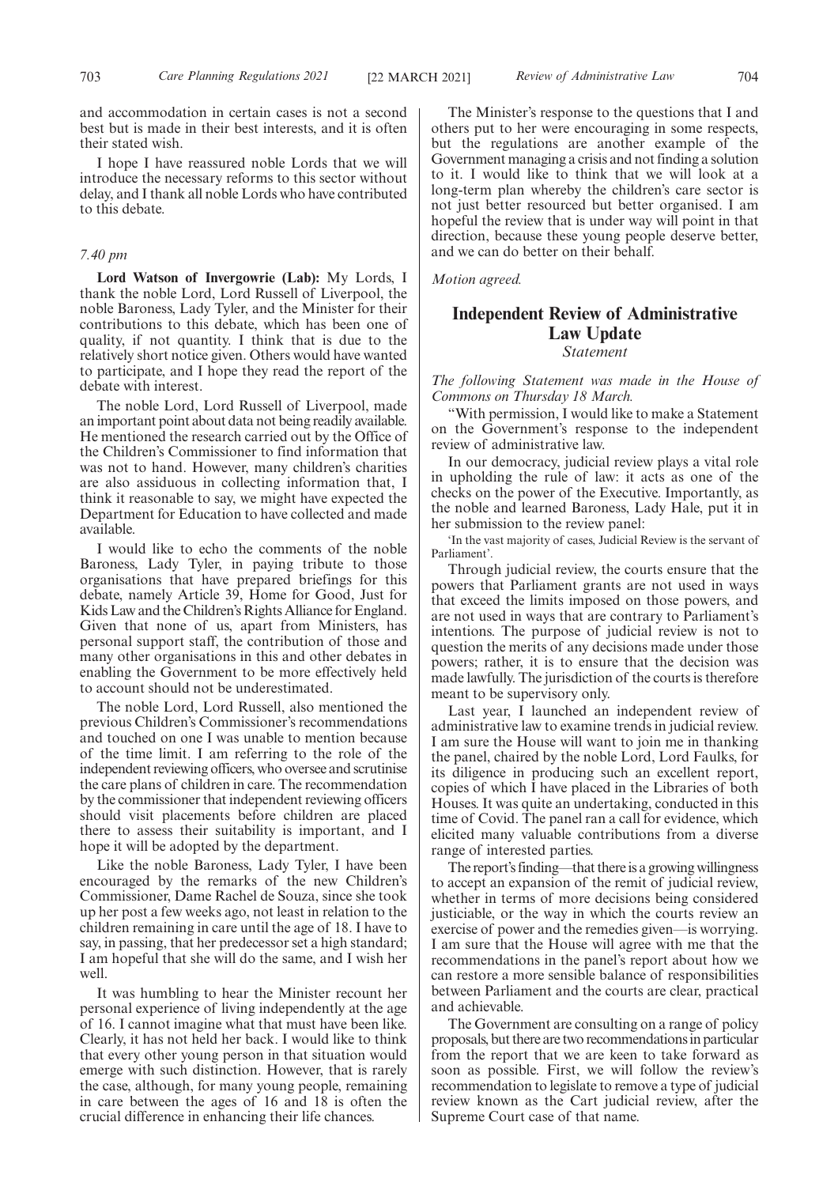and accommodation in certain cases is not a second best but is made in their best interests, and it is often their stated wish.

I hope I have reassured noble Lords that we will introduce the necessary reforms to this sector without delay, and I thank all noble Lords who have contributed to this debate.

## *7.40 pm*

**Lord Watson of Invergowrie (Lab):** My Lords, I thank the noble Lord, Lord Russell of Liverpool, the noble Baroness, Lady Tyler, and the Minister for their contributions to this debate, which has been one of quality, if not quantity. I think that is due to the relatively short notice given. Others would have wanted to participate, and I hope they read the report of the debate with interest.

The noble Lord, Lord Russell of Liverpool, made an important point about data not being readily available. He mentioned the research carried out by the Office of the Children's Commissioner to find information that was not to hand. However, many children's charities are also assiduous in collecting information that, I think it reasonable to say, we might have expected the Department for Education to have collected and made available.

I would like to echo the comments of the noble Baroness, Lady Tyler, in paying tribute to those organisations that have prepared briefings for this debate, namely Article 39, Home for Good, Just for Kids Law and the Children's Rights Alliance for England. Given that none of us, apart from Ministers, has personal support staff, the contribution of those and many other organisations in this and other debates in enabling the Government to be more effectively held to account should not be underestimated.

The noble Lord, Lord Russell, also mentioned the previous Children's Commissioner's recommendations and touched on one I was unable to mention because of the time limit. I am referring to the role of the independent reviewing officers, who oversee and scrutinise the care plans of children in care. The recommendation by the commissioner that independent reviewing officers should visit placements before children are placed there to assess their suitability is important, and I hope it will be adopted by the department.

Like the noble Baroness, Lady Tyler, I have been encouraged by the remarks of the new Children's Commissioner, Dame Rachel de Souza, since she took up her post a few weeks ago, not least in relation to the children remaining in care until the age of 18. I have to say, in passing, that her predecessor set a high standard; I am hopeful that she will do the same, and I wish her well.

It was humbling to hear the Minister recount her personal experience of living independently at the age of 16. I cannot imagine what that must have been like. Clearly, it has not held her back. I would like to think that every other young person in that situation would emerge with such distinction. However, that is rarely the case, although, for many young people, remaining in care between the ages of 16 and 18 is often the crucial difference in enhancing their life chances.

The Minister's response to the questions that I and others put to her were encouraging in some respects, but the regulations are another example of the Government managing a crisis and not finding a solution to it. I would like to think that we will look at a long-term plan whereby the children's care sector is not just better resourced but better organised. I am hopeful the review that is under way will point in that direction, because these young people deserve better, and we can do better on their behalf.

*Motion agreed.*

# **Independent Review of Administrative Law Update**

*Statement*

*The following Statement was made in the House of Commons on Thursday 18 March.*

"With permission, I would like to make a Statement on the Government's response to the independent review of administrative law.

In our democracy, judicial review plays a vital role in upholding the rule of law: it acts as one of the checks on the power of the Executive. Importantly, as the noble and learned Baroness, Lady Hale, put it in her submission to the review panel:

'In the vast majority of cases, Judicial Review is the servant of Parliament'.

Through judicial review, the courts ensure that the powers that Parliament grants are not used in ways that exceed the limits imposed on those powers, and are not used in ways that are contrary to Parliament's intentions. The purpose of judicial review is not to question the merits of any decisions made under those powers; rather, it is to ensure that the decision was made lawfully. The jurisdiction of the courts is therefore meant to be supervisory only.

Last year, I launched an independent review of administrative law to examine trends in judicial review. I am sure the House will want to join me in thanking the panel, chaired by the noble Lord, Lord Faulks, for its diligence in producing such an excellent report, copies of which I have placed in the Libraries of both Houses. It was quite an undertaking, conducted in this time of Covid. The panel ran a call for evidence, which elicited many valuable contributions from a diverse range of interested parties.

The report's finding—that there is a growing willingness to accept an expansion of the remit of judicial review, whether in terms of more decisions being considered justiciable, or the way in which the courts review an exercise of power and the remedies given—is worrying. I am sure that the House will agree with me that the recommendations in the panel's report about how we can restore a more sensible balance of responsibilities between Parliament and the courts are clear, practical and achievable.

The Government are consulting on a range of policy proposals, but there are two recommendations in particular from the report that we are keen to take forward as soon as possible. First, we will follow the review's recommendation to legislate to remove a type of judicial review known as the Cart judicial review, after the Supreme Court case of that name.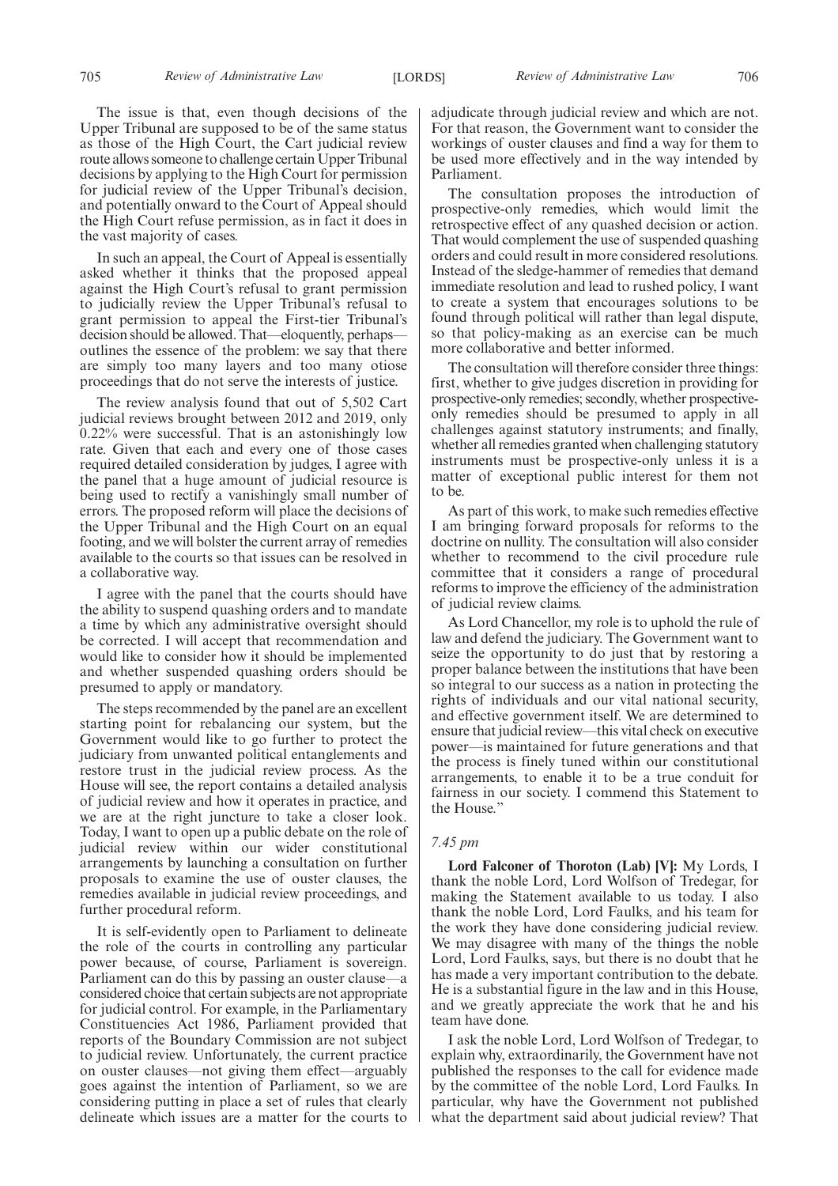The issue is that, even though decisions of the Upper Tribunal are supposed to be of the same status as those of the High Court, the Cart judicial review route allows someone to challenge certain Upper Tribunal decisions by applying to the High Court for permission for judicial review of the Upper Tribunal's decision, and potentially onward to the Court of Appeal should the High Court refuse permission, as in fact it does in the vast majority of cases.

In such an appeal, the Court of Appeal is essentially asked whether it thinks that the proposed appeal against the High Court's refusal to grant permission to judicially review the Upper Tribunal's refusal to grant permission to appeal the First-tier Tribunal's decision should be allowed. That—eloquently, perhaps outlines the essence of the problem: we say that there are simply too many layers and too many otiose proceedings that do not serve the interests of justice.

The review analysis found that out of 5,502 Cart judicial reviews brought between 2012 and 2019, only 0.22% were successful. That is an astonishingly low rate. Given that each and every one of those cases required detailed consideration by judges, I agree with the panel that a huge amount of judicial resource is being used to rectify a vanishingly small number of errors. The proposed reform will place the decisions of the Upper Tribunal and the High Court on an equal footing, and we will bolster the current array of remedies available to the courts so that issues can be resolved in a collaborative way.

I agree with the panel that the courts should have the ability to suspend quashing orders and to mandate a time by which any administrative oversight should be corrected. I will accept that recommendation and would like to consider how it should be implemented and whether suspended quashing orders should be presumed to apply or mandatory.

The steps recommended by the panel are an excellent starting point for rebalancing our system, but the Government would like to go further to protect the judiciary from unwanted political entanglements and restore trust in the judicial review process. As the House will see, the report contains a detailed analysis of judicial review and how it operates in practice, and we are at the right juncture to take a closer look. Today, I want to open up a public debate on the role of judicial review within our wider constitutional arrangements by launching a consultation on further proposals to examine the use of ouster clauses, the remedies available in judicial review proceedings, and further procedural reform.

It is self-evidently open to Parliament to delineate the role of the courts in controlling any particular power because, of course, Parliament is sovereign. Parliament can do this by passing an ouster clause—a considered choice that certain subjects are not appropriate for judicial control. For example, in the Parliamentary Constituencies Act 1986, Parliament provided that reports of the Boundary Commission are not subject to judicial review. Unfortunately, the current practice on ouster clauses—not giving them effect—arguably goes against the intention of Parliament, so we are considering putting in place a set of rules that clearly delineate which issues are a matter for the courts to

adjudicate through judicial review and which are not. For that reason, the Government want to consider the workings of ouster clauses and find a way for them to be used more effectively and in the way intended by Parliament.

The consultation proposes the introduction of prospective-only remedies, which would limit the retrospective effect of any quashed decision or action. That would complement the use of suspended quashing orders and could result in more considered resolutions. Instead of the sledge-hammer of remedies that demand immediate resolution and lead to rushed policy, I want to create a system that encourages solutions to be found through political will rather than legal dispute, so that policy-making as an exercise can be much more collaborative and better informed.

The consultation will therefore consider three things: first, whether to give judges discretion in providing for prospective-only remedies; secondly, whether prospectiveonly remedies should be presumed to apply in all challenges against statutory instruments; and finally, whether all remedies granted when challenging statutory instruments must be prospective-only unless it is a matter of exceptional public interest for them not to be.

As part of this work, to make such remedies effective I am bringing forward proposals for reforms to the doctrine on nullity. The consultation will also consider whether to recommend to the civil procedure rule committee that it considers a range of procedural reforms to improve the efficiency of the administration of judicial review claims.

As Lord Chancellor, my role is to uphold the rule of law and defend the judiciary. The Government want to seize the opportunity to do just that by restoring a proper balance between the institutions that have been so integral to our success as a nation in protecting the rights of individuals and our vital national security, and effective government itself. We are determined to ensure that judicial review—this vital check on executive power—is maintained for future generations and that the process is finely tuned within our constitutional arrangements, to enable it to be a true conduit for fairness in our society. I commend this Statement to the House."

# *7.45 pm*

**Lord Falconer of Thoroton (Lab) [V]:** My Lords, I thank the noble Lord, Lord Wolfson of Tredegar, for making the Statement available to us today. I also thank the noble Lord, Lord Faulks, and his team for the work they have done considering judicial review. We may disagree with many of the things the noble Lord, Lord Faulks, says, but there is no doubt that he has made a very important contribution to the debate. He is a substantial figure in the law and in this House, and we greatly appreciate the work that he and his team have done.

I ask the noble Lord, Lord Wolfson of Tredegar, to explain why, extraordinarily, the Government have not published the responses to the call for evidence made by the committee of the noble Lord, Lord Faulks. In particular, why have the Government not published what the department said about judicial review? That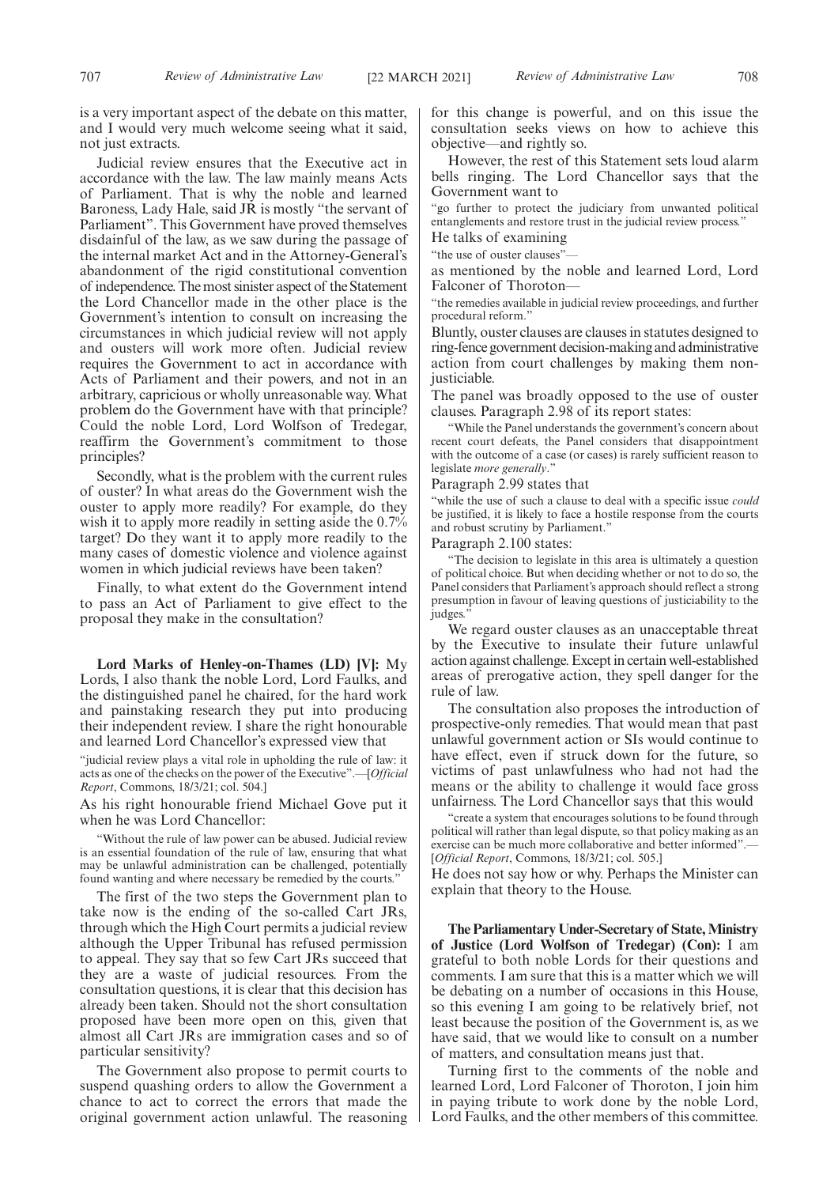is a very important aspect of the debate on this matter, and I would very much welcome seeing what it said, not just extracts.

Judicial review ensures that the Executive act in accordance with the law. The law mainly means Acts of Parliament. That is why the noble and learned Baroness, Lady Hale, said JR is mostly "the servant of Parliament". This Government have proved themselves disdainful of the law, as we saw during the passage of the internal market Act and in the Attorney-General's abandonment of the rigid constitutional convention of independence. The most sinister aspect of the Statement the Lord Chancellor made in the other place is the Government's intention to consult on increasing the circumstances in which judicial review will not apply and ousters will work more often. Judicial review requires the Government to act in accordance with Acts of Parliament and their powers, and not in an arbitrary, capricious or wholly unreasonable way. What problem do the Government have with that principle? Could the noble Lord, Lord Wolfson of Tredegar, reaffirm the Government's commitment to those principles?

Secondly, what is the problem with the current rules of ouster? In what areas do the Government wish the ouster to apply more readily? For example, do they wish it to apply more readily in setting aside the 0.7% target? Do they want it to apply more readily to the many cases of domestic violence and violence against women in which judicial reviews have been taken?

Finally, to what extent do the Government intend to pass an Act of Parliament to give effect to the proposal they make in the consultation?

**Lord Marks of Henley-on-Thames (LD) [V]:** My Lords, I also thank the noble Lord, Lord Faulks, and the distinguished panel he chaired, for the hard work and painstaking research they put into producing their independent review. I share the right honourable and learned Lord Chancellor's expressed view that

"judicial review plays a vital role in upholding the rule of law: it acts as one of the checks on the power of the Executive".—[*Official Report*, Commons, 18/3/21; col. 504.]

As his right honourable friend Michael Gove put it when he was Lord Chancellor:

"Without the rule of law power can be abused. Judicial review is an essential foundation of the rule of law, ensuring that what may be unlawful administration can be challenged, potentially found wanting and where necessary be remedied by the courts."

The first of the two steps the Government plan to take now is the ending of the so-called Cart JRs, through which the High Court permits a judicial review although the Upper Tribunal has refused permission to appeal. They say that so few Cart JRs succeed that they are a waste of judicial resources. From the consultation questions, it is clear that this decision has already been taken. Should not the short consultation proposed have been more open on this, given that almost all Cart JRs are immigration cases and so of particular sensitivity?

The Government also propose to permit courts to suspend quashing orders to allow the Government a chance to act to correct the errors that made the original government action unlawful. The reasoning for this change is powerful, and on this issue the consultation seeks views on how to achieve this objective—and rightly so.

However, the rest of this Statement sets loud alarm bells ringing. The Lord Chancellor says that the Government want to

"go further to protect the judiciary from unwanted political entanglements and restore trust in the judicial review process."

He talks of examining

"the use of ouster clauses"—

as mentioned by the noble and learned Lord, Lord Falconer of Thoroton—

"the remedies available in judicial review proceedings, and further procedural reform.'

Bluntly, ouster clauses are clauses in statutes designed to ring-fence government decision-making and administrative action from court challenges by making them nonjusticiable.

The panel was broadly opposed to the use of ouster clauses. Paragraph 2.98 of its report states:

"While the Panel understands the government's concern about recent court defeats, the Panel considers that disappointment with the outcome of a case (or cases) is rarely sufficient reason to legislate *more generally*."

Paragraph 2.99 states that

"while the use of such a clause to deal with a specific issue *could* be justified, it is likely to face a hostile response from the courts and robust scrutiny by Parliament."

Paragraph 2.100 states:

"The decision to legislate in this area is ultimately a question of political choice. But when deciding whether or not to do so, the Panel considers that Parliament's approach should reflect a strong presumption in favour of leaving questions of justiciability to the judges."

We regard ouster clauses as an unacceptable threat by the Executive to insulate their future unlawful action against challenge. Except in certain well-established areas of prerogative action, they spell danger for the rule of law.

The consultation also proposes the introduction of prospective-only remedies. That would mean that past unlawful government action or SIs would continue to have effect, even if struck down for the future, so victims of past unlawfulness who had not had the means or the ability to challenge it would face gross unfairness. The Lord Chancellor says that this would

"create a system that encourages solutions to be found through political will rather than legal dispute, so that policy making as an exercise can be much more collaborative and better informed".— [*Official Report*, Commons, 18/3/21; col. 505.]

He does not say how or why. Perhaps the Minister can explain that theory to the House.

**The Parliamentary Under-Secretary of State, Ministry of Justice (Lord Wolfson of Tredegar) (Con):** I am grateful to both noble Lords for their questions and comments. I am sure that this is a matter which we will be debating on a number of occasions in this House, so this evening I am going to be relatively brief, not least because the position of the Government is, as we have said, that we would like to consult on a number of matters, and consultation means just that.

Turning first to the comments of the noble and learned Lord, Lord Falconer of Thoroton, I join him in paying tribute to work done by the noble Lord, Lord Faulks, and the other members of this committee.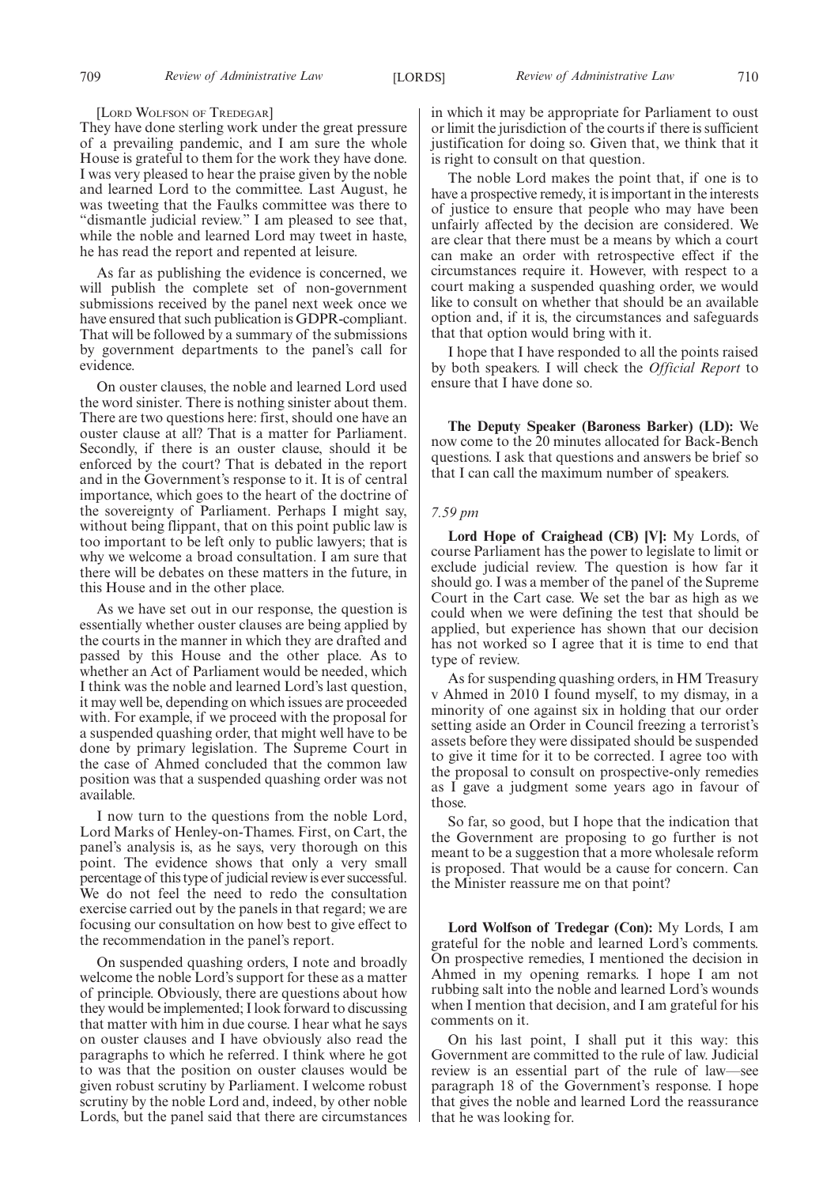#### [LORD WOLFSON OF TREDEGAR]

They have done sterling work under the great pressure of a prevailing pandemic, and I am sure the whole House is grateful to them for the work they have done. I was very pleased to hear the praise given by the noble and learned Lord to the committee. Last August, he was tweeting that the Faulks committee was there to "dismantle judicial review." I am pleased to see that, while the noble and learned Lord may tweet in haste, he has read the report and repented at leisure.

As far as publishing the evidence is concerned, we will publish the complete set of non-government submissions received by the panel next week once we have ensured that such publication is GDPR-compliant. That will be followed by a summary of the submissions by government departments to the panel's call for evidence.

On ouster clauses, the noble and learned Lord used the word sinister. There is nothing sinister about them. There are two questions here: first, should one have an ouster clause at all? That is a matter for Parliament. Secondly, if there is an ouster clause, should it be enforced by the court? That is debated in the report and in the Government's response to it. It is of central importance, which goes to the heart of the doctrine of the sovereignty of Parliament. Perhaps I might say, without being flippant, that on this point public law is too important to be left only to public lawyers; that is why we welcome a broad consultation. I am sure that there will be debates on these matters in the future, in this House and in the other place.

As we have set out in our response, the question is essentially whether ouster clauses are being applied by the courts in the manner in which they are drafted and passed by this House and the other place. As to whether an Act of Parliament would be needed, which I think was the noble and learned Lord's last question, it may well be, depending on which issues are proceeded with. For example, if we proceed with the proposal for a suspended quashing order, that might well have to be done by primary legislation. The Supreme Court in the case of Ahmed concluded that the common law position was that a suspended quashing order was not available.

I now turn to the questions from the noble Lord, Lord Marks of Henley-on-Thames. First, on Cart, the panel's analysis is, as he says, very thorough on this point. The evidence shows that only a very small percentage of this type of judicial review is ever successful. We do not feel the need to redo the consultation exercise carried out by the panels in that regard; we are focusing our consultation on how best to give effect to the recommendation in the panel's report.

On suspended quashing orders, I note and broadly welcome the noble Lord's support for these as a matter of principle. Obviously, there are questions about how they would be implemented; I look forward to discussing that matter with him in due course. I hear what he says on ouster clauses and I have obviously also read the paragraphs to which he referred. I think where he got to was that the position on ouster clauses would be given robust scrutiny by Parliament. I welcome robust scrutiny by the noble Lord and, indeed, by other noble Lords, but the panel said that there are circumstances in which it may be appropriate for Parliament to oust or limit the jurisdiction of the courts if there is sufficient justification for doing so. Given that, we think that it is right to consult on that question.

The noble Lord makes the point that, if one is to have a prospective remedy, it is important in the interests of justice to ensure that people who may have been unfairly affected by the decision are considered. We are clear that there must be a means by which a court can make an order with retrospective effect if the circumstances require it. However, with respect to a court making a suspended quashing order, we would like to consult on whether that should be an available option and, if it is, the circumstances and safeguards that that option would bring with it.

I hope that I have responded to all the points raised by both speakers. I will check the *Official Report* to ensure that I have done so.

**The Deputy Speaker (Baroness Barker) (LD):** We now come to the 20 minutes allocated for Back-Bench questions. I ask that questions and answers be brief so that I can call the maximum number of speakers.

#### *7.59 pm*

**Lord Hope of Craighead (CB) [V]:** My Lords, of course Parliament has the power to legislate to limit or exclude judicial review. The question is how far it should go. I was a member of the panel of the Supreme Court in the Cart case. We set the bar as high as we could when we were defining the test that should be applied, but experience has shown that our decision has not worked so I agree that it is time to end that type of review.

As for suspending quashing orders, in HM Treasury v Ahmed in 2010 I found myself, to my dismay, in a minority of one against six in holding that our order setting aside an Order in Council freezing a terrorist's assets before they were dissipated should be suspended to give it time for it to be corrected. I agree too with the proposal to consult on prospective-only remedies as I gave a judgment some years ago in favour of those.

So far, so good, but I hope that the indication that the Government are proposing to go further is not meant to be a suggestion that a more wholesale reform is proposed. That would be a cause for concern. Can the Minister reassure me on that point?

**Lord Wolfson of Tredegar (Con):** My Lords, I am grateful for the noble and learned Lord's comments. On prospective remedies, I mentioned the decision in Ahmed in my opening remarks. I hope I am not rubbing salt into the noble and learned Lord's wounds when I mention that decision, and I am grateful for his comments on it.

On his last point, I shall put it this way: this Government are committed to the rule of law. Judicial review is an essential part of the rule of law—see paragraph 18 of the Government's response. I hope that gives the noble and learned Lord the reassurance that he was looking for.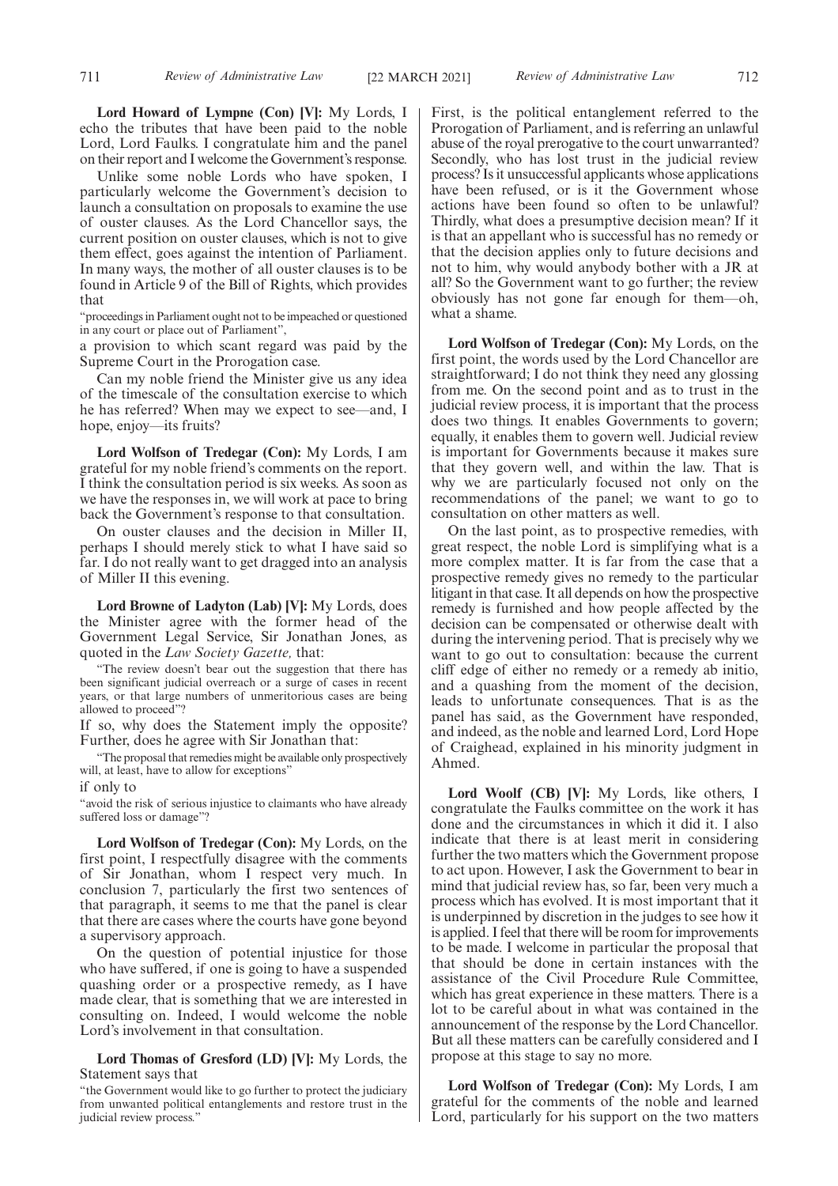**Lord Howard of Lympne (Con) [V]:** My Lords, I echo the tributes that have been paid to the noble Lord, Lord Faulks. I congratulate him and the panel on their report and I welcome the Government's response.

Unlike some noble Lords who have spoken, I particularly welcome the Government's decision to launch a consultation on proposals to examine the use of ouster clauses. As the Lord Chancellor says, the current position on ouster clauses, which is not to give them effect, goes against the intention of Parliament. In many ways, the mother of all ouster clauses is to be found in Article 9 of the Bill of Rights, which provides that

"proceedings in Parliament ought not to be impeached or questioned in any court or place out of Parliament",

a provision to which scant regard was paid by the Supreme Court in the Prorogation case.

Can my noble friend the Minister give us any idea of the timescale of the consultation exercise to which he has referred? When may we expect to see—and, I hope, enjoy—its fruits?

**Lord Wolfson of Tredegar (Con):** My Lords, I am grateful for my noble friend's comments on the report. I think the consultation period is six weeks. As soon as we have the responses in, we will work at pace to bring back the Government's response to that consultation.

On ouster clauses and the decision in Miller II, perhaps I should merely stick to what I have said so far. I do not really want to get dragged into an analysis of Miller II this evening.

**Lord Browne of Ladyton (Lab) [V]:** My Lords, does the Minister agree with the former head of the Government Legal Service, Sir Jonathan Jones, as quoted in the *Law Society Gazette,* that:

"The review doesn't bear out the suggestion that there has been significant judicial overreach or a surge of cases in recent years, or that large numbers of unmeritorious cases are being allowed to proceed"?

If so, why does the Statement imply the opposite? Further, does he agree with Sir Jonathan that:

"The proposal that remedies might be available only prospectively will, at least, have to allow for exceptions"

if only to

"avoid the risk of serious injustice to claimants who have already suffered loss or damage"?

**Lord Wolfson of Tredegar (Con):** My Lords, on the first point, I respectfully disagree with the comments of Sir Jonathan, whom I respect very much. In conclusion 7, particularly the first two sentences of that paragraph, it seems to me that the panel is clear that there are cases where the courts have gone beyond a supervisory approach.

On the question of potential injustice for those who have suffered, if one is going to have a suspended quashing order or a prospective remedy, as I have made clear, that is something that we are interested in consulting on. Indeed, I would welcome the noble Lord's involvement in that consultation.

**Lord Thomas of Gresford (LD) [V]:** My Lords, the Statement says that

First, is the political entanglement referred to the Prorogation of Parliament, and is referring an unlawful abuse of the royal prerogative to the court unwarranted? Secondly, who has lost trust in the judicial review process? Is it unsuccessful applicants whose applications have been refused, or is it the Government whose actions have been found so often to be unlawful? Thirdly, what does a presumptive decision mean? If it is that an appellant who is successful has no remedy or that the decision applies only to future decisions and not to him, why would anybody bother with a JR at all? So the Government want to go further; the review obviously has not gone far enough for them—oh, what a shame.

**Lord Wolfson of Tredegar (Con):** My Lords, on the first point, the words used by the Lord Chancellor are straightforward; I do not think they need any glossing from me. On the second point and as to trust in the judicial review process, it is important that the process does two things. It enables Governments to govern; equally, it enables them to govern well. Judicial review is important for Governments because it makes sure that they govern well, and within the law. That is why we are particularly focused not only on the recommendations of the panel; we want to go to consultation on other matters as well.

On the last point, as to prospective remedies, with great respect, the noble Lord is simplifying what is a more complex matter. It is far from the case that a prospective remedy gives no remedy to the particular litigant in that case. It all depends on how the prospective remedy is furnished and how people affected by the decision can be compensated or otherwise dealt with during the intervening period. That is precisely why we want to go out to consultation: because the current cliff edge of either no remedy or a remedy ab initio, and a quashing from the moment of the decision, leads to unfortunate consequences. That is as the panel has said, as the Government have responded, and indeed, as the noble and learned Lord, Lord Hope of Craighead, explained in his minority judgment in Ahmed.

**Lord Woolf (CB) [V]:** My Lords, like others, I congratulate the Faulks committee on the work it has done and the circumstances in which it did it. I also indicate that there is at least merit in considering further the two matters which the Government propose to act upon. However, I ask the Government to bear in mind that judicial review has, so far, been very much a process which has evolved. It is most important that it is underpinned by discretion in the judges to see how it is applied. I feel that there will be room for improvements to be made. I welcome in particular the proposal that that should be done in certain instances with the assistance of the Civil Procedure Rule Committee, which has great experience in these matters. There is a lot to be careful about in what was contained in the announcement of the response by the Lord Chancellor. But all these matters can be carefully considered and I propose at this stage to say no more.

**Lord Wolfson of Tredegar (Con):** My Lords, I am grateful for the comments of the noble and learned Lord, particularly for his support on the two matters

<sup>&</sup>quot;the Government would like to go further to protect the judiciary from unwanted political entanglements and restore trust in the judicial review process."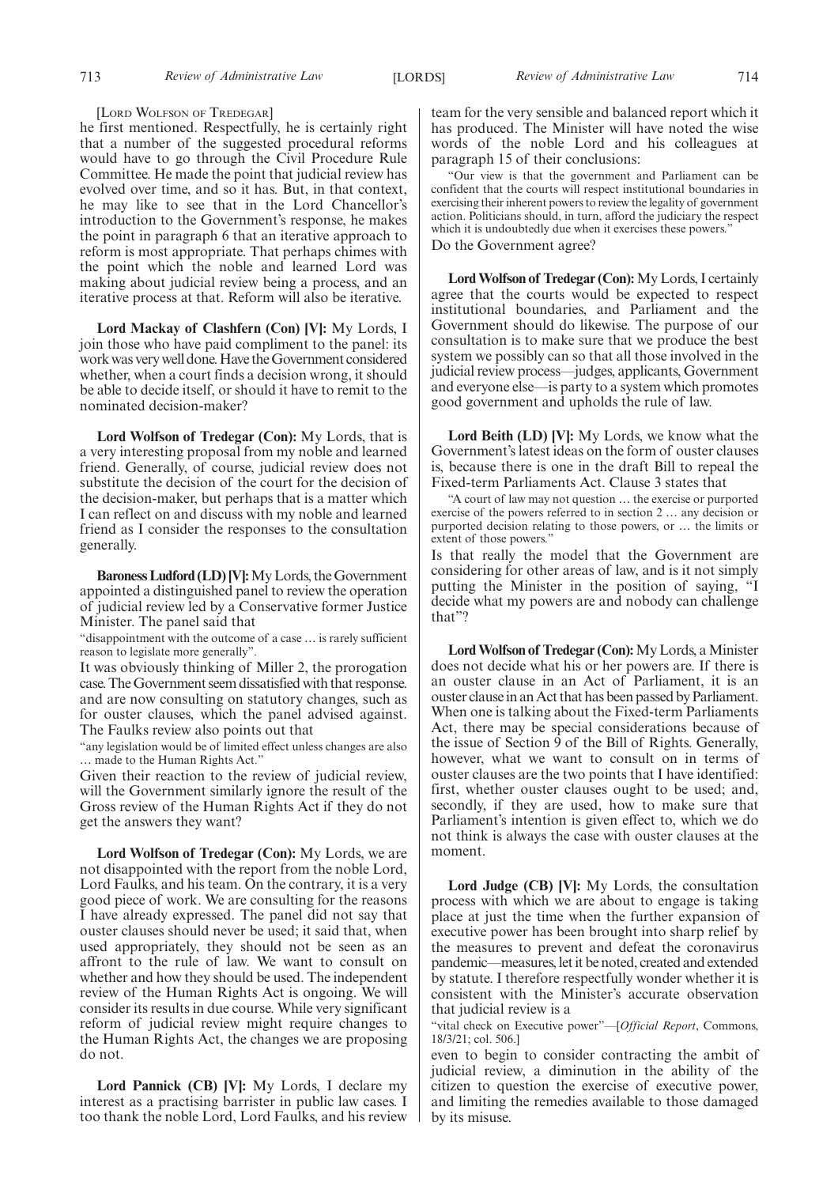## [LORD WOLFSON OF TREDEGAR]

he first mentioned. Respectfully, he is certainly right that a number of the suggested procedural reforms would have to go through the Civil Procedure Rule Committee. He made the point that judicial review has evolved over time, and so it has. But, in that context, he may like to see that in the Lord Chancellor's introduction to the Government's response, he makes the point in paragraph 6 that an iterative approach to reform is most appropriate. That perhaps chimes with the point which the noble and learned Lord was making about judicial review being a process, and an iterative process at that. Reform will also be iterative.

**Lord Mackay of Clashfern (Con) [V]:** My Lords, I join those who have paid compliment to the panel: its work was very well done. Have the Government considered whether, when a court finds a decision wrong, it should be able to decide itself, or should it have to remit to the nominated decision-maker?

**Lord Wolfson of Tredegar (Con):** My Lords, that is a very interesting proposal from my noble and learned friend. Generally, of course, judicial review does not substitute the decision of the court for the decision of the decision-maker, but perhaps that is a matter which I can reflect on and discuss with my noble and learned friend as I consider the responses to the consultation generally.

**Baroness Ludford (LD) [V]:**My Lords, the Government appointed a distinguished panel to review the operation of judicial review led by a Conservative former Justice Minister. The panel said that

"disappointment with the outcome of a case … is rarely sufficient reason to legislate more generally".

It was obviously thinking of Miller 2, the prorogation case. The Government seem dissatisfied with that response. and are now consulting on statutory changes, such as for ouster clauses, which the panel advised against. The Faulks review also points out that

"any legislation would be of limited effect unless changes are also … made to the Human Rights Act."

Given their reaction to the review of judicial review, will the Government similarly ignore the result of the Gross review of the Human Rights Act if they do not get the answers they want?

**Lord Wolfson of Tredegar (Con):** My Lords, we are not disappointed with the report from the noble Lord, Lord Faulks, and his team. On the contrary, it is a very good piece of work. We are consulting for the reasons I have already expressed. The panel did not say that ouster clauses should never be used; it said that, when used appropriately, they should not be seen as an affront to the rule of law. We want to consult on whether and how they should be used. The independent review of the Human Rights Act is ongoing. We will consider its results in due course. While very significant reform of judicial review might require changes to the Human Rights Act, the changes we are proposing do not.

**Lord Pannick (CB) [V]:** My Lords, I declare my interest as a practising barrister in public law cases. I too thank the noble Lord, Lord Faulks, and his review team for the very sensible and balanced report which it has produced. The Minister will have noted the wise words of the noble Lord and his colleagues at paragraph 15 of their conclusions:

"Our view is that the government and Parliament can be confident that the courts will respect institutional boundaries in exercising their inherent powers to review the legality of government action. Politicians should, in turn, afford the judiciary the respect which it is undoubtedly due when it exercises these powers." Do the Government agree?

**Lord Wolfson of Tredegar (Con):**My Lords, I certainly agree that the courts would be expected to respect institutional boundaries, and Parliament and the Government should do likewise. The purpose of our consultation is to make sure that we produce the best system we possibly can so that all those involved in the judicial review process—judges, applicants, Government and everyone else—is party to a system which promotes good government and upholds the rule of law.

**Lord Beith (LD) [V]:** My Lords, we know what the Government's latest ideas on the form of ouster clauses is, because there is one in the draft Bill to repeal the Fixed-term Parliaments Act. Clause 3 states that

"A court of law may not question … the exercise or purported exercise of the powers referred to in section 2 … any decision or purported decision relating to those powers, or … the limits or extent of those powers."

Is that really the model that the Government are considering for other areas of law, and is it not simply putting the Minister in the position of saying, "I decide what my powers are and nobody can challenge that"?

**Lord Wolfson of Tredegar (Con):**My Lords, a Minister does not decide what his or her powers are. If there is an ouster clause in an Act of Parliament, it is an ouster clause in an Act that has been passed by Parliament. When one is talking about the Fixed-term Parliaments Act, there may be special considerations because of the issue of Section 9 of the Bill of Rights. Generally, however, what we want to consult on in terms of ouster clauses are the two points that I have identified: first, whether ouster clauses ought to be used; and, secondly, if they are used, how to make sure that Parliament's intention is given effect to, which we do not think is always the case with ouster clauses at the moment.

**Lord Judge (CB) [V]:** My Lords, the consultation process with which we are about to engage is taking place at just the time when the further expansion of executive power has been brought into sharp relief by the measures to prevent and defeat the coronavirus pandemic—measures, let it be noted, created and extended by statute. I therefore respectfully wonder whether it is consistent with the Minister's accurate observation that judicial review is a

"vital check on Executive power"—[*Official Report*, Commons, 18/3/21; col. 506.]

even to begin to consider contracting the ambit of judicial review, a diminution in the ability of the citizen to question the exercise of executive power, and limiting the remedies available to those damaged by its misuse.